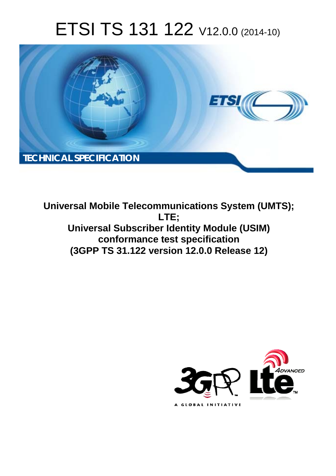# ETSI TS 131 122 V12.0.0 (2014-10)



**Universal Mobile Telecommunications System (UMTS); LTE; Universal Subscriber Identity Module (USIM) conformance test specification (3GPP TS 31.122 version 12.0.0 Release 12)** 

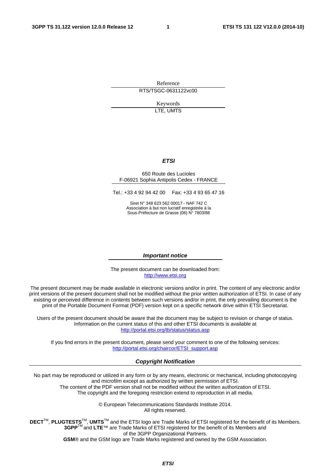Reference RTS/TSGC-0631122vc00

> Keywords LTE, UMTS

#### *ETSI*

#### 650 Route des Lucioles F-06921 Sophia Antipolis Cedex - FRANCE

Tel.: +33 4 92 94 42 00 Fax: +33 4 93 65 47 16

Siret N° 348 623 562 00017 - NAF 742 C Association à but non lucratif enregistrée à la Sous-Préfecture de Grasse (06) N° 7803/88

#### *Important notice*

The present document can be downloaded from: [http://www.etsi.org](http://www.etsi.org/)

The present document may be made available in electronic versions and/or in print. The content of any electronic and/or print versions of the present document shall not be modified without the prior written authorization of ETSI. In case of any existing or perceived difference in contents between such versions and/or in print, the only prevailing document is the print of the Portable Document Format (PDF) version kept on a specific network drive within ETSI Secretariat.

Users of the present document should be aware that the document may be subject to revision or change of status. Information on the current status of this and other ETSI documents is available at <http://portal.etsi.org/tb/status/status.asp>

If you find errors in the present document, please send your comment to one of the following services: [http://portal.etsi.org/chaircor/ETSI\\_support.asp](http://portal.etsi.org/chaircor/ETSI_support.asp)

#### *Copyright Notification*

No part may be reproduced or utilized in any form or by any means, electronic or mechanical, including photocopying and microfilm except as authorized by written permission of ETSI.

The content of the PDF version shall not be modified without the written authorization of ETSI. The copyright and the foregoing restriction extend to reproduction in all media.

> © European Telecommunications Standards Institute 2014. All rights reserved.

**DECT**TM, **PLUGTESTS**TM, **UMTS**TM and the ETSI logo are Trade Marks of ETSI registered for the benefit of its Members. **3GPP**TM and **LTE**™ are Trade Marks of ETSI registered for the benefit of its Members and of the 3GPP Organizational Partners.

**GSM**® and the GSM logo are Trade Marks registered and owned by the GSM Association.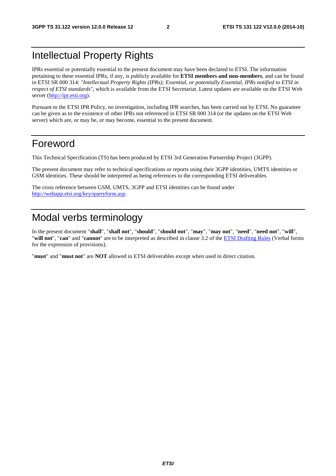# Intellectual Property Rights

IPRs essential or potentially essential to the present document may have been declared to ETSI. The information pertaining to these essential IPRs, if any, is publicly available for **ETSI members and non-members**, and can be found in ETSI SR 000 314: *"Intellectual Property Rights (IPRs); Essential, or potentially Essential, IPRs notified to ETSI in respect of ETSI standards"*, which is available from the ETSI Secretariat. Latest updates are available on the ETSI Web server [\(http://ipr.etsi.org](http://webapp.etsi.org/IPR/home.asp)).

Pursuant to the ETSI IPR Policy, no investigation, including IPR searches, has been carried out by ETSI. No guarantee can be given as to the existence of other IPRs not referenced in ETSI SR 000 314 (or the updates on the ETSI Web server) which are, or may be, or may become, essential to the present document.

### Foreword

This Technical Specification (TS) has been produced by ETSI 3rd Generation Partnership Project (3GPP).

The present document may refer to technical specifications or reports using their 3GPP identities, UMTS identities or GSM identities. These should be interpreted as being references to the corresponding ETSI deliverables.

The cross reference between GSM, UMTS, 3GPP and ETSI identities can be found under [http://webapp.etsi.org/key/queryform.asp.](http://webapp.etsi.org/key/queryform.asp)

# Modal verbs terminology

In the present document "**shall**", "**shall not**", "**should**", "**should not**", "**may**", "**may not**", "**need**", "**need not**", "**will**", "**will not**", "**can**" and "**cannot**" are to be interpreted as described in clause 3.2 of the [ETSI Drafting Rules](http://portal.etsi.org/Help/editHelp!/Howtostart/ETSIDraftingRules.aspx) (Verbal forms for the expression of provisions).

"**must**" and "**must not**" are **NOT** allowed in ETSI deliverables except when used in direct citation.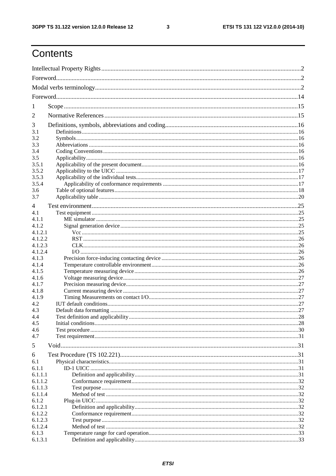$\mathbf{3}$ 

# Contents

| 1                |  |    |
|------------------|--|----|
| 2                |  |    |
|                  |  |    |
| 3<br>3.1         |  |    |
| 3.2              |  |    |
| 3.3              |  |    |
| 3.4              |  |    |
| 3.5              |  |    |
| 3.5.1            |  |    |
| 3.5.2            |  |    |
| 3.5.3            |  |    |
| 3.5.4            |  |    |
| 3.6              |  |    |
| 3.7              |  |    |
| 4                |  |    |
| 4.1              |  |    |
| 4.1.1<br>4.1.2   |  |    |
| 4.1.2.1          |  |    |
| 4.1.2.2          |  |    |
| 4.1.2.3          |  |    |
| 4.1.2.4          |  |    |
| 4.1.3            |  |    |
| 4.1.4            |  |    |
| 4.1.5            |  |    |
| 4.1.6            |  |    |
| 4.1.7            |  |    |
| 4.1.8<br>4.1.9   |  |    |
| 4.2              |  |    |
| 4.3              |  |    |
| 4.4              |  | 28 |
| 4.5              |  |    |
| 4.6              |  |    |
| 4.7              |  |    |
| 5                |  |    |
| 6                |  |    |
| 6.1              |  |    |
| 6.1.1            |  |    |
| 6.1.1.1          |  |    |
| 6.1.1.2          |  |    |
| 6.1.1.3          |  |    |
| 6.1.1.4          |  |    |
| 6.1.2<br>6.1.2.1 |  |    |
| 6.1.2.2          |  |    |
| 6.1.2.3          |  |    |
| 6.1.2.4          |  |    |
| 6.1.3            |  |    |
| 6.1.3.1          |  |    |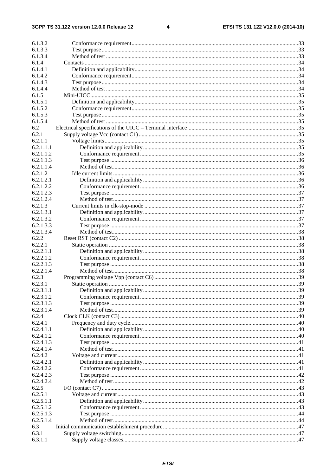#### $\overline{\mathbf{4}}$

| 6.1.3.2   |  |
|-----------|--|
| 6.1.3.3   |  |
| 6.1.3.4   |  |
| 6.1.4     |  |
| 6.1.4.1   |  |
| 6.1.4.2   |  |
| 6.1.4.3   |  |
|           |  |
| 6.1.4.4   |  |
| 6.1.5     |  |
| 6.1.5.1   |  |
| 6.1.5.2   |  |
| 6.1.5.3   |  |
| 6.1.5.4   |  |
| 6.2       |  |
| 6.2.1     |  |
| 6.2.1.1   |  |
|           |  |
| 6.2.1.1.1 |  |
| 6.2.1.1.2 |  |
| 6.2.1.1.3 |  |
| 6.2.1.1.4 |  |
| 6.2.1.2   |  |
| 6.2.1.2.1 |  |
| 6.2.1.2.2 |  |
| 6.2.1.2.3 |  |
| 6.2.1.2.4 |  |
| 6.2.1.3   |  |
|           |  |
| 6.2.1.3.1 |  |
| 6.2.1.3.2 |  |
| 6.2.1.3.3 |  |
| 6.2.1.3.4 |  |
| 6.2.2     |  |
| 6.2.2.1   |  |
| 6.2.2.1.1 |  |
| 6.2.2.1.2 |  |
| 6.2.2.1.3 |  |
| 6.2.2.1.4 |  |
| 6.2.3     |  |
| 6.2.3.1   |  |
|           |  |
| 6.2.3.1.1 |  |
| 6.2.3.1.2 |  |
| 6.2.3.1.3 |  |
| 6.2.3.1.4 |  |
| 6.2.4     |  |
| 6.2.4.1   |  |
| 6.2.4.1.1 |  |
| 6.2.4.1.2 |  |
| 6.2.4.1.3 |  |
| 6.2.4.1.4 |  |
|           |  |
| 6.2.4.2   |  |
| 6.2.4.2.1 |  |
| 6.2.4.2.2 |  |
| 6.2.4.2.3 |  |
| 6.2.4.2.4 |  |
| 6.2.5     |  |
| 6.2.5.1   |  |
| 6.2.5.1.1 |  |
| 6.2.5.1.2 |  |
| 6.2.5.1.3 |  |
|           |  |
| 6.2.5.1.4 |  |
| 6.3       |  |
| 6.3.1     |  |
| 6.3.1.1   |  |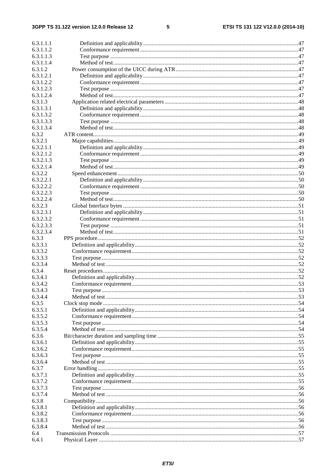### $5\phantom{a}$

| 6.3.1.1.1              |              |  |
|------------------------|--------------|--|
| 6.3.1.1.2              |              |  |
| 6.3.1.1.3              |              |  |
| 6.3.1.1.4              |              |  |
| 6.3.1.2                |              |  |
| 6.3.1.2.1              |              |  |
| 6.3.1.2.2              |              |  |
| 6.3.1.2.3              |              |  |
| 6.3.1.2.4              |              |  |
| 6.3.1.3                |              |  |
| 6.3.1.3.1              |              |  |
| 6.3.1.3.2              |              |  |
| 6.3.1.3.3              |              |  |
| 6.3.1.3.4              |              |  |
| 6.3.2                  |              |  |
| 6.3.2.1                |              |  |
| 6.3.2.1.1              |              |  |
| 6.3.2.1.2              |              |  |
| 6.3.2.1.3              |              |  |
| 6.3.2.1.4              |              |  |
| 6.3.2.2                |              |  |
| 6.3.2.2.1              |              |  |
|                        |              |  |
| 6.3.2.2.2              |              |  |
| 6.3.2.2.3<br>6.3.2.2.4 |              |  |
|                        |              |  |
| 6.3.2.3                |              |  |
| 6.3.2.3.1              |              |  |
| 6.3.2.3.2              |              |  |
| 6.3.2.3.3              |              |  |
| 6.3.2.3.4              |              |  |
| 6.3.3                  |              |  |
| 6.3.3.1                |              |  |
| 6.3.3.2                |              |  |
| 6.3.3.3                |              |  |
| 6.3.3.4                |              |  |
| 6.3.4                  |              |  |
| 6.3.4.1                |              |  |
| 6.3.4.2                |              |  |
| 6.3.4.3                | Test purpose |  |
| 6.3.4.4                |              |  |
| 6.3.5                  |              |  |
| 6.3.5.1                |              |  |
| 6.3.5.2                |              |  |
| 6.3.5.3                |              |  |
| 6.3.5.4                |              |  |
| 6.3.6                  |              |  |
| 6.3.6.1                |              |  |
| 6.3.6.2                |              |  |
| 6.3.6.3                |              |  |
| 6.3.6.4                |              |  |
| 6.3.7                  |              |  |
| 6.3.7.1                |              |  |
| 6.3.7.2                |              |  |
| 6.3.7.3                |              |  |
| 6.3.7.4                |              |  |
| 6.3.8                  |              |  |
| 6.3.8.1                |              |  |
| 6.3.8.2                |              |  |
| 6.3.8.3                |              |  |
| 6.3.8.4                |              |  |
| 6.4                    |              |  |
|                        |              |  |
| 6.4.1                  |              |  |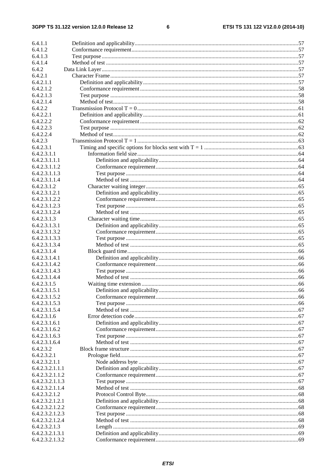$\bf 6$ 

| 6.4.1.1                        |  |
|--------------------------------|--|
| 6.4.1.2                        |  |
| 6.4.1.3                        |  |
| 6.4.1.4                        |  |
| 6.4.2                          |  |
| 6.4.2.1                        |  |
| 6.4.2.1.1                      |  |
| 6.4.2.1.2                      |  |
| 6.4.2.1.3                      |  |
| 6.4.2.1.4                      |  |
| 6.4.2.2                        |  |
| 6.4.2.2.1                      |  |
| 6.4.2.2.2                      |  |
| 6.4.2.2.3                      |  |
| 6.4.2.2.4                      |  |
| 6.4.2.3                        |  |
| 6.4.2.3.1                      |  |
| 6.4.2.3.1.1                    |  |
| 6.4.2.3.1.1.1                  |  |
| 6.4.2.3.1.1.2                  |  |
| 6.4.2.3.1.1.3                  |  |
| 6.4.2.3.1.1.4                  |  |
| 6.4.2.3.1.2                    |  |
| 6.4.2.3.1.2.1                  |  |
| 6.4.2.3.1.2.2                  |  |
| 6.4.2.3.1.2.3                  |  |
| 6.4.2.3.1.2.4                  |  |
| 6.4.2.3.1.3                    |  |
| 6.4.2.3.1.3.1                  |  |
| 6.4.2.3.1.3.2                  |  |
| 6.4.2.3.1.3.3                  |  |
| 6.4.2.3.1.3.4                  |  |
| 6.4.2.3.1.4                    |  |
| 6.4.2.3.1.4.1                  |  |
| 6.4.2.3.1.4.2                  |  |
| 6.4.2.3.1.4.3                  |  |
| 6.4.2.3.1.4.4                  |  |
| 6.4.2.3.1.5                    |  |
| 6.4.2.3.1.5.1                  |  |
| 6.4.2.3.1.5.2                  |  |
| 6.4.2.3.1.5.3                  |  |
| 6.4.2.3.1.5.4                  |  |
| 6.4.2.3.1.6<br>6.4.2.3.1.6.1   |  |
|                                |  |
| 6.4.2.3.1.6.2<br>6.4.2.3.1.6.3 |  |
| 6.4.2.3.1.6.4                  |  |
| 6.4.2.3.2                      |  |
| 6.4.2.3.2.1                    |  |
| 6.4.2.3.2.1.1                  |  |
| 6.4.2.3.2.1.1.1                |  |
| 6.4.2.3.2.1.1.2                |  |
| 6.4.2.3.2.1.1.3                |  |
| 6.4.2.3.2.1.1.4                |  |
| 6.4.2.3.2.1.2                  |  |
| 6.4.2.3.2.1.2.1                |  |
| 6.4.2.3.2.1.2.2                |  |
| 6.4.2.3.2.1.2.3                |  |
| 6.4.2.3.2.1.2.4                |  |
| 6.4.2.3.2.1.3                  |  |
| 6.4.2.3.2.1.3.1                |  |
| 6.4.2.3.2.1.3.2                |  |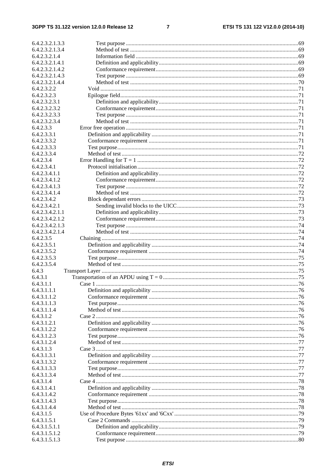#### 3GPP TS 31.122 version 12.0.0 Release 12

 $\overline{7}$ 

| 6.4.2.3.2.1.3.3          |  |
|--------------------------|--|
| 6.4.2.3.2.1.3.4          |  |
| 6.4.2.3.2.1.4            |  |
| 6.4.2.3.2.1.4.1          |  |
| 6.4.2.3.2.1.4.2          |  |
| 6.4.2.3.2.1.4.3          |  |
| 6.4.2.3.2.1.4.4          |  |
| 6.4.2.3.2.2              |  |
| 6.4.2.3.2.3              |  |
| 6.4.2.3.2.3.1            |  |
| 6.4.2.3.2.3.2            |  |
| 6.4.2.3.2.3.3            |  |
| 6.4.2.3.2.3.4            |  |
| 6.4.2.3.3                |  |
| 6.4.2.3.3.1              |  |
| 6.4.2.3.3.2              |  |
| 6.4.2.3.3.3              |  |
| 6.4.2.3.3.4              |  |
| 6.4.2.3.4                |  |
| 6.4.2.3.4.1              |  |
| 6.4.2.3.4.1.1            |  |
| 6.4.2.3.4.1.2            |  |
| 6.4.2.3.4.1.3            |  |
| 6.4.2.3.4.1.4            |  |
| 6.4.2.3.4.2              |  |
| 6.4.2.3.4.2.1            |  |
| 6.4.2.3.4.2.1.1          |  |
| 6.4.2.3.4.2.1.2          |  |
| 6.4.2.3.4.2.1.3          |  |
| 6.4.2.3.4.2.1.4          |  |
| 6.4.2.3.5                |  |
| 6.4.2.3.5.1              |  |
| 6.4.2.3.5.2              |  |
| 6.4.2.3.5.3              |  |
| 6.4.2.3.5.4              |  |
| 6.4.3                    |  |
| 6.4.3.1                  |  |
| 6.4.3.1.1                |  |
| 6.4.3.1.1.1              |  |
| 6.4.3.1.1.2              |  |
| 6.4.3.1.1.3              |  |
|                          |  |
| 6.4.3.1.1.4<br>6.4.3.1.2 |  |
| 6.4.3.1.2.1              |  |
|                          |  |
| 6.4.3.1.2.2              |  |
| 6.4.3.1.2.3              |  |
| 6.4.3.1.2.4              |  |
| 6.4.3.1.3                |  |
| 6.4.3.1.3.1              |  |
| 6.4.3.1.3.2              |  |
| 6.4.3.1.3.3              |  |
| 6.4.3.1.3.4              |  |
| 6.4.3.1.4                |  |
| 6.4.3.1.4.1              |  |
| 6.4.3.1.4.2              |  |
| 6.4.3.1.4.3              |  |
| 6.4.3.1.4.4              |  |
| 6.4.3.1.5                |  |
| 6.4.3.1.5.1              |  |
| 6.4.3.1.5.1.1            |  |
| 6.4.3.1.5.1.2            |  |
| 6.4.3.1.5.1.3            |  |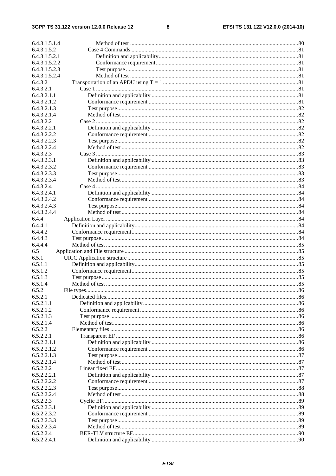$\bf{8}$ 

| 6.4.3.1.5.1.4 |  |
|---------------|--|
| 6.4.3.1.5.2   |  |
| 6.4.3.1.5.2.1 |  |
| 6.4.3.1.5.2.2 |  |
| 6.4.3.1.5.2.3 |  |
| 6.4.3.1.5.2.4 |  |
| 6.4.3.2       |  |
| 6.4.3.2.1     |  |
| 6.4.3.2.1.1   |  |
| 6.4.3.2.1.2   |  |
| 6.4.3.2.1.3   |  |
| 6.4.3.2.1.4   |  |
| 6.4.3.2.2     |  |
| 6.4.3.2.2.1   |  |
| 6.4.3.2.2.2   |  |
| 6.4.3.2.2.3   |  |
| 6.4.3.2.2.4   |  |
| 6.4.3.2.3     |  |
| 6.4.3.2.3.1   |  |
|               |  |
| 6.4.3.2.3.2   |  |
| 6.4.3.2.3.3   |  |
| 6.4.3.2.3.4   |  |
| 6.4.3.2.4     |  |
| 6.4.3.2.4.1   |  |
| 6.4.3.2.4.2   |  |
| 6.4.3.2.4.3   |  |
| 6.4.3.2.4.4   |  |
| 6.4.4         |  |
| 6.4.4.1       |  |
| 6.4.4.2       |  |
| 6.4.4.3       |  |
| 6.4.4.4       |  |
| 6.5           |  |
| 6.5.1         |  |
| 6.5.1.1       |  |
| 6.5.1.2       |  |
| 6.5.1.3       |  |
| 6.5.1.4       |  |
| 6.5.2         |  |
| 6.5.2.1       |  |
| 6.5.2.1.1     |  |
| 6.5.2.1.2     |  |
| 6.5.2.1.3     |  |
| 6.5.2.1.4     |  |
| 6.5.2.2       |  |
| 6.5.2.2.1     |  |
| 6.5.2.2.1.1   |  |
| 6.5.2.2.1.2   |  |
| 6.5.2.2.1.3   |  |
| 6.5.2.2.1.4   |  |
| 6.5.2.2.2     |  |
| 6.5.2.2.2.1   |  |
| 6.5.2.2.2.2   |  |
| 6.5.2.2.2.3   |  |
| 6.5.2.2.2.4   |  |
| 6.5.2.2.3     |  |
| 6.5.2.2.3.1   |  |
| 6.5.2.2.3.2   |  |
| 6.5.2.2.3.3   |  |
| 6.5.2.2.3.4   |  |
| 6.5.2.2.4     |  |
| 6.5.2.2.4.1   |  |
|               |  |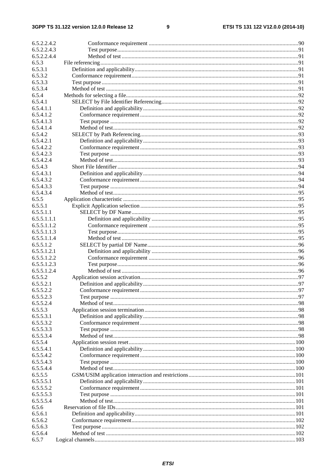#### $\boldsymbol{9}$

| 6.5.2.2.4.2                |                         |    |
|----------------------------|-------------------------|----|
| 6.5.2.2.4.3                |                         |    |
| 6.5.2.2.4.4                |                         |    |
| 6.5.3                      |                         |    |
| 6.5.3.1                    |                         |    |
| 6.5.3.2                    |                         |    |
| 6.5.3.3                    |                         |    |
| 6.5.3.4                    |                         |    |
| 6.5.4                      |                         |    |
| 6.5.4.1                    |                         |    |
| 6.5.4.1.1                  |                         |    |
| 6.5.4.1.2                  |                         |    |
| 6.5.4.1.3                  |                         |    |
| 6.5.4.1.4                  |                         |    |
| 6.5.4.2                    |                         |    |
| 6.5.4.2.1                  |                         |    |
| 6.5.4.2.2                  |                         |    |
| 6.5.4.2.3                  |                         |    |
| 6.5.4.2.4                  |                         |    |
| 6.5.4.3                    |                         |    |
| 6.5.4.3.1                  |                         |    |
| 6.5.4.3.2                  |                         |    |
| 6.5.4.3.3                  |                         |    |
| 6.5.4.3.4                  |                         |    |
| 6.5.5                      |                         |    |
| 6.5.5.1                    |                         |    |
| 6.5.5.1.1                  |                         |    |
| 6.5.5.1.1.1                |                         |    |
| 6.5.5.1.1.2                |                         |    |
| 6.5.5.1.1.3                |                         |    |
| 6.5.5.1.1.4                |                         |    |
| 6.5.5.1.2                  |                         |    |
| 6.5.5.1.2.1                |                         |    |
| 6.5.5.1.2.2                |                         |    |
| 6.5.5.1.2.3<br>6.5.5.1.2.4 |                         |    |
| 6.5.5.2                    |                         |    |
| 6.5.5.2.1                  |                         |    |
| 6.5.5.2.2                  | Conformance requirement | 97 |
| 6.5.5.2.3                  |                         |    |
| 6.5.5.2.4                  |                         |    |
| 6.5.5.3                    |                         |    |
| 6.5.5.3.1                  |                         |    |
| 6.5.5.3.2                  |                         |    |
| 6.5.5.3.3                  |                         |    |
| 6.5.5.3.4                  |                         |    |
| 6.5.5.4                    |                         |    |
| 6.5.5.4.1                  |                         |    |
| 6.5.5.4.2                  |                         |    |
| 6.5.5.4.3                  |                         |    |
| 6.5.5.4.4                  |                         |    |
| 6.5.5.5                    |                         |    |
| 6.5.5.5.1                  |                         |    |
| 6.5.5.5.2                  |                         |    |
| 6.5.5.5.3                  |                         |    |
| 6.5.5.5.4                  |                         |    |
| 6.5.6                      |                         |    |
| 6.5.6.1                    |                         |    |
| 6.5.6.2                    |                         |    |
| 6.5.6.3                    |                         |    |
| 6.5.6.4                    |                         |    |
| 6.5.7                      |                         |    |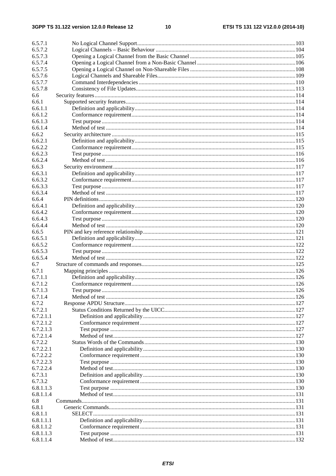| 6.5.7.1                |  |
|------------------------|--|
| 6.5.7.2                |  |
| 6.5.7.3                |  |
| 6.5.7.4                |  |
| 6.5.7.5                |  |
| 6.5.7.6                |  |
| 6.5.7.7                |  |
| 6.5.7.8                |  |
| 6.6                    |  |
| 6.6.1                  |  |
| 6.6.1.1                |  |
| 6.6.1.2                |  |
| 6.6.1.3                |  |
| 6.6.1.4                |  |
| 6.6.2                  |  |
| 6.6.2.1                |  |
| 6.6.2.2                |  |
| 6.6.2.3                |  |
| 6.6.2.4                |  |
| 6.6.3                  |  |
| 6.6.3.1                |  |
| 6.6.3.2                |  |
| 6.6.3.3                |  |
| 6.6.3.4                |  |
| 6.6.4                  |  |
| 6.6.4.1                |  |
| 6.6.4.2                |  |
| 6.6.4.3                |  |
| 6.6.4.4                |  |
| 6.6.5                  |  |
| 6.6.5.1                |  |
| 6.6.5.2                |  |
| 6.6.5.3                |  |
| 6.6.5.4                |  |
| 6.7                    |  |
| 6.7.1                  |  |
| 6.7.1.1                |  |
| 6.7.1.2                |  |
| 6.7.1.3                |  |
| 6.7.1.4                |  |
| 6.7.2                  |  |
| 6.7.2.1                |  |
| 6.7.2.1.1              |  |
| 6.7.2.1.2              |  |
| 6.7.2.1.3              |  |
| 6.7.2.1.4              |  |
| 6.7.2.2                |  |
| 6.7.2.2.1              |  |
| 6.7.2.2.2              |  |
| 6.7.2.2.3              |  |
| 6.7.2.2.4              |  |
| 6.7.3.1                |  |
| 6.7.3.2                |  |
| 6.8.1.1.3              |  |
| 6.8.1.1.4              |  |
| 6.8                    |  |
|                        |  |
| 6.8.1<br>6.8.1.1       |  |
| 6.8.1.1.1              |  |
| 6.8.1.1.2              |  |
|                        |  |
| 6.8.1.1.3<br>6.8.1.1.4 |  |
|                        |  |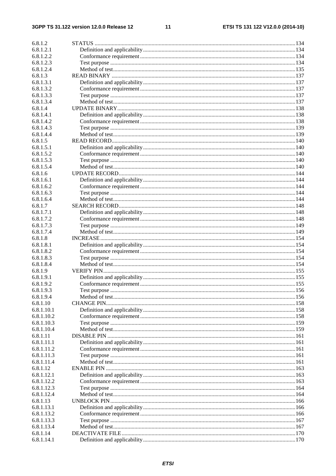#### $11$

| 6.8.1.2    |  |
|------------|--|
| 6.8.1.2.1  |  |
| 6.8.1.2.2  |  |
| 6.8.1.2.3  |  |
| 6.8.1.2.4  |  |
| 6.8.1.3    |  |
| 6.8.1.3.1  |  |
| 6.8.1.3.2  |  |
| 6.8.1.3.3  |  |
| 6.8.1.3.4  |  |
| 6.8.1.4    |  |
| 6.8.1.4.1  |  |
| 6.8.1.4.2  |  |
| 6.8.1.4.3  |  |
| 6.8.1.4.4  |  |
| 6.8.1.5    |  |
| 6.8.1.5.1  |  |
| 6.8.1.5.2  |  |
| 6.8.1.5.3  |  |
| 6.8.1.5.4  |  |
| 6.8.1.6    |  |
| 6.8.1.6.1  |  |
| 6.8.1.6.2  |  |
| 6.8.1.6.3  |  |
| 6.8.1.6.4  |  |
| 6.8.1.7    |  |
| 6.8.1.7.1  |  |
| 6.8.1.7.2  |  |
| 6.8.1.7.3  |  |
| 6.8.1.7.4  |  |
| 6.8.1.8    |  |
| 6.8.1.8.1  |  |
| 6.8.1.8.2  |  |
| 6.8.1.8.3  |  |
| 6.8.1.8.4  |  |
| 6.8.1.9    |  |
| 6.8.1.9.1  |  |
| 6.8.1.9.2  |  |
| 6.8.1.9.3  |  |
| 6.8.1.9.4  |  |
| 6.8.1.10   |  |
| 6.8.1.10.1 |  |
| 6.8.1.10.2 |  |
| 6.8.1.10.3 |  |
| 6.8.1.10.4 |  |
| 6.8.1.11   |  |
| 6.8.1.11.1 |  |
| 6.8.1.11.2 |  |
| 6.8.1.11.3 |  |
| 6.8.1.11.4 |  |
| 6.8.1.12   |  |
| 6.8.1.12.1 |  |
| 6.8.1.12.2 |  |
| 6.8.1.12.3 |  |
| 6.8.1.12.4 |  |
| 6.8.1.13   |  |
| 6.8.1.13.1 |  |
| 6.8.1.13.2 |  |
| 6.8.1.13.3 |  |
| 6.8.1.13.4 |  |
| 6.8.1.14   |  |
| 6.8.1.14.1 |  |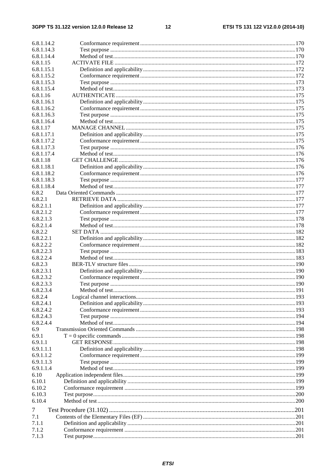$12$ 

| 6.8.1.14.2               |  |
|--------------------------|--|
| 6.8.1.14.3               |  |
| 6.8.1.14.4               |  |
| 6.8.1.15                 |  |
| 6.8.1.15.1               |  |
| 6.8.1.15.2               |  |
| 6.8.1.15.3               |  |
| 6.8.1.15.4               |  |
| 6.8.1.16                 |  |
| 6.8.1.16.1               |  |
| 6.8.1.16.2               |  |
| 6.8.1.16.3               |  |
| 6.8.1.16.4               |  |
| 6.8.1.17                 |  |
| 6.8.1.17.1               |  |
| 6.8.1.17.2               |  |
| 6.8.1.17.3               |  |
| 6.8.1.17.4               |  |
| 6.8.1.18                 |  |
| 6.8.1.18.1               |  |
| 6.8.1.18.2               |  |
| 6.8.1.18.3<br>6.8.1.18.4 |  |
| 6.8.2                    |  |
| 6.8.2.1                  |  |
| 6.8.2.1.1                |  |
| 6.8.2.1.2                |  |
| 6.8.2.1.3                |  |
| 6.8.2.1.4                |  |
| 6.8.2.2                  |  |
| 6.8.2.2.1                |  |
| 6.8.2.2.2                |  |
| 6.8.2.2.3                |  |
| 6.8.2.2.4                |  |
| 6.8.2.3                  |  |
| 6.8.2.3.1                |  |
| 6.8.2.3.2                |  |
| 6.8.2.3.3                |  |
| 6.8.2.3.4                |  |
| 6.8.2.4                  |  |
| 6.8.2.4.1                |  |
| 6.8.2.4.2                |  |
| 6.8.2.4.3                |  |
| 6.8.2.4.4                |  |
| 6.9                      |  |
| 6.9.1<br>6.9.1.1         |  |
| 6.9.1.1.1                |  |
| 6.9.1.1.2                |  |
| 6.9.1.1.3                |  |
| 6.9.1.1.4                |  |
| 6.10                     |  |
| 6.10.1                   |  |
| 6.10.2                   |  |
| 6.10.3                   |  |
| 6.10.4                   |  |
| 7                        |  |
| 7.1                      |  |
| 7.1.1                    |  |
| 7.1.2                    |  |
| 7.1.3                    |  |
|                          |  |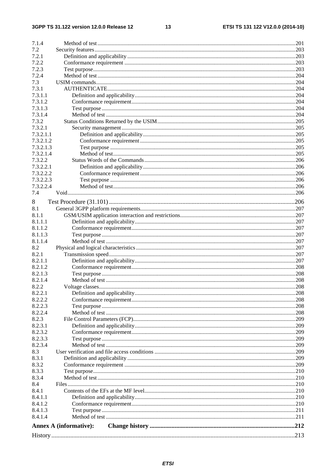#### $13$

| 7.1.4                  |                               |  |
|------------------------|-------------------------------|--|
| 7.2                    |                               |  |
| 7.2.1                  |                               |  |
| 7.2.2                  |                               |  |
| 7.2.3                  |                               |  |
| 7.2.4                  |                               |  |
| 7.3                    |                               |  |
| 7.3.1                  |                               |  |
| 7.3.1.1                |                               |  |
| 7.3.1.2                |                               |  |
| 7.3.1.3                |                               |  |
| 7.3.1.4                |                               |  |
| 7.3.2                  |                               |  |
| 7.3.2.1                |                               |  |
| 7.3.2.1.1              |                               |  |
| 7.3.2.1.2              |                               |  |
| 7.3.2.1.3              |                               |  |
| 7.3.2.1.4              |                               |  |
| 7.3.2.2                |                               |  |
| 7.3.2.2.1              |                               |  |
|                        |                               |  |
| 7.3.2.2.2<br>7.3.2.2.3 |                               |  |
|                        |                               |  |
| 7.3.2.2.4              |                               |  |
| 7.4                    |                               |  |
| 8                      |                               |  |
| 8.1                    |                               |  |
| 8.1.1                  |                               |  |
| 8.1.1.1                |                               |  |
| 8.1.1.2                |                               |  |
| 8.1.1.3                |                               |  |
| 8.1.1.4                |                               |  |
| 8.2                    |                               |  |
| 8.2.1                  |                               |  |
| 8.2.1.1                |                               |  |
| 8.2.1.2                |                               |  |
| 8.2.1.3                |                               |  |
| 8.2.1.4                |                               |  |
| 8.2.2                  |                               |  |
| 8.2.2.1                |                               |  |
| 8.2.2.2                |                               |  |
| 8.2.2.3                |                               |  |
| 8.2.2.4                |                               |  |
| 8.2.3                  |                               |  |
| 8.2.3.1                |                               |  |
| 8.2.3.2                |                               |  |
| 8.2.3.3                |                               |  |
| 8.2.3.4                |                               |  |
| 8.3                    |                               |  |
| 8.3.1                  |                               |  |
| 8.3.2                  |                               |  |
| 8.3.3                  |                               |  |
| 8.3.4                  |                               |  |
| 8.4                    |                               |  |
| 8.4.1                  |                               |  |
| 8.4.1.1                |                               |  |
| 8.4.1.2                |                               |  |
| 8.4.1.3                |                               |  |
| 8.4.1.4                |                               |  |
|                        |                               |  |
|                        | <b>Annex A (informative):</b> |  |
|                        |                               |  |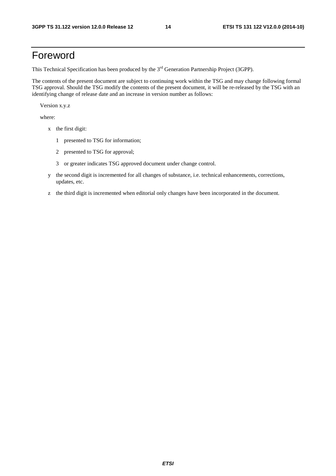# Foreword

This Technical Specification has been produced by the 3<sup>rd</sup> Generation Partnership Project (3GPP).

The contents of the present document are subject to continuing work within the TSG and may change following formal TSG approval. Should the TSG modify the contents of the present document, it will be re-released by the TSG with an identifying change of release date and an increase in version number as follows:

Version x.y.z

where:

- x the first digit:
	- 1 presented to TSG for information;
	- 2 presented to TSG for approval;
	- 3 or greater indicates TSG approved document under change control.
- y the second digit is incremented for all changes of substance, i.e. technical enhancements, corrections, updates, etc.
- z the third digit is incremented when editorial only changes have been incorporated in the document.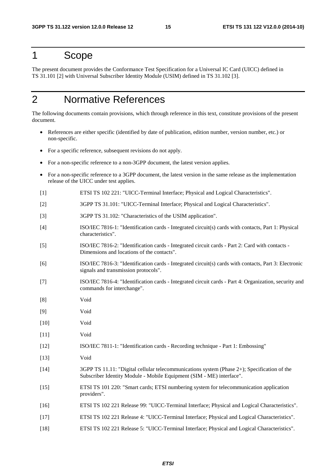### 1 Scope

The present document provides the Conformance Test Specification for a Universal IC Card (UICC) defined in TS 31.101 [2] with Universal Subscriber Identity Module (USIM) defined in TS 31.102 [3].

# 2 Normative References

The following documents contain provisions, which through reference in this text, constitute provisions of the present document.

- References are either specific (identified by date of publication, edition number, version number, etc.) or non-specific.
- For a specific reference, subsequent revisions do not apply.
- For a non-specific reference to a non-3GPP document, the latest version applies.
- For a non-specific reference to a 3GPP document, the latest version in the same release as the implementation release of the UICC under test applies.
- [1] ETSI TS 102 221: "UICC-Terminal Interface; Physical and Logical Characteristics".
- [2] 3GPP TS 31.101: "UICC-Terminal Interface; Physical and Logical Characteristics".
- [3] 3GPP TS 31.102: "Characteristics of the USIM application".
- [4] ISO/IEC 7816-1: "Identification cards Integrated circuit(s) cards with contacts, Part 1: Physical characteristics".
- [5] ISO/IEC 7816-2: "Identification cards Integrated circuit cards Part 2: Card with contacts Dimensions and locations of the contacts".
- [6] ISO/IEC 7816-3: "Identification cards Integrated circuit(s) cards with contacts, Part 3: Electronic signals and transmission protocols".
- [7] ISO/IEC 7816-4: "Identification cards Integrated circuit cards Part 4: Organization, security and commands for interchange".
- [8] Void
- [9] Void
- [10] Void
- [11] Void
- [12] ISO/IEC 7811-1: "Identification cards Recording technique Part 1: Embossing"
- [13] Void
- [14] 3GPP TS 11.11: "Digital cellular telecommunications system (Phase 2+); Specification of the Subscriber Identity Module - Mobile Equipment (SIM - ME) interface".
- [15] ETSI TS 101 220: "Smart cards; ETSI numbering system for telecommunication application providers".
- [16] ETSI TS 102 221 Release 99: "UICC-Terminal Interface; Physical and Logical Characteristics".
- [17] ETSI TS 102 221 Release 4: "UICC-Terminal Interface; Physical and Logical Characteristics".
- [18] ETSI TS 102 221 Release 5: "UICC-Terminal Interface; Physical and Logical Characteristics".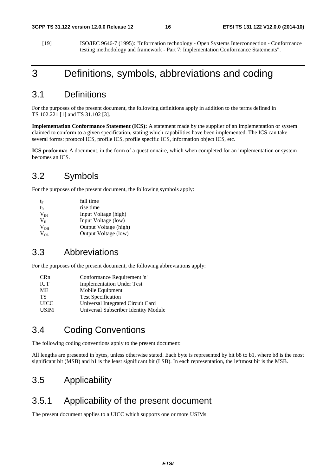[19] ISO/IEC 9646-7 (1995): "Information technology - Open Systems Interconnection - Conformance testing methodology and framework - Part 7: Implementation Conformance Statements".

## 3 Definitions, symbols, abbreviations and coding

### 3.1 Definitions

For the purposes of the present document, the following definitions apply in addition to the terms defined in TS 102.221 [1] and TS 31.102 [3].

**Implementation Conformance Statement (ICS):** A statement made by the supplier of an implementation or system claimed to conform to a given specification, stating which capabilities have been implemented. The ICS can take several forms: protocol ICS, profile ICS, profile specific ICS, information object ICS, etc.

**ICS proforma:** A document, in the form of a questionnaire, which when completed for an implementation or system becomes an ICS.

### 3.2 Symbols

For the purposes of the present document, the following symbols apply:

| te              | fall time             |
|-----------------|-----------------------|
| t <sub>R</sub>  | rise time             |
| V <sub>IH</sub> | Input Voltage (high)  |
| $V_{II}$        | Input Voltage (low)   |
| $V_{OH}$        | Output Voltage (high) |
| $V_{OL}$        | Output Voltage (low)  |

### 3.3 Abbreviations

For the purposes of the present document, the following abbreviations apply:

| <b>CRn</b>  | Conformance Requirement 'n'          |
|-------------|--------------------------------------|
| <b>IUT</b>  | <b>Implementation Under Test</b>     |
| МE          | Mobile Equipment                     |
| TS          | <b>Test Specification</b>            |
| <b>UICC</b> | Universal Integrated Circuit Card    |
| <b>USIM</b> | Universal Subscriber Identity Module |

### 3.4 Coding Conventions

The following coding conventions apply to the present document:

All lengths are presented in bytes, unless otherwise stated. Each byte is represented by bit b8 to b1, where b8 is the most significant bit (MSB) and b1 is the least significant bit (LSB). In each representation, the leftmost bit is the MSB.

### 3.5 Applicability

### 3.5.1 Applicability of the present document

The present document applies to a UICC which supports one or more USIMs.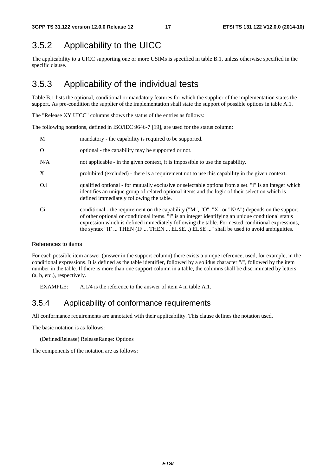### 3.5.2 Applicability to the UICC

The applicability to a UICC supporting one or more USIMs is specified in table B.1, unless otherwise specified in the specific clause.

### 3.5.3 Applicability of the individual tests

Table B.1 lists the optional, conditional or mandatory features for which the supplier of the implementation states the support. As pre-condition the supplier of the implementation shall state the support of possible options in table A.1.

The "Release XY UICC" columns shows the status of the entries as follows:

The following notations, defined in ISO/IEC 9646-7 [19], are used for the status column:

| M        | mandatory - the capability is required to be supported.                                                                                                                                                                                                                                                                                                                                       |
|----------|-----------------------------------------------------------------------------------------------------------------------------------------------------------------------------------------------------------------------------------------------------------------------------------------------------------------------------------------------------------------------------------------------|
| $\Omega$ | optional - the capability may be supported or not.                                                                                                                                                                                                                                                                                                                                            |
| N/A      | not applicable - in the given context, it is impossible to use the capability.                                                                                                                                                                                                                                                                                                                |
| X        | prohibited (excluded) - there is a requirement not to use this capability in the given context.                                                                                                                                                                                                                                                                                               |
| O.i      | qualified optional - for mutually exclusive or selectable options from a set. "i" is an integer which<br>identifies an unique group of related optional items and the logic of their selection which is<br>defined immediately following the table.                                                                                                                                           |
| Ci       | conditional - the requirement on the capability ("M", "O", "X" or "N/A") depends on the support<br>of other optional or conditional items. "i" is an integer identifying an unique conditional status<br>expression which is defined immediately following the table. For nested conditional expressions,<br>the syntax "IF  THEN (IF  THEN  ELSE) ELSE " shall be used to avoid ambiguities. |

#### References to items

For each possible item answer (answer in the support column) there exists a unique reference, used, for example, in the conditional expressions. It is defined as the table identifier, followed by a solidus character "/", followed by the item number in the table. If there is more than one support column in a table, the columns shall be discriminated by letters (a, b, etc.), respectively.

EXAMPLE: A.1/4 is the reference to the answer of item 4 in table A.1.

### 3.5.4 Applicability of conformance requirements

All conformance requirements are annotated with their applicability. This clause defines the notation used.

The basic notation is as follows:

(DefinedRelease) ReleaseRange: Options

The components of the notation are as follows: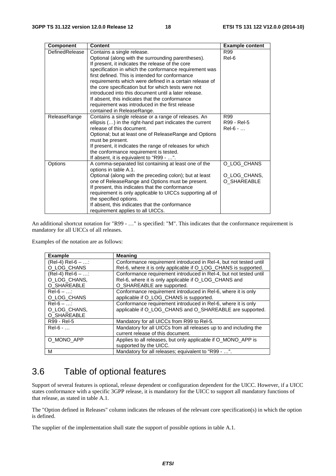| <b>Component</b>      | <b>Content</b>                                                                                                   | <b>Example content</b> |
|-----------------------|------------------------------------------------------------------------------------------------------------------|------------------------|
| <b>DefinedRelease</b> | Contains a single release.                                                                                       | R99                    |
|                       | Optional (along with the surrounding parentheses).                                                               | Rel-6                  |
|                       | If present, it indicates the release of the core                                                                 |                        |
|                       | specification in which the conformance requirement was                                                           |                        |
|                       | first defined. This is intended for conformance                                                                  |                        |
|                       | requirements which were defined in a certain release of                                                          |                        |
|                       | the core specification but for which tests were not                                                              |                        |
|                       | introduced into this document until a later release.                                                             |                        |
|                       | If absent, this indicates that the conformance                                                                   |                        |
|                       | requirement was introduced in the first release                                                                  |                        |
|                       | contained in ReleaseRange.                                                                                       | R99                    |
| ReleaseRange          | Contains a single release or a range of releases. An<br>ellipsis () in the right-hand part indicates the current | R99 - Rel-5            |
|                       | release of this document.                                                                                        | $Rel-6 - $             |
|                       | Optional; but at least one of ReleaseRange and Options                                                           |                        |
|                       | must be present.                                                                                                 |                        |
|                       | If present, it indicates the range of releases for which                                                         |                        |
|                       | the conformance requirement is tested.                                                                           |                        |
|                       | If absent, it is equivalent to "R99 - ".                                                                         |                        |
| Options               | A comma-separated list containing at least one of the                                                            | O LOG CHANS            |
|                       | options in table A.1.                                                                                            |                        |
|                       | Optional (along with the preceding colon); but at least                                                          | O_LOG_CHANS,           |
|                       | one of ReleaseRange and Options must be present.                                                                 | O_SHAREABLE            |
|                       | If present, this indicates that the conformance                                                                  |                        |
|                       | requirement is only applicable to UICCs supporting all of                                                        |                        |
|                       | the specified options.                                                                                           |                        |
|                       | If absent, this indicates that the conformance                                                                   |                        |
|                       | requirement applies to all UICCs.                                                                                |                        |

An additional shortcut notation for "R99 - …" is specified: "M". This indicates that the conformance requirement is mandatory for all UICCs of all releases.

Examples of the notation are as follows:

| <b>Example</b>     | <b>Meaning</b>                                                    |
|--------------------|-------------------------------------------------------------------|
| $(Rel-4) Rel-6 - $ | Conformance requirement introduced in ReI-4, but not tested until |
| O LOG CHANS        | Rel-6, where it is only applicable if O_LOG_CHANS is supported.   |
| $(Rel-4) Rel-6 - $ | Conformance requirement introduced in Rel-4, but not tested until |
| O LOG CHANS.       | Rel-6, where it is only applicable if O_LOG_CHANS and             |
| O_SHAREABLE        | O_SHAREABLE are supported.                                        |
| $Rel-6 - $         | Conformance requirement introduced in Rel-6, where it is only     |
| O LOG CHANS        | applicable if O_LOG_CHANS is supported.                           |
| $Rel-6 - $         | Conformance requirement introduced in Rel-6, where it is only     |
| O LOG CHANS,       | applicable if O_LOG_CHANS and O_SHAREABLE are supported.          |
| O SHAREABLE        |                                                                   |
| R99 - Rel-5        | Mandatory for all UICCs from R99 to Rel-5.                        |
| $Rel-6 - $         | Mandatory for all UICCs from all releases up to and including the |
|                    | current release of this document.                                 |
| O MONO APP         | Applies to all releases, but only applicable if O_MONO_APP is     |
|                    | supported by the UICC.                                            |
| М                  | Mandatory for all releases; equivalent to "R99 - ".               |

### 3.6 Table of optional features

Support of several features is optional, release dependent or configuration dependent for the UICC. However, if a UICC states conformance with a specific 3GPP release, it is mandatory for the UICC to support all mandatory functions of that release, as stated in table A.1.

The "Option defined in Releases" column indicates the releases of the relevant core specification(s) in which the option is defined.

The supplier of the implementation shall state the support of possible options in table A.1.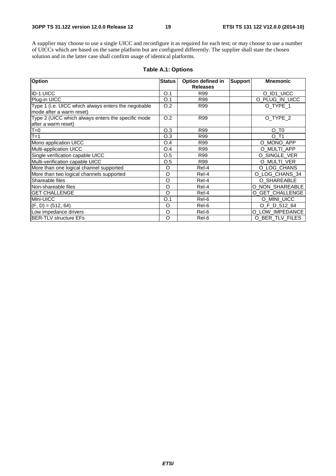A supplier may choose to use a single UICC and reconfigure it as required for each test; or may choose to use a number of UICCs which are based on the same platform but are configured differently. The supplier shall state the chosen solution and in the latter case shall confirm usage of identical platforms.

| Option                                               | <b>Status</b> | Option defined in | <b>Support</b> | <b>Mnemonic</b>     |
|------------------------------------------------------|---------------|-------------------|----------------|---------------------|
|                                                      |               | <b>Releases</b>   |                |                     |
| <b>ID-1 UICC</b>                                     | O.1           | R99               |                | O_ID1_UICC          |
| Plug-in UICC                                         | O.1           | R99               |                | O_PLUG_IN_UICC      |
| Type 1 (i.e. UICC which always enters the negotiable | O.2           | R99               |                | O_TYPE_1            |
| mode after a warm reset)                             |               |                   |                |                     |
| Type 2 (UICC which always enters the specific mode   | O.2           | R99               |                | O_TYPE_2            |
| after a warm reset)                                  |               |                   |                |                     |
| $T=0$                                                | O.3           | R99               |                | $O$ _T <sub>0</sub> |
| $T=1$                                                | O.3           | R99               |                | $O$ T <sub>1</sub>  |
| Mono application UICC                                | O.4           | R99               |                | O_MONO_APP          |
| Multi-application UICC                               | O.4           | R99               |                | O MULTI APP         |
| Single verification capable UICC                     | O.5           | R99               |                | O_SINGLE_VER        |
| Multi-verification capable UICC                      | O.5           | R99               |                | O_MULTI_VER         |
| More than one logical channel supported              | O             | Rel-4             |                | O_LOG_CHANS         |
| More than two logical channels supported             | O             | Rel-4             |                | O_LOG_CHANS_34      |
| Shareable files                                      | O             | Rel-4             |                | O_SHAREABLE         |
| Non-shareable files                                  | O             | Rel-4             |                | O NON SHAREABLE     |
| <b>GET CHALLENGE</b>                                 | O             | Rel-4             |                | O_GET_CHALLENGE     |
| Mini-UICC                                            | O.1           | Rel-6             |                | O_MINI_UICC         |
| $(F, D) = (512, 64)$                                 | O             | Rel-6             |                | O_F_D_512_64        |
| Low impedance drivers                                | O             | Rel-6             |                | O LOW IMPEDANCE     |
| <b>BER-TLV structure EFs</b>                         | O             | Rel-6             |                | O_BER_TLV_FILES     |

#### **Table A.1: Options**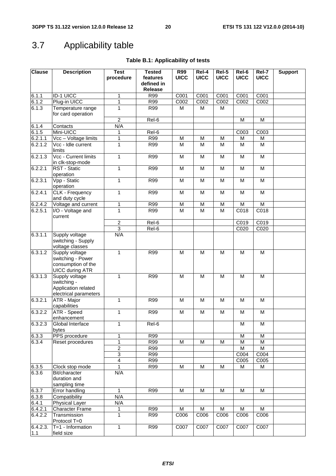# 3.7 Applicability table

### **Table B.1: Applicability of tests**

| <b>Clause</b> | <b>Description</b>                                                                  | <b>Test</b><br>procedure | <b>Tested</b><br>features<br>defined in | <b>R99</b><br><b>UICC</b> | Rel-4<br><b>UICC</b> | Rel-5<br><b>UICC</b> | Rel-6<br><b>UICC</b> | Rel-7<br><b>UICC</b>                                                                  | <b>Support</b> |
|---------------|-------------------------------------------------------------------------------------|--------------------------|-----------------------------------------|---------------------------|----------------------|----------------------|----------------------|---------------------------------------------------------------------------------------|----------------|
|               |                                                                                     |                          | <b>Release</b>                          |                           |                      |                      |                      |                                                                                       |                |
| 6.1.1         | <b>ID-1 UICC</b>                                                                    | 1                        | <b>R99</b>                              | C001                      | C001                 | C001                 | C001                 | C001                                                                                  |                |
| 6.1.2         | Plug-in UICC                                                                        | 1                        | <b>R99</b>                              | C002                      | C002                 | C <sub>002</sub>     | C <sub>002</sub>     | C002                                                                                  |                |
| 6.1.3         | Temperature range<br>for card operation                                             | 1                        | R99                                     | M                         | M                    | M                    |                      |                                                                                       |                |
|               |                                                                                     | $\overline{2}$           | Rel-6                                   |                           |                      |                      | M                    | M                                                                                     |                |
| 6.1.4         | Contacts                                                                            | N/A                      |                                         |                           |                      |                      |                      |                                                                                       |                |
| 6.1.5         | Mini-UICC                                                                           | 1                        | Rel-6                                   |                           |                      |                      | C003                 | C <sub>003</sub>                                                                      |                |
| 6.2.1.1       | Vcc - Voltage limits<br>Vcc - Idle current                                          | 1                        | <b>R99</b>                              | M                         | M                    | М                    | M                    | M                                                                                     |                |
| 6.2.1.2       | limits                                                                              | 1                        | R99                                     | M                         | M                    | M                    | M                    | M                                                                                     |                |
| 6.2.1.3       | Vcc - Current limits<br>in clk-stop-mode                                            | 1                        | <b>R99</b>                              | M                         | M                    | M                    | M                    | M                                                                                     |                |
| 6.2.2.1       | RST - Static<br>operation                                                           | 1                        | <b>R99</b>                              | M                         | M                    | M                    | M                    | M                                                                                     |                |
| 6.2.3.1       | Vpp - Static<br>operation                                                           | 1                        | <b>R99</b>                              | M                         | $\overline{M}$       | M                    | M                    | $\overline{M}$                                                                        |                |
| 6.2.4.1       | <b>CLK - Frequency</b><br>and duty cycle                                            | 1                        | <b>R99</b>                              | M                         | M                    | M                    | M                    | $\mathsf{M}% _{T}=\mathsf{M}_{T}\!\left( a,b\right) ,\ \mathsf{M}_{T}=\mathsf{M}_{T}$ |                |
| 6.2.4.2       | Voltage and current                                                                 | 1                        | <b>R99</b>                              | M                         | M                    | М                    | M                    | M                                                                                     |                |
| 6.2.5.1       | I/O - Voltage and<br>current                                                        | $\overline{1}$           | R99                                     | M                         | M                    | M                    | C018                 | C <sub>018</sub>                                                                      |                |
|               |                                                                                     | $\overline{2}$           | Rel-6                                   |                           |                      |                      | C019                 | C019                                                                                  |                |
|               |                                                                                     | $\overline{3}$           | Rel-6                                   |                           |                      |                      | C020                 | C <sub>020</sub>                                                                      |                |
| 6.3.1.1       | Supply voltage<br>switching - Supply<br>voltage classes                             | N/A                      |                                         |                           |                      |                      |                      |                                                                                       |                |
| 6.3.1.2       | Supply voltage<br>switching - Power<br>consumption of the<br><b>UICC during ATR</b> | 1                        | <b>R99</b>                              | M                         | M                    | M                    | M                    | M                                                                                     |                |
| 6.3.1.3       | Supply voltage<br>switching -<br>Application related<br>electrical parameters       | $\mathbf{1}$             | <b>R99</b>                              | $\overline{M}$            | M                    | M                    | M                    | $\overline{M}$                                                                        |                |
| 6.3.2.1       | ATR - Major<br>capabilities                                                         | 1                        | <b>R99</b>                              | $\overline{M}$            | M                    | M                    | M                    | $\overline{M}$                                                                        |                |
| 6.3.2.2       | <b>ATR - Speed</b><br>enhancement                                                   | 1                        | <b>R99</b>                              | M                         | M                    | M                    | M                    | M                                                                                     |                |
| 6.3.2.3       | Global Interface<br>bytes                                                           | 1                        | Rel-6                                   |                           |                      |                      | M                    | $\overline{\mathsf{M}}$                                                               |                |
| 6.3.3         | PPS procedure                                                                       | 1                        | <b>R99</b>                              |                           |                      |                      | M                    | M                                                                                     |                |
| 6.3.4         | Reset procedures                                                                    | 1                        | <b>R99</b>                              | M                         | M                    | М                    | M                    | M                                                                                     |                |
|               |                                                                                     | $\overline{2}$           | R99                                     |                           |                      |                      | M                    | M                                                                                     |                |
|               |                                                                                     | $\overline{3}$           | <b>R99</b>                              |                           |                      |                      | C004                 | C004                                                                                  |                |
|               |                                                                                     | $\overline{4}$           | R99                                     |                           |                      |                      | C005                 | C005                                                                                  |                |
| 6.3.5         | Clock stop mode                                                                     | $\mathbf{1}$             | <b>R99</b>                              | M                         | M                    | M                    | M                    | M                                                                                     |                |
| 6.3.6         | Bit/character<br>duration and<br>sampling time                                      | N/A                      |                                         |                           |                      |                      |                      |                                                                                       |                |
| 6.3.7         | Error handling                                                                      | $\mathbf{1}$             | <b>R99</b>                              | M                         | M                    | M                    | M                    | M                                                                                     |                |
| 6.3.8         | Compatibility                                                                       | N/A                      |                                         |                           |                      |                      |                      |                                                                                       |                |
| 6.4.1         | <b>Physical Layer</b>                                                               | N/A                      |                                         |                           |                      |                      |                      |                                                                                       |                |
| 6.4.2.1       | <b>Character Frame</b>                                                              | 1                        | <b>R99</b>                              | M                         | M                    | M                    | M                    | M                                                                                     |                |
| 6.4.2.2       | Transmission<br>Protocol T=0                                                        | 1                        | <b>R99</b>                              | C006                      | C006                 | C006                 | C006                 | C006                                                                                  |                |
| 6.4.2.3.      | $T=1$ - Information                                                                 | 1                        | <b>R99</b>                              | C007                      | C007                 | C007                 | C007                 | C007                                                                                  |                |
| $1.1$         | field size                                                                          |                          |                                         |                           |                      |                      |                      |                                                                                       |                |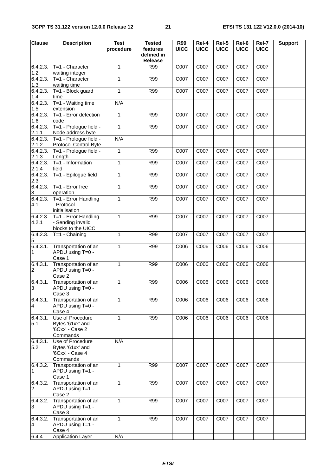| <b>Clause</b>               | <b>Description</b>                                                  | <b>Test</b><br>procedure | <b>Tested</b><br>features<br>defined in<br><b>Release</b> | R99<br><b>UICC</b> | Rel-4<br><b>UICC</b> | $Rel-5$<br><b>UICC</b> | Rel-6<br><b>UICC</b> | Rel-7<br><b>UICC</b> | <b>Support</b> |
|-----------------------------|---------------------------------------------------------------------|--------------------------|-----------------------------------------------------------|--------------------|----------------------|------------------------|----------------------|----------------------|----------------|
| 6.4.2.3.<br>1.2             | T=1 - Character<br>waiting integer                                  | 1                        | R99                                                       | C007               | C007                 | C007                   | C007                 | C007                 |                |
| 6.4.2.3.<br>1.3             | T=1 - Character<br>waiting time                                     | $\mathbf{1}$             | <b>R99</b>                                                | C007               | C007                 | C007                   | C007                 | C007                 |                |
| 6.4.2.3.<br>1.4             | T=1 - Block guard<br>time                                           | 1                        | <b>R99</b>                                                | C007               | C007                 | C007                   | C007                 | C007                 |                |
| 6.4.2.3.                    | T=1 - Waiting time                                                  | N/A                      |                                                           |                    |                      |                        |                      |                      |                |
| 1.5<br>6.4.2.3.             | extension<br>$T=1$ - Error detection                                | 1                        | <b>R99</b>                                                | C007               | C007                 | C007                   | C007                 | C007                 |                |
| 1.6<br>6.4.2.3.             | code<br>T=1 - Prologue field -                                      | $\mathbf{1}$             | R99                                                       | C007               | C007                 | C007                   | C007                 | C007                 |                |
| 2.1.1<br>6.4.2.3.           | Node address byte<br>T=1 - Prologue field -                         | N/A                      |                                                           |                    |                      |                        |                      |                      |                |
| 2.1.2<br>6.4.2.3.           | Protocol Control Byte<br>T=1 - Prologue field -                     | $\mathbf{1}$             | R99                                                       | C007               | C007                 | C007                   | C007                 | C007                 |                |
| 2.1.3<br>6.4.2.3.           | Length<br>$T=1$ - Information                                       | $\mathbf{1}$             | R99                                                       | C007               | C007                 | C007                   | C007                 | C007                 |                |
| 2.1.4<br>6.4.2.3.           | field<br>T=1 - Epilogue field                                       | 1                        | R99                                                       | C007               | C007                 | C007                   | C007                 | C007                 |                |
| 2.3<br>6.4.2.3.             | T=1 - Error free                                                    | $\mathbf{1}$             | R99                                                       | C007               | C007                 | C007                   | C007                 | C007                 |                |
| $\mathbf{3}$<br>6.4.2.3.    | operation<br>T=1 - Error Handling                                   | $\mathbf{1}$             | R99                                                       | C007               | C007                 | C007                   | C007                 | C007                 |                |
| 4.1                         | - Protocol<br>initialisation                                        |                          |                                                           |                    |                      |                        |                      |                      |                |
| 6.4.2.3.<br>4.2.1           | T=1 - Error Handling<br>- Sending invalid<br>blocks to the UICC     | $\mathbf{1}$             | <b>R99</b>                                                | C007               | C007                 | C007                   | C007                 | C007                 |                |
| 6.4.2.3.<br>$5\phantom{.0}$ | $T=1$ - Chaining                                                    | 1                        | <b>R99</b>                                                | C007               | C007                 | C007                   | C007                 | C007                 |                |
| 6.4.3.1.<br>1               | Transportation of an<br>APDU using T=0 -<br>Case 1                  | 1                        | R99                                                       | C006               | C006                 | C006                   | C006                 | C006                 |                |
| 6.4.3.1.<br>$\overline{c}$  | Transportation of an<br>APDU using T=0 -<br>Case 2                  | $\mathbf{1}$             | <b>R99</b>                                                | C006               | C006                 | C006                   | C006                 | C006                 |                |
| 6.4.3.1.<br>3               | Transportation of an<br>APDU using T=0 -<br>Case 3                  | 1                        | <b>R99</b>                                                | C006               | C006                 | C006                   | C006                 | C006                 |                |
| 6.4.3.1.<br>4               | Transportation of an<br>APDU using T=0 -<br>Case 4                  | 1                        | R99                                                       | C006               | $\overline{C006}$    | C006                   | C006                 | C006                 |                |
| 6.4.3.1.<br>5.1             | Use of Procedure<br>Bytes '61xx' and<br>'6Cxx' - Case 2<br>Commands | $\mathbf{1}$             | <b>R99</b>                                                | C006               | C006                 | C006                   | C006                 | C006                 |                |
| 6.4.3.1.<br>5.2             | Use of Procedure<br>Bytes '61xx' and<br>'6Cxx' - Case 4<br>Commands | N/A                      |                                                           |                    |                      |                        |                      |                      |                |
| 6.4.3.2.<br>1               | Transportation of an<br>APDU using T=1 -<br>Case 1                  | $\mathbf{1}$             | R99                                                       | C007               | C007                 | C007                   | C007                 | C007                 |                |
| 6.4.3.2.<br>$\overline{c}$  | Transportation of an<br>APDU using T=1 -<br>Case 2                  | $\mathbf{1}$             | <b>R99</b>                                                | C007               | $\overline{C007}$    | C007                   | C007                 | C007                 |                |
| 6.4.3.2.<br>3               | Transportation of an<br>APDU using T=1 -<br>Case 3                  | $\mathbf{1}$             | <b>R99</b>                                                | C007               | C007                 | C007                   | C007                 | C007                 |                |
| 6.4.3.2.<br>4               | Transportation of an<br>APDU using T=1 -<br>Case 4                  | $\mathbf{1}$             | R99                                                       | C007               | C007                 | C007                   | C007                 | C007                 |                |
| 6.4.4                       | <b>Application Layer</b>                                            | N/A                      |                                                           |                    |                      |                        |                      |                      |                |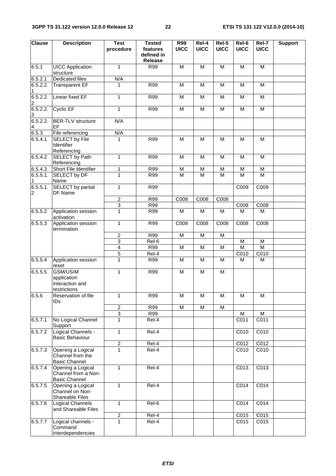| <b>Clause</b>              | <b>Description</b>                                               | <b>Test</b><br>procedure | <b>Tested</b><br>features<br>defined in<br>Release | R99<br><b>UICC</b> | $ReI-4$<br><b>UICC</b> | $Rel-5$<br><b>UICC</b> | Rel-6<br><b>UICC</b>    | Rel-7<br><b>UICC</b> | <b>Support</b> |
|----------------------------|------------------------------------------------------------------|--------------------------|----------------------------------------------------|--------------------|------------------------|------------------------|-------------------------|----------------------|----------------|
| 6.5.1                      | <b>UICC Application</b><br>structure                             | $\mathbf{1}$             | R99                                                | M                  | M                      | M                      | M                       | M                    |                |
| 6.5.2.1                    | <b>Dedicated files</b>                                           | N/A                      |                                                    |                    |                        |                        |                         |                      |                |
| 6.5.2.2.<br>1              | <b>Transparent EF</b>                                            | 1                        | <b>R99</b>                                         | M                  | M                      | M                      | M                       | M                    |                |
| 6.5.2.2.<br>$\overline{c}$ | <b>Linear fixed EF</b>                                           | 1                        | <b>R99</b>                                         | M                  | M                      | M                      | M                       | M                    |                |
| 6.5.2.2.<br>3              | Cyclic EF                                                        | $\mathbf{1}$             | <b>R99</b>                                         | M                  | M                      | M                      | M                       | $\overline{M}$       |                |
| 6.5.2.2.<br>4              | <b>BER-TLV</b> structure<br>EF                                   | N/A                      |                                                    |                    |                        |                        |                         |                      |                |
| 6.5.3                      | File referencing                                                 | N/A                      |                                                    |                    |                        |                        |                         |                      |                |
| 6.5.4.1                    | <b>SELECT by File</b><br>Identifier<br>Referencing               | 1                        | R99                                                | M                  | M                      | M                      | M                       | M                    |                |
| 6.5.4.2                    | SELECT by Path<br>Referencing                                    | $\mathbf{1}$             | <b>R99</b>                                         | M                  | M                      | M                      | M                       | M                    |                |
| 6.5.4.3                    | Short File Identifier                                            | 1                        | R99                                                | M                  | M                      | M                      | M                       | M                    |                |
| 6.5.5.1.<br>1              | <b>SELECT by DF</b><br>Name                                      | $\mathbf{1}$             | R99                                                | M                  | M                      | M                      | M                       | M                    |                |
| 6.5.5.1.<br>$\overline{c}$ | <b>SELECT</b> by partial<br>DF Name                              | $\mathbf{1}$             | R99                                                |                    |                        |                        | C009                    | C009                 |                |
|                            |                                                                  | $\overline{2}$           | R99                                                | C008               | C008                   | C008                   |                         |                      |                |
|                            |                                                                  | $\overline{3}$           | R99                                                |                    |                        |                        | C008                    | C008                 |                |
| 6.5.5.2                    | Application session<br>activation                                | $\overline{1}$           | R99                                                | M                  | M                      | M                      | M                       | M                    |                |
| 6.5.5.3                    | Application session<br>termination                               | $\mathbf{1}$             | <b>R99</b>                                         | C008               | C008                   | C008                   | C008                    | C008                 |                |
|                            |                                                                  | $\overline{2}$           | R99                                                | $\overline{M}$     | $\overline{M}$         | M                      |                         |                      |                |
|                            |                                                                  | $\overline{3}$           | Rel-6                                              |                    |                        |                        | M                       | M                    |                |
|                            |                                                                  | $\overline{4}$           | R99                                                | M                  | M                      | M                      | $\overline{\mathsf{M}}$ | $\overline{M}$       |                |
|                            |                                                                  | 5                        | Rel-4                                              |                    |                        |                        | C010                    | C010                 |                |
| 6.5.5.4                    | Application session<br>reset                                     | $\mathbf{1}$             | R99                                                | M                  | M                      | M                      | M                       | M                    |                |
| 6.5.5.5                    | GSM/USIM<br>application<br>interaction and<br>restrictions       | $\mathbf{1}$             | <b>R99</b>                                         | M                  | M                      | M                      |                         |                      |                |
| 6.5.6                      | Reservation of file<br><b>IDs</b>                                | 1                        | R99                                                | M                  | M                      | M                      | M                       | М                    |                |
|                            |                                                                  | $\overline{c}$           | <b>R99</b>                                         | M                  | M                      | M                      |                         |                      |                |
|                            |                                                                  | $\overline{3}$           | <b>R99</b>                                         |                    |                        |                        | M                       | М                    |                |
| 6.5.7.1                    | No Logical Channel<br>Support                                    | $\mathbf{1}$             | Rel-4                                              |                    |                        |                        | C011                    | C <sub>011</sub>     |                |
| 6.5.7.2                    | Logical Channels -<br><b>Basic Behaviour</b>                     | $\mathbf{1}$             | $ReI-4$                                            |                    |                        |                        | C010                    | C010                 |                |
|                            |                                                                  | $\overline{2}$           | Rel-4                                              |                    |                        |                        | C012                    | C012                 |                |
| 6.5.7.3                    | Opening a Logical<br>Channel from the<br><b>Basic Channel</b>    | $\mathbf{1}$             | Rel-4                                              |                    |                        |                        | C010                    | C010                 |                |
| 6.5.7.4                    | Opening a Logical<br>Channel from a Non-<br><b>Basic Channel</b> | 1                        | Rel-4                                              |                    |                        |                        | C013                    | C013                 |                |
| 6.5.7.5                    | Opening a Logical<br>Channel on Non-<br>Shareable Files          | $\mathbf{1}$             | Rel-4                                              |                    |                        |                        | C014                    | C014                 |                |
| 6.5.7.6                    | Logical Channels<br>and Shareable Files                          | 1                        | Rel-6                                              |                    |                        |                        | C014                    | C014                 |                |
|                            |                                                                  | $\overline{\mathbf{c}}$  | Rel-4                                              |                    |                        |                        | C015                    | C015                 |                |
| 6.5.7.7                    | Logical channels -<br>Command<br>Interdependencies               | $\overline{1}$           | Rel-4                                              |                    |                        |                        | C015                    | C015                 |                |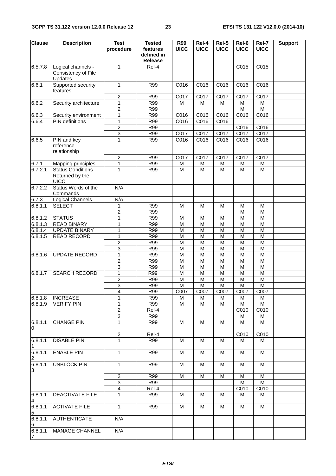| <b>Clause</b>             | <b>Description</b>                                    | <b>Test</b><br>procedure         | <b>Tested</b><br>features    | R99<br><b>UICC</b> | Rel-4<br><b>UICC</b> | Rel-5<br><b>UICC</b> | Rel-6<br><b>UICC</b> | Rel-7<br><b>UICC</b>            | <b>Support</b> |
|---------------------------|-------------------------------------------------------|----------------------------------|------------------------------|--------------------|----------------------|----------------------|----------------------|---------------------------------|----------------|
|                           |                                                       |                                  | defined in<br><b>Release</b> |                    |                      |                      |                      |                                 |                |
| 6.5.7.8                   | Logical channels -<br>Consistency of File<br>Updates  | 1                                | Rel-4                        |                    |                      |                      | C015                 | C015                            |                |
| 6.6.1                     | Supported security<br>features                        | 1                                | <b>R99</b>                   | C016               | C016                 | C016                 | C016                 | C016                            |                |
|                           |                                                       | $\boldsymbol{2}$                 | R99                          | C017               | C017                 | C017                 | C017                 | C017                            |                |
| 6.6.2                     | Security architecture                                 | 1                                | R99                          | M                  | M                    | M                    | M                    | M                               |                |
|                           |                                                       | $\overline{2}$                   | R99                          |                    |                      |                      | M                    | $\overline{\mathsf{M}}$         |                |
| 6.6.3<br>6.6.4            | Security environment<br><b>PIN</b> definitions        | $\overline{1}$<br>$\mathbf 1$    | R99<br><b>R99</b>            | C016<br>C016       | C016<br>C016         | C016<br>C016         | C016                 | C016                            |                |
|                           |                                                       | $\overline{2}$                   | R99                          |                    |                      |                      | C016                 | C016                            |                |
|                           |                                                       | $\overline{3}$                   | R99                          | C017               | C017                 | C017                 | C017                 | C017                            |                |
| 6.6.5                     | PIN and key<br>reference<br>relationship              | 1                                | R99                          | C016               | C016                 | C016                 | C016                 | C016                            |                |
|                           |                                                       | $\overline{2}$<br>$\overline{1}$ | R99<br>R99                   | C017               | C017                 | C017                 | C017                 | C017                            |                |
| 6.7.1<br>6.7.2.1          | <b>Mapping principles</b><br><b>Status Conditions</b> | 1                                | R99                          | M<br>M             | M<br>M               | M<br>M               | M<br>M               | M<br>$\overline{M}$             |                |
|                           | Returned by the<br><b>UICC</b>                        |                                  |                              |                    |                      |                      |                      |                                 |                |
| 6.7.2.2                   | Status Words of the<br>Commands                       | N/A                              |                              |                    |                      |                      |                      |                                 |                |
| 6.7.3                     | Logical Channels                                      | N/A                              |                              |                    |                      |                      |                      |                                 |                |
| 6.8.1.1                   | <b>SELECT</b>                                         | 1                                | <b>R99</b>                   | M                  | M                    | M                    | M                    | M                               |                |
|                           |                                                       | $\overline{2}$                   | R99                          |                    |                      |                      | M                    | M                               |                |
| 6.8.1.2<br>6.8.1.3        | <b>STATUS</b><br><b>READ BINARY</b>                   | $\mathbf 1$<br>1                 | R99<br>R99                   | M<br>M             | M<br>$\overline{M}$  | M<br>M               | M<br>M               | M<br>$\overline{M}$             |                |
| 6.8.1.4                   | <b>UPDATE BINARY</b>                                  | 1                                | R99                          | M                  | M                    | M                    | M                    | M                               |                |
| 6.8.1.5                   | <b>READ RECORD</b>                                    | 1                                | R99                          | M                  | M                    | M                    | M                    | M                               |                |
|                           |                                                       | $\overline{\mathbf{c}}$          | R99                          | M                  | M                    | M                    | M                    | M                               |                |
|                           |                                                       | $\overline{3}$                   | R99                          | M                  | M                    | M                    | M                    | M                               |                |
| 6.8.1.6                   | <b>UPDATE RECORD</b>                                  | 1                                | <b>R99</b>                   | M                  | M                    | M                    | M                    | M                               |                |
|                           |                                                       | $\overline{2}$                   | R99                          | M                  | $\overline{M}$       | M                    | M                    | $\overline{M}$                  |                |
|                           |                                                       | 3                                | <b>R99</b>                   | M                  | M                    | M                    | M                    | M                               |                |
| 6.8.1.7                   | <b>SEARCH RECORD</b>                                  | 1                                | R99                          | M                  | M                    | M                    | M                    | M                               |                |
|                           |                                                       | $\overline{2}$                   | R99                          | M                  | $\overline{M}$       | M                    | M                    | M                               |                |
|                           |                                                       | 3<br>4                           | R99<br>R99                   | M<br>C007          | M<br>C007            | M<br>C007            | M<br>C007            | $\overline{\mathsf{M}}$<br>C007 |                |
| 6.8.1.8                   | <b>INCREASE</b>                                       | 1                                | R99                          | М                  | M                    | M                    | M                    | М                               |                |
| 6.8.1.9                   | <b>VERIFY PIN</b>                                     | 1                                | <b>R99</b>                   | м                  | м                    | M                    | М                    | м                               |                |
|                           |                                                       | $\overline{2}$                   | Rel-4                        |                    |                      |                      | C010                 | C010                            |                |
|                           |                                                       | $\overline{3}$                   | R99                          |                    |                      |                      | M                    | M                               |                |
| 6.8.1.1<br>0              | <b>CHANGE PIN</b>                                     | 1                                | R99                          | M                  | M                    | M                    | M                    | M                               |                |
|                           |                                                       | $\overline{c}$                   | Rel-4                        |                    |                      |                      | C010                 | C010                            |                |
| 6.8.1.1<br>1              | <b>DISABLE PIN</b>                                    | 1                                | R99                          | M                  | м                    | M                    | м                    | м                               |                |
| 6.8.1.1<br>2              | <b>ENABLE PIN</b>                                     | 1                                | <b>R99</b>                   | M                  | M                    | M                    | M                    | M                               |                |
| 6.8.1.1<br>3              | <b>UNBLOCK PIN</b>                                    | 1                                | R99                          | M                  | M                    | M                    | M                    | M                               |                |
|                           |                                                       | $\boldsymbol{2}$                 | <b>R99</b>                   | M                  | M                    | M                    | M                    | M                               |                |
|                           |                                                       | 3<br>$\overline{4}$              | R99<br>Rel-4                 |                    |                      |                      | M<br>C010            | M<br>C010                       |                |
| 6.8.1.1                   | <b>DEACTIVATE FILE</b>                                | 1                                | R99                          | М                  | м                    | M                    | M                    | M                               |                |
| 4<br>6.8.1.1              | <b>ACTIVATE FILE</b>                                  | 1                                |                              |                    |                      |                      |                      |                                 |                |
| 5                         |                                                       |                                  | R99                          | M                  | M                    | M                    | M                    | M                               |                |
| 6.8.1.1<br>6              | AUTHENTICATE                                          | N/A                              |                              |                    |                      |                      |                      |                                 |                |
| 6.8.1.1<br>$\overline{7}$ | MANAGE CHANNEL                                        | N/A                              |                              |                    |                      |                      |                      |                                 |                |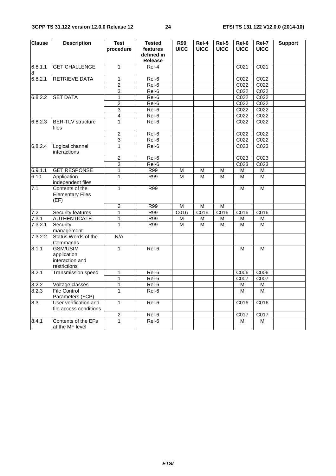| <b>Clause</b> | <b>Description</b>                                                | <b>Test</b>    | <b>Tested</b>                            | <b>R99</b>  | Rel-4       | Rel-5       | Rel-6            | Rel-7             | <b>Support</b> |
|---------------|-------------------------------------------------------------------|----------------|------------------------------------------|-------------|-------------|-------------|------------------|-------------------|----------------|
|               |                                                                   | procedure      | features<br>defined in<br><b>Release</b> | <b>UICC</b> | <b>UICC</b> | <b>UICC</b> | <b>UICC</b>      | <b>UICC</b>       |                |
| 6.8.1.1       | <b>GET CHALLENGE</b>                                              | $\mathbf{1}$   | Rel-4                                    |             |             |             | C <sub>021</sub> | C <sub>021</sub>  |                |
| 8             |                                                                   |                |                                          |             |             |             |                  |                   |                |
| 6.8.2.1       | <b>RETRIEVE DATA</b>                                              | $\mathbf{1}$   | Rel-6                                    |             |             |             | C022             | C022              |                |
|               |                                                                   | $\overline{2}$ | Rel-6                                    |             |             |             | C022             | C <sub>022</sub>  |                |
|               |                                                                   | $\overline{3}$ | Rel-6                                    |             |             |             | C <sub>022</sub> | C022              |                |
| 6.8.2.2       | <b>SET DATA</b>                                                   | $\overline{1}$ | Rel-6                                    |             |             |             | C022             | C <sub>022</sub>  |                |
|               |                                                                   | $\overline{c}$ | Rel-6                                    |             |             |             | C022             | C <sub>022</sub>  |                |
|               |                                                                   | $\overline{3}$ | Rel-6                                    |             |             |             | C022             | C <sub>022</sub>  |                |
|               |                                                                   | $\overline{4}$ | Rel-6                                    |             |             |             | C022             | CO <sub>22</sub>  |                |
| 6.8.2.3       | <b>BER-TLV</b> structure<br>files                                 | $\mathbf{1}$   | Rel-6                                    |             |             |             | C022             | C022              |                |
|               |                                                                   | $\overline{2}$ | Rel-6                                    |             |             |             | C <sub>022</sub> | C022              |                |
|               |                                                                   | 3              | Rel-6                                    |             |             |             | C022             | C <sub>022</sub>  |                |
| 6.8.2.4       | Logical channel<br>interactions                                   | $\mathbf{1}$   | $Rel-6$                                  |             |             |             | C023             | C <sub>023</sub>  |                |
|               |                                                                   | $\overline{c}$ | Rel-6                                    |             |             |             | C023             | CO <sub>23</sub>  |                |
|               |                                                                   | $\overline{3}$ | Rel-6                                    |             |             |             | C <sub>023</sub> | C <sub>023</sub>  |                |
| 6.9.1.1       | <b>GET RESPONSE</b>                                               | $\mathbf{1}$   | R99                                      | M           | M           | М           | M                | М                 |                |
| 6.10          | Application<br>independent files                                  | $\mathbf{1}$   | R99                                      | М           | М           | М           | M                | М                 |                |
| 7.1           | Contents of the<br><b>Elementary Files</b><br>(EF)                | $\mathbf{1}$   | R99                                      |             |             |             | M                | М                 |                |
|               |                                                                   | $\overline{2}$ | R99                                      | M           | M           | M           |                  |                   |                |
| 7.2           | Security features                                                 | $\mathbf{1}$   | R99                                      | C016        | C016        | C016        | C016             | C016              |                |
| 7.3.1         | <b>AUTHENTICATE</b>                                               | $\mathbf{1}$   | R99                                      | М           | M           | М           | M                | М                 |                |
| 7.3.2.1       | Security<br>management                                            | 1              | R99                                      | M           | M           | M           | M                | M                 |                |
| 7.3.2.2       | Status Words of the<br>Commands                                   | N/A            |                                          |             |             |             |                  |                   |                |
| 8.1.1         | <b>GSM/USIM</b><br>application<br>interaction and<br>restrictions | $\mathbf{1}$   | Rel-6                                    |             |             |             | M                | м                 |                |
| 8.2.1         | Transmission speed                                                | $\mathbf{1}$   | Rel-6                                    |             |             |             | C006             | $\overline{C006}$ |                |
|               |                                                                   | $\mathbf{1}$   | Rel-6                                    |             |             |             | C007             | C007              |                |
| 8.2.2         | Voltage classes                                                   | $\mathbf{1}$   | Rel-6                                    |             |             |             | М                | М                 |                |
| 8.2.3         | <b>File Control</b><br>Parameters (FCP)                           | $\mathbf{1}$   | Rel-6                                    |             |             |             | м                | M                 |                |
| 8.3           | User verification and<br>file access conditions                   | $\mathbf{1}$   | Rel-6                                    |             |             |             | C016             | C016              |                |
|               |                                                                   | $\overline{2}$ | Rel-6                                    |             |             |             | C017             | C017              |                |
| 8.4.1         | Contents of the EFs<br>at the MF level                            | $\mathbf{1}$   | Rel-6                                    |             |             |             | М                | М                 |                |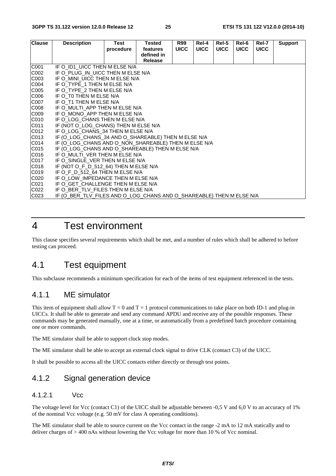| <b>Clause</b> | <b>Description</b>                                                   | Test      | <b>Tested</b> | <b>R99</b>  | Rel-4       | Rel-5       | Rel-6       | Rel-7       | <b>Support</b> |
|---------------|----------------------------------------------------------------------|-----------|---------------|-------------|-------------|-------------|-------------|-------------|----------------|
|               |                                                                      | procedure | features      | <b>UICC</b> | <b>UICC</b> | <b>UICC</b> | <b>UICC</b> | <b>UICC</b> |                |
|               |                                                                      |           | defined in    |             |             |             |             |             |                |
|               |                                                                      |           | Release       |             |             |             |             |             |                |
| C001          | IF O ID1 UICC THEN M ELSE N/A                                        |           |               |             |             |             |             |             |                |
| C002          | IF O PLUG IN UICC THEN M ELSE N/A                                    |           |               |             |             |             |             |             |                |
| C003          | IF O MINI UICC THEN M ELSE N/A                                       |           |               |             |             |             |             |             |                |
| C004          | IF O TYPE 1 THEN M ELSE N/A                                          |           |               |             |             |             |             |             |                |
| C005          | IF O TYPE 2 THEN M ELSE N/A                                          |           |               |             |             |             |             |             |                |
| C006          | IF O TO THEN M ELSE N/A                                              |           |               |             |             |             |             |             |                |
| C007          | IF O T1 THEN M ELSE N/A                                              |           |               |             |             |             |             |             |                |
| C008          | IF O_MULTI_APP THEN M ELSE N/A                                       |           |               |             |             |             |             |             |                |
| C009          | IF O MONO APP THEN M ELSE N/A                                        |           |               |             |             |             |             |             |                |
| C010          | IF O_LOG_CHANS THEN M ELSE N/A                                       |           |               |             |             |             |             |             |                |
| C011          | IF (NOT O LOG CHANS) THEN M ELSE N/A                                 |           |               |             |             |             |             |             |                |
| C012          | IF O LOG CHANS 34 THEN M ELSE N/A                                    |           |               |             |             |             |             |             |                |
| C013          | IF (O_LOG_CHANS_34 AND O_SHAREABLE) THEN M ELSE N/A                  |           |               |             |             |             |             |             |                |
| C014          | IF (O_LOG_CHANS AND O_NON_SHAREABLE) THEN M ELSE N/A                 |           |               |             |             |             |             |             |                |
| C015          | IF (O_LOG_CHANS AND O_SHAREABLE) THEN M ELSE N/A                     |           |               |             |             |             |             |             |                |
| C016          | IF O MULTI VER THEN M ELSE N/A                                       |           |               |             |             |             |             |             |                |
| C017          | IF O SINGLE VER THEN M ELSE N/A                                      |           |               |             |             |             |             |             |                |
| C018          | IF (NOT O F D 512 64) THEN M ELSE N/A                                |           |               |             |             |             |             |             |                |
| C019          | IF O F D 512 64 THEN M ELSE N/A                                      |           |               |             |             |             |             |             |                |
| C020          | IF O LOW IMPEDANCE THEN M ELSE N/A                                   |           |               |             |             |             |             |             |                |
| C021          | IF O GET CHALLENGE THEN M ELSE N/A                                   |           |               |             |             |             |             |             |                |
| C022          | IF O BER TLV FILES THEN M ELSE N/A                                   |           |               |             |             |             |             |             |                |
| C023          | IF (O BER TLV FILES AND O LOG CHANS AND O SHAREABLE) THEN M ELSE N/A |           |               |             |             |             |             |             |                |

# 4 Test environment

This clause specifies several requirements which shall be met, and a number of rules which shall be adhered to before testing can proceed.

### 4.1 Test equipment

This subclause recommends a minimum specification for each of the items of test equipment referenced in the tests.

### 4.1.1 ME simulator

This item of equipment shall allow  $T = 0$  and  $T = 1$  protocol communications to take place on both ID-1 and plug-in UICCs. It shall be able to generate and send any command APDU and receive any of the possible responses. These commands may be generated manually, one at a time, or automatically from a predefined batch procedure containing one or more commands.

The ME simulator shall be able to support clock stop modes.

The ME simulator shall be able to accept an external clock signal to drive CLK (contact C3) of the UICC.

It shall be possible to access all the UICC contacts either directly or through test points.

### 4.1.2 Signal generation device

### 4.1.2.1 Vcc

The voltage level for Vcc (contact C1) of the UICC shall be adjustable between  $-0.5$  V and  $6.0$  V to an accuracy of 1% of the nominal Vcc voltage (e.g. 50 mV for class A operating conditions).

The ME simulator shall be able to source current on the Vcc contact in the range -2 mA to 12 mA statically and to deliver charges of > 400 nAs without lowering the Vcc voltage for more than 10 % of Vcc nominal.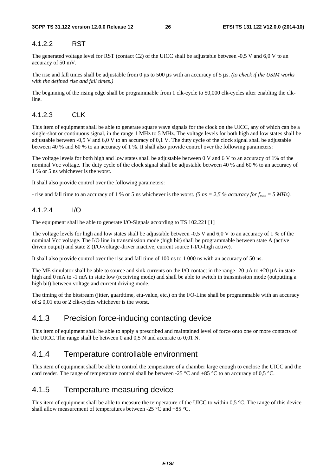### 4.1.2.2 RST

The generated voltage level for RST (contact C2) of the UICC shall be adjustable between -0,5 V and 6,0 V to an accuracy of 50 mV.

The rise and fall times shall be adjustable from 0 μs to 500 μs with an accuracy of 5 μs. *(to check if the USIM works with the defined rise and fall times.)*

The beginning of the rising edge shall be programmable from 1 clk-cycle to 50,000 clk-cycles after enabling the clkline.

### 4.1.2.3 CLK

This item of equipment shall be able to generate square wave signals for the clock on the UICC, any of which can be a single-shot or continuous signal, in the range 1 MHz to 5 MHz. The voltage levels for both high and low states shall be adjustable between -0,5 V and 6,0 V to an accuracy of 0,1 V. The duty cycle of the clock signal shall be adjustable between 40 % and 60 % to an accuracy of 1 %. It shall also provide control over the following parameters:

The voltage levels for both high and low states shall be adjustable between 0 V and 6 V to an accuracy of 1% of the nominal Vcc voltage. The duty cycle of the clock signal shall be adjustable between 40 % and 60 % to an accuracy of 1 % or 5 ns whichever is the worst.

It shall also provide control over the following parameters:

- rise and fall time to an accuracy of 1 % or 5 ns whichever is the worst. *(5 ns = 2,5 % accuracy for f<sub>max</sub> = 5 MHz)*.

#### 4.1.2.4 I/O

The equipment shall be able to generate I/O-Signals according to TS 102.221 [1]

The voltage levels for high and low states shall be adjustable between -0,5 V and 6,0 V to an accuracy of 1 % of the nominal Vcc voltage. The I/O line in transmission mode (high bit) shall be programmable between state A (active driven output) and state Z (I/O-voltage-driver inactive, current source I-I/O-high active).

It shall also provide control over the rise and fall time of 100 ns to 1 000 ns with an accuracy of 50 ns.

The ME simulator shall be able to source and sink currents on the I/O contact in the range -20 μA to +20 μA in state high and 0 mA to -1 mA in state low (receiving mode) and shall be able to switch in transmission mode (outputting a high bit) between voltage and current driving mode.

The timing of the bitstream (jitter, guardtime, etu-value, etc.) on the I/O-Line shall be programmable with an accuracy of ≤ 0,01 etu or 2 clk-cycles whichever is the worst.

### 4.1.3 Precision force-inducing contacting device

This item of equipment shall be able to apply a prescribed and maintained level of force onto one or more contacts of the UICC. The range shall be between 0 and 0,5 N and accurate to 0,01 N.

### 4.1.4 Temperature controllable environment

This item of equipment shall be able to control the temperature of a chamber large enough to enclose the UICC and the card reader. The range of temperature control shall be between -25  $^{\circ}$ C and +85  $^{\circ}$ C to an accuracy of 0,5  $^{\circ}$ C.

### 4.1.5 Temperature measuring device

This item of equipment shall be able to measure the temperature of the UICC to within 0,5 °C. The range of this device shall allow measurement of temperatures between -25 °C and +85 °C.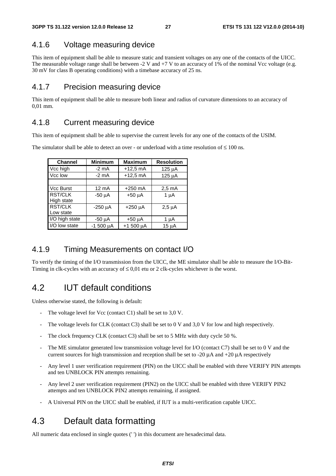### 4.1.6 Voltage measuring device

This item of equipment shall be able to measure static and transient voltages on any one of the contacts of the UICC. The measurable voltage range shall be between  $-2$  V and  $+7$  V to an accuracy of 1% of the nominal Vcc voltage (e.g. 30 mV for class B operating conditions) with a timebase accuracy of 25 ns.

### 4.1.7 Precision measuring device

This item of equipment shall be able to measure both linear and radius of curvature dimensions to an accuracy of 0,01 mm.

### 4.1.8 Current measuring device

This item of equipment shall be able to supervise the current levels for any one of the contacts of the USIM.

| The simulator shall be able to detect an over - or underload with a time resolution of $\leq 100$ ns. |  |
|-------------------------------------------------------------------------------------------------------|--|
|-------------------------------------------------------------------------------------------------------|--|

| <b>Channel</b>   | <b>Minimum</b>  | <b>Maximum</b> | <b>Resolution</b> |
|------------------|-----------------|----------------|-------------------|
| Vcc high         | $-2$ mA         | $+12.5$ mA     | 125 µA            |
| Vcc low          | $-2$ mA         | $+12.5$ mA     | 125 µA            |
|                  |                 |                |                   |
| <b>Vcc Burst</b> | $12 \text{ mA}$ | $+250$ mA      | $2,5 \text{ mA}$  |
| <b>RST/CLK</b>   | $-50 \mu A$     | $+50 \mu A$    | $1 \mu A$         |
| High state       |                 |                |                   |
| <b>RST/CLK</b>   | $-250 \mu A$    | $+250 \mu A$   | $2,5 \mu A$       |
| Low state        |                 |                |                   |
| I/O high state   | -50 µA          | $+50 \mu A$    | 1 u A             |
| I/O low state    | $-1500 \mu A$   | $+1500 \mu A$  | 15 µA             |

### 4.1.9 Timing Measurements on contact I/O

To verify the timing of the I/O transmission from the UICC, the ME simulator shall be able to measure the I/O-Bit-Timing in clk-cycles with an accuracy of  $\leq 0.01$  etu or 2 clk-cycles whichever is the worst.

### 4.2 IUT default conditions

Unless otherwise stated, the following is default:

- The voltage level for Vcc (contact C1) shall be set to 3.0 V.
- The voltage levels for CLK (contact C3) shall be set to 0 V and 3,0 V for low and high respectively.
- The clock frequency CLK (contact C3) shall be set to 5 MHz with duty cycle 50 %.
- The ME simulator generated low transmission voltage level for I/O (contact C7) shall be set to 0 V and the current sources for high transmission and reception shall be set to -20  $\mu$ A and +20  $\mu$ A respectively
- Any level 1 user verification requirement (PIN) on the UICC shall be enabled with three VERIFY PIN attempts and ten UNBLOCK PIN attempts remaining.
- Any level 2 user verification requirement (PIN2) on the UICC shall be enabled with three VERIFY PIN2 attempts and ten UNBLOCK PIN2 attempts remaining, if assigned.
- A Universal PIN on the UICC shall be enabled, if IUT is a multi-verification capable UICC.

# 4.3 Default data formatting

All numeric data enclosed in single quotes (' ') in this document are hexadecimal data.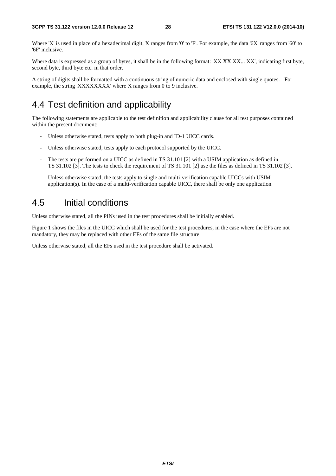Where 'X' is used in place of a hexadecimal digit, X ranges from '0' to 'F'. For example, the data '6X' ranges from '60' to '6F' inclusive.

Where data is expressed as a group of bytes, it shall be in the following format: 'XX XX XX... XX', indicating first byte, second byte, third byte etc. in that order.

A string of digits shall be formatted with a continuous string of numeric data and enclosed with single quotes. For example, the string 'XXXXXXXX' where X ranges from 0 to 9 inclusive.

### 4.4 Test definition and applicability

The following statements are applicable to the test definition and applicability clause for all test purposes contained within the present document:

- Unless otherwise stated, tests apply to both plug-in and ID-1 UICC cards.
- Unless otherwise stated, tests apply to each protocol supported by the UICC.
- The tests are performed on a UICC as defined in TS 31.101 [2] with a USIM application as defined in TS 31.102 [3]. The tests to check the requirement of TS 31.101 [2] use the files as defined in TS 31.102 [3].
- Unless otherwise stated, the tests apply to single and multi-verification capable UICCs with USIM application(s). In the case of a multi-verification capable UICC, there shall be only one application.

### 4.5 Initial conditions

Unless otherwise stated, all the PINs used in the test procedures shall be initially enabled.

Figure 1 shows the files in the UICC which shall be used for the test procedures, in the case where the EFs are not mandatory, they may be replaced with other EFs of the same file structure.

Unless otherwise stated, all the EFs used in the test procedure shall be activated.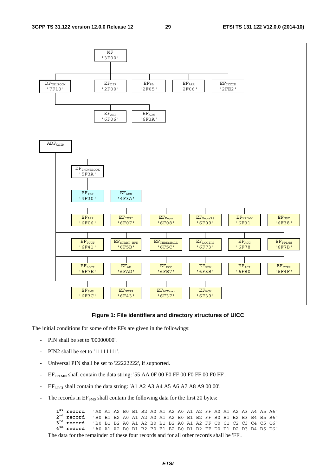

#### **Figure 1: File identifiers and directory structures of UICC**

The initial conditions for some of the EFs are given in the followings:

- PIN shall be set to '00000000'.
- PIN2 shall be set to '11111111'.
- Universal PIN shall be set to '22222222', if supported.
- $EF_{FPIMN}$  shall contain the data string: '55 AA 0F 00 F0 FF 00 F0 FF 00 F0 FF'.
- $EF_{LOCI}$  shall contain the data string: 'A1 A2 A3 A4 A5 A6 A7 A8 A9 00 00'.
- The records in  $EF<sub>SMS</sub>$  shall contain the following data for the first 20 bytes:

 $1<sup>st</sup>$  record  **record** 'A0 A1 A2 B0 B1 B2 A0 A1 A2 A0 A1 A2 FF A0 A1 A2 A3 A4 A5 A6'  $2^{nd}$  record  **record** 'B0 B1 B2 A0 A1 A2 A0 A1 A2 B0 B1 B2 FF B0 B1 B2 B3 B4 B5 B6'  $3^{rd}$  record<br>4<sup>th</sup> record  **record** 'B0 B1 B2 A0 A1 A2 B0 B1 B2 A0 A1 A2 FF C0 C1 C2 C3 C4 C5 C6' **4th record** 'A0 A1 A2 B0 B1 B2 B0 B1 B2 B0 B1 B2 FF D0 D1 D2 D3 D4 D5 D6' The data for the remainder of these four records and for all other records shall be 'FF'.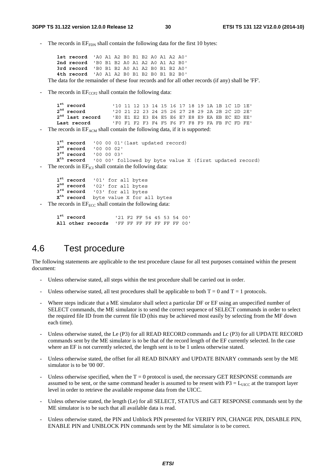The records in  $EF_{FDN}$  shall contain the following data for the first 10 bytes:

**1st record** 'A0 A1 A2 B0 B1 B2 A0 A1 A2 A0' **2nd record** 'B0 B1 B2 A0 A1 A2 A0 A1 A2 B0' **3rd record** 'B0 B1 B2 A0 A1 A2 B0 B1 B2 A0' **4th record** 'A0 A1 A2 B0 B1 B2 B0 B1 B2 B0' The data for the remainder of these four records and for all other records (if any) shall be 'FF'.

The records in  $EF_{CCP2}$  shall contain the following data:

 $1<sup>st</sup>$  record  **record** '10 11 12 13 14 15 16 17 18 19 1A 1B 1C 1D 1E' **2nd record** '20 21 22 23 24 25 26 27 28 29 2A 2B 2C 2D 2E'  $2<sup>nd</sup>$  last record  **last record** 'E0 E1 E2 E3 E4 E5 E6 E7 E8 E9 EA EB EC ED EE' **Last record** 'F0 F1 F2 F3 F4 F5 F6 F7 F8 F9 FA FB FC FD FE'

The records in  $EF_{ACM}$  shall contain the following data, if it is supported:

 $1<sup>st</sup>$  record  **record** '00 00 01'(last updated record)  $2^{nd}$  record  **record** '00 00 02' 3<sup>rd</sup> record<br>X<sup>th</sup> record  **record** '00 00 03' '00 00' followed by byte value X (first updated record)

The records in  $EF_{\text{ICI}}$  shall contain the following data:

**1st record** '01' for all bytes 2<sup>nd</sup> record  **record** '02' for all bytes  $3^{rd}$  record  **record** '03' for all bytes **Xth record** byte value X for all bytes

The records in  $E_{\text{ECC}}$  shall contain the following data:

 $1^{\text{st}}$  record  **record** '21 F2 FF 54 45 53 54 00' **All other records** 'FF FF FF FF FF FF FF 00'

### 4.6 Test procedure

The following statements are applicable to the test procedure clause for all test purposes contained within the present document:

- Unless otherwise stated, all steps within the test procedure shall be carried out in order.
- Unless otherwise stated, all test procedures shall be applicable to both  $T = 0$  and  $T = 1$  protocols.
- Where steps indicate that a ME simulator shall select a particular DF or EF using an unspecified number of SELECT commands, the ME simulator is to send the correct sequence of SELECT commands in order to select the required file ID from the current file ID (this may be achieved most easily by selecting from the MF down each time).
- Unless otherwise stated, the Le (P3) for all READ RECORD commands and Lc (P3) for all UPDATE RECORD commands sent by the ME simulator is to be that of the record length of the EF currently selected. In the case where an EF is not currently selected, the length sent is to be 1 unless otherwise stated.
- Unless otherwise stated, the offset for all READ BINARY and UPDATE BINARY commands sent by the ME simulator is to be '00 00'.
- Unless otherwise specified, when the  $T = 0$  protocol is used, the necessary GET RESPONSE commands are assumed to be sent, or the same command header is assumed to be resent with  $P3 = L_{UICC}$  at the transport layer level in order to retrieve the available response data from the UICC.
- Unless otherwise stated, the length (Le) for all SELECT, STATUS and GET RESPONSE commands sent by the ME simulator is to be such that all available data is read.
- Unless otherwise stated, the PIN and Unblock PIN presented for VERIFY PIN, CHANGE PIN, DISABLE PIN, ENABLE PIN and UNBLOCK PIN commands sent by the ME simulator is to be correct.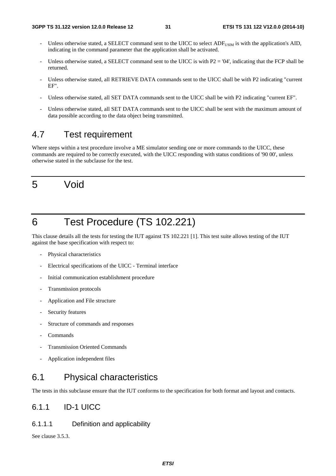- Unless otherwise stated, a SELECT command sent to the UICC to select ADF<sub>USIM</sub> is with the application's AID, indicating in the command parameter that the application shall be activated.
- Unless otherwise stated, a SELECT command sent to the UICC is with  $P2 = '04'$ , indicating that the FCP shall be returned.
- Unless otherwise stated, all RETRIEVE DATA commands sent to the UICC shall be with P2 indicating "current EF".
- Unless otherwise stated, all SET DATA commands sent to the UICC shall be with P2 indicating "current EF".
- Unless otherwise stated, all SET DATA commands sent to the UICC shall be sent with the maximum amount of data possible according to the data object being transmitted.

# 4.7 Test requirement

Where steps within a test procedure involve a ME simulator sending one or more commands to the UICC, these commands are required to be correctly executed, with the UICC responding with status conditions of '90 00', unless otherwise stated in the subclause for the test.

# 5 Void

# 6 Test Procedure (TS 102.221)

This clause details all the tests for testing the IUT against TS 102.221 [1]. This test suite allows testing of the IUT against the base specification with respect to:

- Physical characteristics
- Electrical specifications of the UICC Terminal interface
- Initial communication establishment procedure
- Transmission protocols
- Application and File structure
- Security features
- Structure of commands and responses
- **Commands**
- Transmission Oriented Commands
- Application independent files

# 6.1 Physical characteristics

The tests in this subclause ensure that the IUT conforms to the specification for both format and layout and contacts.

### 6.1.1 ID-1 UICC

### 6.1.1.1 Definition and applicability

See clause 3.5.3.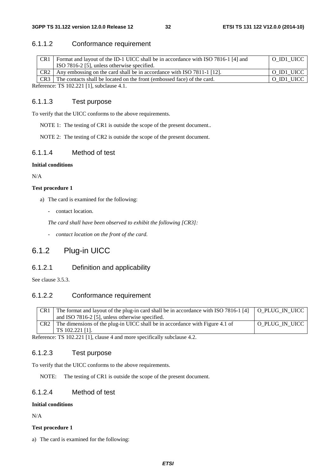### 6.1.1.2 Conformance requirement

| Any embossing on the card shall be in accordance with ISO 7811-1 [12].<br>CR <sub>2</sub> | O ID1 UICC |
|-------------------------------------------------------------------------------------------|------------|
|                                                                                           | O ID1 UICC |
| CR3 The contacts shall be located on the front (embossed face) of the card.               | O ID1 UICC |

Reference: TS 102.221 [1], subclause 4.1.

#### 6.1.1.3 Test purpose

To verify that the UICC conforms to the above requirements.

NOTE 1: The testing of CR1 is outside the scope of the present document..

NOTE 2: The testing of CR2 is outside the scope of the present document.

### 6.1.1.4 Method of test

#### **Initial conditions**

N/A

#### **Test procedure 1**

- a) The card is examined for the following:
	- contact location.

*The card shall have been observed to exhibit the following [CR3]:* 

*- contact location on the front of the card.* 

### 6.1.2 Plug-in UICC

#### 6.1.2.1 Definition and applicability

See clause 3.5.3.

### 6.1.2.2 Conformance requirement

| CR <sub>1</sub> | The format and layout of the plug-in card shall be in accordance with ISO 7816-1 [4]                                                                                                                                                                                                                                                                                                                                              | O PLUG IN UICC |
|-----------------|-----------------------------------------------------------------------------------------------------------------------------------------------------------------------------------------------------------------------------------------------------------------------------------------------------------------------------------------------------------------------------------------------------------------------------------|----------------|
|                 | and ISO 7816-2 [5], unless otherwise specified.                                                                                                                                                                                                                                                                                                                                                                                   |                |
| CR <sub>2</sub> | The dimensions of the plug-in UICC shall be in accordance with Figure 4.1 of                                                                                                                                                                                                                                                                                                                                                      | O PLUG IN UICC |
|                 | TS 102.221 [1].                                                                                                                                                                                                                                                                                                                                                                                                                   |                |
|                 | $\overline{r}$ $\overline{r}$ $\overline{r}$ $\overline{r}$ $\overline{r}$ $\overline{r}$ $\overline{r}$ $\overline{r}$ $\overline{r}$ $\overline{r}$ $\overline{r}$ $\overline{r}$ $\overline{r}$ $\overline{r}$ $\overline{r}$ $\overline{r}$ $\overline{r}$ $\overline{r}$ $\overline{r}$ $\overline{r}$ $\overline{r}$ $\overline{r}$ $\overline{r}$ $\overline{r}$ $\overline{$<br>$\sim$ $\sim$ $\sim$ $\sim$ $\sim$ $\sim$ |                |

Reference: TS 102.221 [1], clause 4 and more specifically subclause 4.2.

### 6.1.2.3 Test purpose

To verify that the UICC conforms to the above requirements.

NOTE: The testing of CR1 is outside the scope of the present document.

### 6.1.2.4 Method of test

#### **Initial conditions**

N/A

#### **Test procedure 1**

a) The card is examined for the following: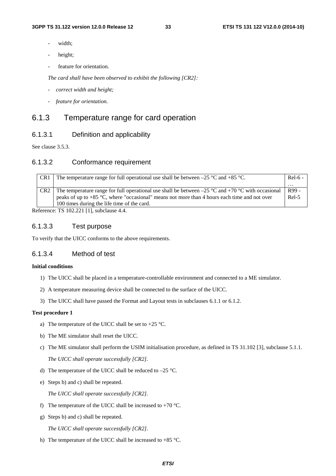- width:
- height;
- feature for orientation.

*The card shall have been observed to exhibit the following [CR2]:*

- *correct width and height;*
- *feature for orientation.*

### 6.1.3 Temperature range for card operation

### 6.1.3.1 Definition and applicability

See clause 3.5.3.

#### 6.1.3.2 Conformance requirement

| CR <sub>1</sub> |                 | The temperature range for full operational use shall be between $-25$ °C and $+85$ °C.              |          |
|-----------------|-----------------|-----------------------------------------------------------------------------------------------------|----------|
|                 |                 |                                                                                                     | $\cdots$ |
|                 | CR <sub>2</sub> | The temperature range for full operational use shall be between $-25$ °C and +70 °C with occasional | R99 -    |
|                 |                 | peaks of up to $+85$ °C, where "occasional" means not more than 4 hours each time and not over      | $Rel-5$  |
|                 |                 | 100 times during the life time of the card.                                                         |          |
|                 |                 |                                                                                                     |          |

Reference: TS 102.221 [1], subclause 4.4.

### 6.1.3.3 Test purpose

To verify that the UICC conforms to the above requirements.

### 6.1.3.4 Method of test

#### **Initial conditions**

- 1) The UICC shall be placed in a temperature-controllable environment and connected to a ME simulator.
- 2) A temperature measuring device shall be connected to the surface of the UICC.
- 3) The UICC shall have passed the Format and Layout tests in subclauses 6.1.1 or 6.1.2.

#### **Test procedure 1**

- a) The temperature of the UICC shall be set to  $+25$  °C.
- b) The ME simulator shall reset the UICC.
- c) The ME simulator shall perform the USIM initialisation procedure, as defined in TS 31.102 [3], subclause 5.1.1.

*The UICC shall operate successfully [CR2].*

- d) The temperature of the UICC shall be reduced to –25 °C.
- e) Steps b) and c) shall be repeated.

*The UICC shall operate successfully [CR2].*

- f) The temperature of the UICC shall be increased to  $+70^{\circ}$ C.
- g) Steps b) and c) shall be repeated.

*The UICC shall operate successfully [CR2].*

h) The temperature of the UICC shall be increased to +85 °C.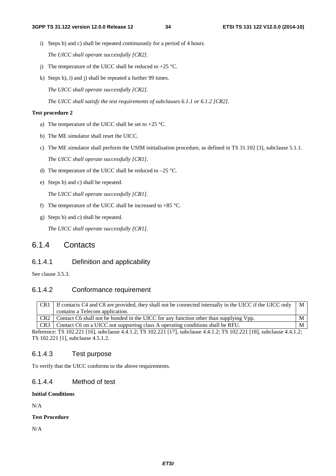- i) Steps b) and c) shall be repeated continuously for a period of 4 hours. *The UICC shall operate successfully [CR2].*
- j) The temperature of the UICC shall be reduced to  $+25$  °C.
- k) Steps h), i) and j) shall be repeated a further 99 times.

*The UICC shall operate successfully [CR2].*

*The UICC shall satisfy the test requirements of subclauses 6.1.1 or 6.1.2 [CR2].*

#### **Test procedure 2**

- a) The temperature of the UICC shall be set to  $+25$  °C.
- b) The ME simulator shall reset the UICC.
- c) The ME simulator shall perform the USIM initialisation procedure, as defined in TS 31.102 [3], subclause 5.1.1. *The UICC shall operate successfully [CR1].*
- d) The temperature of the UICC shall be reduced to –25 °C.
- e) Steps b) and c) shall be repeated.

*The UICC shall operate successfully [CR1].*

- f) The temperature of the UICC shall be increased to  $+85$  °C.
- g) Steps b) and c) shall be repeated.

*The UICC shall operate successfully [CR1].*

### 6.1.4 Contacts

#### 6.1.4.1 Definition and applicability

See clause 3.5.3.

### 6.1.4.2 Conformance requirement

| CR <sub>1</sub> | If contacts C4 and C8 are provided, they shall not be connected internally in the UICC if the UICC only $\parallel$ M |  |
|-----------------|-----------------------------------------------------------------------------------------------------------------------|--|
|                 | contains a Telecom application.                                                                                       |  |
|                 | CR2 Contact C6 shall not be bonded in the UICC for any function other than supplying Vpp.                             |  |
|                 | CR3   Contact C6 on a UICC not supporting class A operating conditions shall be RFU.                                  |  |

Reference: TS 102.221 [16], subclause 4.4.1.2; TS 102.221 [17], subclause 4.4.1.2; TS 102.221 [18], subclause 4.4.1.2; TS 102.221 [1], subclause 4.5.1.2.

#### 6.1.4.3 Test purpose

To verify that the UICC conforms to the above requirements.

### 6.1.4.4 Method of test

### **Initial Conditions**

N/A

#### **Test Procedure**

N/A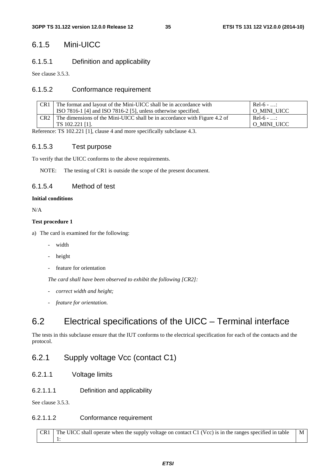### 6.1.5 Mini-UICC

### 6.1.5.1 Definition and applicability

See clause 3.5.3.

### 6.1.5.2 Conformance requirement

| CR1             | The format and layout of the Mini-UICC shall be in accordance with        | $Rel-6$ - : |
|-----------------|---------------------------------------------------------------------------|-------------|
|                 | ISO 7816-1 [4] and ISO 7816-2 [5], unless otherwise specified.            | O MINI UICC |
| CR <sub>2</sub> | The dimensions of the Mini-UICC shall be in accordance with Figure 4.2 of | $Re1-6 - $  |
|                 | TS 102.221 [1].                                                           | O MINI UICC |

Reference: TS 102.221 [1], clause 4 and more specifically subclause 4.3.

### 6.1.5.3 Test purpose

To verify that the UICC conforms to the above requirements.

NOTE: The testing of CR1 is outside the scope of the present document.

### 6.1.5.4 Method of test

#### **Initial conditions**

N/A

#### **Test procedure 1**

a) The card is examined for the following:

- width
- height
- feature for orientation

*The card shall have been observed to exhibit the following [CR2]:*

- *correct width and height;*
- *feature for orientation.*

# 6.2 Electrical specifications of the UICC – Terminal interface

The tests in this subclause ensure that the IUT conforms to the electrical specification for each of the contacts and the protocol.

### 6.2.1 Supply voltage Vcc (contact C1)

- 6.2.1.1 Voltage limits
- 6.2.1.1.1 Definition and applicability

See clause 3.5.3.

### 6.2.1.1.2 Conformance requirement

CR1 The UICC shall operate when the supply voltage on contact C1 (Vcc) is in the ranges specified in table 1: M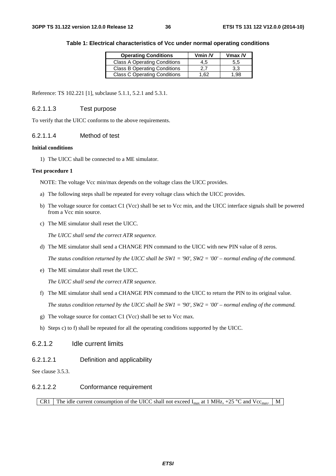| <b>Operating Conditions</b>         | Vmin $N$ | $V$ max / $V$ |
|-------------------------------------|----------|---------------|
| <b>Class A Operating Conditions</b> | 4.5      | 5.5           |
| <b>Class B Operating Conditions</b> | 2.7      | 3.3           |
| <b>Class C Operating Conditions</b> | 1.62     | .98           |

|  | Table 1: Electrical characteristics of Vcc under normal operating conditions |
|--|------------------------------------------------------------------------------|
|  |                                                                              |

Reference: TS 102.221 [1], subclause 5.1.1, 5.2.1 and 5.3.1.

#### 6.2.1.1.3 Test purpose

To verify that the UICC conforms to the above requirements.

#### 6.2.1.1.4 Method of test

#### **Initial conditions**

1) The UICC shall be connected to a ME simulator.

#### **Test procedure 1**

NOTE: The voltage Vcc min/max depends on the voltage class the UICC provides.

- a) The following steps shall be repeated for every voltage class which the UICC provides.
- b) The voltage source for contact C1 (Vcc) shall be set to Vcc min, and the UICC interface signals shall be powered from a Vcc min source.
- c) The ME simulator shall reset the UICC.

*The UICC shall send the correct ATR sequence.*

d) The ME simulator shall send a CHANGE PIN command to the UICC with new PIN value of 8 zeros.

*The status condition returned by the UICC shall be SW1 = '90', SW2 = '00' – normal ending of the command.*

e) The ME simulator shall reset the UICC.

*The UICC shall send the correct ATR sequence.*

f) The ME simulator shall send a CHANGE PIN command to the UICC to return the PIN to its original value.

*The status condition returned by the UICC shall be SW1 = '90', SW2 = '00' – normal ending of the command.*

- g) The voltage source for contact C1 (Vcc) shall be set to Vcc max.
- h) Steps c) to f) shall be repeated for all the operating conditions supported by the UICC.

# 6.2.1.2 Idle current limits

6.2.1.2.1 Definition and applicability

See clause 3.5.3.

# 6.2.1.2.2 Conformance requirement

### CR1 The idle current consumption of the UICC shall not exceed  $I_{max}$  at 1 MHz, +25 °C and Vcc<sub>max</sub>. M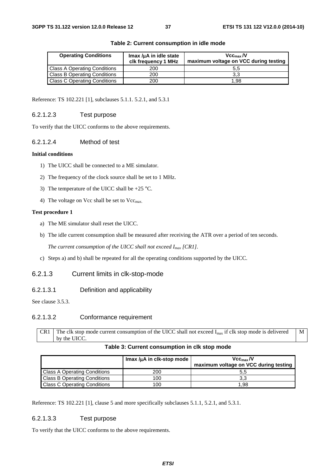| <b>Operating Conditions</b>         | $Imax/\mu A$ in idle state<br>clk frequency 1 MHz | Vcc <sub>max</sub> /V<br>maximum voltage on VCC during testing |
|-------------------------------------|---------------------------------------------------|----------------------------------------------------------------|
| <b>Class A Operating Conditions</b> | 200                                               | 5.5                                                            |
| <b>Class B Operating Conditions</b> | 200                                               | 3.3                                                            |
| <b>Class C Operating Conditions</b> | 200                                               | 1.98                                                           |

#### **Table 2: Current consumption in idle mode**

Reference: TS 102.221 [1], subclauses 5.1.1. 5.2.1, and 5.3.1

#### 6.2.1.2.3 Test purpose

To verify that the UICC conforms to the above requirements.

#### 6.2.1.2.4 Method of test

#### **Initial conditions**

- 1) The UICC shall be connected to a ME simulator.
- 2) The frequency of the clock source shall be set to 1 MHz.
- 3) The temperature of the UICC shall be  $+25$  °C.
- 4) The voltage on Vcc shall be set to Vcc<sub>max.</sub>

#### **Test procedure 1**

- a) The ME simulator shall reset the UICC.
- b) The idle current consumption shall be measured after receiving the ATR over a period of ten seconds.

*The current consumption of the UICC shall not exceed Imax [CR1].*

c) Steps a) and b) shall be repeated for all the operating conditions supported by the UICC.

### 6.2.1.3 Current limits in clk-stop-mode

6.2.1.3.1 Definition and applicability

See clause 3.5.3.

# 6.2.1.3.2 Conformance requirement

CR1 The clk stop mode current consumption of the UICC shall not exceed  $I_{max}$  if clk stop mode is delivered by the UICC. M

#### **Table 3: Current consumption in clk stop mode**

|                                     | Imax /uA in clk-stop mode | Vcc <sub>max</sub> /V<br>maximum voltage on VCC during testing |
|-------------------------------------|---------------------------|----------------------------------------------------------------|
| <b>Class A Operating Conditions</b> | 200                       | ა.ა                                                            |
| <b>Class B Operating Conditions</b> | 100                       | 3.3                                                            |
| <b>Class C Operating Conditions</b> | 100                       | 1.98                                                           |

Reference: TS 102.221 [1], clause 5 and more specifically subclauses 5.1.1, 5.2.1, and 5.3.1.

# 6.2.1.3.3 Test purpose

To verify that the UICC conforms to the above requirements.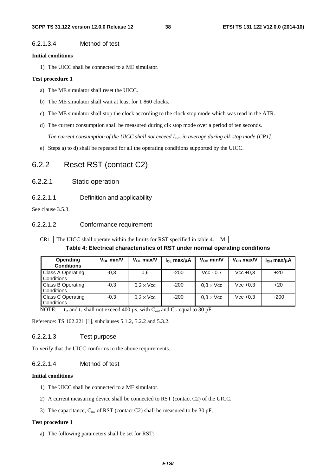#### 6.2.1.3.4 Method of test

#### **Initial conditions**

1) The UICC shall be connected to a ME simulator.

#### **Test procedure 1**

- a) The ME simulator shall reset the UICC.
- b) The ME simulator shall wait at least for 1 860 clocks.
- c) The ME simulator shall stop the clock according to the clock stop mode which was read in the ATR.
- d) The current consumption shall be measured during clk stop mode over a period of ten seconds. *The current consumption of the UICC shall not exceed Imax in average during clk stop mode [CR1].*
- e) Steps a) to d) shall be repeated for all the operating conditions supported by the UICC.

# 6.2.2 Reset RST (contact C2)

- 6.2.2.1 Static operation
- 6.2.2.1.1 Definition and applicability

See clause 3.5.3.

### 6.2.2.1.2 Conformance requirement

CR1 The UICC shall operate within the limits for RST specified in table 4.  $\mid$  M

# **Table 4: Electrical characteristics of RST under normal operating conditions**

| <b>Operating</b><br><b>Conditions</b> | $V_{OL}$ min/V | $V_{OL}$ max/V   | $I_{OL}$ max/ $\mu$ A | $V_{OH}$ min/V   | $V_{OH}$ max/V | $IOH$ max/ $\mu$ A |
|---------------------------------------|----------------|------------------|-----------------------|------------------|----------------|--------------------|
| Class A Operating<br>Conditions       | $-0.3$         | 0,6              | $-200$                | $Vec - 0.7$      | $Vec + 0.3$    | $+20$              |
| Class B Operating<br>Conditions       | $-0.3$         | $0.2 \times$ Vcc | $-200$                | $0.8 \times$ Vcc | $Vec + 0.3$    | $+20$              |
| Class C Operating<br>Conditions       | $-0.3$         | $0.2 \times$ Vcc | $-200$                | $0.8 \times$ Vcc | $Vec + 0.3$    | $+200$             |

NOTE:  $t_R$  and  $t_F$  shall not exceed 400  $\mu$ s, with C<sub>out</sub> and C<sub>in</sub> equal to 30 pF.

Reference: TS 102.221 [1], subclauses 5.1.2, 5.2.2 and 5.3.2.

#### 6.2.2.1.3 Test purpose

To verify that the UICC conforms to the above requirements.

# 6.2.2.1.4 Method of test

#### **Initial conditions**

- 1) The UICC shall be connected to a ME simulator.
- 2) A current measuring device shall be connected to RST (contact C2) of the UICC.
- 3) The capacitance,  $C_{in}$ , of RST (contact C2) shall be measured to be 30 pF.

#### **Test procedure 1**

a) The following parameters shall be set for RST: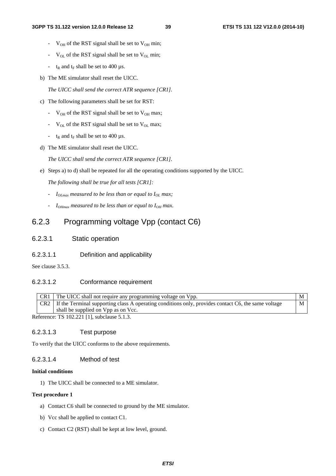- $V_{OH}$  of the RST signal shall be set to  $V_{OH}$  min;
- $V_{\text{OL}}$  of the RST signal shall be set to  $V_{\text{OL}}$  min;
- $t_R$  and  $t_F$  shall be set to 400 µs.
- b) The ME simulator shall reset the UICC.

*The UICC shall send the correct ATR sequence [CR1].*

- c) The following parameters shall be set for RST:
	- $V_{OH}$  of the RST signal shall be set to  $V_{OH}$  max;
	- $V_{OL}$  of the RST signal shall be set to  $V_{OL}$  max;
	- $t_R$  and  $t_F$  shall be set to 400  $\mu$ s.
- d) The ME simulator shall reset the UICC.

*The UICC shall send the correct ATR sequence [CR1].*

e) Steps a) to d) shall be repeated for all the operating conditions supported by the UICC.

*The following shall be true for all tests [CR1]:*

- *- I*<sub>OLmax</sub> measured to be less than or equal to I<sub>OL</sub> max;
- *- I*<sub>OHmax</sub> measured to be less than or equal to I<sub>OH</sub> max.

# 6.2.3 Programming voltage Vpp (contact C6)

- 6.2.3.1 Static operation
- 6.2.3.1.1 Definition and applicability

See clause 3.5.3.

# 6.2.3.1.2 Conformance requirement

|  | The UICC shall not require any programming voltage on Vpp.                                                |  |
|--|-----------------------------------------------------------------------------------------------------------|--|
|  | CR2   If the Terminal supporting class A operating conditions only, provides contact C6, the same voltage |  |
|  | shall be supplied on Vpp as on Vcc.                                                                       |  |

Reference: TS 102.221 [1], subclause 5.1.3.

# 6.2.3.1.3 Test purpose

To verify that the UICC conforms to the above requirements.

#### 6.2.3.1.4 Method of test

#### **Initial conditions**

1) The UICC shall be connected to a ME simulator.

#### **Test procedure 1**

- a) Contact C6 shall be connected to ground by the ME simulator.
- b) Vcc shall be applied to contact C1.
- c) Contact C2 (RST) shall be kept at low level, ground.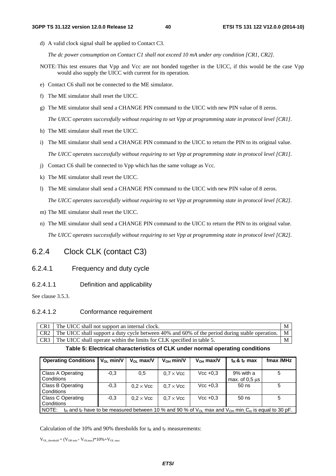d) A valid clock signal shall be applied to Contact C3.

*The dc power consumption on Contact C1 shall not exceed 10 mA under any condition [CR1, CR2].* 

- NOTE: This test ensures that Vpp and Vcc are not bonded together in the UICC, if this would be the case Vpp would also supply the UICC with current for its operation.
- e) Contact C6 shall not be connected to the ME simulator.
- f) The ME simulator shall reset the UICC.
- g) The ME simulator shall send a CHANGE PIN command to the UICC with new PIN value of 8 zeros. *The UICC operates successfully without requiring to set Vpp at programming state in protocol level [CR1].*
- h) The ME simulator shall reset the UICC.
- i) The ME simulator shall send a CHANGE PIN command to the UICC to return the PIN to its original value. *The UICC operates successfully without requiring to set Vpp at programming state in protocol level [CR1].*
- j) Contact C6 shall be connected to Vpp which has the same voltage as Vcc.
- k) The ME simulator shall reset the UICC.
- l) The ME simulator shall send a CHANGE PIN command to the UICC with new PIN value of 8 zeros.

*The UICC operates successfully without requiring to set Vpp at programming state in protocol level [CR2].*

- m) The ME simulator shall reset the UICC.
- n) The ME simulator shall send a CHANGE PIN command to the UICC to return the PIN to its original value. *The UICC operates successfully without requiring to set Vpp at programming state in protocol level [CR2].*

# 6.2.4 Clock CLK (contact C3)

#### 6.2.4.1 Frequency and duty cycle

6.2.4.1.1 Definition and applicability

See clause 3.5.3.

#### 6.2.4.1.2 Conformance requirement

| CR <sub>1</sub> | The UICC shall not support an internal clock.                                                          | M |
|-----------------|--------------------------------------------------------------------------------------------------------|---|
|                 | CR2 The UICC shall support a duty cycle between 40% and 60% of the period during stable operation.   M |   |
|                 | $\Gamma$ CR3 $\Gamma$ The UICC shall operate within the limits for CLK specified in table 5.           | M |

#### **Table 5: Electrical characteristics of CLK under normal operating conditions**

| <b>Operating Conditions</b>                                                                                                                               | $V_{OL}$ min/V | $V_{\Omega}$ max/V | $V_{OH}$ min/V   | $V_{OH}$ max/V | $t_R$ & $t_F$ max                 | fmax /MHz |  |
|-----------------------------------------------------------------------------------------------------------------------------------------------------------|----------------|--------------------|------------------|----------------|-----------------------------------|-----------|--|
|                                                                                                                                                           |                |                    |                  |                |                                   |           |  |
| Class A Operating                                                                                                                                         | $-0.3$         | 0,5                | $0.7 \times$ Vcc | $Vec + 0.3$    | 9% with a                         | 5         |  |
| Conditions                                                                                                                                                |                |                    |                  |                | max. of $0.5 \text{ }\mu\text{s}$ |           |  |
| Class B Operating                                                                                                                                         | $-0.3$         | $0.2 \times$ Vcc   | $0.7 \times$ Vcc | $Vec + 0.3$    | $50$ ns                           | 5         |  |
| Conditions                                                                                                                                                |                |                    |                  |                |                                   |           |  |
| <b>Class C Operating</b>                                                                                                                                  | $-0.3$         | $0.2 \times$ Vcc   | $0.7 \times$ Vcc | $Vec + 0.3$    | $50$ ns                           | 5         |  |
| Conditions                                                                                                                                                |                |                    |                  |                |                                   |           |  |
| NOTE:<br>t <sub>R</sub> and t <sub>F</sub> have to be measured between 10 % and 90 % of $V_{OL}$ max and $V_{OH}$ min. C <sub>in</sub> is equal to 30 pF. |                |                    |                  |                |                                   |           |  |

Calculation of the 10% and 90% thresholds for  $t_R$  and  $t_F$  measurements:

 $V_{\text{OL threshold}} = (V_{\text{OH min}} - V_{\text{OL max}}) * 10\% + V_{\text{OL max}}$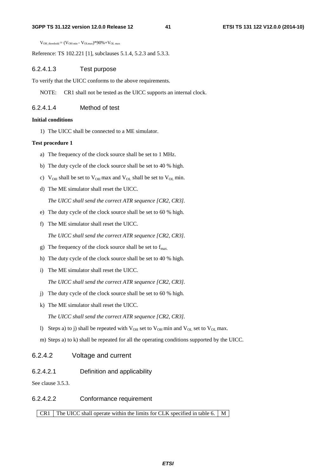#### **3GPP TS 31.122 version 12.0.0 Release 12 41 ETSI TS 131 122 V12.0.0 (2014-10)**

 $V_{OH\ threshold} = (V_{OH\ min} - V_{OL\ max})*90\% + V_{OL\ max}$ 

Reference: TS 102.221 [1], subclauses 5.1.4, 5.2.3 and 5.3.3.

#### 6.2.4.1.3 Test purpose

To verify that the UICC conforms to the above requirements.

NOTE: CR1 shall not be tested as the UICC supports an internal clock.

#### 6.2.4.1.4 Method of test

#### **Initial conditions**

1) The UICC shall be connected to a ME simulator.

#### **Test procedure 1**

- a) The frequency of the clock source shall be set to 1 MHz.
- b) The duty cycle of the clock source shall be set to 40 % high.
- c)  $V_{OH}$  shall be set to  $V_{OH}$  max and  $V_{OL}$  shall be set to  $V_{OL}$  min.
- d) The ME simulator shall reset the UICC.

*The UICC shall send the correct ATR sequence [CR2, CR3].*

- e) The duty cycle of the clock source shall be set to 60 % high.
- f) The ME simulator shall reset the UICC.

*The UICC shall send the correct ATR sequence [CR2, CR3].*

- g) The frequency of the clock source shall be set to  $f_{\text{max}}$ .
- h) The duty cycle of the clock source shall be set to 40 % high.
- i) The ME simulator shall reset the UICC.

*The UICC shall send the correct ATR sequence [CR2, CR3].*

- j) The duty cycle of the clock source shall be set to 60 % high.
- k) The ME simulator shall reset the UICC.

*The UICC shall send the correct ATR sequence [CR2, CR3].*

- l) Steps a) to j) shall be repeated with  $V_{OH}$  set to  $V_{OH}$  min and  $V_{OL}$  set to  $V_{OL}$  max.
- m) Steps a) to k) shall be repeated for all the operating conditions supported by the UICC.

# 6.2.4.2 Voltage and current

6.2.4.2.1 Definition and applicability

See clause 3.5.3.

#### 6.2.4.2.2 Conformance requirement

CR1 The UICC shall operate within the limits for CLK specified in table 6. M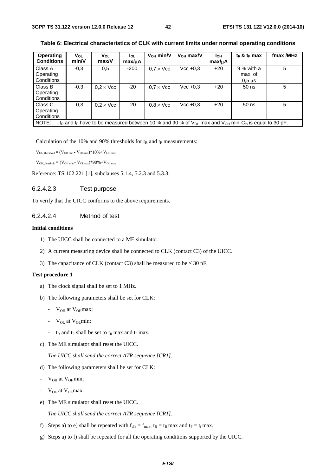| Operating<br><b>Conditions</b>     | Vol<br>min/V                                                                                                                                                 | $V_{OL}$<br>max/V | <b>I</b> ol<br>max/uA | $V_{OH}$ min/V   | $V_{OH}$ max/V | Iон<br>max/uA | $t_R$ & $t_F$ max                      | fmax /MHz |  |
|------------------------------------|--------------------------------------------------------------------------------------------------------------------------------------------------------------|-------------------|-----------------------|------------------|----------------|---------------|----------------------------------------|-----------|--|
| Class A<br>Operating<br>Conditions | $-0.3$                                                                                                                                                       | 0,5               | $-200$                | $0.7 \times$ Vcc | $Vec + 0.3$    | $+20$         | 9 % with a<br>max. of<br>$0,5$ $\mu$ s | 5         |  |
| Class B<br>Operating<br>Conditions | $-0.3$                                                                                                                                                       | $0.2 \times$ Vcc  | $-20$                 | $0.7 \times$ Vcc | $Vec + 0.3$    | $+20$         | 50 ns                                  | 5         |  |
| Class C<br>Operating<br>Conditions | $-0.3$                                                                                                                                                       | $0.2 \times$ Vcc  | $-20$                 | $0.8 \times$ Vcc | $Vec + 0.3$    | $+20$         | 50 ns                                  | 5         |  |
| NOTE:                              | t <sub>R</sub> and t <sub>F</sub> have to be measured between 10 % and 90 % of $V_{OL}$ max and $V_{OH}$ min <sub>:</sub> C <sub>in</sub> is equal to 30 pF. |                   |                       |                  |                |               |                                        |           |  |

**Table 6: Electrical characteristics of CLK with current limits under normal operating conditions** 

Calculation of the 10% and 90% thresholds for  $t_R$  and  $t_F$  measurements:

 $V_{\text{OL threshold}} = (V_{\text{OH min}} - V_{\text{OL max}}) * 10\% + V_{\text{OL max}}$ 

 $V_{OH\_threshold} = (V_{OH\ min} - V_{OL\ max})*90\% + V_{OL\ max}$ 

Reference: TS 102.221 [1], subclauses 5.1.4, 5.2.3 and 5.3.3.

#### 6.2.4.2.3 Test purpose

To verify that the UICC conforms to the above requirements.

#### 6.2.4.2.4 Method of test

#### **Initial conditions**

- 1) The UICC shall be connected to a ME simulator.
- 2) A current measuring device shall be connected to CLK (contact C3) of the UICC.
- 3) The capacitance of CLK (contact C3) shall be measured to be  $\leq 30$  pF.

#### **Test procedure 1**

- a) The clock signal shall be set to 1 MHz.
- b) The following parameters shall be set for CLK:
	- $V_{OH}$  at  $V_{OH}$ max;
	- $V_{OL}$  at  $V_{OL}$  min;
	- $t_R$  and  $t_F$  shall be set to  $t_R$  max and  $t_F$  max.
- c) The ME simulator shall reset the UICC.

*The UICC shall send the correct ATR sequence [CR1].*

- d) The following parameters shall be set for CLK:
- $V_{OH}$  at  $V_{OH}$ min;
- $V_{OL}$  at  $V_{OL}$  max.
- e) The ME simulator shall reset the UICC.

*The UICC shall send the correct ATR sequence [CR1].*

- f) Steps a) to e) shall be repeated with  $f_{\text{clk}} = f_{\text{max}}$ ,  $t_R = t_R \text{ max}$  and  $t_F = t_f \text{ max}$ .
- g) Steps a) to f) shall be repeated for all the operating conditions supported by the UICC.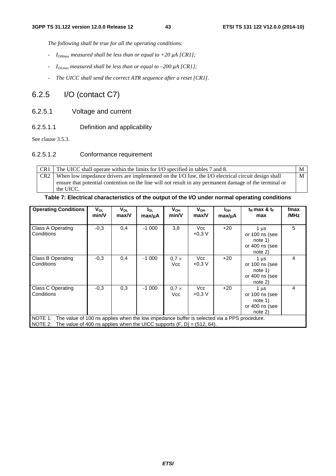*The following shall be true for all the operating conditions:*

- *IOHmax measured shall be less than or equal to +20 µA [CR1];*
- $I_{OImax}$  measured shall be less than or equal to –200  $\mu$ A [CR1];
- *The UICC shall send the correct ATR sequence after a reset [CR1].*

# 6.2.5 I/O (contact C7)

- 6.2.5.1 Voltage and current
- 6.2.5.1.1 Definition and applicability

See clause 3.5.3.

# 6.2.5.1.2 Conformance requirement

CR1 The UICC shall operate within the limits for I/O specified in tables 7 and 8. M CR2 When low impedance drivers are implemented on the I/O line, the I/O electrical circuit design shall ensure that potential contention on the line will not result in any permanent damage of the terminal or the UICC. M

# **Table 7: Electrical characteristics of the output of the I/O under normal operating conditions**

| <b>Operating Conditions</b>                                                                                                                                                             | $V_{OL}$<br>min/V | V <sub>OL</sub><br>max/V | $I_{OL}$<br>max/µA | V <sub>он</sub><br>min/V   | $V_{OH}$<br>max/V | I <sub>OH</sub><br>max/uA | $t_R$ max & $t_F$<br>max                                                     | fmax<br>/MHz   |
|-----------------------------------------------------------------------------------------------------------------------------------------------------------------------------------------|-------------------|--------------------------|--------------------|----------------------------|-------------------|---------------------------|------------------------------------------------------------------------------|----------------|
| <b>Class A Operating</b><br>Conditions                                                                                                                                                  | $-0.3$            | 0,4                      | $-1000$            | 3,8                        | Vcc<br>$+0.3 V$   | $+20$                     | 1 <sub>u</sub> s<br>or 100 ns (see<br>note 1)<br>or 400 ns (see<br>$note$ 2) | 5              |
| <b>Class B Operating</b><br>Conditions                                                                                                                                                  | $-0.3$            | 0,4                      | $-1000$            | $0.7 \times$<br><b>Vcc</b> | Vcc<br>$+0.3 V$   | $+20$                     | 1 us<br>or 100 ns (see<br>note 1)<br>or 400 ns (see<br>$note$ 2)             | 4              |
| Class C Operating<br>Conditions                                                                                                                                                         | $-0.3$            | 0,3                      | $-1000$            | $0.7 \times$<br>Vcc        | Vcc<br>$+0.3 V$   | $+20$                     | 1 us<br>or 100 ns (see<br>note 1)<br>or 400 ns (see<br>$note$ 2)             | $\overline{4}$ |
| NOTE 1: The value of 100 ns applies when the low impedance buffer is selected via a PPS procedure.<br>NOTE 2: The value of 400 ns applies when the UICC supports $(F, D) = (512, 64)$ . |                   |                          |                    |                            |                   |                           |                                                                              |                |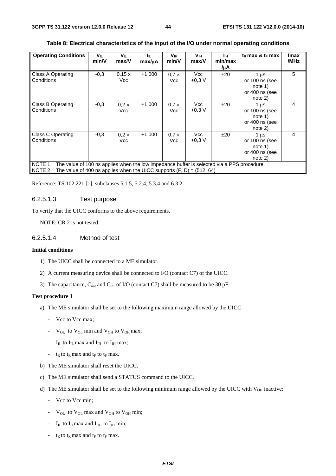| <b>Operating Conditions</b>                                                                                                                                                              | VIL<br>min/V | VIL<br>max/V        | Iщ.<br>$max/\mu A$ | Vш<br>min/V         | Vш<br>max/V     | Iш<br>min/max<br>/µA | $t_R$ max & $t_F$ max                                                        | fmax<br>/MHz |
|------------------------------------------------------------------------------------------------------------------------------------------------------------------------------------------|--------------|---------------------|--------------------|---------------------|-----------------|----------------------|------------------------------------------------------------------------------|--------------|
| <b>Class A Operating</b><br>Conditions                                                                                                                                                   | $-0.3$       | 0.15 x<br>Vcc       | $+1000$            | $0.7 \times$<br>Vcc | Vcc<br>$+0.3 V$ | ±20                  | 1 us<br>or $100$ ns (see<br>note 1)<br>or 400 ns (see<br>note 2)             | 5            |
| <b>Class B Operating</b><br>Conditions                                                                                                                                                   | $-0.3$       | $0.2 \times$<br>Vcc | $+1000$            | $0.7 \times$<br>Vcc | Vcc<br>$+0.3 V$ | ±20                  | 1 <sub>u</sub> s<br>or $100$ ns (see<br>note 1)<br>or 400 ns (see<br>note 2) | 4            |
| Class C Operating<br>Conditions                                                                                                                                                          | $-0.3$       | $0.2 \times$<br>Vcc | $+1000$            | $0.7 \times$<br>Vcc | Vcc<br>$+0.3 V$ | ±20                  | 1 us<br>or 100 ns (see<br>note 1)<br>or 400 ns (see<br>$note$ 2)             | 4            |
| NOTE 1: The value of 100 ns applies when the low impedance buffer is selected via a PPS procedure.<br>The value of 400 ns applies when the UICC supports $(F, D) = (512, 64)$<br>NOTE 2: |              |                     |                    |                     |                 |                      |                                                                              |              |

#### **Table 8: Electrical characteristics of the input of the I/O under normal operating conditions**

Reference: TS 102.221 [1], subclauses 5.1.5, 5.2.4, 5.3.4 and 6.3.2.

#### 6.2.5.1.3 Test purpose

To verify that the UICC conforms to the above requirements.

NOTE: CR 2 is not tested.

#### 6.2.5.1.4 Method of test

#### **Initial conditions**

- 1) The UICC shall be connected to a ME simulator.
- 2) A current measuring device shall be connected to I/O (contact C7) of the UICC.
- 3) The capacitance,  $C_{\text{out}}$  and  $C_{\text{in}}$ , of I/O (contact C7) shall be measured to be 30 pF.

#### **Test procedure 1**

- a) The ME simulator shall be set to the following maximum range allowed by the UICC
	- Vcc to Vcc max;
	- $V_{OL}$  to  $V_{OL}$  min and  $V_{OH}$  to  $V_{OH}$  max;
	- $I_{IL}$  to  $I_{IL}$  max and  $I_{IH}$  to  $I_{IH}$  max;
	- $t_R$  to  $t_R$  max and  $t_F$  to  $t_F$  max.
- b) The ME simulator shall reset the UICC.
- c) The ME simulator shall send a STATUS command to the UICC.
- d) The ME simulator shall be set to the following minimum range allowed by the UICC with  $V_{OH}$  inactive:
	- Vcc to Vcc min;
	- $V_{OL}$  to  $V_{OL}$  max and  $V_{OH}$  to  $V_{OH}$  min;
	- $I_{IL}$  to  $I_{IL}$  max and  $I_{IH}$  to  $I_{IH}$  min;
	- $t_R$  to  $t_R$  max and  $t_F$  to  $t_F$  max.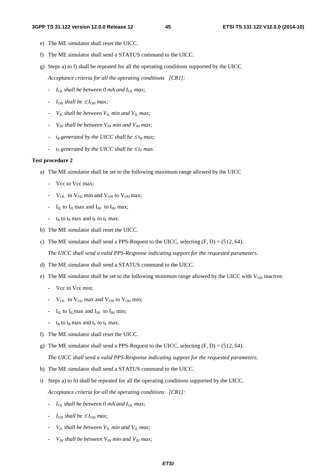- e) The ME simulator shall reset the UICC.
- f) The ME simulator shall send a STATUS command to the UICC.
- g) Steps a) to f) shall be repeated for all the operating conditions supported by the UICC.

*Acceptance criteria for all the operating conditions [CR1]:*

- *-*  $I_{OL}$  shall be between 0 mA and  $I_{OL}$  max;
- *- I<sub>OH</sub>* shall be  $\leq$  *I<sub>OH</sub>* max;
- *VIL shall be between VIL min and VIL max;*
- *VIH shall be between VIH min and VIH max;*
- *-*  $t_R$  generated by the UICC shall be  $\leq t_R$  max;
- *- t<sub>F</sub>* generated by the UICC shall be  $\leq t_F$  max.

#### **Test procedure 2**

- a) The ME simulator shall be set to the following maximum range allowed by the UICC
	- Vcc to Vcc max;
	- $V_{\text{OL}}$  to  $V_{\text{OL}}$  min and  $V_{\text{OH}}$  to  $V_{\text{OH}}$  max;
	- $I_{IL}$  to  $I_{IL}$  max and  $I_{IH}$  to  $I_{IH}$  max;
	- $t_R$  to  $t_R$  max and  $t_F$  to  $t_F$  max.
- b) The ME simulator shall reset the UICC.
- c) The ME simulator shall send a PPS-Request to the UICC, selecting  $(F, D) = (512, 64)$ .

 *The UICC shall send a valid PPS-Response indicating support for the requested parameters.*

- d) The ME simulator shall send a STATUS command to the UICC.
- e) The ME simulator shall be set to the following minimum range allowed by the UICC with  $V_{OH}$  inactive:
	- Vcc to Vcc min;
	- $V_{OL}$  to  $V_{OL}$  max and  $V_{OH}$  to  $V_{OH}$  min;
	- $I_{IL}$  to  $I_{IL}$  max and  $I_{IH}$  to  $I_{IH}$  min;
	- $t_R$  to  $t_R$  max and  $t_F$  to  $t_F$  max.
- f) The ME simulator shall reset the UICC.
- g) The ME simulator shall send a PPS-Request to the UICC, selecting  $(F, D) = (512, 64)$ .

 *The UICC shall send a valid PPS-Response indicating support for the requested parameters.*

- h) The ME simulator shall send a STATUS command to the UICC.
- i) Steps a) to h) shall be repeated for all the operating conditions supported by the UICC. *Acceptance criteria for all the operating conditions [CR1]:*
	- *- I<sub>OL</sub>* shall be between 0 mA and I<sub>OL</sub> max;
	- *-*  $I_{OH}$  shall be  $\leq I_{OH}$  max;
	- $V_{IL}$  shall be between  $V_{IL}$  min and  $V_{IL}$  max;
	- $V_{IH}$  shall be between  $V_{IH}$  min and  $V_{IH}$  max;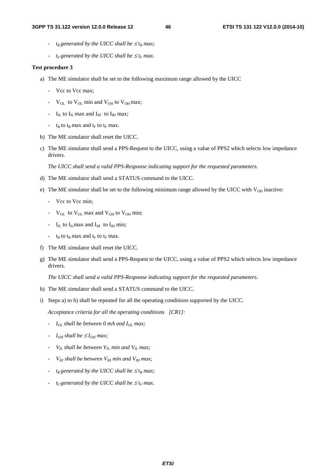- *-*  $t_R$  generated by the UICC shall be  $\leq t_R$  max;
- *- t<sub>F</sub>* generated by the UICC shall be  $\leq t_F$  max.

#### **Test procedure 3**

- a) The ME simulator shall be set to the following maximum range allowed by the UICC
	- Vcc to Vcc max;
	- $V_{\text{OL}}$  to  $V_{\text{OL}}$  min and  $V_{\text{OH}}$  to  $V_{\text{OH}}$  max;
	- $I_{IL}$  to  $I_{IL}$  max and  $I_{IH}$  to  $I_{IH}$  max;
	- $t_R$  to  $t_R$  max and  $t_F$  to  $t_F$  max.
- b) The ME simulator shall reset the UICC.
- c) The ME simulator shall send a PPS-Request to the UICC, using a value of PPS2 which selects low impedance drivers.

 *The UICC shall send a valid PPS-Response indicating support for the requested parameters.*

- d) The ME simulator shall send a STATUS command to the UICC.
- e) The ME simulator shall be set to the following minimum range allowed by the UICC with  $V_{OH}$  inactive:
	- Vcc to Vcc min;
	- $V_{OL}$  to  $V_{OL}$  max and  $V_{OH}$  to  $V_{OH}$  min;
	- $I_{IL}$  to  $I_{IL}$  max and  $I_{IH}$  to  $I_{IH}$  min;
	- $t_R$  to  $t_R$  max and  $t_F$  to  $t_F$  max.
- f) The ME simulator shall reset the UICC.
- g) The ME simulator shall send a PPS-Request to the UICC, using a value of PPS2 which selects low impedance drivers.

 *The UICC shall send a valid PPS-Response indicating support for the requested parameters.*

- h) The ME simulator shall send a STATUS command to the UICC.
- i) Steps a) to h) shall be repeated for all the operating conditions supported by the UICC.

*Acceptance criteria for all the operating conditions [CR1]:*

- *- I<sub>OL</sub>* shall be between 0 mA and I<sub>OL</sub> max;
- *-*  $I_{OH}$  shall be  $\leq I_{OH}$  max;
- *-*  $V_{IL}$  shall be between  $V_{IL}$  min and  $V_{IL}$  max;
- *VIH shall be between VIH min and VIH max;*
- *-*  $t_R$  generated by the UICC shall be  $\leq t_R$  max;
- *- t<sub>F</sub>* generated by the UICC shall be  $\leq t_F$  max.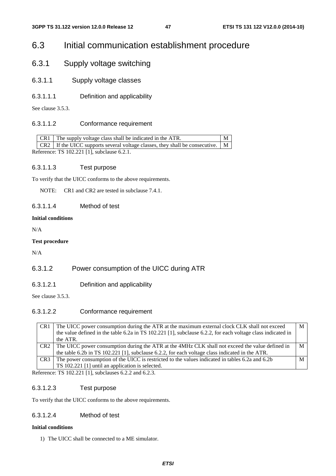# 6.3 Initial communication establishment procedure

- 6.3.1 Supply voltage switching
- 6.3.1.1 Supply voltage classes
- 6.3.1.1.1 Definition and applicability

See clause 3.5.3.

# 6.3.1.1.2 Conformance requirement

|                                             |  | $CR1$ The supply voltage class shall be indicated in the ATR.                                |  |  |  |  |
|---------------------------------------------|--|----------------------------------------------------------------------------------------------|--|--|--|--|
|                                             |  | CR2   If the UICC supports several voltage classes, they shall be consecutive. $\mid M \mid$ |  |  |  |  |
| Reference: TS 102.221 [1], subclause 6.2.1. |  |                                                                                              |  |  |  |  |

# 6.3.1.1.3 Test purpose

To verify that the UICC conforms to the above requirements.

NOTE: CR1 and CR2 are tested in subclause 7.4.1.

# 6.3.1.1.4 Method of test

#### **Initial conditions**

N/A

#### **Test procedure**

N/A

# 6.3.1.2 Power consumption of the UICC during ATR

6.3.1.2.1 Definition and applicability

See clause 3.5.3.

# 6.3.1.2.2 Conformance requirement

| CR <sub>1</sub> | The UICC power consumption during the ATR at the maximum external clock CLK shall not exceed                                                                                                                                                                                                                                                                                        | M |
|-----------------|-------------------------------------------------------------------------------------------------------------------------------------------------------------------------------------------------------------------------------------------------------------------------------------------------------------------------------------------------------------------------------------|---|
|                 | the value defined in the table 6.2a in TS 102.221 [1], subclause 6.2.2, for each voltage class indicated in                                                                                                                                                                                                                                                                         |   |
|                 | the ATR.                                                                                                                                                                                                                                                                                                                                                                            |   |
| CR <sub>2</sub> | The UICC power consumption during the ATR at the 4MHz CLK shall not exceed the value defined in                                                                                                                                                                                                                                                                                     | M |
|                 | the table 6.2b in TS 102.221 [1], subclause 6.2.2, for each voltage class indicated in the ATR.                                                                                                                                                                                                                                                                                     |   |
| CR <sub>3</sub> | The power consumption of the UICC is restricted to the values indicated in tables 6.2a and 6.2b                                                                                                                                                                                                                                                                                     | М |
|                 | TS 102.221 [1] until an application is selected.                                                                                                                                                                                                                                                                                                                                    |   |
|                 | $\epsilon$ of $\epsilon$ and $\epsilon$ and $\epsilon$ and $\epsilon$ and $\epsilon$ and $\epsilon$ and $\epsilon$ and $\epsilon$ and $\epsilon$ and $\epsilon$ and $\epsilon$ and $\epsilon$ and $\epsilon$ and $\epsilon$ and $\epsilon$ and $\epsilon$ and $\epsilon$ and $\epsilon$ and $\epsilon$ and $\epsilon$ and $\epsilon$ and $\epsilon$ and $\epsilon$ and $\epsilon$ a |   |

Reference: TS 102.221 [1], subclauses 6.2.2 and 6.2.3.

# 6.3.1.2.3 Test purpose

To verify that the UICC conforms to the above requirements.

# 6.3.1.2.4 Method of test

#### **Initial conditions**

1) The UICC shall be connected to a ME simulator.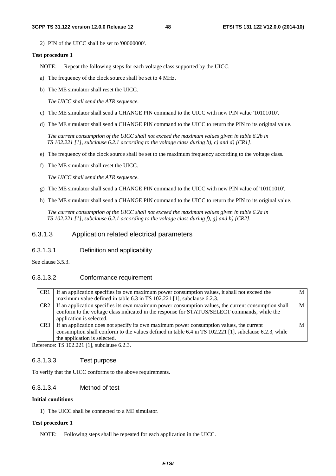2) PIN of the UICC shall be set to '00000000'.

#### **Test procedure 1**

NOTE: Repeat the following steps for each voltage class supported by the UICC.

- a) The frequency of the clock source shall be set to 4 MHz.
- b) The ME simulator shall reset the UICC.

 *The UICC shall send the ATR sequence.*

- c) The ME simulator shall send a CHANGE PIN command to the UICC with new PIN value '10101010'.
- d) The ME simulator shall send a CHANGE PIN command to the UICC to return the PIN to its original value.

 *The current consumption of the UICC shall not exceed the maximum values given in table 6.2b in TS 102.221 [1], subclause 6.2.1 according to the voltage class during b), c) and d) [CR1].*

- e) The frequency of the clock source shall be set to the maximum frequency according to the voltage class.
- f) The ME simulator shall reset the UICC.

 *The UICC shall send the ATR sequence.*

- g) The ME simulator shall send a CHANGE PIN command to the UICC with new PIN value of '10101010'.
- h) The ME simulator shall send a CHANGE PIN command to the UICC to return the PIN to its original value.

 *The current consumption of the UICC shall not exceed the maximum values given in table 6.2a in TS 102.221 [1], subclause 6.2.1 according to the voltage class during f), g) and h) [CR2].*

# 6.3.1.3 Application related electrical parameters

### 6.3.1.3.1 Definition and applicability

See clause 3.5.3.

#### 6.3.1.3.2 Conformance requirement

| CR <sub>1</sub> | If an application specifies its own maximum power consumption values, it shall not exceed the          | M |
|-----------------|--------------------------------------------------------------------------------------------------------|---|
|                 | maximum value defined in table 6.3 in TS 102.221 [1], subclause 6.2.3.                                 |   |
| CR <sub>2</sub> | If an application specifies its own maximum power consumption values, the current consumption shall    | М |
|                 | conform to the voltage class indicated in the response for STATUS/SELECT commands, while the           |   |
|                 | application is selected.                                                                               |   |
| CR <sub>3</sub> | If an application does not specify its own maximum power consumption values, the current               |   |
|                 | consumption shall conform to the values defined in table 6.4 in TS 102.221 [1], subclause 6.2.3, while |   |
|                 | the application is selected.                                                                           |   |

Reference: TS 102.221 [1], subclause 6.2.3.

#### 6.3.1.3.3 Test purpose

To verify that the UICC conforms to the above requirements.

#### 6.3.1.3.4 Method of test

#### **Initial conditions**

1) The UICC shall be connected to a ME simulator.

#### **Test procedure 1**

NOTE: Following steps shall be repeated for each application in the UICC.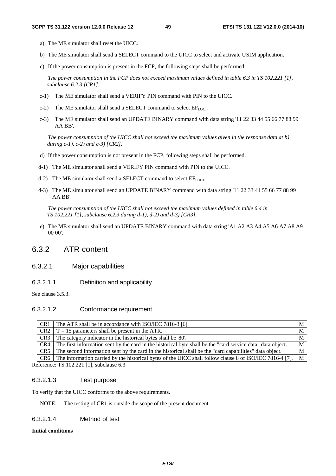- a) The ME simulator shall reset the UICC.
- b) The ME simulator shall send a SELECT command to the UICC to select and activate USIM application.
- c) If the power consumption is present in the FCP, the following steps shall be performed.

 *The power consumption in the FCP does not exceed maximum values defined in table 6.3 in TS 102.221 [1], subclause 6.2.3 [CR1].*

- c-1) The ME simulator shall send a VERIFY PIN command with PIN to the UICC.
- c-2) The ME simulator shall send a SELECT command to select  $EF_{LOCI}$ .
- c-3) The ME simulator shall send an UPDATE BINARY command with data string '11 22 33 44 55 66 77 88 99 AA BB'.

 *The power consumption of the UICC shall not exceed the maximum values given in the response data at b) during c-1), c-2) and c-3) [CR2].*

- d) If the power consumption is not present in the FCP, following steps shall be performed.
- d-1) The ME simulator shall send a VERIFY PIN command with PIN to the UICC.
- d-2) The ME simulator shall send a SELECT command to select  $EF_{LOCI}$ .
- d-3) The ME simulator shall send an UPDATE BINARY command with data string '11 22 33 44 55 66 77 88 99 AA BB'.

 *The power consumption of the UICC shall not exceed the maximum values defined in table 6.4 in TS 102.221 [1], subclause 6.2.3 during d-1), d-2) and d-3) [CR3].* 

e) The ME simulator shall send an UPDATE BINARY command with data string 'A1 A2 A3 A4 A5 A6 A7 A8 A9 00 00'.

# 6.3.2 ATR content

# 6.3.2.1 Major capabilities

6.3.2.1.1 Definition and applicability

See clause 3.5.3.

#### 6.3.2.1.2 Conformance requirement

| CR <sub>1</sub> | The ATR shall be in accordance with ISO/IEC 7816-3 [6].                                                         | M                 |
|-----------------|-----------------------------------------------------------------------------------------------------------------|-------------------|
|                 | CR2 $\mid$ T = 15 parameters shall be present in the ATR.                                                       | M                 |
|                 | $CR3$ The category indicator in the historical bytes shall be '80'.                                             | M                 |
|                 | CR4 The first information sent by the card in the historical byte shall be the "card service data" data object. | M                 |
| CR5             | The second information sent by the card in the historical shall be the "card capabilities" data object.         | M                 |
|                 | CR6 The information carried by the historical bytes of the UICC shall follow clause 8 of ISO/IEC 7816-4 [7].    | $^{\mathsf{H}}$ M |
|                 |                                                                                                                 |                   |

Reference: TS 102.221 [1], subclause 6.3

# 6.3.2.1.3 Test purpose

To verify that the UICC conforms to the above requirements.

NOTE: The testing of CR1 is outside the scope of the present document.

#### 6.3.2.1.4 Method of test

#### **Initial conditions**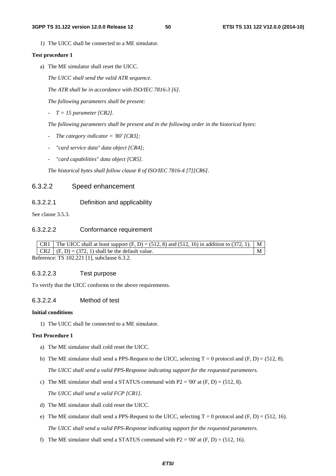1) The UICC shall be connected to a ME simulator.

#### **Test procedure 1**

a) The ME simulator shall reset the UICC.

 *The UICC shall send the valid ATR sequence.* 

 *The ATR shall be in accordance with ISO/IEC 7816-3 [6].* 

 *The following parameters shall be present:* 

 *- T = 15 parameter [CR2].* 

 *The following parameters shall be present and in the following order in the historical bytes:* 

- *The category indicator = '80' [CR3];*
- *"card service data" data object [CR4];*
- "card capabilities" data object [CR5].

 *The historical bytes shall follow clause 8 of ISO/IEC 7816-4 [7][CR6].* 

### 6.3.2.2 Speed enhancement

## 6.3.2.2.1 Definition and applicability

See clause 3.5.3.

#### 6.3.2.2.2 Conformance requirement

|  | $CR1$ The UICC shall at least support $(F, D) = (512, 8)$ and $(512, 16)$ in addition to $(372, 1)$ . |  |
|--|-------------------------------------------------------------------------------------------------------|--|
|  | $CR2$ $(F, D) = (372, 1)$ shall be the default value.                                                 |  |
|  |                                                                                                       |  |

Reference: TS 102.221 [1], subclause 6.3.2.

#### 6.3.2.2.3 Test purpose

To verify that the UICC conforms to the above requirements.

# 6.3.2.2.4 Method of test

### **Initial conditions**

1) The UICC shall be connected to a ME simulator.

#### **Test Procedure 1**

- a) The ME simulator shall cold reset the UICC.
- b) The ME simulator shall send a PPS-Request to the UICC, selecting  $T = 0$  protocol and  $(F, D) = (512, 8)$ .  *The UICC shall send a valid PPS-Response indicating support for the requested parameters.*
- c) The ME simulator shall send a STATUS command with  $P2 = '00'$  at  $(F, D) = (512, 8)$ .

 *The UICC shall send a valid FCP [CR1].*

- d) The ME simulator shall cold reset the UICC.
- e) The ME simulator shall send a PPS-Request to the UICC, selecting  $T = 0$  protocol and  $(F, D) = (512, 16)$ . *The UICC shall send a valid PPS-Response indicating support for the requested parameters.*
- f) The ME simulator shall send a STATUS command with P2 = '00' at  $(F, D) = (512, 16)$ .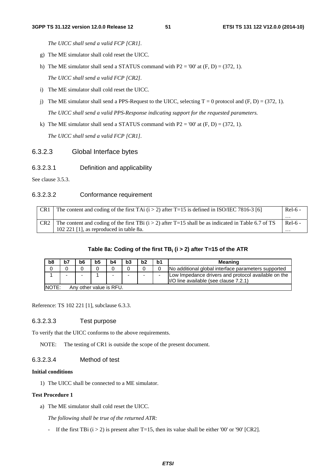*The UICC shall send a valid FCP [CR1].*

- g) The ME simulator shall cold reset the UICC.
- h) The ME simulator shall send a STATUS command with  $P2 = '00'$  at  $(F, D) = (372, 1)$ .  *The UICC shall send a valid FCP [CR2].*

- i) The ME simulator shall cold reset the UICC.
- j) The ME simulator shall send a PPS-Request to the UICC, selecting  $T = 0$  protocol and  $(F, D) = (372, 1)$ .  *The UICC shall send a valid PPS-Response indicating support for the requested parameters.*
- k) The ME simulator shall send a STATUS command with  $P2 = '00'$  at  $(F, D) = (372, 1)$ .  *The UICC shall send a valid FCP [CR1].*

#### 6.3.2.3 Global Interface bytes

#### 6.3.2.3.1 Definition and applicability

See clause 3.5.3.

### 6.3.2.3.2 Conformance requirement

| CR <sub>1</sub> | The content and coding of the first TAi $(i > 2)$ after T=15 is defined in ISO/IEC 7816-3 [6]         | $Rel-6$ - |
|-----------------|-------------------------------------------------------------------------------------------------------|-----------|
|                 |                                                                                                       | .         |
|                 | The content and coding of the first TBi $(i > 2)$ after T=15 shall be as indicated in Table 6.7 of TS | $Rel-6$ - |
|                 | 102 221 [1], as reproduced in table 8a.                                                               | .         |

#### **Table 8a: Coding of the first TBi (i > 2) after T=15 of the ATR**

| b8 | b7                                | b6 | b <sub>5</sub> | b4 | b3 | b2                       | b1 | Meaning                                                                                      |  |
|----|-----------------------------------|----|----------------|----|----|--------------------------|----|----------------------------------------------------------------------------------------------|--|
|    |                                   |    |                |    |    |                          |    | No additional global interface parameters supported                                          |  |
|    |                                   | -  |                |    | -  | $\overline{\phantom{0}}$ |    | Low Impedance drivers and protocol available on the<br>I/O line available (see clause 7.2.1) |  |
|    | INOTE:<br>Any other value is RFU. |    |                |    |    |                          |    |                                                                                              |  |

Reference: TS 102 221 [1], subclause 6.3.3.

### 6.3.2.3.3 Test purpose

To verify that the UICC conforms to the above requirements.

NOTE: The testing of CR1 is outside the scope of the present document.

### 6.3.2.3.4 Method of test

### **Initial conditions**

1) The UICC shall be connected to a ME simulator.

#### **Test Procedure 1**

a) The ME simulator shall cold reset the UICC.

*The following shall be true of the returned ATR:* 

- If the first TBi ( $i > 2$ ) is present after T=15, then its value shall be either '00' or '90' [CR2].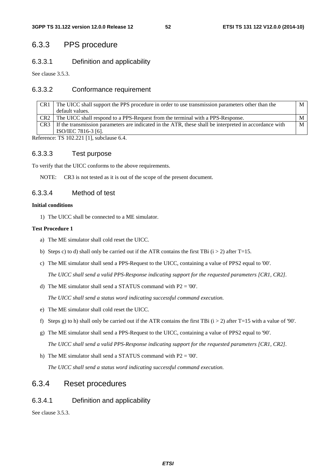# 6.3.3 PPS procedure

# 6.3.3.1 Definition and applicability

See clause 3.5.3.

# 6.3.3.2 Conformance requirement

| CR1             | The UICC shall support the PPS procedure in order to use transmission parameters other than the        | M |
|-----------------|--------------------------------------------------------------------------------------------------------|---|
|                 | default values.                                                                                        |   |
| CR <sub>2</sub> | The UICC shall respond to a PPS-Request from the terminal with a PPS-Response.                         |   |
| CR <sub>3</sub> | If the transmission parameters are indicated in the ATR, these shall be interpreted in accordance with | M |
|                 | ISO/IEC 7816-3 [6].                                                                                    |   |

Reference: TS 102.221 [1], subclause 6.4.

# 6.3.3.3 Test purpose

To verify that the UICC conforms to the above requirements.

NOTE: CR3 is not tested as it is out of the scope of the present document.

# 6.3.3.4 Method of test

#### **Initial conditions**

1) The UICC shall be connected to a ME simulator.

#### **Test Procedure 1**

- a) The ME simulator shall cold reset the UICC.
- b) Steps c) to d) shall only be carried out if the ATR contains the first TBi  $(i > 2)$  after T=15.
- c) The ME simulator shall send a PPS-Request to the UICC, containing a value of PPS2 equal to '00'.  *The UICC shall send a valid PPS-Response indicating support for the requested parameters [CR1, CR2].*

d) The ME simulator shall send a STATUS command with P2 = '00'.

 *The UICC shall send a status word indicating successful command execution.*

- e) The ME simulator shall cold reset the UICC.
- f) Steps g) to h) shall only be carried out if the ATR contains the first TBi ( $i > 2$ ) after T=15 with a value of '90'.
- g) The ME simulator shall send a PPS-Request to the UICC, containing a value of PPS2 equal to '90'.

 *The UICC shall send a valid PPS-Response indicating support for the requested parameters [CR1, CR2].*

h) The ME simulator shall send a STATUS command with  $P2 = 00'$ .

 *The UICC shall send a status word indicating successful command execution.*

# 6.3.4 Reset procedures

# 6.3.4.1 Definition and applicability

See clause 3.5.3.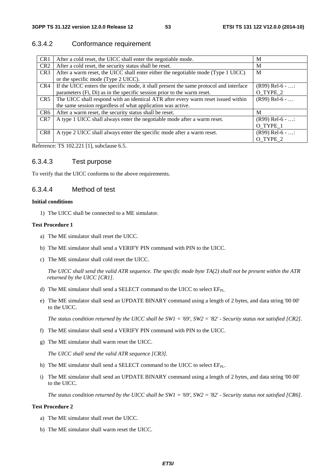# 6.3.4.2 Conformance requirement

| CR <sub>1</sub> | After a cold reset, the UICC shall enter the negotiable mode.                          | M                 |
|-----------------|----------------------------------------------------------------------------------------|-------------------|
| CR <sub>2</sub> | After a cold reset, the security status shall be reset.                                | M                 |
| CR <sub>3</sub> | After a warm reset, the UICC shall enter either the negotiable mode (Type 1 UICC)      | M                 |
|                 | or the specific mode (Type 2 UICC).                                                    |                   |
| CR4             | If the UICC enters the specific mode, it shall present the same protocol and interface | $(R99)$ Rel-6 - : |
|                 | parameters (Fi, Di) as in the specific session prior to the warm reset.                | O_TYPE_2          |
| CR <sub>5</sub> | The UICC shall respond with an identical ATR after every warm reset issued within      | $(R99)$ Rel-6 -   |
|                 | the same session regardless of what application was active.                            |                   |
| CR <sub>6</sub> | After a warm reset, the security status shall be reset.                                | M                 |
| CR7             | A type 1 UICC shall always enter the negotiable mode after a warm reset.               | $(R99)$ Rel-6 - : |
|                 |                                                                                        | O_TYPE_1          |
| CR <sub>8</sub> | A type 2 UICC shall always enter the specific mode after a warm reset.                 | $(R99)$ Rel-6 - : |
|                 |                                                                                        | O TYPE 2          |

Reference: TS 102.221 [1], subclause 6.5.

# 6.3.4.3 Test purpose

To verify that the UICC conforms to the above requirements.

# 6.3.4.4 Method of test

#### **Initial conditions**

1) The UICC shall be connected to a ME simulator.

#### **Test Procedure 1**

- a) The ME simulator shall reset the UICC.
- b) The ME simulator shall send a VERIFY PIN command with PIN to the UICC.
- c) The ME simulator shall cold reset the UICC.

 *The UICC shall send the valid ATR sequence. The specific mode byte TA(2) shall not be present within the ATR returned by the UICC [CR1].*

- d) The ME simulator shall send a SELECT command to the UICC to select  $EF_{PL}$ .
- e) The ME simulator shall send an UPDATE BINARY command using a length of 2 bytes, and data string '00 00' to the UICC.

 *The status condition returned by the UICC shall be SW1 = '69', SW2 = '82' - Security status not satisfied [CR2].*

- f) The ME simulator shall send a VERIFY PIN command with PIN to the UICC.
- g) The ME simulator shall warm reset the UICC.

 *The UICC shall send the valid ATR sequence [CR3].*

- h) The ME simulator shall send a SELECT command to the UICC to select  $EF_{PL}$ .
- i) The ME simulator shall send an UPDATE BINARY command using a length of 2 bytes, and data string '00 00' to the UICC.

 *The status condition returned by the UICC shall be SW1 = '69', SW2 = '82' - Security status not satisfied [CR6].* 

#### **Test Procedure 2**

- a) The ME simulator shall reset the UICC.
- b) The ME simulator shall warm reset the UICC.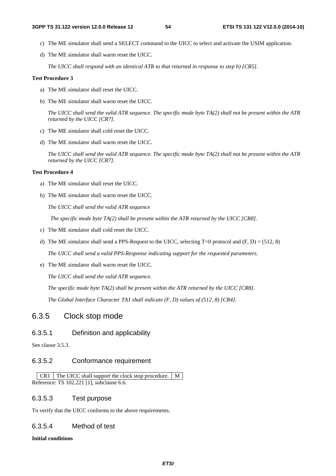- c) The ME simulator shall send a SELECT command to the UICC to select and activate the USIM application.
- d) The ME simulator shall warm reset the UICC.

*The UICC shall respond with an identical ATR to that returned in response to step b) [CR5].* 

#### **Test Procedure 3**

- a) The ME simulator shall reset the UICC.
- b) The ME simulator shall warm reset the UICC.

*The UICC shall send the valid ATR sequence. The specific mode byte TA(2) shall not be present within the ATR returned by the UICC [CR7].* 

- c) The ME simulator shall cold reset the UICC.
- d) The ME simulator shall warm reset the UICC.

*The UICC shall send the valid ATR sequence. The specific mode byte TA(2) shall not be present within the ATR returned by the UICC [CR7].* 

#### **Test Procedure 4**

- a) The ME simulator shall reset the UICC.
- b) The ME simulator shall warm reset the UICC.

*The UICC shall send the valid ATR sequence* 

 *The specific mode byte TA(2) shall be present within the ATR returned by the UICC [CR8].* 

- c) The ME simulator shall cold reset the UICC.
- d) The ME simulator shall send a PPS-Request to the UICC, selecting  $T=0$  protocol and  $(F, D) = (512, 8)$

*The UICC shall send a valid PPS-Response indicating support for the requested parameters.* 

e) The ME simulator shall warm reset the UICC.

*The UICC shall send the valid ATR sequence.* 

*The specific mode byte TA(2) shall be present within the ATR returned by the UICC [CR8].* 

*The Global Interface Character TA1 shall indicate (F, D) values of (512, 8) [CR4].*

# 6.3.5 Clock stop mode

### 6.3.5.1 Definition and applicability

See clause 3.5.3.

### 6.3.5.2 Conformance requirement

 $CR1$  The UICC shall support the clock stop procedure.  $M$ Reference: TS 102.221 [1], subclause 6.6.

#### 6.3.5.3 Test purpose

To verify that the UICC conforms to the above requirements.

# 6.3.5.4 Method of test

#### **Initial conditions**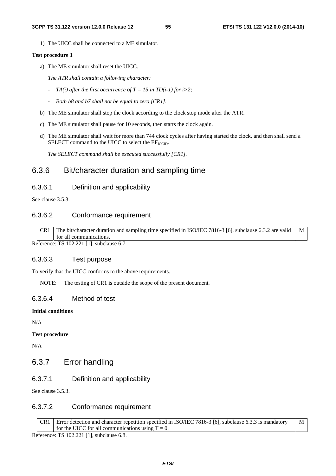1) The UICC shall be connected to a ME simulator.

#### **Test procedure 1**

a) The ME simulator shall reset the UICC.

 *The ATR shall contain a following character:* 

- *- TA(i)* after the first occurrence of  $T = 15$  in TD(i-1) for i>2;
- *Both b8 and b7 shall not be equal to zero [CR1].*
- b) The ME simulator shall stop the clock according to the clock stop mode after the ATR.
- c) The ME simulator shall pause for 10 seconds, then starts the clock again.
- d) The ME simulator shall wait for more than 744 clock cycles after having started the clock, and then shall send a SELECT command to the UICC to select the  $EF_{\text{ICCD}}$ .

 *The SELECT command shall be executed successfully [CR1].*

# 6.3.6 Bit/character duration and sampling time

#### 6.3.6.1 Definition and applicability

See clause 3.5.3.

# 6.3.6.2 Conformance requirement

CR1 The bit/character duration and sampling time specified in ISO/IEC 7816-3 [6], subclause 6.3.2 are valid for all communications. M

Reference: TS 102.221 [1], subclause 6.7.

# 6.3.6.3 Test purpose

To verify that the UICC conforms to the above requirements.

NOTE: The testing of CR1 is outside the scope of the present document.

### 6.3.6.4 Method of test

#### **Initial conditions**

N/A

#### **Test procedure**

N/A

# 6.3.7 Error handling

# 6.3.7.1 Definition and applicability

See clause 3.5.3.

# 6.3.7.2 Conformance requirement

| CR1 Error detection and character repetition specified in ISO/IEC 7816-3 [6], subclause 6.3.3 is mandatory M |  |
|--------------------------------------------------------------------------------------------------------------|--|
| for the UICC for all communications using $T = 0$ .                                                          |  |

Reference: TS 102.221 [1], subclause 6.8.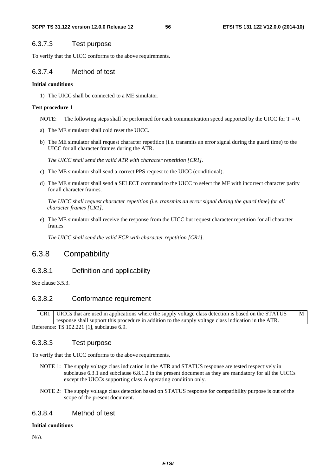# 6.3.7.3 Test purpose

To verify that the UICC conforms to the above requirements.

# 6.3.7.4 Method of test

#### **Initial conditions**

1) The UICC shall be connected to a ME simulator.

#### **Test procedure 1**

NOTE: The following steps shall be performed for each communication speed supported by the UICC for  $T = 0$ .

- a) The ME simulator shall cold reset the UICC.
- b) The ME simulator shall request character repetition (i.e. transmits an error signal during the guard time) to the UICC for all character frames during the ATR.

 *The UICC shall send the valid ATR with character repetition [CR1].*

- c) The ME simulator shall send a correct PPS request to the UICC (conditional).
- d) The ME simulator shall send a SELECT command to the UICC to select the MF with incorrect character parity for all character frames.

 *The UICC shall request character repetition (i.e. transmits an error signal during the guard time) for all character frames [CR1].*

e) The ME simulator shall receive the response from the UICC but request character repetition for all character frames.

 *The UICC shall send the valid FCP with character repetition [CR1].*

# 6.3.8 Compatibility

# 6.3.8.1 Definition and applicability

See clause 3.5.3.

# 6.3.8.2 Conformance requirement

CR1 UICCs that are used in applications where the supply voltage class detection is based on the STATUS response shall support this procedure in addition to the supply voltage class indication in the ATR. M Reference: TS 102.221 [1], subclause 6.9.

# 6.3.8.3 Test purpose

To verify that the UICC conforms to the above requirements.

- NOTE 1: The supply voltage class indication in the ATR and STATUS response are tested respectively in subclause 6.3.1 and subclause 6.8.1.2 in the present document as they are mandatory for all the UICCs except the UICCs supporting class A operating condition only.
- NOTE 2: The supply voltage class detection based on STATUS response for compatibility purpose is out of the scope of the present document.

# 6.3.8.4 Method of test

#### **Initial conditions**

N/A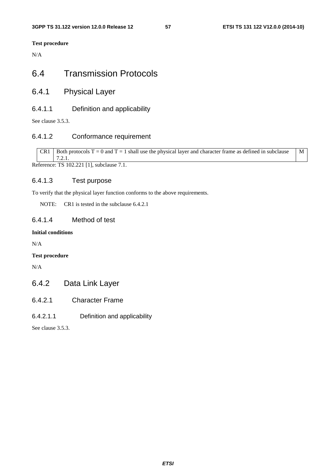**Test procedure**

N/A

# 6.4 Transmission Protocols

6.4.1 Physical Layer

# 6.4.1.1 Definition and applicability

See clause 3.5.3.

# 6.4.1.2 Conformance requirement

CR1 Both protocols  $T = 0$  and  $T = 1$  shall use the physical layer and character frame as defined in subclause 7.2.1. M

Reference: TS 102.221 [1], subclause 7.1.

# 6.4.1.3 Test purpose

To verify that the physical layer function conforms to the above requirements.

NOTE: CR1 is tested in the subclause 6.4.2.1

# 6.4.1.4 Method of test

# **Initial conditions**

N/A

# **Test procedure**

N/A

# 6.4.2 Data Link Layer

- 6.4.2.1 Character Frame
- 6.4.2.1.1 Definition and applicability

See clause 3.5.3.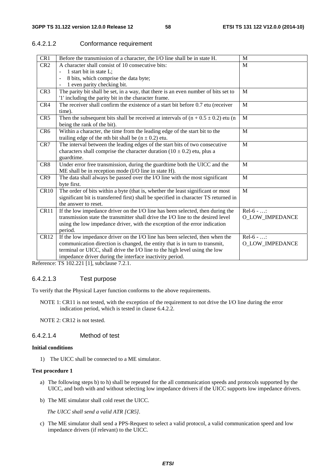# 6.4.2.1.2 Conformance requirement

| CR1             | Before the transmission of a character, the I/O line shall be in state H.             | M                      |
|-----------------|---------------------------------------------------------------------------------------|------------------------|
| CR <sub>2</sub> | A character shall consist of 10 consecutive bits:                                     | M                      |
|                 | 1 start bit in state L;                                                               |                        |
|                 | 8 bits, which comprise the data byte;                                                 |                        |
|                 | 1 even parity checking bit.                                                           |                        |
| CR <sub>3</sub> | The parity bit shall be set, in a way, that there is an even number of bits set to    | M                      |
|                 | '1' including the parity bit in the character frame.                                  |                        |
| CR4             | The receiver shall confirm the existence of a start bit before 0.7 etu (receiver      | M                      |
|                 | time).                                                                                |                        |
| CR5             | Then the subsequent bits shall be received at intervals of $(n + 0.5 \pm 0.2)$ etu (n | M                      |
|                 | being the rank of the bit).                                                           |                        |
| CR <sub>6</sub> | Within a character, the time from the leading edge of the start bit to the            | M                      |
|                 | trailing edge of the nth bit shall be $(n \pm 0.2)$ etu.                              |                        |
| CR7             | The interval between the leading edges of the start bits of two consecutive           | M                      |
|                 | characters shall comprise the character duration $(10 \pm 0.2)$ etu, plus a           |                        |
|                 | guardtime.                                                                            |                        |
| CR <sub>8</sub> | Under error free transmission, during the guardtime both the UICC and the             | M                      |
|                 | ME shall be in reception mode (I/O line in state H).                                  |                        |
| CR9             | The data shall always be passed over the I/O line with the most significant           | M                      |
|                 | byte first.                                                                           |                        |
| CR10            | The order of bits within a byte (that is, whether the least significant or most       | $\mathbf{M}$           |
|                 | significant bit is transferred first) shall be specified in character TS returned in  |                        |
|                 | the answer to reset.                                                                  |                        |
| CR11            | If the low impedance driver on the I/O line has been selected, then during the        | $Rel-6 - $             |
|                 | transmission state the transmitter shall drive the I/O line to the desired level      | O_LOW_IMPEDANCE        |
|                 | using the low impedance driver, with the exception of the error indication            |                        |
|                 | period.                                                                               |                        |
| CR12            | If the low impedance driver on the I/O line has been selected, then when the          | $Rel-6 - $             |
|                 | communication direction is changed, the entity that is in turn to transmit,           | <b>O LOW IMPEDANCE</b> |
|                 | terminal or UICC, shall drive the I/O line to the high level using the low            |                        |
|                 | impedance driver during the interface inactivity period.                              |                        |

Reference: TS 102.221 [1], subclause 7.2.1.

### 6.4.2.1.3 Test purpose

To verify that the Physical Layer function conforms to the above requirements.

NOTE 1: CR11 is not tested, with the exception of the requirement to not drive the I/O line during the error indication period, which is tested in clause 6.4.2.2.

NOTE 2: CR12 is not tested.

# 6.4.2.1.4 Method of test

#### **Initial conditions**

1) The UICC shall be connected to a ME simulator.

### **Test procedure 1**

- a) The following steps b) to h) shall be repeated for the all communication speeds and protocols supported by the UICC, and both with and without selecting low impedance drivers if the UICC supports low impedance drivers.
- b) The ME simulator shall cold reset the UICC.

*The UICC shall send a valid ATR [CR5].*

c) The ME simulator shall send a PPS-Request to select a valid protocol, a valid communication speed and low impedance drivers (if relevant) to the UICC.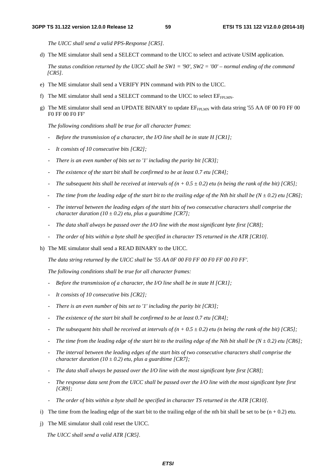*The UICC shall send a valid PPS-Response [CR5].*

d) The ME simulator shall send a SELECT command to the UICC to select and activate USIM application.

 *The status condition returned by the UICC shall be SW1 = '90', SW2 = '00' – normal ending of the command [CR5].* 

- e) The ME simulator shall send a VERIFY PIN command with PIN to the UICC.
- f) The ME simulator shall send a SELECT command to the UICC to select  $EF_{FPI MN}$ .
- g) The ME simulator shall send an UPDATE BINARY to update EFFPLMN with data string '55 AA 0F 00 F0 FF 00 F0 FF 00 F0 FF'

 *The following conditions shall be true for all character frames*:

- *Before the transmission of a character, the I/O line shall be in state H [CR1];*
- *It consists of 10 consecutive bits [CR2];*
- *There is an even number of bits set to '1' including the parity bit [CR3];*
- *The existence of the start bit shall be confirmed to be at least 0.7 etu [CR4];*
- *The subsequent bits shall be received at intervals of*  $(n + 0.5 \pm 0.2)$  *etu (n being the rank of the bit) [CR5];*
- *The time from the leading edge of the start bit to the trailing edge of the Nth bit shall be (N*  $\pm$  *0.2) etu [CR6]*;
- *The interval between the leading edges of the start bits of two consecutive characters shall comprise the character duration (10*  $\pm$  *0.2) etu, plus a guardtime [CR7];*
- *The data shall always be passed over the I/O line with the most significant byte first [CR8];*
- *The order of bits within a byte shall be specified in character TS returned in the ATR [CR10].*
- h) The ME simulator shall send a READ BINARY to the UICC.

*The data string returned by the UICC shall be '55 AA 0F 00 F0 FF 00 F0 FF 00 F0 FF'.* 

*The following conditions shall be true for all character frames:* 

- *Before the transmission of a character, the I/O line shall be in state H [CR1];*
- *It consists of 10 consecutive bits [CR2];*
- *There is an even number of bits set to '1' including the parity bit [CR3];*
- *The existence of the start bit shall be confirmed to be at least 0.7 etu [CR4];*
- *The subsequent bits shall be received at intervals of*  $(n + 0.5 \pm 0.2)$  *etu (n being the rank of the bit) [CR5];*
- *The time from the leading edge of the start bit to the trailing edge of the Nth bit shall be (N*  $\pm$  *0.2) etu [CR6];*
- *The interval between the leading edges of the start bits of two consecutive characters shall comprise the character duration (10*  $\pm$  *0.2) etu, plus a guardtime [CR7];*
- *The data shall always be passed over the I/O line with the most significant byte first [CR8];*
- *The response data sent from the UICC shall be passed over the I/O line with the most significant byte first [CR9];*
- *The order of bits within a byte shall be specified in character TS returned in the ATR [CR10].*
- i) The time from the leading edge of the start bit to the trailing edge of the nth bit shall be set to be  $(n + 0.2)$  etu.
- j) The ME simulator shall cold reset the UICC.

*The UICC shall send a valid ATR [CR5].*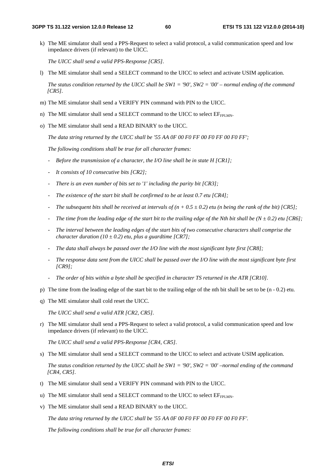k) The ME simulator shall send a PPS-Request to select a valid protocol, a valid communication speed and low impedance drivers (if relevant) to the UICC.

 *The UICC shall send a valid PPS-Response [CR5].*

l) The ME simulator shall send a SELECT command to the UICC to select and activate USIM application.

 *The status condition returned by the UICC shall be SW1 = '90', SW2 = '00' – normal ending of the command [CR5].* 

- m) The ME simulator shall send a VERIFY PIN command with PIN to the UICC.
- n) The ME simulator shall send a SELECT command to the UICC to select  $EF_{FPI,MN}$ .
- o) The ME simulator shall send a READ BINARY to the UICC.

*The data string returned by the UICC shall be '55 AA 0F 00 F0 FF 00 F0 FF 00 F0 FF';* 

*The following conditions shall be true for all character frames:* 

- *Before the transmission of a character, the I/O line shall be in state H [CR1];*
- *It consists of 10 consecutive bits [CR2];*
- *There is an even number of bits set to '1' including the parity bit [CR3];*
- *The existence of the start bit shall be confirmed to be at least 0.7 etu [CR4];*
- *The subsequent bits shall be received at intervals of*  $(n + 0.5 \pm 0.2)$  *etu (n being the rank of the bit) [CR5];*
- The time from the leading edge of the start bit to the trailing edge of the Nth bit shall be  $(N \pm 0.2)$  etu [CR6];
- *The interval between the leading edges of the start bits of two consecutive characters shall comprise the character duration* (10  $\pm$  0.2) *etu, plus a guardtime* [*CR7*];
- *The data shall always be passed over the I/O line with the most significant byte first [CR8];*
- *The response data sent from the UICC shall be passed over the I/O line with the most significant byte first [CR9];*
- *The order of bits within a byte shall be specified in character TS returned in the ATR [CR10].*
- p) The time from the leading edge of the start bit to the trailing edge of the nth bit shall be set to be  $(n 0.2)$  etu.
- q) The ME simulator shall cold reset the UICC.

 *The UICC shall send a valid ATR [CR2, CR5].*

r) The ME simulator shall send a PPS-Request to select a valid protocol, a valid communication speed and low impedance drivers (if relevant) to the UICC.

 *The UICC shall send a valid PPS-Response [CR4, CR5].*

s) The ME simulator shall send a SELECT command to the UICC to select and activate USIM application.

 *The status condition returned by the UICC shall be SW1 = '90', SW2 = '00' –normal ending of the command [CR4, CR5].* 

- t) The ME simulator shall send a VERIFY PIN command with PIN to the UICC.
- u) The ME simulator shall send a SELECT command to the UICC to select  $E_{FPIMM}$ .
- v) The ME simulator shall send a READ BINARY to the UICC.

*The data string returned by the UICC shall be '55 AA 0F 00 F0 FF 00 F0 FF 00 F0 FF'.* 

*The following conditions shall be true for all character frames:*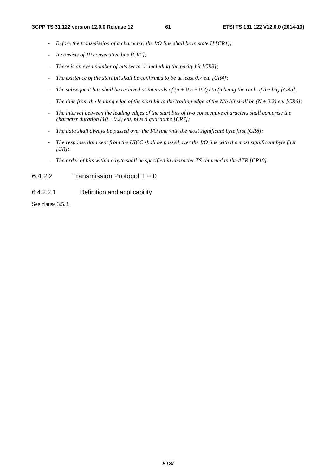- *Before the transmission of a character, the I/O line shall be in state H [CR1];*
- *It consists of 10 consecutive bits [CR2];*
- *There is an even number of bits set to '1' including the parity bit [CR3];*
- *The existence of the start bit shall be confirmed to be at least 0.7 etu [CR4];*
- *The subsequent bits shall be received at intervals of (n + 0.5 ± 0.2) etu (n being the rank of the bit) [CR5];*
- *The time from the leading edge of the start bit to the trailing edge of the Nth bit shall be (N*  $\pm$  *0.2) etu [CR6];*
- *The interval between the leading edges of the start bits of two consecutive characters shall comprise the character duration* ( $10 \pm 0.2$ ) *etu, plus a guardtime* [CR7];
- *The data shall always be passed over the I/O line with the most significant byte first [CR8];*
- *The response data sent from the UICC shall be passed over the I/O line with the most significant byte first [CR];*
- *The order of bits within a byte shall be specified in character TS returned in the ATR [CR10].*

# $6.4.2.2$  Transmission Protocol T = 0

### 6.4.2.2.1 Definition and applicability

See clause 3.5.3.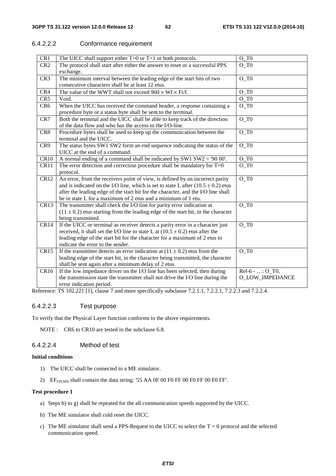# 6.4.2.2.2 Conformance requirement

| CR1             | The UICC shall support either $T=0$ or $T=1$ or both protocols.                       | $O_T$              |
|-----------------|---------------------------------------------------------------------------------------|--------------------|
| CR <sub>2</sub> | The protocol shall start after either the answer to reset or a successful PPS         | O TO               |
|                 | exchange.                                                                             |                    |
| CR <sub>3</sub> | The minimum interval between the leading edge of the start bits of two                | $O_T$              |
|                 | consecutive characters shall be at least 12 etus.                                     |                    |
| CR4             | The value of the WWT shall not exceed $960 \times WI \times Fi/f$ .                   | $O_T$              |
| CR <sub>5</sub> | Void.                                                                                 | $O_T$              |
| CR <sub>6</sub> | When the UICC has received the command header, a response containing a                | $O_T$              |
|                 | procedure byte or a status byte shall be sent to the terminal.                        |                    |
| CR7             | Both the terminal and the UICC shall be able to keep track of the direction           | $O_T$              |
|                 | of the data flow and who has the access to the I/O-line.                              |                    |
| CR8             | Procedure bytes shall be used to keep up the communication between the                | $O_T$              |
|                 | terminal and the UICC.                                                                |                    |
| CR9             | The status bytes SW1 SW2 form an end sequence indicating the status of the            | $O_T$              |
|                 | UICC at the end of a command.                                                         |                    |
| CR10            | A normal ending of a command shall be indicated by SW1 SW2 = '90 00'.                 | $O_T$              |
| CR11            | The error detection and correction procedure shall be mandatory for $T=0$             | $O_T$              |
|                 | protocol.                                                                             |                    |
| <b>CR12</b>     | An error, from the receivers point of view, is defined by an incorrect parity         | $O_T$              |
|                 | and is indicated on the I/O line, which is set to state L after $(10.5 \pm 0.2)$ etus |                    |
|                 | after the leading edge of the start bit for the character, and the I/O line shall     |                    |
|                 | be in state L for a maximum of 2 etus and a minimum of 1 etu.                         |                    |
| CR13            | The transmitter shall check the I/O line for parity error indication at               | $O_T$              |
|                 | $(11 \pm 0.2)$ etus starting from the leading edge of the start bit, in the character |                    |
|                 | being transmitted.                                                                    |                    |
| CR14            | If the UICC or terminal as receiver detects a parity error in a character just        | $O$ T $0$          |
|                 | received, it shall set the I/O line to state L at $(10.5 \pm 0.2)$ etus after the     |                    |
|                 | leading edge of the start bit for the character for a maximum of 2 etus to            |                    |
|                 | indicate the error to the sender.                                                     |                    |
| CR15            | If the transmitter detects an error indication at $(11 \pm 0.2)$ etus from the        | $O_T$              |
|                 | leading edge of the start bit, in the character being transmitted, the character      |                    |
|                 | shall be sent again after a minimum delay of 2 etus.                                  |                    |
| CR16            | If the low impedance driver on the I/O line has been selected, then during            | $Rel-6 -  : O_T0,$ |
|                 | the transmission state the transmitter shall not drive the I/O line during the        | O_LOW_IMPEDANCE    |
|                 | error indication period.                                                              |                    |

Reference: TS 102.221 [1], clause 7 and more specifically subclause 7.2.1.1, 7.2.2.1, 7.2.2.3 and 7.2.2.4.

# 6.4.2.2.3 Test purpose

To verify that the Physical Layer function conforms to the above requirements.

NOTE : CR6 to CR10 are tested in the subclause 6.8.

# 6.4.2.2.4 Method of test

#### **Initial conditions**

- 1) The UICC shall be connected to a ME simulator.
- 2) EF<sub>FPLMN</sub> shall contain the data string: '55 AA 0F 00 F0 FF 00 F0 FF 00 F0 FF'.

#### **Test procedure 1**

- a) Steps b) to g) shall be repeated for the all communication speeds supported by the UICC.
- b) The ME simulator shall cold reset the UICC.
- c) The ME simulator shall send a PPS-Request to the UICC to select the  $T = 0$  protocol and the selected communication speed.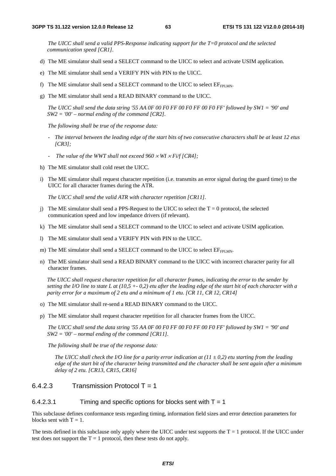*The UICC shall send a valid PPS-Response indicating support for the T=0 protocol and the selected communication speed [CR1].*

- d) The ME simulator shall send a SELECT command to the UICC to select and activate USIM application.
- e) The ME simulator shall send a VERIFY PIN with PIN to the UICC.
- f) The ME simulator shall send a SELECT command to the UICC to select  $EF_{FPIMM}$ .
- g) The ME simulator shall send a READ BINARY command to the UICC.

 *The UICC shall send the data string '55 AA 0F 00 F0 FF 00 F0 FF 00 F0 FF' followed by SW1 = '90' and SW2 = '00' – normal ending of the command [CR2].*

*The following shall be true of the response data:* 

- *The interval between the leading edge of the start bits of two consecutive characters shall be at least 12 etus [CR3];*
- *The value of the WWT shall not exceed 960* × *WI* × *Fi/f [CR4];*
- h) The ME simulator shall cold reset the UICC.
- i) The ME simulator shall request character repetition (i.e. transmits an error signal during the guard time) to the UICC for all character frames during the ATR.

 *The UICC shall send the valid ATR with character repetition [CR11].* 

- j) The ME simulator shall send a PPS-Request to the UICC to select the  $T = 0$  protocol, the selected communication speed and low impedance drivers (if relevant).
- k) The ME simulator shall send a SELECT command to the UICC to select and activate USIM application.
- l) The ME simulator shall send a VERIFY PIN with PIN to the UICC.
- m) The ME simulator shall send a SELECT command to the UICC to select  $EF_{FPIMM}$ .
- n) The ME simulator shall send a READ BINARY command to the UICC with incorrect character parity for all character frames.

*The UICC shall request character repetition for all character frames, indicating the error to the sender by setting the I/O line to state L at (10,5 +- 0,2) etu after the leading edge of the start bit of each character with a parity error for a maximum of 2 etu and a minimum of 1 etu. [CR 11, CR 12, CR14]* 

- o) The ME simulator shall re-send a READ BINARY command to the UICC.
- p) The ME simulator shall request character repetition for all character frames from the UICC.

*The UICC shall send the data string '55 AA 0F 00 F0 FF 00 F0 FF 00 F0 FF' followed by SW1 = '90' and SW2 = '00' – normal ending of the command [CR11].*

*The following shall be true of the response data:* 

*The UICC shall check the I/O line for a parity error indication at (* $11 \pm 0.2$ *) etu starting from the leading edge of the start bit of the character being transmitted and the character shall be sent again after a minimum delay of 2 etu. [CR13, CR15, CR16]* 

# $6.4.2.3$  Transmission Protocol T = 1

#### 6.4.2.3.1 Timing and specific options for blocks sent with  $T = 1$

This subclause defines conformance tests regarding timing, information field sizes and error detection parameters for blocks sent with  $T = 1$ .

The tests defined in this subclause only apply where the UICC under test supports the  $T = 1$  protocol. If the UICC under test does not support the  $T = 1$  protocol, then these tests do not apply.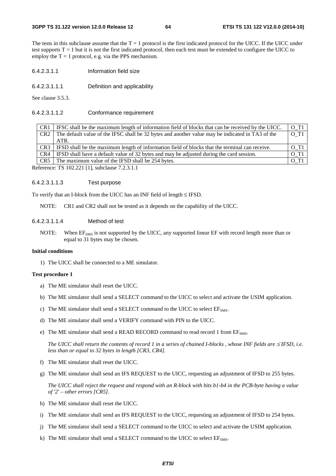The tests in this subclause assume that the  $T = 1$  protocol is the first indicated protocol for the UICC. If the UICC under test supports  $T = 1$  but it is not the first indicated protocol, then each test must be extended to configure the UICC to employ the  $T = 1$  protocol, e.g. via the PPS mechanism.

- 6.4.2.3.1.1 Information field size
- 6.4.2.3.1.1.1 Definition and applicability

See clause 3.5.3.

#### 6.4.2.3.1.1.2 Conformance requirement

CR1 IFSC shall be the maximum length of information field of blocks that can be received by the UICC.  $\boxed{0\_T1}$ CR2 The default value of the IFSC shall be 32 bytes and another value may be indicated in TA3 of the ATR. O\_T1  $CR3$  IFSD shall be the maximum length of information field of blocks that the terminal can receive.  $\boxed{O\_T1}$ CR4 IFSD shall have a default value of 32 bytes and may be adjusted during the card session.  $\boxed{0.11}$  $CR5$  The maximum value of the IFSD shall be 254 bytes.  $\boxed{O\_T1}$ 

Reference: TS 102.221 [1], subclause 7.2.3.1.1

#### 6.4.2.3.1.1.3 Test purpose

To verify that an I-block from the UICC has an INF field of length ≤ IFSD.

NOTE: CR1 and CR2 shall not be tested as it depends on the capability of the UICC.

#### 6.4.2.3.1.1.4 Method of test

NOTE: When EF<sub>SMS</sub> is not supported by the UICC, any supported linear EF with record length more than or equal to 31 bytes may be chosen.

#### **Initial conditions**

1) The UICC shall be connected to a ME simulator.

#### **Test procedure 1**

- a) The ME simulator shall reset the UICC.
- b) The ME simulator shall send a SELECT command to the UICC to select and activate the USIM application.
- c) The ME simulator shall send a SELECT command to the UICC to select  $EF<sub>SMS</sub>$ .
- d) The ME simulator shall send a VERIFY command with PIN to the UICC.
- e) The ME simulator shall send a READ RECORD command to read record 1 from  $EF<sub>SMS</sub>$ .

*The UICC shall return the contents of record 1 in a series of chained I-blocks , whose INF fields are ≤IFSD, i.e. less than or equal to 32 bytes in length [CR3, CR4].* 

- f) The ME simulator shall reset the UICC.
- g) The ME simulator shall send an IFS REQUEST to the UICC, requesting an adjustment of IFSD to 255 bytes.

*The UICC shall reject the request and respond with an R-block with bits b1-b4 in the PCB-byte having a value of '2' – other errors [CR5].* 

- h) The ME simulator shall reset the UICC.
- i) The ME simulator shall send an IFS REQUEST to the UICC, requesting an adjustment of IFSD to 254 bytes.
- j) The ME simulator shall send a SELECT command to the UICC to select and activate the USIM application.
- k) The ME simulator shall send a SELECT command to the UICC to select  $EF<sub>SMS</sub>$ .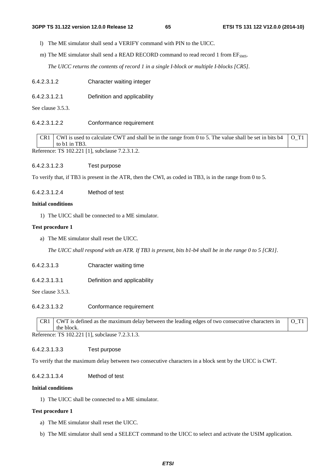l) The ME simulator shall send a VERIFY command with PIN to the UICC.

m) The ME simulator shall send a READ RECORD command to read record 1 from  $EF<sub>SMS</sub>$ .

*The UICC returns the contents of record 1 in a single I-block or multiple I-blocks [CR5].* 

- 6.4.2.3.1.2 Character waiting integer
- 6.4.2.3.1.2.1 Definition and applicability

See clause 3.5.3.

#### 6.4.2.3.1.2.2 Conformance requirement

CR1 CWI is used to calculate CWT and shall be in the range from 0 to 5. The value shall be set in bits b4 to b1 in TB3 O\_T1

Reference: TS 102.221 [1], subclause 7.2.3.1.2.

6.4.2.3.1.2.3 Test purpose

To verify that, if TB3 is present in the ATR, then the CWI, as coded in TB3, is in the range from 0 to 5.

6.4.2.3.1.2.4 Method of test

#### **Initial conditions**

1) The UICC shall be connected to a ME simulator.

#### **Test procedure 1**

a) The ME simulator shall reset the UICC.

*The UICC shall respond with an ATR. If TB3 is present, bits b1-b4 shall be in the range 0 to 5 [CR1].* 

- 6.4.2.3.1.3 Character waiting time
- 6.4.2.3.1.3.1 Definition and applicability

See clause 3.5.3.

6.4.2.3.1.3.2 Conformance requirement

| CR1   CWT is defined as the maximum delay between the leading edges of two consecutive characters in                                                                                                                                                           | $\overline{O}$ T <sub>1</sub> |
|----------------------------------------------------------------------------------------------------------------------------------------------------------------------------------------------------------------------------------------------------------------|-------------------------------|
| the block.                                                                                                                                                                                                                                                     |                               |
| $C_{1}$ $C_{2}$ $D_{3}$ $D_{4}$ $D_{5}$ $D_{6}$ $D_{7}$ $D_{8}$ $D_{9}$ $D_{1}$ $D_{1}$ $D_{1}$ $D_{1}$ $D_{1}$ $D_{1}$ $D_{2}$ $D_{3}$ $D_{1}$ $D_{2}$ $D_{3}$ $D_{1}$ $D_{2}$ $D_{3}$ $D_{1}$ $D_{2}$ $D_{3}$ $D_{2}$ $D_{3}$ $D_{4}$ $D_{5}$ $D_{6}$ $D_{7$ |                               |

Reference: TS 102.221 [1], subclause 7.2.3.1.3.

# 6.4.2.3.1.3.3 Test purpose

To verify that the maximum delay between two consecutive characters in a block sent by the UICC is CWT.

#### 6.4.2.3.1.3.4 Method of test

#### **Initial conditions**

1) The UICC shall be connected to a ME simulator.

### **Test procedure 1**

- a) The ME simulator shall reset the UICC.
- b) The ME simulator shall send a SELECT command to the UICC to select and activate the USIM application.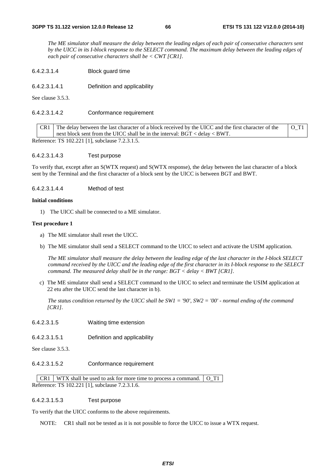*The ME simulator shall measure the delay between the leading edges of each pair of consecutive characters sent by the UICC in its I-block response to the SELECT command. The maximum delay between the leading edges of each pair of consecutive characters shall be < CWT [CR1].* 

6.4.2.3.1.4 Block guard time

6.4.2.3.1.4.1 Definition and applicability

See clause 3.5.3.

#### 6.4.2.3.1.4.2 Conformance requirement

CR1 The delay between the last character of a block received by the UICC and the first character of the next block sent from the UICC shall be in the interval: BGT < delay < BWT. O\_T1

Reference: TS 102.221 [1], subclause 7.2.3.1.5.

#### 6.4.2.3.1.4.3 Test purpose

To verify that, except after an S(WTX request) and S(WTX response), the delay between the last character of a block sent by the Terminal and the first character of a block sent by the UICC is between BGT and BWT.

6.4.2.3.1.4.4 Method of test

#### **Initial conditions**

1) The UICC shall be connected to a ME simulator.

#### **Test procedure 1**

- a) The ME simulator shall reset the UICC.
- b) The ME simulator shall send a SELECT command to the UICC to select and activate the USIM application.

*The ME simulator shall measure the delay between the leading edge of the last character in the I-block SELECT command received by the UICC and the leading edge of the first character in its I-block response to the SELECT command. The measured delay shall be in the range: BGT < delay < BWT [CR1].* 

c) The ME simulator shall send a SELECT command to the UICC to select and terminate the USIM application at 22 etu after the UICC send the last character in b).

*The status condition returned by the UICC shall be SW1 = '90', SW2 = '00' - normal ending of the command [CR1].* 

- 6.4.2.3.1.5 Waiting time extension
- 6.4.2.3.1.5.1 Definition and applicability

See clause 3.5.3.

6.4.2.3.1.5.2 Conformance requirement

 $\vert$  CR1  $\vert$  WTX shall be used to ask for more time to process a command.  $\vert$  O\_T1 Reference: TS 102.221 [1], subclause 7.2.3.1.6.

#### 6.4.2.3.1.5.3 Test purpose

To verify that the UICC conforms to the above requirements.

NOTE: CR1 shall not be tested as it is not possible to force the UICC to issue a WTX request.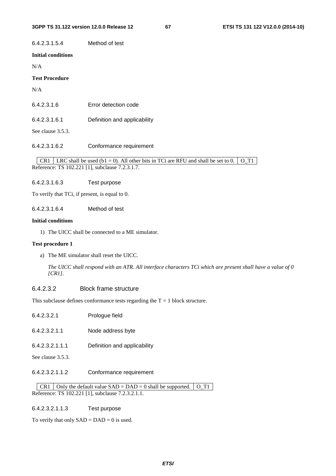# 6.4.2.3.1.5.4 Method of test

### **Initial conditions**

N/A

### **Test Procedure**

N/A

| 6.4.2.3.1.6 | Error detection code |
|-------------|----------------------|
|             |                      |

#### 6.4.2.3.1.6.1 Definition and applicability

See clause 3.5.3.

6.4.2.3.1.6.2 Conformance requirement

CR1 LRC shall be used (b1 = 0). All other bits in TCi are RFU and shall be set to 0. O\_T1 Reference: TS 102.221 [1], subclause 7.2.3.1.7.

6.4.2.3.1.6.3 Test purpose

To verify that TCi, if present, is equal to 0.

6.4.2.3.1.6.4 Method of test

#### **Initial conditions**

1) The UICC shall be connected to a ME simulator.

#### **Test procedure 1**

a) The ME simulator shall reset the UICC.

*The UICC shall respond with an ATR. All interface characters TCi which are present shall have a value of 0 [CR1].* 

# 6.4.2.3.2 Block frame structure

This subclause defines conformance tests regarding the  $T = 1$  block structure.

| Prologue field |
|----------------|
|                |

6.4.2.3.2.1.1 Node address byte

6.4.2.3.2.1.1.1 Definition and applicability

- See clause 3.5.3.
- 6.4.2.3.2.1.1.2 Conformance requirement

CR1 Only the default value  $SAD = DAD = 0$  shall be supported. O\_T1 Reference: TS 102.221 [1], subclause 7.2.3.2.1.1.

#### 6.4.2.3.2.1.1.3 Test purpose

To verify that only  $SAD = DAD = 0$  is used.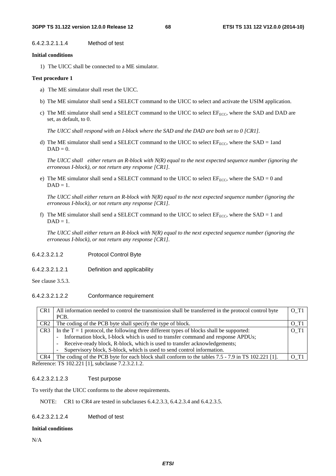6.4.2.3.2.1.1.4 Method of test

#### **Initial conditions**

1) The UICC shall be connected to a ME simulator.

#### **Test procedure 1**

- a) The ME simulator shall reset the UICC.
- b) The ME simulator shall send a SELECT command to the UICC to select and activate the USIM application.
- c) The ME simulator shall send a SELECT command to the UICC to select EF<sub>ECC</sub>, where the SAD and DAD are set, as default, to 0.

*The UICC shall respond with an I-block where the SAD and the DAD are both set to 0 [CR1].* 

d) The ME simulator shall send a SELECT command to the UICC to select  $EF_{ECC}$ , where the SAD = 1and  $DAD = 0.$ 

*The UICC shall either return an R-block with N(R) equal to the next expected sequence number (ignoring the erroneous I-block), or not return any response [CR1].* 

e) The ME simulator shall send a SELECT command to the UICC to select  $EF_{ECC}$ , where the SAD = 0 and  $DAD = 1$ .

*The UICC shall either return an R-block with N(R) equal to the next expected sequence number (ignoring the erroneous I-block), or not return any response [CR1].* 

f) The ME simulator shall send a SELECT command to the UICC to select  $EF_{ECC}$ , where the SAD = 1 and  $DAD = 1$ .

*The UICC shall either return an R-block with N(R) equal to the next expected sequence number (ignoring the erroneous I-block), or not return any response [CR1].* 

- 6.4.2.3.2.1.2 Protocol Control Byte
- 6.4.2.3.2.1.2.1 Definition and applicability

See clause 3.5.3.

6.4.2.3.2.1.2.2 Conformance requirement

| CR <sub>1</sub> | All information needed to control the transmission shall be transferred in the protocol control byte  | O T <sub>1</sub> |
|-----------------|-------------------------------------------------------------------------------------------------------|------------------|
|                 | PCB.                                                                                                  |                  |
| CR <sub>2</sub> | The coding of the PCB byte shall specify the type of block.                                           | O T <sub>1</sub> |
| CR <sub>3</sub> | In the $T = 1$ protocol, the following three different types of blocks shall be supported:            |                  |
|                 | Information block, I-block which is used to transfer command and response APDUs;<br>$\sim 100$        |                  |
|                 | Receive-ready block, R-block, which is used to transfer acknowledgements;<br>$\overline{\phantom{a}}$ |                  |
|                 | Supervisory block, S-block, which is used to send control information.                                |                  |
| CR4             | The coding of the PCB byte for each block shall conform to the tables 7.5 - 7.9 in TS 102.221 [1].    |                  |

Reference: TS 102.221 [1], subclause 7.2.3.2.1.2.

#### 6.4.2.3.2.1.2.3 Test purpose

To verify that the UICC conforms to the above requirements.

NOTE: CR1 to CR4 are tested in subclauses 6.4.2.3.3, 6.4.2.3.4 and 6.4.2.3.5.

6.4.2.3.2.1.2.4 Method of test

#### **Initial conditions**

N/A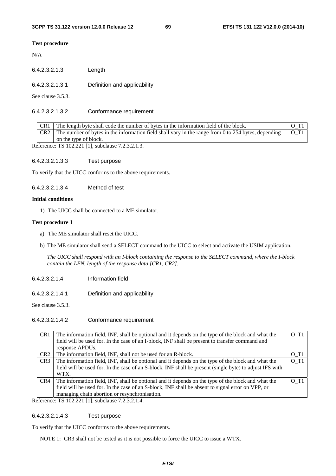#### **Test procedure**

N/A

| 6.4.2.3.2.1.3     | Length                       |
|-------------------|------------------------------|
| 6.4.2.3.2.1.3.1   | Definition and applicability |
| See clause 3.5.3. |                              |

#### 6.4.2.3.2.1.3.2 Conformance requirement

| CR1<br>The length byte shall code the number of bytes in the information field of the block. |                                                                                                       |                    |
|----------------------------------------------------------------------------------------------|-------------------------------------------------------------------------------------------------------|--------------------|
| CR2                                                                                          | The number of bytes in the information field shall vary in the range from 0 to $254$ bytes, depending | $O$ T <sub>1</sub> |
|                                                                                              | on the type of block.                                                                                 |                    |
| Reference: TS 102.221 [1], subclause 7.2.3.2.1.3.                                            |                                                                                                       |                    |

6.4.2.3.2.1.3.3 Test purpose

To verify that the UICC conforms to the above requirements.

6.4.2.3.2.1.3.4 Method of test

#### **Initial conditions**

1) The UICC shall be connected to a ME simulator.

#### **Test procedure 1**

- a) The ME simulator shall reset the UICC.
- b) The ME simulator shall send a SELECT command to the UICC to select and activate the USIM application.

*The UICC shall respond with an I-block containing the response to the SELECT command, where the I-block contain the LEN, length of the response data [CR1, CR2].* 

- 6.4.2.3.2.1.4 Information field
- 6.4.2.3.2.1.4.1 Definition and applicability

See clause 3.5.3.

# 6.4.2.3.2.1.4.2 Conformance requirement

|                                                                                  | CR <sub>1</sub>                                          | The information field, INF, shall be optional and it depends on the type of the block and what the<br>field will be used for. In the case of an I-block, INF shall be present to transfer command and | O T1               |
|----------------------------------------------------------------------------------|----------------------------------------------------------|-------------------------------------------------------------------------------------------------------------------------------------------------------------------------------------------------------|--------------------|
|                                                                                  |                                                          | response APDUs.                                                                                                                                                                                       |                    |
| The information field, INF, shall not be used for an R-block.<br>CR <sub>2</sub> |                                                          |                                                                                                                                                                                                       | O T <sub>1</sub>   |
|                                                                                  | CR <sub>3</sub>                                          | The information field, INF, shall be optional and it depends on the type of the block and what the                                                                                                    | O T1               |
|                                                                                  |                                                          | field will be used for. In the case of an S-block, INF shall be present (single byte) to adjust IFS with                                                                                              |                    |
|                                                                                  |                                                          | WTX.                                                                                                                                                                                                  |                    |
|                                                                                  | CR4                                                      | The information field, INF, shall be optional and it depends on the type of the block and what the                                                                                                    | $O$ T <sub>1</sub> |
|                                                                                  |                                                          | field will be used for. In the case of an S-block, INF shall be absent to signal error on VPP, or                                                                                                     |                    |
|                                                                                  |                                                          | managing chain abortion or resynchronisation.                                                                                                                                                         |                    |
|                                                                                  | $\epsilon$ forence: TV 102.221.11, cubeleuse $7.2.2.1.4$ |                                                                                                                                                                                                       |                    |

Reference: TS 102.221 [1], subclause 7.2.3.2.1.4.

#### 6.4.2.3.2.1.4.3 Test purpose

To verify that the UICC conforms to the above requirements.

NOTE 1: CR3 shall not be tested as it is not possible to force the UICC to issue a WTX.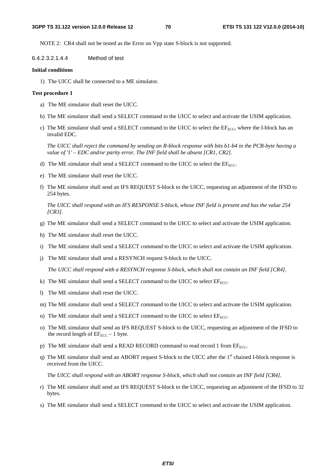NOTE 2: CR4 shall not be tested as the Error on Vpp state S-block is not supported.

6.4.2.3.2.1.4.4 Method of test

#### **Initial conditions**

1) The UICC shall be connected to a ME simulator.

#### **Test procedure 1**

- a) The ME simulator shall reset the UICC.
- b) The ME simulator shall send a SELECT command to the UICC to select and activate the USIM application.
- c) The ME simulator shall send a SELECT command to the UICC to select the  $E_{F_{\text{ECC}}}$ , where the I-block has an invalid EDC.

*The UICC shall reject the command by sending an R-block response with bits b1-b4 in the PCB-byte having a value of '1' – EDC and/or parity error. The INF field shall be absent [CR1, CR2].* 

- d) The ME simulator shall send a SELECT command to the UICC to select the  $EF_{ECC}$ .
- e) The ME simulator shall reset the UICC.
- f) The ME simulator shall send an IFS REQUEST S-block to the UICC, requesting an adjustment of the IFSD to 254 bytes.

*The UICC shall respond with an IFS RESPONSE S-block, whose INF field is present and has the value 254 [CR3].* 

- g) The ME simulator shall send a SELECT command to the UICC to select and activate the USIM application.
- h) The ME simulator shall reset the UICC.
- i) The ME simulator shall send a SELECT command to the UICC to select and activate the USIM application.
- j) The ME simulator shall send a RESYNCH request S-block to the UICC.

*The UICC shall respond with a RESYNCH response S-block, which shall not contain an INF field [CR4].* 

- k) The ME simulator shall send a SELECT command to the UICC to select  $EF_{ECC}$ .
- l) The ME simulator shall reset the UICC.
- m) The ME simulator shall send a SELECT command to the UICC to select and activate the USIM application.
- n) The ME simulator shall send a SELECT command to the UICC to select  $EF_{ECC}$ .
- o) The ME simulator shall send an IFS REQUEST S-block to the UICC, requesting an adjustment of the IFSD to the record length of  $EF_{ECC}$  – 1 byte.
- p) The ME simulator shall send a READ RECORD command to read record 1 from  $EF_{\text{ECC}}$ .
- q) The ME simulator shall send an ABORT request S-block to the UICC after the  $1<sup>st</sup>$  chained I-block response is received from the UICC.

*The UICC shall respond with an ABORT response S-block, which shall not contain an INF field [CR4].*

- r) The ME simulator shall send an IFS REQUEST S-block to the UICC, requesting an adjustment of the IFSD to 32 bytes.
- s) The ME simulator shall send a SELECT command to the UICC to select and activate the USIM application.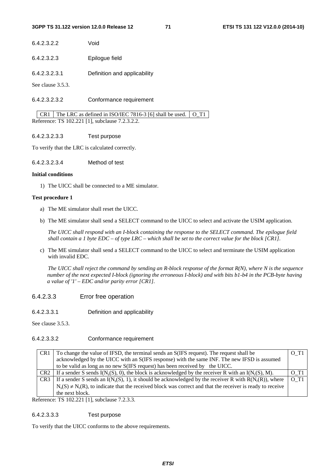| 6.4.2.3.2.2 | Void |
|-------------|------|
|-------------|------|

- 6.4.2.3.2.3 Epilogue field
- 6.4.2.3.2.3.1 Definition and applicability

See clause 3.5.3.

6.4.2.3.2.3.2 Conformance requirement

CR1 The LRC as defined in ISO/IEC 7816-3 [6] shall be used.  $\overline{O\_T1}$ Reference: TS 102.221 [1], subclause 7.2.3.2.2.

#### 6.4.2.3.2.3.3 Test purpose

To verify that the LRC is calculated correctly.

6.4.2.3.2.3.4 Method of test

#### **Initial conditions**

1) The UICC shall be connected to a ME simulator.

#### **Test procedure 1**

- a) The ME simulator shall reset the UICC.
- b) The ME simulator shall send a SELECT command to the UICC to select and activate the USIM application.

*The UICC shall respond with an I-block containing the response to the SELECT command. The epilogue field shall contain a 1 byte EDC – of type LRC – which shall be set to the correct value for the block [CR1].* 

c) The ME simulator shall send a SELECT command to the UICC to select and terminate the USIM application with invalid EDC.

*The UICC shall reject the command by sending an R-block response of the format R(N), where N is the sequence number of the next expected I-block (ignoring the erroneous I-block) and with bits b1-b4 in the PCB-byte having a value of '1' – EDC and/or parity error [CR1].* 

### 6.4.2.3.3 Error free operation

6.4.2.3.3.1 Definition and applicability

See clause 3.5.3.

### 6.4.2.3.3.2 Conformance requirement

| CR <sub>1</sub> | To change the value of IFSD, the terminal sends an S(IFS request). The request shall be                                                                |  |
|-----------------|--------------------------------------------------------------------------------------------------------------------------------------------------------|--|
|                 | acknowledged by the UICC with an S(IFS response) with the same INF. The new IFSD is assumed                                                            |  |
|                 | to be valid as long as no new S(IFS request) has been received by the UICC.                                                                            |  |
|                 | CR2   If a sender S sends $I(N_s(S), 0)$ , the block is acknowledged by the receiver R with an $I(N_r(S), M)$ .<br>$O$ T <sub>1</sub>                  |  |
| CR <sub>3</sub> | $\overline{O}$ T <sub>1</sub><br>If a sender S sends an I(N <sub>s</sub> (S), 1), it should be acknowledged by the receiver R with $R(N_r(R))$ , where |  |
|                 | $N_s(S) \neq N_r(R)$ , to indicate that the received block was correct and that the receiver is ready to receive                                       |  |
|                 | the next block.                                                                                                                                        |  |

Reference: TS 102.221 [1], subclause 7.2.3.3.

#### 6.4.2.3.3.3 Test purpose

To verify that the UICC conforms to the above requirements.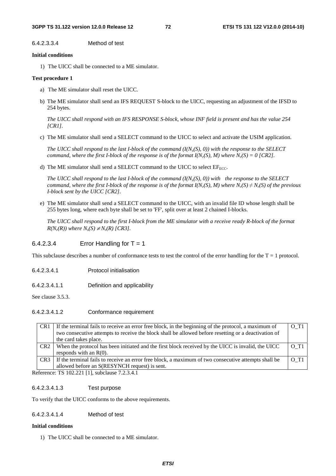6.4.2.3.3.4 Method of test

#### **Initial conditions**

1) The UICC shall be connected to a ME simulator.

#### **Test procedure 1**

- a) The ME simulator shall reset the UICC.
- b) The ME simulator shall send an IFS REQUEST S-block to the UICC, requesting an adjustment of the IFSD to 254 bytes.

*The UICC shall respond with an IFS RESPONSE S-block, whose INF field is present and has the value 254 [CR1].* 

c) The ME simulator shall send a SELECT command to the UICC to select and activate the USIM application.

*The UICC shall respond to the last I-block of the command*  $(I(N_S(S), 0))$  *with the response to the SELECT command, where the first I-block of the response is of the format*  $I(N_r(S), M)$  *where*  $N_r(S) = 0$  *[CR2].* 

d) The ME simulator shall send a SELECT command to the UICC to select  $EF_{ECC}$ .

*The UICC shall respond to the last I-block of the command*  $(I(N_S(S), 0))$  *with the response to the SELECT command, where the first I-block of the response is of the format I(N<sub>r</sub>(S), M) where*  $N_r(S) \neq N_r(S)$  *of the previous I-block sent by the UICC [CR2].* 

e) The ME simulator shall send a SELECT command to the UICC, with an invalid file ID whose length shall be 255 bytes long, where each byte shall be set to 'FF', split over at least 2 chained I-blocks.

*The UICC shall respond to the first I-block from the ME simulator with a receive ready R-block of the format*   $R(N_r(R))$  where  $N_s(S) \neq N_r(R)$  [CR3].

### $6.4.2.3.4$  Error Handling for T = 1

This subclause describes a number of conformance tests to test the control of the error handling for the  $T = 1$  protocol.

- 6.4.2.3.4.1 Protocol initialisation
- 6.4.2.3.4.1.1 Definition and applicability

See clause 3.5.3.

### 6.4.2.3.4.1.2 Conformance requirement

| CR <sub>1</sub> | If the terminal fails to receive an error free block, in the beginning of the protocol, a maximum of                                                                                                                                                                                                                                                                                                           | $O$ T <sub>1</sub> |
|-----------------|----------------------------------------------------------------------------------------------------------------------------------------------------------------------------------------------------------------------------------------------------------------------------------------------------------------------------------------------------------------------------------------------------------------|--------------------|
|                 | two consecutive attempts to receive the block shall be allowed before resetting or a deactivation of                                                                                                                                                                                                                                                                                                           |                    |
|                 | the card takes place.                                                                                                                                                                                                                                                                                                                                                                                          |                    |
| CR <sub>2</sub> | When the protocol has been initiated and the first block received by the UICC is invalid, the UICC                                                                                                                                                                                                                                                                                                             | $O$ T <sub>1</sub> |
|                 | responds with an $R(0)$ .                                                                                                                                                                                                                                                                                                                                                                                      |                    |
| CR <sub>3</sub> | If the terminal fails to receive an error free block, a maximum of two consecutive attempts shall be                                                                                                                                                                                                                                                                                                           | O T <sub>1</sub>   |
|                 | allowed before an S(RESYNCH request) is sent.                                                                                                                                                                                                                                                                                                                                                                  |                    |
| $\mathbf{r}$    | $T = 100, 201, 11, 11$<br>$\overline{z}$ $\overline{z}$ $\overline{z}$ $\overline{z}$ $\overline{z}$ $\overline{z}$ $\overline{z}$ $\overline{z}$ $\overline{z}$ $\overline{z}$ $\overline{z}$ $\overline{z}$ $\overline{z}$ $\overline{z}$ $\overline{z}$ $\overline{z}$ $\overline{z}$ $\overline{z}$ $\overline{z}$ $\overline{z}$ $\overline{z}$ $\overline{z}$ $\overline{z}$ $\overline{z}$ $\overline{$ |                    |

Reference: TS 102.221 [1], subclause 7.2.3.4.1

### 6.4.2.3.4.1.3 Test purpose

To verify that the UICC conforms to the above requirements.

### 6.4.2.3.4.1.4 Method of test

### **Initial conditions**

1) The UICC shall be connected to a ME simulator.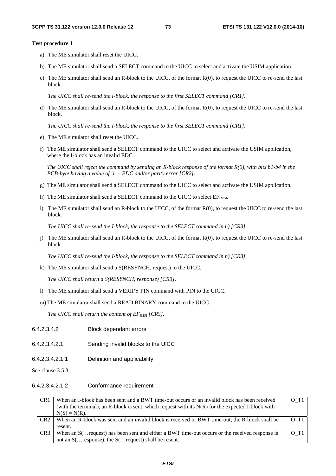#### **Test procedure 1**

- a) The ME simulator shall reset the UICC.
- b) The ME simulator shall send a SELECT command to the UICC to select and activate the USIM application.
- c) The ME simulator shall send an R-block to the UICC, of the format R(0), to request the UICC to re-send the last block.

*The UICC shall re-send the I-block, the response to the first SELECT command [CR1].* 

d) The ME simulator shall send an R-block to the UICC, of the format R(0), to request the UICC to re-send the last block.

*The UICC shall re-send the I-block, the response to the first SELECT command [CR1].* 

- e) The ME simulator shall reset the UICC.
- f) The ME simulator shall send a SELECT command to the UICC to select and activate the USIM application, where the I-block has an invalid EDC.

*The UICC shall reject the command by sending an R-block response of the format R(0), with bits b1-b4 in the PCB-byte having a value of '1' – EDC and/or parity error [CR2].* 

- g) The ME simulator shall send a SELECT command to the UICC to select and activate the USIM application.
- h) The ME simulator shall send a SELECT command to the UICC to select  $EF_{MST}$ .
- i) The ME simulator shall send an R-block to the UICC, of the format R(0), to request the UICC to re-send the last block.

*The UICC shall re-send the I-block, the response to the SELECT command in h) [CR3].* 

j) The ME simulator shall send an R-block to the UICC, of the format R(0), to request the UICC to re-send the last block.

*The UICC shall re-send the I-block, the response to the SELECT command in h) [CR3].* 

k) The ME simulator shall send a S(RESYNCH, request) to the UICC.

*The UICC shall return a S(RESYNCH, response) [CR3].* 

l) The ME simulator shall send a VERIFY PIN command with PIN to the UICC.

m) The ME simulator shall send a READ BINARY command to the UICC.

*The UICC shall return the content of EF<sub>IMSI</sub> [CR3].* 

- 6.4.2.3.4.2 Block dependant errors 6.4.2.3.4.2.1 Sending invalid blocks to the UICC 6.4.2.3.4.2.1.1 Definition and applicability
- See clause 3.5.3.
- 6.4.2.3.4.2.1.2 Conformance requirement

| CR <sub>1</sub> | When an I-block has been sent and a BWT time-out occurs or an invalid block has been received        | O T <sub>1</sub>   |
|-----------------|------------------------------------------------------------------------------------------------------|--------------------|
|                 | (with the terminal), an R-block is sent, which request with its $N(R)$ for the expected I-block with |                    |
|                 | $N(S) = N(R)$ .                                                                                      |                    |
| CR <sub>2</sub> | When an R-block was sent and an invalid block is received or BWT time-out, the R-block shall be      | $O$ T <sub>1</sub> |
|                 | resent.                                                                                              |                    |
| CR <sub>3</sub> | When an $S$ ( request) has been sent and either a BWT time-out occurs or the received response is    | $O$ T <sub>1</sub> |
|                 | not an $S(\ldots$ response), the $S(\ldots$ request) shall be resent.                                |                    |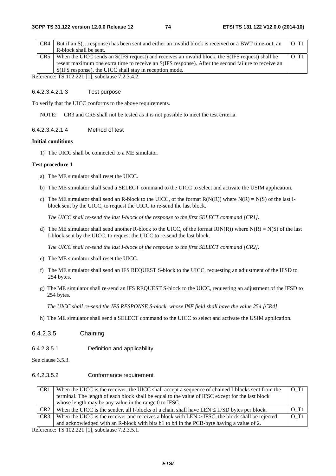| CR4             | But if an S( response) has been sent and either an invalid block is received or a BWT time-out, an  | $O$ T <sub>1</sub> |
|-----------------|-----------------------------------------------------------------------------------------------------|--------------------|
|                 | R-block shall be sent.                                                                              |                    |
| CR <sub>5</sub> | When the UICC sends an S(IFS request) and receives an invalid block, the S(IFS request) shall be    | O T <sub>1</sub>   |
|                 | resent maximum one extra time to receive an S(IFS response). After the second failure to receive an |                    |
|                 | S(IFS response), the UICC shall stay in reception mode.                                             |                    |

Reference: TS 102.221 [1], subclause 7.2.3.4.2.

#### 6.4.2.3.4.2.1.3 Test purpose

To verify that the UICC conforms to the above requirements.

NOTE: CR3 and CR5 shall not be tested as it is not possible to meet the test criteria.

#### 6.4.2.3.4.2.1.4 Method of test

#### **Initial conditions**

1) The UICC shall be connected to a ME simulator.

#### **Test procedure 1**

- a) The ME simulator shall reset the UICC.
- b) The ME simulator shall send a SELECT command to the UICC to select and activate the USIM application.
- c) The ME simulator shall send an R-block to the UICC, of the format  $R(N(R))$  where  $N(R) = N(S)$  of the last Iblock sent by the UICC, to request the UICC to re-send the last block.

*The UICC shall re-send the last I-block of the response to the first SELECT command [CR1].* 

d) The ME simulator shall send another R-block to the UICC, of the format  $R(N(R))$  where  $N(R) = N(S)$  of the last I-block sent by the UICC, to request the UICC to re-send the last block.

*The UICC shall re-send the last I-block of the response to the first SELECT command [CR2].* 

- e) The ME simulator shall reset the UICC.
- f) The ME simulator shall send an IFS REQUEST S-block to the UICC, requesting an adjustment of the IFSD to 254 bytes.
- g) The ME simulator shall re-send an IFS REQUEST S-block to the UICC, requesting an adjustment of the IFSD to 254 bytes.

*The UICC shall re-send the IFS RESPONSE S-block, whose INF field shall have the value 254 [CR4].* 

h) The ME simulator shall send a SELECT command to the UICC to select and activate the USIM application.

### 6.4.2.3.5 Chaining

6.4.2.3.5.1 Definition and applicability

See clause 3.5.3.

6.4.2.3.5.2 Conformance requirement

| CR <sub>1</sub>                             | When the UICC is the receiver, the UICC shall accept a sequence of chained I-blocks sent from the | O T <sub>1</sub>   |  |
|---------------------------------------------|---------------------------------------------------------------------------------------------------|--------------------|--|
|                                             | terminal. The length of each block shall be equal to the value of IFSC except for the last block  |                    |  |
|                                             | whose length may be any value in the range 0 to IFSC.                                             |                    |  |
| CR <sub>2</sub>                             | When the UICC is the sender, all I-blocks of a chain shall have LEN $\leq$ IFSD bytes per block.  | $O$ T <sub>1</sub> |  |
| CR <sub>3</sub>                             | When the UICC is the receiver and receives a block with LEN $>$ IFSC, the block shall be rejected | O T <sub>1</sub>   |  |
|                                             | and acknowledged with an R-block with bits b1 to b4 in the PCB-byte having a value of 2.          |                    |  |
| eference: $TS 102 221 11$ subclause $72351$ |                                                                                                   |                    |  |

Reference: TS 102.221 [1], subclause 7.2.3.5.1.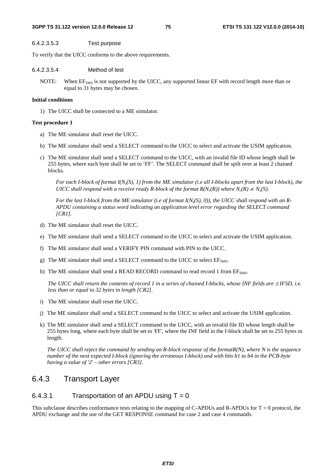#### 6.4.2.3.5.3 Test purpose

To verify that the UICC conforms to the above requirements.

#### 6.4.2.3.5.4 Method of test

NOTE: When EF<sub>SMS</sub> is not supported by the UICC, any supported linear EF with record length more than or equal to 31 bytes may be chosen.

#### **Initial conditions**

1) The UICC shall be connected to a ME simulator.

#### **Test procedure 1**

- a) The ME simulator shall reset the UICC.
- b) The ME simulator shall send a SELECT command to the UICC to select and activate the USIM application.
- c) The ME simulator shall send a SELECT command to the UICC, with an invalid file ID whose length shall be 255 bytes, where each byte shall be set to 'FF'. The SELECT command shall be spilt over at least 2 chained blocks.

*For each I-block of format I(Ns(S), 1) from the ME simulator (i.e all I-blocks apart from the last I-block), the UICC shall respond with a receive ready R-block of the format*  $R(N_r(R))$  *where*  $N_r(R) \neq N_s(S)$ *.* 

For the last *I-block from the ME simulator (i.e of format I(N<sub>s</sub>(S), 0)), the UICC shall respond with an R-APDU containing a status word indicating an application level error regarding the SELECT command [CR1].* 

- d) The ME simulator shall reset the UICC.
- e) The ME simulator shall send a SELECT command to the UICC to select and activate the USIM application.
- f) The ME simulator shall send a VERIFY PIN command with PIN to the UICC.
- g) The ME simulator shall send a SELECT command to the UICC to select  $EF<sub>SMS</sub>$ .
- h) The ME simulator shall send a READ RECORD command to read record 1 from  $E_{\text{SMS}}$ .

*The UICC shall return the contents of record 1 in a series of chained I-blocks, whose INF fields are ≤IFSD, i.e. less than or equal to 32 bytes in length [CR2].* 

- i) The ME simulator shall reset the UICC.
- j) The ME simulator shall send a SELECT command to the UICC to select and activate the USIM application.
- k) The ME simulator shall send a SELECT command to the UICC, with an invalid file ID whose length shall be 255 bytes long, where each byte shall be set to 'FF', where the INF field in the I-block shall be set to 255 bytes in length.

*The UICC shall reject the command by sending an R-block response of the formatR(N), where N is the sequence number of the next expected I-block (ignoring the erroneous I-block) and with bits b1 to b4 in the PCB-byte having a value of '2' – other errors [CR3].* 

# 6.4.3 Transport Layer

### 6.4.3.1 Transportation of an APDU using  $T = 0$

This subclause describes conformance tests relating to the mapping of C-APDUs and R-APDUs for  $T = 0$  protocol, the APDU exchange and the use of the GET RESPONSE command for case 2 and case 4 commands.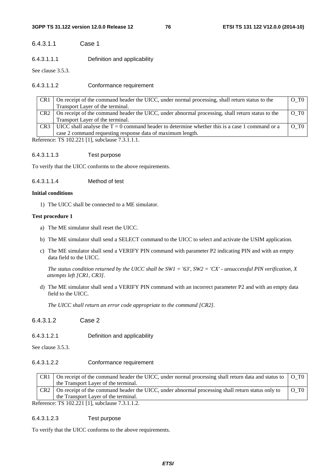#### **3GPP TS 31.122 version 12.0.0 Release 12 76 ETSI TS 131 122 V12.0.0 (2014-10)**

### 6.4.3.1.1 Case 1

6.4.3.1.1.1 Definition and applicability

See clause 3.5.3.

### 6.4.3.1.1.2 Conformance requirement

| CR <sub>1</sub> | On receipt of the command header the UICC, under normal processing, shall return status to the         | $O$ T $O$                       |
|-----------------|--------------------------------------------------------------------------------------------------------|---------------------------------|
|                 | Transport Layer of the terminal.                                                                       |                                 |
|                 | CR2   On receipt of the command header the UICC, under abnormal processing, shall return status to the | $\overline{O}$ T $\overline{O}$ |
|                 | Transport Layer of the terminal.                                                                       |                                 |
|                 | CR3 UICC shall analyse the $T = 0$ command header to determine whether this is a case 1 command or a   | $\overline{O}$ T $\overline{O}$ |
|                 | case 2 command requesting response data of maximum length.                                             |                                 |

Reference: TS 102.221 [1], subclause 7.3.1.1.1.

#### 6.4.3.1.1.3 Test purpose

To verify that the UICC conforms to the above requirements.

#### 6.4.3.1.1.4 Method of test

#### **Initial conditions**

1) The UICC shall be connected to a ME simulator.

#### **Test procedure 1**

- a) The ME simulator shall reset the UICC.
- b) The ME simulator shall send a SELECT command to the UICC to select and activate the USIM application.
- c) The ME simulator shall send a VERIFY PIN command with parameter P2 indicating PIN and with an empty data field to the UICC.

*The status condition returned by the UICC shall be SW1 = '63', SW2 = 'CX' - unsuccessful PIN verification, X attempts left [CR1, CR3].* 

d) The ME simulator shall send a VERIFY PIN command with an incorrect parameter P2 and with an empty data field to the UICC.

*The UICC shall return an error code appropriate to the command [CR2].* 

- 6.4.3.1.2 Case 2
- 6.4.3.1.2.1 Definition and applicability

See clause 3.5.3.

### 6.4.3.1.2.2 Conformance requirement

CR1 On receipt of the command header the UICC, under normal processing shall return data and status to the Transport Layer of the terminal. O\_T0 CR2 On receipt of the command header the UICC, under abnormal processing shall return status only to the Transport Layer of the terminal. O\_T0 Reference: TS 102.221 [1], subclause 7.3.1.1.2.

### 6.4.3.1.2.3 Test purpose

To verify that the UICC conforms to the above requirements.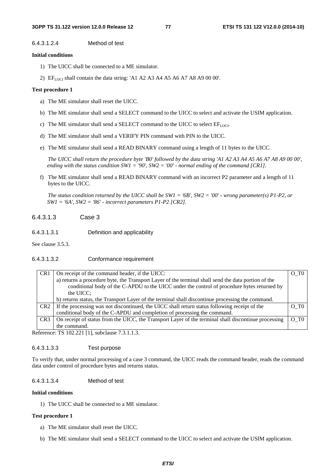#### 6.4.3.1.2.4 Method of test

#### **Initial conditions**

- 1) The UICC shall be connected to a ME simulator.
- 2)  $E_{LOCI}$  shall contain the data string: 'A1 A2 A3 A4 A5 A6 A7 A8 A9 00 00'.

#### **Test procedure 1**

- a) The ME simulator shall reset the UICC.
- b) The ME simulator shall send a SELECT command to the UICC to select and activate the USIM application.
- c) The ME simulator shall send a SELECT command to the UICC to select  $EF_{LOCI}$ .
- d) The ME simulator shall send a VERIFY PIN command with PIN to the UICC.
- e) The ME simulator shall send a READ BINARY command using a length of 11 bytes to the UICC.

*The UICC shall return the procedure byte 'B0' followed by the data string 'A1 A2 A3 A4 A5 A6 A7 A8 A9 00 00', ending with the status condition SW1 = '90', SW2 = '00' - normal ending of the command [CR1].* 

f) The ME simulator shall send a READ BINARY command with an incorrect P2 parameter and a length of 11 bytes to the UICC.

*The status condition returned by the UICC shall be SW1 = '6B', SW2 = '00' - wrong parameter(s) P1-P2, or SW1 = '6A', SW2 = '86' - incorrect parameters P1-P2 [CR2].* 

### 6.4.3.1.3 Case 3

6.4.3.1.3.1 Definition and applicability

See clause 3.5.3.

#### 6.4.3.1.3.2 Conformance requirement

| CR <sub>1</sub> | On receipt of the command header, if the UICC:                                                       | O T <sub>0</sub> |
|-----------------|------------------------------------------------------------------------------------------------------|------------------|
|                 | a) returns a procedure byte, the Transport Layer of the terminal shall send the data portion of the  |                  |
|                 | conditional body of the C-APDU to the UICC under the control of procedure bytes returned by          |                  |
|                 | the UICC;                                                                                            |                  |
|                 | b) returns status, the Transport Layer of the terminal shall discontinue processing the command.     |                  |
| CR2             | If the processing was not discontinued, the UICC shall return status following receipt of the        | O T <sub>0</sub> |
|                 | conditional body of the C-APDU and completion of processing the command.                             |                  |
| CR <sub>3</sub> | On receipt of status from the UICC, the Transport Layer of the terminal shall discontinue processing | $O$ T $0$        |
|                 | the command.                                                                                         |                  |

Reference: TS 102.221 [1], subclause 7.3.1.1.3.

#### 6.4.3.1.3.3 Test purpose

To verify that, under normal processing of a case 3 command, the UICC reads the command header, reads the command data under control of procedure bytes and returns status.

### 6.4.3.1.3.4 Method of test

### **Initial conditions**

1) The UICC shall be connected to a ME simulator.

#### **Test procedure 1**

- a) The ME simulator shall reset the UICC.
- b) The ME simulator shall send a SELECT command to the UICC to select and activate the USIM application.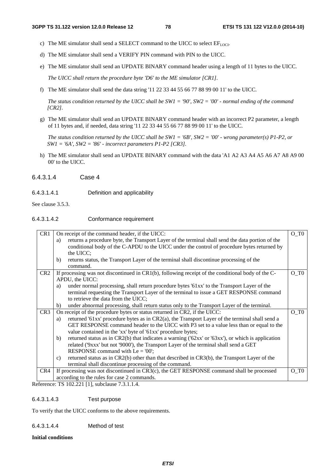- c) The ME simulator shall send a SELECT command to the UICC to select  $EF_{LOCI}$ .
- d) The ME simulator shall send a VERIFY PIN command with PIN to the UICC.
- e) The ME simulator shall send an UPDATE BINARY command header using a length of 11 bytes to the UICC.

*The UICC shall return the procedure byte 'D6' to the ME simulator [CR1].* 

f) The ME simulator shall send the data string '11 22 33 44 55 66 77 88 99 00 11' to the UICC.

*The status condition returned by the UICC shall be SW1 = '90', SW2 = '00' - normal ending of the command [CR2].* 

g) The ME simulator shall send an UPDATE BINARY command header with an incorrect P2 parameter, a length of 11 bytes and, if needed, data string '11 22 33 44 55 66 77 88 99 00 11' to the UICC.

*The status condition returned by the UICC shall be SW1 = '6B', SW2 = '00' - wrong parameter(s) P1-P2, or SW1 = '6A', SW2 = '86' - incorrect parameters P1-P2 [CR3].* 

h) The ME simulator shall send an UPDATE BINARY command with the data 'A1 A2 A3 A4 A5 A6 A7 A8 A9 00 00' to the UICC.

### 6.4.3.1.4 Case 4

6.4.3.1.4.1 Definition and applicability

See clause 3.5.3.

### 6.4.3.1.4.2 Conformance requirement

| CR1             | On receipt of the command header, if the UICC:                                                                 | O TO  |
|-----------------|----------------------------------------------------------------------------------------------------------------|-------|
|                 | returns a procedure byte, the Transport Layer of the terminal shall send the data portion of the<br>a)         |       |
|                 | conditional body of the C-APDU to the UICC under the control of procedure bytes returned by                    |       |
|                 | the UICC;                                                                                                      |       |
|                 | returns status, the Transport Layer of the terminal shall discontinue processing of the<br>b)                  |       |
|                 | command.                                                                                                       |       |
| CR <sub>2</sub> | If processing was not discontinued in CR1(b), following receipt of the conditional body of the C-              | O TO  |
|                 | APDU, the UICC:                                                                                                |       |
|                 | under normal processing, shall return procedure bytes '61xx' to the Transport Layer of the<br>a)               |       |
|                 | terminal requesting the Transport Layer of the terminal to issue a GET RESPONSE command                        |       |
|                 | to retrieve the data from the UICC;                                                                            |       |
|                 | under abnormal processing, shall return status only to the Transport Layer of the terminal.<br>b)              |       |
| CR3             | On receipt of the procedure bytes or status returned in CR2, if the UICC:                                      | $O_T$ |
|                 | returned '61xx' procedure bytes as in CR2(a), the Transport Layer of the terminal shall send a<br>a)           |       |
|                 | GET RESPONSE command header to the UICC with P3 set to a value less than or equal to the                       |       |
|                 | value contained in the 'xx' byte of '61xx' procedure bytes;                                                    |       |
|                 | returned status as in $CR2(b)$ that indicates a warning ('62xx' or '63xx'), or which is application<br>b)      |       |
|                 | related ('9xxx' but not '9000'), the Transport Layer of the terminal shall send a GET                          |       |
|                 | RESPONSE command with $Le = '00';$                                                                             |       |
|                 | returned status as in CR2(b) other than that described in CR3(b), the Transport Layer of the<br>$\mathbf{c}$ ) |       |
|                 | terminal shall discontinue processing of the command.                                                          |       |
| CR4             | If processing was not discontinued in $CR3(c)$ , the GET RESPONSE command shall be processed                   | O TO  |
|                 | according to the rules for case 2 commands.                                                                    |       |

Reference: TS 102.221 [1], subclause 7.3.1.1.4.

### 6.4.3.1.4.3 Test purpose

To verify that the UICC conforms to the above requirements.

6.4.3.1.4.4 Method of test

#### **Initial conditions**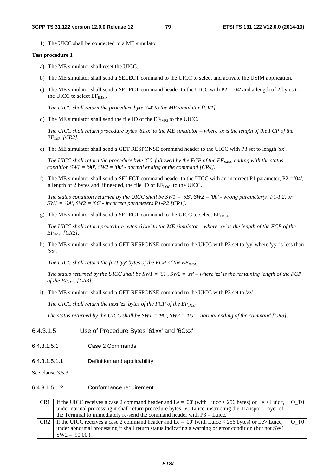1) The UICC shall be connected to a ME simulator.

#### **Test procedure 1**

- a) The ME simulator shall reset the UICC.
- b) The ME simulator shall send a SELECT command to the UICC to select and activate the USIM application.
- c) The ME simulator shall send a SELECT command header to the UICC with P2 = '04' and a length of 2 bytes to the UICC to select  $EF<sub>IMSI</sub>$ .

*The UICC shall return the procedure byte 'A4' to the ME simulator [CR1].* 

d) The ME simulator shall send the file ID of the  $EF<sub>IMSI</sub>$  to the UICC.

*The UICC shall return procedure bytes '61xx' to the ME simulator – where xx is the length of the FCP of the EFIMSI [CR2].* 

e) The ME simulator shall send a GET RESPONSE command header to the UICC with P3 set to length 'xx'.

*The UICC shall return the procedure byte 'C0' followed by the FCP of the EF<sub>IMSI</sub>, ending with the status condition SW1 = '90', SW2 = '00' - normal ending of the command [CR4].* 

f) The ME simulator shall send a SELECT command header to the UICC with an incorrect P1 parameter,  $P2 = '04'$ , a length of 2 bytes and, if needed, the file ID of  $EF_{LOCI}$  to the UICC.

*The status condition returned by the UICC shall be SW1 = '6B', SW2 = '00' - wrong parameter(s) P1-P2, or SW1 = '6A', SW2 = '86' - incorrect parameters P1-P2 [CR1].* 

g) The ME simulator shall send a SELECT command to the UICC to select  $EF_{MSE}$ .

*The UICC shall return procedure bytes '61xx' to the ME simulator – where 'xx' is the length of the FCP of the EF*IMSI *[CR2].* 

h) The ME simulator shall send a GET RESPONSE command to the UICC with P3 set to 'yy' where 'yy' is less than 'xx'.

The UICC shall return the first 'yy' bytes of the FCP of the EF<sub>IMSI</sub>.

*The status returned by the UICC shall be SW1 = '61', SW2 = 'zz' – where 'zz' is the remaining length of the FCP of the EFIMSI [CR3].*

i) The ME simulator shall send a GET RESPONSE command to the UICC with P3 set to 'zz'.

*The UICC shall return the next 'zz' bytes of the FCP of the EF<sub>IMSI</sub>* 

*The status returned by the UICC shall be SW1 = '90', SW2 = '00' – normal ending of the command [CR3].* 

- 6.4.3.1.5 Use of Procedure Bytes '61xx' and '6Cxx'
- 6.4.3.1.5.1 Case 2 Commands
- 6.4.3.1.5.1.1 Definition and applicability

See clause 3.5.3.

6.4.3.1.5.1.2 Conformance requirement

|     | CR1 If the UICC receives a case 2 command header and Le = '00' (with Luicc < 256 bytes) or Le > Luicc, $\vert$ O_T0 |  |
|-----|---------------------------------------------------------------------------------------------------------------------|--|
|     | under normal processing it shall return procedure bytes '6C Luice' instructing the Transport Layer of               |  |
|     | the Terminal to immediately re-send the command header with $P3 = \text{Lucc.}$                                     |  |
| CR2 | If the UICC receives a case 2 command header and Le = '00' (with Luicc < 256 bytes) or Le> Luicc, $\vert$ O T0      |  |
|     | under abnormal processing it shall return status indicating a warning or error condition (but not SW1)              |  |
|     | $SW2 = 9000$ .                                                                                                      |  |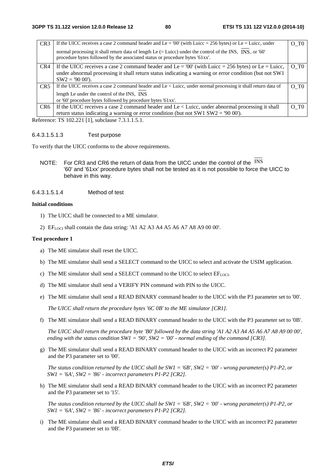| CR <sub>3</sub> | If the UICC receives a case 2 command header and Le = '00' (with Luicc = 256 bytes) or Le = Luicc, under                                                                                 | O T <sub>0</sub> |
|-----------------|------------------------------------------------------------------------------------------------------------------------------------------------------------------------------------------|------------------|
|                 | normal processing it shall return data of length Le (= Luicc) under the control of the INS, INS, or '60'<br>procedure bytes followed by the associated status or procedure bytes '61xx'. |                  |
| CR4             | If the UICC receives a case 2 command header and Le = '00' (with Luicc = 256 bytes) or Le = Luicc,                                                                                       | $O$ T $0$        |
|                 | under abnormal processing it shall return status indicating a warning or error condition (but not SW1)                                                                                   |                  |
|                 | $SW2 = 9000$ .                                                                                                                                                                           |                  |
| CR <sub>5</sub> | If the UICC receives a case 2 command header and Le < Luicc, under normal processing it shall return data of                                                                             | $O$ T $O$        |
|                 | length Le under the control of the INS, INS                                                                                                                                              |                  |
|                 | or '60' procedure bytes followed by procedure bytes '61xx'.                                                                                                                              |                  |
| CR <sub>6</sub> | If the UICC receives a case 2 command header and Le $\lt$ Luicc, under abnormal processing it shall                                                                                      | O T <sub>0</sub> |
|                 | return status indicating a warning or error condition (but not SW1 SW2 = $90 00$ ).                                                                                                      |                  |

Reference: TS 102.221 [1], subclause 7.3.1.1.5.1.

#### 6.4.3.1.5.1.3 Test purpose

To verify that the UICC conforms to the above requirements.

NOTE: For CR3 and CR6 the return of data from the UICC under the control of the INS '60' and '61xx' procedure bytes shall not be tested as it is not possible to force the UICC to behave in this way.

#### 6.4.3.1.5.1.4 Method of test

#### **Initial conditions**

- 1) The UICC shall be connected to a ME simulator.
- 2)  $\text{EF}_{\text{LOCI}}$  shall contain the data string: 'A1 A2 A3 A4 A5 A6 A7 A8 A9 00 00'.

#### **Test procedure 1**

- a) The ME simulator shall reset the UICC.
- b) The ME simulator shall send a SELECT command to the UICC to select and activate the USIM application.
- c) The ME simulator shall send a SELECT command to the UICC to select  $EF_{LOCI}$ .
- d) The ME simulator shall send a VERIFY PIN command with PIN to the UICC.
- e) The ME simulator shall send a READ BINARY command header to the UICC with the P3 parameter set to '00'.

*The UICC shall return the procedure bytes '6C 0B' to the ME simulator [CR1].* 

f) The ME simulator shall send a READ BINARY command header to the UICC with the P3 parameter set to '0B'.

*The UICC shall return the procedure byte 'B0' followed by the data string 'A1 A2 A3 A4 A5 A6 A7 A8 A9 00 00', ending with the status condition SW1 = '90', SW2 = '00' - normal ending of the command [CR3].* 

g) The ME simulator shall send a READ BINARY command header to the UICC with an incorrect P2 parameter and the P3 parameter set to '00'.

*The status condition returned by the UICC shall be SW1 = '6B', SW2 = '00' - wrong parameter(s) P1-P2, or SW1 = '6A', SW2 = '86' - incorrect parameters P1-P2 [CR2].* 

h) The ME simulator shall send a READ BINARY command header to the UICC with an incorrect P2 parameter and the P3 parameter set to '15'.

*The status condition returned by the UICC shall be SW1 = '6B', SW2 = '00' - wrong parameter(s) P1-P2, or SW1 = '6A', SW2 = '86' - incorrect parameters P1-P2 [CR2].* 

i) The ME simulator shall send a READ BINARY command header to the UICC with an incorrect P2 parameter and the P3 parameter set to '0B'.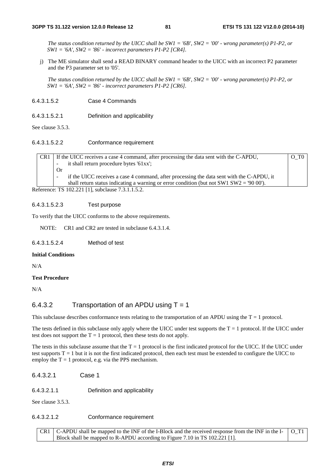*The status condition returned by the UICC shall be SW1 = '6B', SW2 = '00' - wrong parameter(s) P1-P2, or SW1 = '6A', SW2 = '86' - incorrect parameters P1-P2 [CR4].* 

j) The ME simulator shall send a READ BINARY command header to the UICC with an incorrect P2 parameter and the P3 parameter set to '05'.

*The status condition returned by the UICC shall be SW1 = '6B', SW2 = '00' - wrong parameter(s) P1-P2, or SW1 = '6A', SW2 = '86' - incorrect parameters P1-P2 [CR6].* 

- 6.4.3.1.5.2 Case 4 Commands
- 6.4.3.1.5.2.1 Definition and applicability

See clause 3.5.3.

6.4.3.1.5.2.2 Conformance requirement

CR1 If the UICC receives a case 4 command, after processing the data sent with the C-APDU, it shall return procedure bytes '61xx'; Or if the UICC receives a case 4 command, after processing the data sent with the C-APDU, it shall return status indicating a warning or error condition (but not SW1 SW2 = '90 00'). O\_T0 Reference: TS 102.221 [1], subclause 7.3.1.1.5.2.

### 6.4.3.1.5.2.3 Test purpose

To verify that the UICC conforms to the above requirements.

NOTE: CR1 and CR2 are tested in subclause 6.4.3.1.4.

#### 6.4.3.1.5.2.4 Method of test

#### **Initial Conditions**

N/A

#### **Test Procedure**

N/A

### 6.4.3.2 Transportation of an APDU using  $T = 1$

This subclause describes conformance tests relating to the transportation of an APDU using the  $T = 1$  protocol.

The tests defined in this subclause only apply where the UICC under test supports the  $T = 1$  protocol. If the UICC under test does not support the  $T = 1$  protocol, then these tests do not apply.

The tests in this subclause assume that the  $T = 1$  protocol is the first indicated protocol for the UICC. If the UICC under test supports  $T = 1$  but it is not the first indicated protocol, then each test must be extended to configure the UICC to employ the  $T = 1$  protocol, e.g. via the PPS mechanism.

- 6.4.3.2.1 Case 1
- 6.4.3.2.1.1 Definition and applicability

See clause 3.5.3.

#### 6.4.3.2.1.2 Conformance requirement

 $CR1 \mid C-APDU$  shall be mapped to the INF of the I-Block and the received response from the INF in the I-Block shall be mapped to R-APDU according to Figure 7.10 in TS 102.221 [1]. O\_T1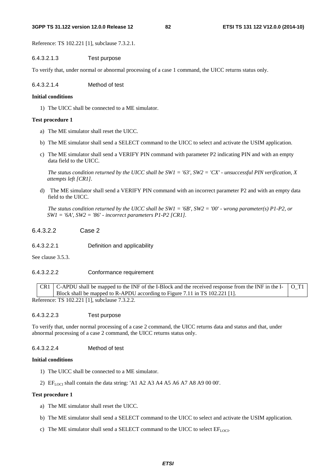#### **3GPP TS 31.122 version 12.0.0 Release 12 82 ETSI TS 131 122 V12.0.0 (2014-10)**

Reference: TS 102.221 [1], subclause 7.3.2.1.

### 6.4.3.2.1.3 Test purpose

To verify that, under normal or abnormal processing of a case 1 command, the UICC returns status only.

6.4.3.2.1.4 Method of test

### **Initial conditions**

1) The UICC shall be connected to a ME simulator.

## **Test procedure 1**

- a) The ME simulator shall reset the UICC.
- b) The ME simulator shall send a SELECT command to the UICC to select and activate the USIM application.
- c) The ME simulator shall send a VERIFY PIN command with parameter P2 indicating PIN and with an empty data field to the UICC.

*The status condition returned by the UICC shall be SW1 = '63', SW2 = 'CX' - unsuccessful PIN verification, X attempts left [CR1].* 

d) The ME simulator shall send a VERIFY PIN command with an incorrect parameter P2 and with an empty data field to the UICC.

*The status condition returned by the UICC shall be SW1 = '6B', SW2 = '00' - wrong parameter(s) P1-P2, or SW1 = '6A', SW2 = '86' - incorrect parameters P1-P2 [CR1].* 

6.4.3.2.2 Case 2

6.4.3.2.2.1 Definition and applicability

See clause 3.5.3.

# 6.4.3.2.2.2 Conformance requirement

 $CR1$  C-APDU shall be mapped to the INF of the I-Block and the received response from the INF in the I-Block shall be mapped to R-APDU according to Figure 7.11 in TS 102.221 [1]. O\_T1 Reference: TS 102.221 [1], subclause 7.3.2.2.

# 6.4.3.2.2.3 Test purpose

To verify that, under normal processing of a case 2 command, the UICC returns data and status and that, under abnormal processing of a case 2 command, the UICC returns status only.

# 6.4.3.2.2.4 Method of test

### **Initial conditions**

- 1) The UICC shall be connected to a ME simulator.
- 2)  $EF_{LOCI}$  shall contain the data string: 'A1 A2 A3 A4 A5 A6 A7 A8 A9 00 00'.

# **Test procedure 1**

- a) The ME simulator shall reset the UICC.
- b) The ME simulator shall send a SELECT command to the UICC to select and activate the USIM application.
- c) The ME simulator shall send a SELECT command to the UICC to select  $EF_{LOCI}$ .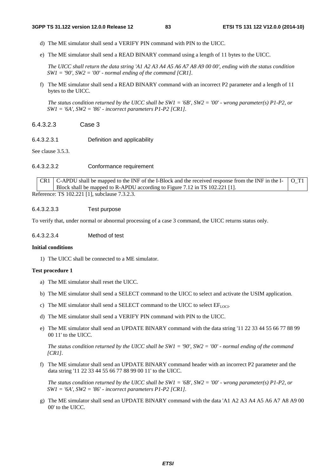- d) The ME simulator shall send a VERIFY PIN command with PIN to the UICC.
- e) The ME simulator shall send a READ BINARY command using a length of 11 bytes to the UICC.

*The UICC shall return the data string 'A1 A2 A3 A4 A5 A6 A7 A8 A9 00 00', ending with the status condition*   $SW1 = '90'$ ,  $SW2 = '00'$  - normal ending of the command [CR1].

f) The ME simulator shall send a READ BINARY command with an incorrect P2 parameter and a length of 11 bytes to the UICC.

*The status condition returned by the UICC shall be SW1 = '6B', SW2 = '00' - wrong parameter(s) P1-P2, or SW1 = '6A', SW2 = '86' - incorrect parameters P1-P2 [CR1].* 

- 6.4.3.2.3 Case 3
- 6.4.3.2.3.1 Definition and applicability

See clause 3.5.3.

6.4.3.2.3.2 Conformance requirement

 $CR1 \mid C-APDU$  shall be mapped to the INF of the I-Block and the received response from the INF in the I-Block shall be mapped to R-APDU according to Figure 7.12 in TS 102.221 [1]. O\_T1 Reference: TS 102.221 [1], subclause 7.3.2.3.

### 6.4.3.2.3.3 Test purpose

To verify that, under normal or abnormal processing of a case 3 command, the UICC returns status only.

6.4.3.2.3.4 Method of test

#### **Initial conditions**

1) The UICC shall be connected to a ME simulator.

#### **Test procedure 1**

- a) The ME simulator shall reset the UICC.
- b) The ME simulator shall send a SELECT command to the UICC to select and activate the USIM application.
- c) The ME simulator shall send a SELECT command to the UICC to select  $EF_{LOCI}$ .
- d) The ME simulator shall send a VERIFY PIN command with PIN to the UICC.
- e) The ME simulator shall send an UPDATE BINARY command with the data string '11 22 33 44 55 66 77 88 99 00 11' to the UICC.

*The status condition returned by the UICC shall be SW1 = '90', SW2 = '00' - normal ending of the command [CR1].* 

f) The ME simulator shall send an UPDATE BINARY command header with an incorrect P2 parameter and the data string '11 22 33 44 55 66 77 88 99 00 11' to the UICC.

*The status condition returned by the UICC shall be SW1 = '6B', SW2 = '00' - wrong parameter(s) P1-P2, or SW1 = '6A', SW2 = '86' - incorrect parameters P1-P2 [CR1].* 

g) The ME simulator shall send an UPDATE BINARY command with the data 'A1 A2 A3 A4 A5 A6 A7 A8 A9 00 00' to the UICC.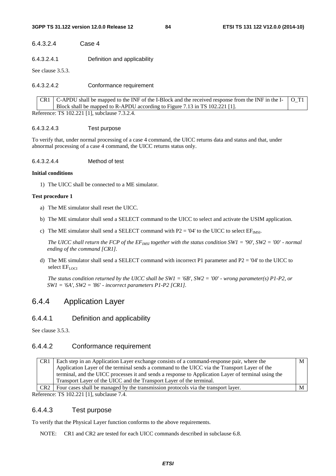### 6.4.3.2.4 Case 4

6.4.3.2.4.1 Definition and applicability

See clause 3.5.3.

6.4.3.2.4.2 Conformance requirement

|  | CR1   C-APDU shall be mapped to the INF of the I-Block and the received response from the INF in the I- $\vert$ O_T1 |  |
|--|----------------------------------------------------------------------------------------------------------------------|--|
|  | Block shall be mapped to R-APDU according to Figure 7.13 in TS 102.221 [1].                                          |  |
|  | Reference: TS 102.221 [1], subclause 7.3.2.4.                                                                        |  |

### 6.4.3.2.4.3 Test purpose

To verify that, under normal processing of a case 4 command, the UICC returns data and status and that, under abnormal processing of a case 4 command, the UICC returns status only.

6.4.3.2.4.4 Method of test

#### **Initial conditions**

1) The UICC shall be connected to a ME simulator.

#### **Test procedure 1**

- a) The ME simulator shall reset the UICC.
- b) The ME simulator shall send a SELECT command to the UICC to select and activate the USIM application.
- c) The ME simulator shall send a SELECT command with  $P2 = '04'$  to the UICC to select  $EF_{IMSI}$ .

*The UICC shall return the FCP of the*  $EF_{MSI}$  *together with the status condition SW1 = '90', SW2 = '00' - normal ending of the command [CR1].* 

d) The ME simulator shall send a SELECT command with incorrect P1 parameter and P2 = '04' to the UICC to select  $EF_{\text{LOCI}}$ 

*The status condition returned by the UICC shall be SW1 = '6B', SW2 = '00' - wrong parameter(s) P1-P2, or SW1 = '6A', SW2 = '86' - incorrect parameters P1-P2 [CR1].* 

# 6.4.4 Application Layer

### 6.4.4.1 Definition and applicability

See clause 3.5.3.

### 6.4.4.2 Conformance requirement

| CR <sub>1</sub> | Each step in an Application Layer exchange consists of a command-response pair, where the           | М |
|-----------------|-----------------------------------------------------------------------------------------------------|---|
|                 | Application Layer of the terminal sends a command to the UICC via the Transport Layer of the        |   |
|                 | terminal, and the UICC processes it and sends a response to Application Layer of terminal using the |   |
|                 | Transport Layer of the UICC and the Transport Layer of the terminal.                                |   |
| CR <sub>2</sub> | Four cases shall be managed by the transmission protocols via the transport layer.                  |   |
|                 |                                                                                                     |   |

Reference: TS 102.221 [1], subclause 7.4.

## 6.4.4.3 Test purpose

To verify that the Physical Layer function conforms to the above requirements.

NOTE: CR1 and CR2 are tested for each UICC commands described in subclause 6.8.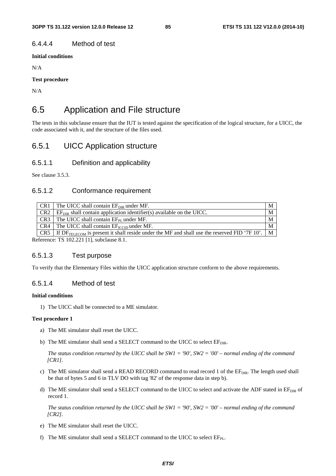## 6.4.4.4 Method of test

**Initial conditions**

N/A

### **Test procedure**

N/A

# 6.5 Application and File structure

The tests in this subclause ensure that the IUT is tested against the specification of the logical structure, for a UICC, the code associated with it, and the structure of the files used.

# 6.5.1 UICC Application structure

### 6.5.1.1 Definition and applicability

See clause 3.5.3.

# 6.5.1.2 Conformance requirement

| CR <sub>1</sub>                           | The UICC shall contain $EF_{\text{DIR}}$ under MF.                                                | M |  |
|-------------------------------------------|---------------------------------------------------------------------------------------------------|---|--|
| CR <sub>2</sub>                           | $EF_{DIR}$ shall contain application identifier(s) available on the UICC.                         | M |  |
| CR <sub>3</sub>                           | The UICC shall contain $EF_{PI}$ under MF.                                                        | M |  |
| CR4                                       | The UICC shall contain $EF_{\text{rcm}}$ under MF.                                                | M |  |
| CR5                                       | If $DF_{TELECOM}$ is present it shall reside under the MF and shall use the reserved FID '7F 10'. | M |  |
| Reference: TS 102.221 [1], subclause 8.1. |                                                                                                   |   |  |

### 6.5.1.3 Test purpose

To verify that the Elementary Files within the UICC application structure conform to the above requirements.

### 6.5.1.4 Method of test

### **Initial conditions**

1) The UICC shall be connected to a ME simulator.

#### **Test procedure 1**

- a) The ME simulator shall reset the UICC.
- b) The ME simulator shall send a SELECT command to the UICC to select  $EF_{DIR}$ .

 *The status condition returned by the UICC shall be SW1 = '90', SW2 = '00' – normal ending of the command [CR1].*

- c) The ME simulator shall send a READ RECORD command to read record 1 of the EF<sub>DIR</sub>. The length used shall be that of bytes 5 and 6 in TLV DO with tag '82' of the response data in step b).
- d) The ME simulator shall send a SELECT command to the UICC to select and activate the ADF stated in  $E_{DIR}$  of record 1.

 *The status condition returned by the UICC shall be SW1 = '90', SW2 = '00' – normal ending of the command [CR2].*

- e) The ME simulator shall reset the UICC.
- f) The ME simulator shall send a SELECT command to the UICC to select  $EF_{PI}$ .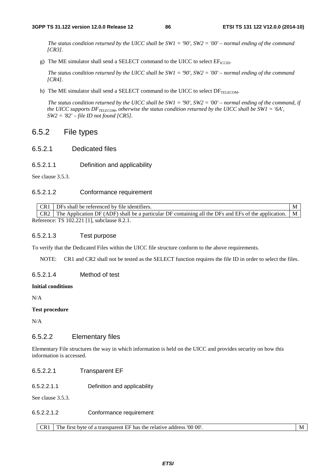*The status condition returned by the UICC shall be SW1 = '90', SW2 = '00' – normal ending of the command [CR3].*

g) The ME simulator shall send a SELECT command to the UICC to select  $EF_{\text{ICTD}}$ .

 *The status condition returned by the UICC shall be SW1 = '90', SW2 = '00' – normal ending of the command [CR4].*

h) The ME simulator shall send a SELECT command to the UICC to select  $DF_{TELECOM}$ .

 *The status condition returned by the UICC shall be SW1 = '90', SW2 = '00' – normal ending of the command, if the UICC supports*  $DF_{TEECOM}$ *, otherwise the status condition returned by the UICC shall be SW1 = '6A', SW2 = '82' – file ID not found [CR5].*

# 6.5.2 File types

- 6.5.2.1 Dedicated files
- 6.5.2.1.1 Definition and applicability

See clause 3.5.3.

### 6.5.2.1.2 Conformance requirement

| DFs shall be referenced by file identifiers. |                                             |                                                                                                                |  |  |  |  |
|----------------------------------------------|---------------------------------------------|----------------------------------------------------------------------------------------------------------------|--|--|--|--|
|                                              | CR <sub>2</sub>                             | The Application DF (ADF) shall be a particular DF containing all the DFs and EFs of the application. $\vert$ M |  |  |  |  |
|                                              | Reference: TS 102.221 [1], subclause 8.2.1. |                                                                                                                |  |  |  |  |

#### 6.5.2.1.3 Test purpose

To verify that the Dedicated Files within the UICC file structure conform to the above requirements.

NOTE: CR1 and CR2 shall not be tested as the SELECT function requires the file ID in order to select the files.

### 6.5.2.1.4 Method of test

#### **Initial conditions**

N/A

#### **Test procedure**

N/A

### 6.5.2.2 Elementary files

Elementary File structures the way in which information is held on the UICC and provides security on how this information is accessed.

### 6.5.2.2.1 Transparent EF

6.5.2.2.1.1 Definition and applicability

See clause 3.5.3.

#### 6.5.2.2.1.2 Conformance requirement

CR1 The first byte of a transparent EF has the relative address '00 00'.

*ETSI*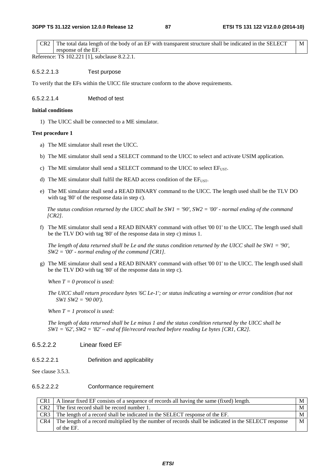CR2 The total data length of the body of an EF with transparent structure shall be indicated in the SELECT response of the EF. M

Reference: TS 102.221 [1], subclause 8.2.2.1.

#### 6.5.2.2.1.3 Test purpose

To verify that the EFs within the UICC file structure conform to the above requirements.

6.5.2.2.1.4 Method of test

#### **Initial conditions**

1) The UICC shall be connected to a ME simulator.

#### **Test procedure 1**

- a) The ME simulator shall reset the UICC.
- b) The ME simulator shall send a SELECT command to the UICC to select and activate USIM application.
- c) The ME simulator shall send a SELECT command to the UICC to select  $EF<sub>LIST</sub>$ .
- d) The ME simulator shall fulfil the READ access condition of the  $EF<sub>UST</sub>$ .
- e) The ME simulator shall send a READ BINARY command to the UICC. The length used shall be the TLV DO with tag '80' of the response data in step c).

*The status condition returned by the UICC shall be SW1 = '90', SW2 = '00' - normal ending of the command [CR2].*

f) The ME simulator shall send a READ BINARY command with offset '00 01' to the UICC. The length used shall be the TLV DO with tag '80' of the response data in step c) minus 1.

*The length of data returned shall be Le and the status condition returned by the UICC shall be SW1 = '90', SW2 = '00' - normal ending of the command [CR1].* 

g) The ME simulator shall send a READ BINARY command with offset '00 01' to the UICC. The length used shall be the TLV DO with tag '80' of the response data in step c).

*When T = 0 protocol is used:* 

*The UICC shall return procedure bytes '6C Le-1'; or status indicating a warning or error condition (but not SW1 SW2 = '90 00').* 

*When T = 1 protocol is used:* 

*The length of data returned shall be Le minus 1 and the status condition returned by the UICC shall be SW1 = '62', SW2 = '82' – end of file/record reached before reading Le bytes [CR1, CR2].*

### 6.5.2.2.2 Linear fixed EF

6.5.2.2.2.1 Definition and applicability

See clause 3.5.3.

#### 6.5.2.2.2.2 Conformance requirement

| CR <sub>1</sub> | A linear fixed EF consists of a sequence of records all having the same (fixed) length.              | М |
|-----------------|------------------------------------------------------------------------------------------------------|---|
| CR <sub>2</sub> | The first record shall be record number 1.                                                           | M |
| CR <sub>3</sub> | The length of a record shall be indicated in the SELECT response of the EF.                          | M |
| CR4             | The length of a record multiplied by the number of records shall be indicated in the SELECT response | M |
|                 | of the EF.                                                                                           |   |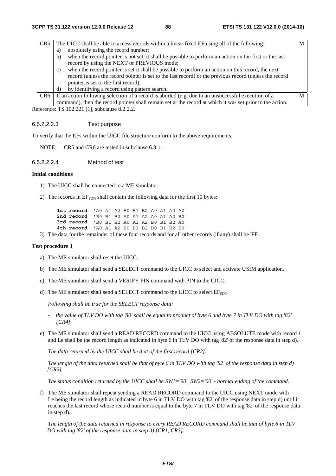| CR <sub>5</sub> | The UICC shall be able to access records within a linear fixed EF using all of the following:                |   |
|-----------------|--------------------------------------------------------------------------------------------------------------|---|
|                 | absolutely using the record number;<br>a)                                                                    |   |
|                 | when the record pointer is not set, it shall be possible to perform an action on the first or the last<br>b) |   |
|                 | record by using the NEXT or PREVIOUS mode;                                                                   |   |
|                 | when the record pointer is set it shall be possible to perform an action on this record, the next<br>c)      |   |
|                 | record (unless the record pointer is set to the last record) or the previous record (unless the record       |   |
|                 | pointer is set to the first record);                                                                         |   |
|                 | by identifying a record using pattern search.<br>d)                                                          |   |
| CR <sub>6</sub> | If an action following selection of a record is aborted (e.g. due to an unsuccessful execution of a          | M |
|                 | command), then the record pointer shall remain set at the record at which it was set prior to the action.    |   |

Reference: TS 102.221 [1], subclause 8.2.2.2.

#### 6.5.2.2.2.3 Test purpose

To verify that the EFs within the UICC file structure conform to the above requirements.

NOTE: CR5 and CR6 are tested in subclause 6.8.1.

#### 6.5.2.2.2.4 Method of test

#### **Initial conditions**

- 1) The UICC shall be connected to a ME simulator.
- 2) The records in  $EF_{FDN}$  shall contain the following data for the first 10 bytes:

| 1st record 'AO A1 A2 BO B1 B2 AO A1 A2 AO' |  |  |  |  |  |
|--------------------------------------------|--|--|--|--|--|
| 2nd record 'B0 B1 B2 A0 A1 A2 A0 A1 A2 B0' |  |  |  |  |  |
| 3rd record 'BO B1 B2 A0 A1 A2 B0 B1 B2 A0' |  |  |  |  |  |
| 4th record 'AO A1 A2 B0 B1 B2 B0 B1 B2 B0' |  |  |  |  |  |

3) The data for the remainder of these four records and for all other records (if any) shall be 'FF'.

### **Test procedure 1**

- a) The ME simulator shall reset the UICC.
- b) The ME simulator shall send a SELECT command to the UICC to select and activate USIM application.
- c) The ME simulator shall send a VERIFY PIN command with PIN to the UICC.
- d) The ME simulator shall send a SELECT command to the UICC to select  $EF_{FDN}$ .

*Following shall be true for the SELECT response data:* 

- *the value of TLV DO with tag '80' shall be equal to product of byte 6 and byte 7 in TLV DO with tag '82' [CR4].*
- e) The ME simulator shall send a READ RECORD command to the UICC using ABSOLUTE mode with record 1 and Le shall be the record length as indicated in byte 6 in TLV DO with tag '82' of the response data in step d).

 *The data returned by the UICC shall be that of the first record [CR2].* 

*The length of the data returned shall be that of byte 6 in TLV DO with tag '82' of the response data in step d) [CR3].* 

*The status condition returned by the UICC shall be SW1='90', SW2='00' - normal ending of the command.* 

f) The ME simulator shall repeat sending a READ RECORD command to the UICC using NEXT mode with Le being the record length as indicated in byte 6 in TLV DO with tag '82' of the response data in step d) until it reaches the last record whose record number is equal to the byte 7 in TLV DO with tag '82' of the response data in step d).

*The length of the data returned in response to every READ RECORD command shall be that of byte 6 in TLV DO with tag '82' of the response data in step d) [CR1, CR3].*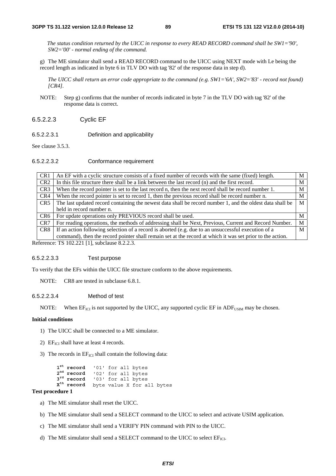*The status condition returned by the UICC in response to every READ RECORD command shall be SW1='90', SW2='00' - normal ending of the command.* 

g) The ME simulator shall send a READ RECORD command to the UICC using NEXT mode with Le being the record length as indicated in byte 6 in TLV DO with tag '82' of the response data in step d).

*The UICC shall return an error code appropriate to the command (e.g. SW1='6A', SW2='83' - record not found) [CR4].* 

- NOTE: Step g) confirms that the number of records indicated in byte 7 in the TLV DO with tag '82' of the response data is correct.
- 6.5.2.2.3 Cyclic EF
- 6.5.2.2.3.1 Definition and applicability

See clause 3.5.3.

#### 6.5.2.2.3.2 Conformance requirement

| CR <sub>1</sub>                                                                                       | An EF with a cyclic structure consists of a fixed number of records with the same (fixed) length.              | M |  |  |  |  |
|-------------------------------------------------------------------------------------------------------|----------------------------------------------------------------------------------------------------------------|---|--|--|--|--|
| CR <sub>2</sub>                                                                                       | In this file structure there shall be a link between the last record (n) and the first record.<br>М            |   |  |  |  |  |
| CR <sub>3</sub>                                                                                       | When the record pointer is set to the last record n, then the next record shall be record number 1.            |   |  |  |  |  |
| When the record pointer is set to record 1, then the previous record shall be record number n.<br>CR4 |                                                                                                                | М |  |  |  |  |
| CR <sub>5</sub>                                                                                       | M<br>The last updated record containing the newest data shall be record number 1, and the oldest data shall be |   |  |  |  |  |
|                                                                                                       | held in record number n.                                                                                       |   |  |  |  |  |
| CR <sub>6</sub>                                                                                       | For update operations only PREVIOUS record shall be used.                                                      | М |  |  |  |  |
| CR <sub>7</sub>                                                                                       | For reading operations, the methods of addressing shall be Next, Previous, Current and Record Number.          | M |  |  |  |  |
| CR <sub>8</sub>                                                                                       | If an action following selection of a record is aborted (e.g. due to an unsuccessful execution of a            | M |  |  |  |  |
|                                                                                                       | command), then the record pointer shall remain set at the record at which it was set prior to the action.      |   |  |  |  |  |
|                                                                                                       | oforonoo: $TC$ 102.221.11 subolause $9.2.2$                                                                    |   |  |  |  |  |

Reference: TS 102.221 [1], subclause 8.2.2.3.

#### 6.5.2.2.3.3 Test purpose

To verify that the EFs within the UICC file structure conform to the above requirements.

NOTE: CR8 are tested in subclause 6.8.1.

### 6.5.2.2.3.4 Method of test

NOTE: When  $EF_{ICI}$  is not supported by the UICC, any supported cyclic EF in ADF<sub>USIM</sub> may be chosen.

#### **Initial conditions**

- 1) The UICC shall be connected to a ME simulator.
- 2)  $EF_{\text{ICI}}$  shall have at least 4 records.
- 3) The records in  $EF_{ICI}$  shall contain the following data:

```
1<sup>st</sup> record
                 record '01' for all bytes 
2<sup>nd</sup> record
                 record '02' for all bytes 
<sup>3rd</sup> record
                 record '03' for all bytes 
Xth record byte value X for all bytes
```
### **Test procedure 1**

- a) The ME simulator shall reset the UICC.
- b) The ME simulator shall send a SELECT command to the UICC to select and activate USIM application.
- c) The ME simulator shall send a VERIFY PIN command with PIN to the UICC.
- d) The ME simulator shall send a SELECT command to the UICC to select  $EF_{ICI}$ .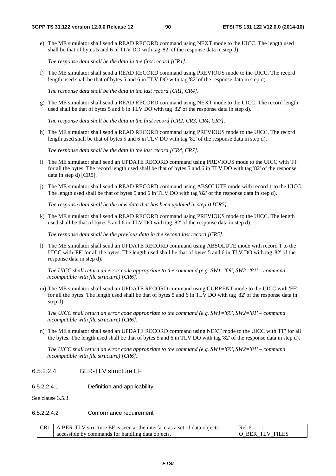e) The ME simulator shall send a READ RECORD command using NEXT mode to the UICC. The length used shall be that of bytes 5 and 6 in TLV DO with tag '82' of the response data in step d).

*The response data shall be the data in the first record [CR1].*

f) The ME simulator shall send a READ RECORD command using PREVIOUS mode to the UICC. The record length used shall be that of bytes 5 and 6 in TLV DO with tag '82' of the response data in step d).

*The response data shall be the data in the last record [CR1, CR4].*

g) The ME simulator shall send a READ RECORD command using NEXT mode to the UICC. The record length used shall be that of bytes 5 and 6 in TLV DO with tag '82' of the response data in step d).

*The response data shall be the data in the first record [CR2, CR3, CR4, CR7].*

h) The ME simulator shall send a READ RECORD command using PREVIOUS mode to the UICC. The record length used shall be that of bytes 5 and 6 in TLV DO with tag '82' of the response data in step d).

*The response data shall be the data in the last record [CR4, CR7].*

- i) The ME simulator shall send an UPDATE RECORD command using PREVIOUS mode to the UICC with 'FF' for all the bytes. The record length used shall be that of bytes 5 and 6 in TLV DO with tag '82' of the response data in step d) [CR5].
- j) The ME simulator shall send a READ RECORD command using ABSOLUTE mode with record 1 to the UICC. The length used shall be that of bytes 5 and 6 in TLV DO with tag '82' of the response data in step d).

*The response data shall be the new data that has been updated in step i) [CR5].*

k) The ME simulator shall send a READ RECORD command using PREVIOUS mode to the UICC. The length used shall be that of bytes 5 and 6 in TLV DO with tag '82' of the response data in step d).

*The response data shall be the previous data in the second last record [CR5].*

l) The ME simulator shall send an UPDATE RECORD command using ABSOLUTE mode with record 1 to the UICC with 'FF' for all the bytes. The length used shall be that of bytes 5 and 6 in TLV DO with tag '82' of the response data in step d).

*The UICC shall return an error code appropriate to the command (e.g. SW1='69', SW2='81' – command incompatible with file structure) [CR6].*

m) The ME simulator shall send an UPDATE RECORD command using CURRENT mode to the UICC with 'FF' for all the bytes. The length used shall be that of bytes 5 and 6 in TLV DO with tag '82' of the response data in step d).

 *The UICC shall return an error code appropriate to the command (e.g. SW1='69', SW2='81' – command incompatible with file structure) [CR6].*

n) The ME simulator shall send an UPDATE RECORD command using NEXT mode to the UICC with 'FF' for all the bytes. The length used shall be that of bytes 5 and 6 in TLV DO with tag '82' of the response data in step d).

 *The UICC shall return an error code appropriate to the command (e.g. SW1='69', SW2='81' – command incompatible with file structure) [CR6].* 

### 6.5.2.2.4 BER-TLV structure EF

6.5.2.2.4.1 Definition and applicability

See clause 3.5.3.

#### 6.5.2.2.4.2 Conformance requirement

| $\vert$ CR1 $\vert$ A BER-TLV structure EF is seen at the interface as a set of data objects | $Rel-6 - $<br>.   |
|----------------------------------------------------------------------------------------------|-------------------|
| accessible by commands for handling data objects.                                            | I O BER TLV FILES |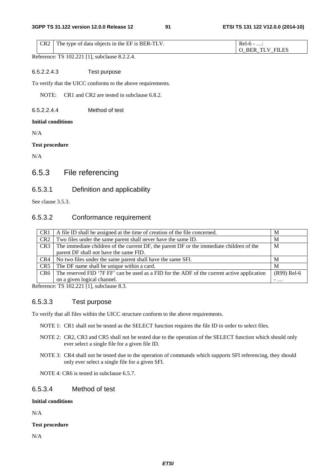|  | $CR2$ The type of data objects in the EF is BER-TLV. | $ReI-6$ -<br>.       |
|--|------------------------------------------------------|----------------------|
|  |                                                      | <b>BER TLV FILES</b> |

Reference: TS 102.221 [1], subclause 8.2.2.4.

### 6.5.2.2.4.3 Test purpose

To verify that the UICC conforms to the above requirements.

NOTE: CR1 and CR2 are tested in subclause 6.8.2.

6.5.2.2.4.4 Method of test

### **Initial conditions**

N/A

### **Test procedure**

N/A

# 6.5.3 File referencing

# 6.5.3.1 Definition and applicability

See clause 3.5.3.

# 6.5.3.2 Conformance requirement

| CR <sub>1</sub>                                                                  | A file ID shall be assigned at the time of creation of the file concerned.                                 |     |  |
|----------------------------------------------------------------------------------|------------------------------------------------------------------------------------------------------------|-----|--|
| Two files under the same parent shall never have the same ID.<br>CR <sub>2</sub> |                                                                                                            | М   |  |
| CR <sub>3</sub>                                                                  | The immediate children of the current DF, the parent DF or the immediate children of the<br>M              |     |  |
|                                                                                  | parent DF shall not have the same FID.                                                                     |     |  |
| CR4                                                                              | No two files under the same parent shall have the same SFI.                                                | M   |  |
| CR <sub>5</sub>                                                                  | The DF name shall be unique within a card.<br>M                                                            |     |  |
| CR6                                                                              | (R99) Rel-6<br>The reserved FID '7F FF' can be used as a FID for the ADF of the current active application |     |  |
|                                                                                  | on a given logical channel.                                                                                | $-$ |  |
|                                                                                  |                                                                                                            |     |  |

Reference: TS 102.221 [1], subclause 8.3.

# 6.5.3.3 Test purpose

To verify that all files within the UICC structure conform to the above requirements.

NOTE 1: CR1 shall not be tested as the SELECT function requires the file ID in order to select files.

- NOTE 2: CR2, CR3 and CR5 shall not be tested due to the operation of the SELECT function which should only ever select a single file for a given file ID.
- NOTE 3: CR4 shall not be tested due to the operation of commands which supports SFI referencing, they should only ever select a single file for a given SFI.

NOTE 4: CR6 is tested in subclause 6.5.7.

## 6.5.3.4 Method of test

### **Initial conditions**

N/A

### **Test procedure**

N/A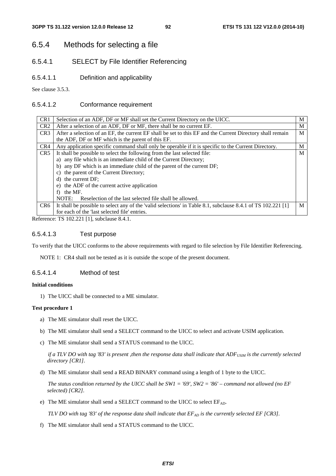# 6.5.4 Methods for selecting a file

# 6.5.4.1 SELECT by File Identifier Referencing

6.5.4.1.1 Definition and applicability

See clause 3.5.3.

## 6.5.4.1.2 Conformance requirement

| CR <sub>1</sub> | Selection of an ADF, DF or MF shall set the Current Directory on the UICC.                                   | M |  |  |
|-----------------|--------------------------------------------------------------------------------------------------------------|---|--|--|
| CR2             | After a selection of an ADF, DF or MF, there shall be no current EF.                                         | M |  |  |
| CR <sub>3</sub> | After a selection of an EF, the current EF shall be set to this EF and the Current Directory shall remain    | M |  |  |
|                 | the ADF, DF or MF which is the parent of this EF.                                                            |   |  |  |
| CR4             | Any application specific command shall only be operable if it is specific to the Current Directory.          | M |  |  |
| CR5             | It shall be possible to select the following from the last selected file:                                    | M |  |  |
|                 | a) any file which is an immediate child of the Current Directory;                                            |   |  |  |
|                 | any DF which is an immediate child of the parent of the current DF;<br>b)                                    |   |  |  |
|                 | the parent of the Current Directory;<br>$\mathcal{C}$ )                                                      |   |  |  |
|                 | d) the current DF;                                                                                           |   |  |  |
|                 | e) the ADF of the current active application                                                                 |   |  |  |
|                 | the MF.<br>f                                                                                                 |   |  |  |
|                 | Reselection of the last selected file shall be allowed.<br>NOTE:                                             |   |  |  |
| CR6             | It shall be possible to select any of the 'valid selections' in Table 8.1, subclause 8.4.1 of TS 102.221 [1] | M |  |  |
|                 | for each of the 'last selected file' entries.                                                                |   |  |  |

Reference: TS 102.221 [1], subclause 8.4.1.

### 6.5.4.1.3 Test purpose

To verify that the UICC conforms to the above requirements with regard to file selection by File Identifier Referencing.

NOTE 1: CR4 shall not be tested as it is outside the scope of the present document.

### 6.5.4.1.4 Method of test

### **Initial conditions**

1) The UICC shall be connected to a ME simulator.

### **Test procedure 1**

- a) The ME simulator shall reset the UICC.
- b) The ME simulator shall send a SELECT command to the UICC to select and activate USIM application.
- c) The ME simulator shall send a STATUS command to the UICC.

*if a TLV DO with tag '83' is present ,then the response data shall indicate that ADF<sub>USIM</sub> is the currently selected directory [CR1].*

d) The ME simulator shall send a READ BINARY command using a length of 1 byte to the UICC.

 *The status condition returned by the UICC shall be SW1 = '69', SW2 = '86' – command not allowed (no EF selected) [CR2].*

e) The ME simulator shall send a SELECT command to the UICC to select  $EF_{AD}$ .

*TLV DO with tag '83' of the response data shall indicate that*  $EF_{AD}$  *is the currently selected EF [CR3].* 

f) The ME simulator shall send a STATUS command to the UICC.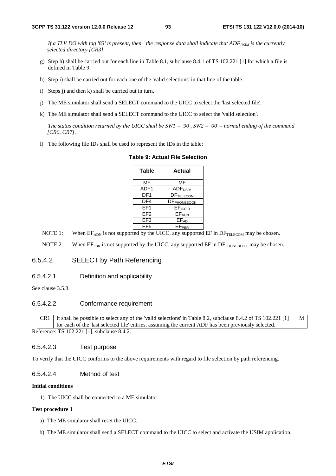*If a TLV DO with tag '83' is present, then the response data shall indicate that ADF*<sub>USIM</sub> is the currently *selected directory [CR3].*

- g) Step h) shall be carried out for each line in Table 8.1, subclause 8.4.1 of TS 102.221 [1] for which a file is defined in Table 9.
- h) Step i) shall be carried out for each one of the 'valid selections' in that line of the table.
- i) Steps j) and then k) shall be carried out in turn.
- j) The ME simulator shall send a SELECT command to the UICC to select the 'last selected file'.
- k) The ME simulator shall send a SELECT command to the UICC to select the 'valid selection'.

 *The status condition returned by the UICC shall be SW1 = '90', SW2 = '00' – normal ending of the command [CR6, CR7].*

l) The following file IDs shall be used to represent the IDs in the table:

| Table           | Actual                  |
|-----------------|-------------------------|
| <b>MF</b>       | MF                      |
| ADF1            | ADF <sub>USIM</sub>     |
| DF <sub>1</sub> | DFTELECOM               |
| DF4             | DF <sub>PHONEBOOK</sub> |
| FF <sub>1</sub> | EFICCID                 |
| EF <sub>2</sub> | <b>EFADN</b>            |
| EF <sub>3</sub> | $EF_{AD}$               |
| FF <sub>5</sub> | <b>EFPBR</b>            |

### **Table 9: Actual File Selection**

- NOTE 1: When  $EF_{ADN}$  is not supported by the UICC, any supported  $EF$  in  $DF_{TELECOM}$  may be chosen.
- NOTE 2: When  $E_{PBR}$  is not supported by the UICC, any supported  $E$ F in  $DF_{PHONEBOOK}$  may be chosen.

### 6.5.4.2 SELECT by Path Referencing

6.5.4.2.1 Definition and applicability

See clause 3.5.3.

### 6.5.4.2.2 Conformance requirement

CR1 It shall be possible to select any of the 'valid selections' in Table 8.2, subclause 8.4.2 of TS 102.221 [1] for each of the 'last selected file' entries, assuming the current ADF has been previously selected. M Reference: TS 102.221 [1], subclause 8.4.2.

#### 6.5.4.2.3 Test purpose

To verify that the UICC conforms to the above requirements with regard to file selection by path referencing.

#### 6.5.4.2.4 Method of test

#### **Initial conditions**

1) The UICC shall be connected to a ME simulator.

#### **Test procedure 1**

- a) The ME simulator shall reset the UICC.
- b) The ME simulator shall send a SELECT command to the UICC to select and activate the USIM application.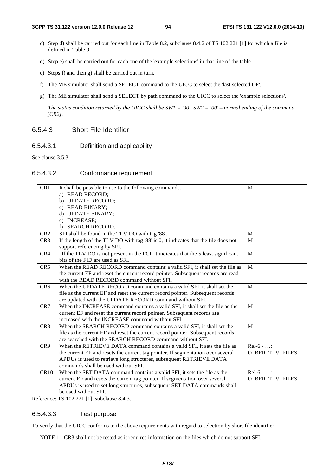- c) Step d) shall be carried out for each line in Table 8.2, subclause 8.4.2 of TS 102.221 [1] for which a file is defined in Table 9.
- d) Step e) shall be carried out for each one of the 'example selections' in that line of the table.
- e) Steps f) and then g) shall be carried out in turn.
- f) The ME simulator shall send a SELECT command to the UICC to select the 'last selected DF'.
- g) The ME simulator shall send a SELECT by path command to the UICC to select the 'example selections'.

 *The status condition returned by the UICC shall be SW1 = '90', SW2 = '00' – normal ending of the command [CR2].*

# 6.5.4.3 Short File Identifier

### 6.5.4.3.1 Definition and applicability

See clause 3.5.3.

### 6.5.4.3.2 Conformance requirement

| CR1             | It shall be possible to use to the following commands.                              | M                      |
|-----------------|-------------------------------------------------------------------------------------|------------------------|
|                 | a) READ RECORD;                                                                     |                        |
|                 | b) UPDATE RECORD;                                                                   |                        |
|                 | c) READ BINARY;                                                                     |                        |
|                 | d) UPDATE BINARY;                                                                   |                        |
|                 | e) INCREASE;                                                                        |                        |
|                 | <b>SEARCH RECORD.</b><br>f)                                                         |                        |
| CR <sub>2</sub> | SFI shall be found in the TLV DO with tag '88'.                                     | M                      |
| CR <sub>3</sub> | If the length of the TLV DO with tag '88' is 0, it indicates that the file does not | $\mathbf{M}$           |
|                 | support referencing by SFI.                                                         |                        |
| CR4             | If the TLV DO is not present in the FCP it indicates that the 5 least significant   | M                      |
|                 | bits of the FID are used as SFI.                                                    |                        |
| CR5             | When the READ RECORD command contains a valid SFI, it shall set the file as         | M                      |
|                 | the current EF and reset the current record pointer. Subsequent records are read    |                        |
|                 | with the READ RECORD command without SFI.                                           |                        |
| CR <sub>6</sub> | When the UPDATE RECORD command contains a valid SFI, it shall set the               | M                      |
|                 | file as the current EF and reset the current record pointer. Subsequent records     |                        |
|                 | are updated with the UPDATE RECORD command without SFI.                             |                        |
| CR7             | When the INCREASE command contains a valid SFI, it shall set the file as the        | M                      |
|                 | current EF and reset the current record pointer. Subsequent records are             |                        |
|                 | increased with the INCREASE command without SFI.                                    |                        |
| CR8             | When the SEARCH RECORD command contains a valid SFI, it shall set the               | M                      |
|                 | file as the current EF and reset the current record pointer. Subsequent records     |                        |
|                 | are searched with the SEARCH RECORD command without SFI.                            |                        |
| CR9             | When the RETRIEVE DATA command contains a valid SFI, it sets the file as            | $Rel-6 - $             |
|                 | the current EF and resets the current tag pointer. If segmentation over several     | <b>O_BER_TLV_FILES</b> |
|                 | APDUs is used to retrieve long structures, subsequent RETRIEVE DATA                 |                        |
|                 | commands shall be used without SFI.                                                 |                        |
| CR10            | When the SET DATA command contains a valid SFI, it sets the file as the             | $Rel-6 - $             |
|                 | current EF and resets the current tag pointer. If segmentation over several         | <b>O BER TLV FILES</b> |
|                 | APDUs is used to set long structures, subsequent SET DATA commands shall            |                        |
|                 | be used without SFI.                                                                |                        |

Reference: TS 102.221 [1], subclause 8.4.3.

### 6.5.4.3.3 Test purpose

To verify that the UICC conforms to the above requirements with regard to selection by short file identifier.

NOTE 1: CR3 shall not be tested as it requires information on the files which do not support SFI.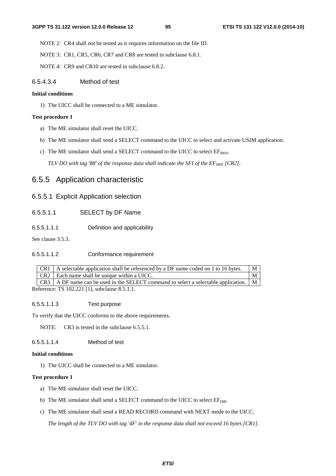NOTE 2: CR4 shall not be tested as it requires information on the file ID.

NOTE 3: CR1, CR5, CR6, CR7 and CR8 are tested in subclause 6.8.1.

NOTE 4: CR9 and CR10 are tested in subclause 6.8.2.

# 6.5.4.3.4 Method of test

### **Initial conditions**

1) The UICC shall be connected to a ME simulator.

### **Test procedure 1**

- a) The ME simulator shall reset the UICC.
- b) The ME simulator shall send a SELECT command to the UICC to select and activate USIM application.
- c) The ME simulator shall send a SELECT command to the UICC to select  $EF_{MSI}$ .

*TLV DO with tag '88' of the response data shall indicate the SFI of the EF<sub>IMSI</sub> [CR2]*.

# 6.5.5 Application characteristic

# 6.5.5.1 Explicit Application selection

# 6.5.5.1.1 SELECT by DF Name

6.5.5.1.1.1 Definition and applicability

See clause 3.5.3.

# 6.5.5.1.1.2 Conformance requirement

|  | $CR1$   A selectable application shall be referenced by a DF name coded on 1 to 16 bytes. |  |  |  |  |
|--|-------------------------------------------------------------------------------------------|--|--|--|--|
|  | CR2   Each name shall be unique within a UICC.                                            |  |  |  |  |
|  | CR3   A DF name can be used in the SELECT command to select a selectable application.   M |  |  |  |  |
|  |                                                                                           |  |  |  |  |

Reference: TS 102.221 [1], subclause 8.5.1.1.

### 6.5.5.1.1.3 Test purpose

To verify that the UICC conforms to the above requirements.

NOTE: CR3 is tested in the subclause 6.5.5.1.

6.5.5.1.1.4 Method of test

### **Initial conditions**

1) The UICC shall be connected to a ME simulator.

### **Test procedure 1**

- a) The ME simulator shall reset the UICC.
- b) The ME simulator shall send a SELECT command to the UICC to select  $EF_{\text{DIR}}$ .
- c) The ME simulator shall send a READ RECORD command with NEXT mode to the UICC.

 *The length of the TLV DO with tag '4F' in the response data shall not exceed 16 bytes [CR1].*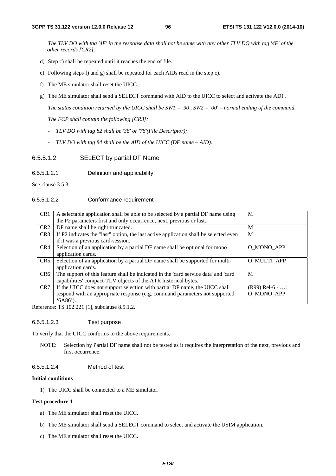*The TLV DO with tag '4F' in the response data shall not be same with any other TLV DO with tag '4F' of the other records [CR2].* 

- d) Step c) shall be repeated until it reaches the end of file.
- e) Following steps f) and g) shall be repeated for each AIDs read in the step c).
- f) The ME simulator shall reset the UICC.
- g) The ME simulator shall send a SELECT command with AID to the UICC to select and activate the ADF.

 *The status condition returned by the UICC shall be SW1 = '90', SW2 = '00' – normal ending of the command. The FCP shall contain the following [CR3]:* 

- *TLV DO with tag 82 shall be '38' or '78'(File Descriptor);*
- *TLV DO with tag 84 shall be the AID of the UICC (DF name AID).*
- 6.5.5.1.2 SELECT by partial DF Name
- 6.5.5.1.2.1 Definition and applicability

See clause 3.5.3.

#### 6.5.5.1.2.2 Conformance requirement

| CR1             | A selectable application shall be able to be selected by a partial DF name using      | M                 |
|-----------------|---------------------------------------------------------------------------------------|-------------------|
|                 | the P2 parameters first and only occurrence, next, previous or last.                  |                   |
| CR <sub>2</sub> | DF name shall be right truncated.                                                     | M                 |
| CR <sub>3</sub> | If P2 indicates the "last" option, the last active application shall be selected even | M                 |
|                 | if it was a previous card-session.                                                    |                   |
| CR4             | Selection of an application by a partial DF name shall be optional for mono           | O MONO APP        |
|                 | application cards.                                                                    |                   |
| CR5             | Selection of an application by a partial DF name shall be supported for multi-        | O MULTI APP       |
|                 | application cards.                                                                    |                   |
| CR <sub>6</sub> | The support of this feature shall be indicated in the 'card service data' and 'card   | M                 |
|                 | capabilities' compact-TLV objects of the ATR historical bytes.                        |                   |
| CR <sub>7</sub> | If the UICC does not support selection with partial DF name, the UICC shall           | $(R99)$ Rel-6 - : |
|                 | respond with an appropriate response (e.g. command parameters not supported           | O MONO APP        |
|                 | $(6A86)$ .                                                                            |                   |

Reference: TS 102.221 [1], subclause 8.5.1.2.

### 6.5.5.1.2.3 Test purpose

To verify that the UICC conforms to the above requirements.

NOTE: Selection by Partial DF name shall not be tested as it requires the interpretation of the next, previous and first occurrence.

#### 6.5.5.1.2.4 Method of test

#### **Initial conditions**

1) The UICC shall be connected to a ME simulator.

### **Test procedure 1**

- a) The ME simulator shall reset the UICC.
- b) The ME simulator shall send a SELECT command to select and activate the USIM application.
- c) The ME simulator shall reset the UICC.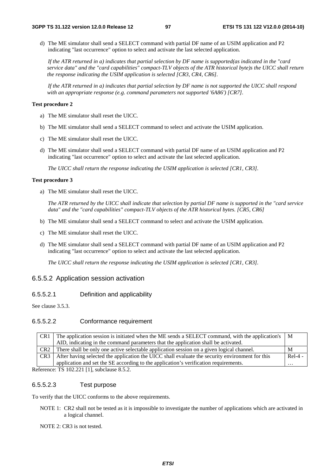d) The ME simulator shall send a SELECT command with partial DF name of an USIM application and P2 indicating "last occurrence" option to select and activate the last selected application.

*If the ATR returned in a) indicates that partial selection by DF name is supported(as indicated in the "card service data" and the "card capabilities" compact-TLV objects of the ATR historical byte)s the UICC shall return the response indicating the USIM application is selected [CR3, CR4, CR6].* 

*If the ATR returned in a) indicates that partial selection by DF name is not supported the UICC shall respond with an appropriate response (e.g. command parameters not supported '6A86') [CR7].*

### **Test procedure 2**

- a) The ME simulator shall reset the UICC.
- b) The ME simulator shall send a SELECT command to select and activate the USIM application.
- c) The ME simulator shall reset the UICC.
- d) The ME simulator shall send a SELECT command with partial DF name of an USIM application and P2 indicating "last occurrence" option to select and activate the last selected application.

*The UICC shall return the response indicating the USIM application is selected [CR1, CR3].* 

## **Test procedure 3**

a) The ME simulator shall reset the UICC.

*The ATR returned by the UICC shall indicate that selection by partial DF name is supported in the "card service data" and the "card capabilities" compact-TLV objects of the ATR historical bytes. [CR5, CR6]*

- b) The ME simulator shall send a SELECT command to select and activate the USIM application.
- c) The ME simulator shall reset the UICC.
- d) The ME simulator shall send a SELECT command with partial DF name of an USIM application and P2 indicating "last occurrence" option to select and activate the last selected application.

*The UICC shall return the response indicating the USIM application is selected [CR1, CR3].* 

# 6.5.5.2 Application session activation

# 6.5.5.2.1 Definition and applicability

See clause 3.5.3.

# 6.5.5.2.2 Conformance requirement

| CR <sub>1</sub> | The application session is initiated when the ME sends a SELECT command, with the application's   M |           |  |  |
|-----------------|-----------------------------------------------------------------------------------------------------|-----------|--|--|
|                 | AID, indicating in the command parameters that the application shall be activated.                  |           |  |  |
| CR <sub>2</sub> | There shall be only one active selectable application session on a given logical channel.           | M         |  |  |
| CR <sub>3</sub> | After having selected the application the UICC shall evaluate the security environment for this     | $ReI-4$ - |  |  |
|                 | application and set the SE according to the application's verification requirements.                | $\cdots$  |  |  |
|                 | $2 \text{ of } x$ TV 102.221 [1] subclause $2.5.2$                                                  |           |  |  |

Reference: TS 102.221 [1], subclause 8.5.2.

# 6.5.5.2.3 Test purpose

To verify that the UICC conforms to the above requirements.

- NOTE 1: CR2 shall not be tested as it is impossible to investigate the number of applications which are activated in a logical channel.
- NOTE 2: CR3 is not tested.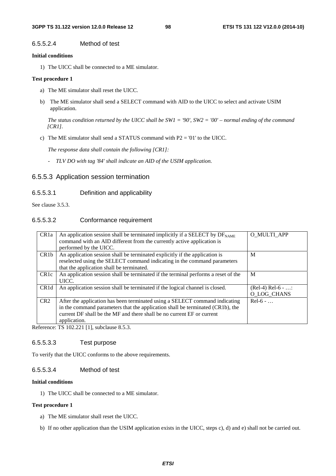### 6.5.5.2.4 Method of test

#### **Initial conditions**

1) The UICC shall be connected to a ME simulator.

### **Test procedure 1**

- a) The ME simulator shall reset the UICC.
- b) The ME simulator shall send a SELECT command with AID to the UICC to select and activate USIM application.

 *The status condition returned by the UICC shall be SW1 = '90', SW2 = '00' – normal ending of the command [CR1].* 

c) The ME simulator shall send a STATUS command with  $P2 = 01'$  to the UICC.

 *The response data shall contain the following [CR1]:* 

*- TLV DO with tag '84' shall indicate an AID of the USIM application.* 

### 6.5.5.3 Application session termination

### 6.5.5.3.1 Definition and applicability

See clause 3.5.3.

### 6.5.5.3.2 Conformance requirement

| CR <sub>1</sub> a | An application session shall be terminated implicitly if a SELECT by $DF_{NAME}$   | O MULTI APP        |
|-------------------|------------------------------------------------------------------------------------|--------------------|
|                   | command with an AID different from the currently active application is             |                    |
|                   | performed by the UICC.                                                             |                    |
| CR <sub>1</sub> b | An application session shall be terminated explicitly if the application is        | M                  |
|                   | reselected using the SELECT command indicating in the command parameters           |                    |
|                   | that the application shall be terminated.                                          |                    |
| CR <sub>1</sub> c | An application session shall be terminated if the terminal performs a reset of the | M                  |
|                   | UICC.                                                                              |                    |
| CR <sub>1</sub> d | An application session shall be terminated if the logical channel is closed.       | $(Rel-4) Rel-6 - $ |
|                   |                                                                                    | O LOG CHANS        |
| CR2               | After the application has been terminated using a SELECT command indicating        | $Rel-6$ -          |
|                   | in the command parameters that the application shall be terminated (CR1b), the     |                    |
|                   | current DF shall be the MF and there shall be no current EF or current             |                    |
|                   | application.                                                                       |                    |
|                   | $\sim$ $\sim$ $\sim$ $\sim$ $\sim$                                                 |                    |

Reference: TS 102.221 [1], subclause 8.5.3.

#### 6.5.5.3.3 Test purpose

To verify that the UICC conforms to the above requirements.

### 6.5.5.3.4 Method of test

### **Initial conditions**

1) The UICC shall be connected to a ME simulator.

### **Test procedure 1**

- a) The ME simulator shall reset the UICC.
- b) If no other application than the USIM application exists in the UICC, steps c), d) and e) shall not be carried out.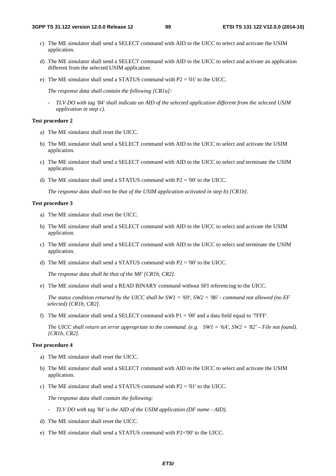- c) The ME simulator shall send a SELECT command with AID to the UICC to select and activate the USIM application.
- d) The ME simulator shall send a SELECT command with AID to the UICC to select and activate an application different from the selected USIM application.
- e) The ME simulator shall send a STATUS command with P2 = '01' to the UICC.

 *The response data shall contain the following [CR1a]:* 

*- TLV DO with tag '84' shall indicate an AID of the selected application different from the selected USIM application in step c).* 

#### **Test procedure 2**

- a) The ME simulator shall reset the UICC.
- b) The ME simulator shall send a SELECT command with AID to the UICC to select and activate the USIM application.
- c) The ME simulator shall send a SELECT command with AID to the UICC to select and terminate the USIM application.
- d) The ME simulator shall send a STATUS command with  $P2 = '00'$  to the UICC.

 *The response data shall not be that of the USIM application activated in step b) [CR1b].*

#### **Test procedure 3**

- a) The ME simulator shall reset the UICC.
- b) The ME simulator shall send a SELECT command with AID to the UICC to select and activate the USIM application.
- c) The ME simulator shall send a SELECT command with AID to the UICC to select and terminate the USIM application.
- d) The ME simulator shall send a STATUS command with P2 = '00' to the UICC.

 *The response data shall be that of the MF [CR1b, CR2].* 

e) The ME simulator shall send a READ BINARY command without SFI referencing to the UICC.

 *The status condition returned by the UICC shall be SW1 = '69', SW2 = '86' - command not allowed (no EF selected) [CR1b, CR2].*

f) The ME simulator shall send a SELECT command with  $P1 = '00'$  and a data field equal to '7FFF'.

*The UICC shall return an error appropriate to the command. (e.g. SW1 = '6A', SW2 = '82' – File not found). [CR1b, CR2].* 

#### **Test procedure 4**

- a) The ME simulator shall reset the UICC.
- b) The ME simulator shall send a SELECT command with AID to the UICC to select and activate the USIM application.
- c) The ME simulator shall send a STATUS command with P2 = '01' to the UICC.

 *The response data shall contain the following:* 

- *TLV DO with tag '84' is the AID of the USIM application (DF name AID).*
- d) The ME simulator shall reset the UICC.
- e) The ME simulator shall send a STATUS command with P2='00' to the UICC.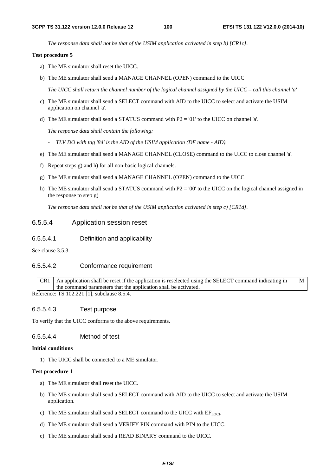*The response data shall not be that of the USIM application activated in step b) [CR1c].* 

#### **Test procedure 5**

- a) The ME simulator shall reset the UICC.
- b) The ME simulator shall send a MANAGE CHANNEL (OPEN) command to the UICC

*The UICC shall return the channel number of the logical channel assigned by the UICC – call this channel 'a'* 

- c) The ME simulator shall send a SELECT command with AID to the UICC to select and activate the USIM application on channel 'a'.
- d) The ME simulator shall send a STATUS command with P2 = '01' to the UICC on channel 'a'.

 *The response data shall contain the following:* 

- *TLV DO with tag '84' is the AID of the USIM application (DF name AID).*
- e) The ME simulator shall send a MANAGE CHANNEL (CLOSE) command to the UICC to close channel 'a'.
- f) Repeat steps g) and h) for all non-basic logical channels.
- g) The ME simulator shall send a MANAGE CHANNEL (OPEN) command to the UICC
- h) The ME simulator shall send a STATUS command with  $P2 = 0'$  to the UICC on the logical channel assigned in the response to step g)

 *The response data shall not be that of the USIM application activated in step c) [CR1d].*

## 6.5.5.4 Application session reset

6.5.5.4.1 Definition and applicability

See clause 3.5.3.

### 6.5.5.4.2 Conformance requirement

 $CR1$  An application shall be reset if the application is reselected using the SELECT command indicating in the command parameters that the application shall be activated. M

Reference: TS 102.221 [1], subclause 8.5.4.

#### 6.5.5.4.3 Test purpose

To verify that the UICC conforms to the above requirements.

### 6.5.5.4.4 Method of test

#### **Initial conditions**

1) The UICC shall be connected to a ME simulator.

#### **Test procedure 1**

- a) The ME simulator shall reset the UICC.
- b) The ME simulator shall send a SELECT command with AID to the UICC to select and activate the USIM application.
- c) The ME simulator shall send a SELECT command to the UICC with  $EF_{LOCI}$ .
- d) The ME simulator shall send a VERIFY PIN command with PIN to the UICC.
- e) The ME simulator shall send a READ BINARY command to the UICC.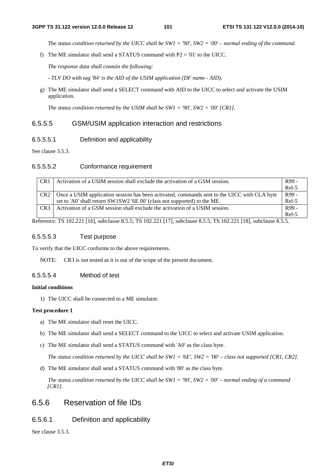*The status condition returned by the UICC shall be SW1 = '90', SW2 = '00' – normal ending of the command.*

f) The ME simulator shall send a STATUS command with  $P2 = 01'$  to the UICC.

 *The response data shall contain the following:* 

 *- TLV DO with tag '84' is the AID of the USIM application (DF name - AID).* 

g) The ME simulator shall send a SELECT command with AID to the UICC to select and activate the USIM application.

*The status condition returned by the USIM shall be SW1 = '90', SW2 = '00' [CR1].*

### 6.5.5.5 GSM/USIM application interaction and restrictions

6.5.5.5.1 Definition and applicability

See clause 3.5.3.

#### 6.5.5.5.2 Conformance requirement

| CR <sub>1</sub> | Activation of a USIM session shall exclude the activation of a GSM session.                 | R99 -   |
|-----------------|---------------------------------------------------------------------------------------------|---------|
|                 |                                                                                             | $Rel-5$ |
| CR <sub>2</sub> | Once a USIM application session has been activated, commands sent to the UICC with CLA byte | R99 -   |
|                 | set to 'A0' shall return SW1SW2 '6E 00' (class not supported) to the ME.                    | $Rel-5$ |
| CR <sub>3</sub> | Activation of a GSM session shall exclude the activation of a USIM session.                 | R99 -   |
|                 |                                                                                             | Rel-5   |

Reference: TS 102.221 [16], subclause 8.5.5; TS 102.221 [17], subclause 8.5.5; TS 102.221 [18], subclause 8.5.5.

#### 6.5.5.5.3 Test purpose

To verify that the UICC conforms to the above requirements.

NOTE: CR3 is not tested as it is out of the scope of the present document.

### 6.5.5.5.4 Method of test

#### **Initial conditions**

1) The UICC shall be connected to a ME simulator.

#### **Test procedure 1**

- a) The ME simulator shall reset the UICC.
- b) The ME simulator shall send a SELECT command to the UICC to select and activate USIM application.
- c) The ME simulator shall send a STATUS command with 'A0' as the class byte.

 *The status condition returned by the UICC shall be SW1 = '6E', SW2 = '00' – class not supported [CR1, CR2].* 

d) The ME simulator shall send a STATUS command with '80' as the class byte.

 *The status condition returned by the UICC shall be SW1 = '90', SW2 = '00' – normal ending of a command [CR1].*

# 6.5.6 Reservation of file IDs

# 6.5.6.1 Definition and applicability

See clause 3.5.3.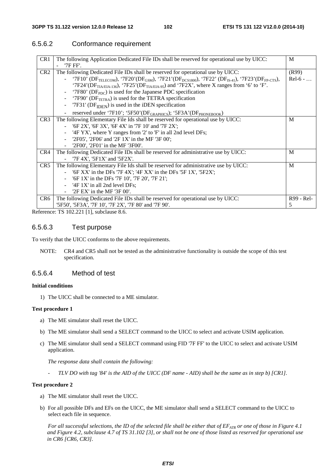# 6.5.6.2 Conformance requirement

| CR1             | The following Application Dedicated File IDs shall be reserved for operational use by UICC:                                                                     | M          |
|-----------------|-----------------------------------------------------------------------------------------------------------------------------------------------------------------|------------|
|                 | '7F FF'.                                                                                                                                                        |            |
| CR <sub>2</sub> | The following Dedicated File IDs shall be reserved for operational use by UICC:                                                                                 | (R99)      |
|                 | - '7F10' (DF <sub>TELECOM</sub> ), '7F20' (DF <sub>GSM</sub> ), '7F21' (DF <sub>DCS1800</sub> ), '7F22' (DF <sub>IS-41</sub> ), '7F23' (DF <sub>FP-CTS</sub> ), | $Rel-6$ -  |
|                 | '7F24'(DF <sub>TIA/EIA-136</sub> ), '7F25'(DF <sub>TIA/EIA-95</sub> ) and '7F2X', where X ranges from '6' to 'F'.                                               |            |
|                 | '7F80' ( $DF_{PDC}$ ) is used for the Japanese PDC specification                                                                                                |            |
|                 | '7F90' ( $DF_{TETRA}$ ) is used for the TETRA specification                                                                                                     |            |
|                 | '7F31' ( $DF_{IDEN}$ ) is used in the iDEN specification<br>$\blacksquare$                                                                                      |            |
|                 | reserved under '7F10'; '5F50'(DF <sub>GRAPHICS</sub> ); '5F3A'(DF <sub>PHONEBOOK</sub> )                                                                        |            |
| CR <sub>3</sub> | The following Elementary File Ids shall be reserved for operational use by UICC:                                                                                | M          |
|                 | '6F 2X', '6F 3X', '6F 4X' in '7F 10' and '7F 2X';                                                                                                               |            |
|                 | '4F YX', where Y ranges from '2' to 'F' in all 2nd level DFs;                                                                                                   |            |
|                 | '2F05', '2F06' and '2F $1X'$ in the MF '3F 00';                                                                                                                 |            |
|                 | '2F00', '2F01' in the MF '3F00'.                                                                                                                                |            |
| CR4             | The following Dedicated File IDs shall be reserved for administrative use by UICC:                                                                              | M          |
|                 | $7F 4X$ ', '5 $F1X$ ' and '5 $F2X'$ .                                                                                                                           |            |
| CR5             | The following Elementary File Ids shall be reserved for administrative use by UICC:                                                                             | M          |
|                 | '6F XX' in the DFs '7F $4X'$ ; '4F XX' in the DFs '5F $1X'$ , '5F2X';                                                                                           |            |
|                 | $'$ 6F 1X' in the DFs '7F 10', '7F 20', '7F 21';<br>$\blacksquare$                                                                                              |            |
|                 | $-$ '4F 1X' in all 2nd level DFs;                                                                                                                               |            |
|                 | $2F EX'$ in the MF $3F 00'$ .                                                                                                                                   |            |
| CR6             | The following Dedicated File IDs shall be reserved for operational use by UICC:                                                                                 | R99 - Rel- |
|                 | '5F50', '5F3A', '7F 10', '7F 2X', '7F 80' and '7F 90'.                                                                                                          | 5          |

Reference: TS 102.221 [1], subclause 8.6.

### 6.5.6.3 Test purpose

To verify that the UICC conforms to the above requirements.

NOTE: CR4 and CR5 shall not be tested as the administrative functionality is outside the scope of this test specification.

### 6.5.6.4 Method of test

#### **Initial conditions**

1) The UICC shall be connected to a ME simulator.

#### **Test procedure 1**

- a) The ME simulator shall reset the UICC.
- b) The ME simulator shall send a SELECT command to the UICC to select and activate USIM application.
- c) The ME simulator shall send a SELECT command using FID '7F FF' to the UICC to select and activate USIM application.

 *The response data shall contain the following:* 

 *- TLV DO with tag '84' is the AID of the UICC (DF name - AID) shall be the same as in step b) [CR1].* 

#### **Test procedure 2**

- a) The ME simulator shall reset the UICC.
- b) For all possible DFs and EFs on the UICC, the ME simulator shall send a SELECT command to the UICC to select each file in sequence.

For all successful selections, the ID of the selected file shall be either that of EF<sub>ATR</sub> or one of those in Figure 4.1 *and Figure 4.2, subclause 4.7 of TS 31.102 [3], or shall not be one of those listed as reserved for operational use in CR6 [CR6, CR3].*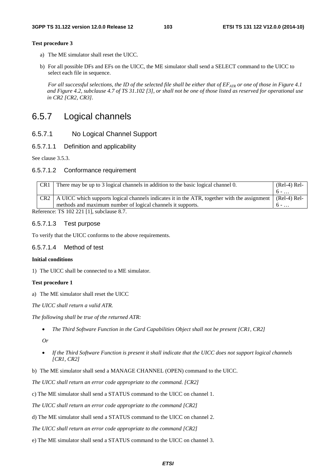#### **Test procedure 3**

- a) The ME simulator shall reset the UICC.
- b) For all possible DFs and EFs on the UICC, the ME simulator shall send a SELECT command to the UICC to select each file in sequence.

*For all successful selections, the ID of the selected file shall be either that of*  $E_{ATR}$  *or one of those in Figure 4.1 and Figure 4.2, subclause 4.7 of TS 31.102 [3], or shall not be one of those listed as reserved for operational use in CR2 [CR2, CR3].*

# 6.5.7 Logical channels

## 6.5.7.1 No Logical Channel Support

### 6.5.7.1.1 Definition and applicability

See clause 3.5.3.

### 6.5.7.1.2 Conformance requirement

| CR1   | There may be up to 3 logical channels in addition to the basic logical channel 0.                         | $(Rel-4) Rel-$ |
|-------|-----------------------------------------------------------------------------------------------------------|----------------|
|       |                                                                                                           | $6 - $         |
| $CR2$ | A UICC which supports logical channels indicates it in the ATR, together with the assignment (Rel-4) Rel- |                |
|       | methods and maximum number of logical channels it supports.                                               | $6 - $         |
|       | $T = 100, 001, 11, 11$                                                                                    |                |

Reference: TS 102 221 [1], subclause 8.7.

#### 6.5.7.1.3 Test purpose

To verify that the UICC conforms to the above requirements.

#### 6.5.7.1.4 Method of test

#### **Initial conditions**

1) The UICC shall be connected to a ME simulator.

#### **Test procedure 1**

a) The ME simulator shall reset the UICC

*The UICC shall return a valid ATR.* 

*The following shall be true of the returned ATR:* 

• *The Third Software Function in the Card Capabilities Object shall not be present [CR1, CR2]* 

*Or* 

- *If the Third Software Function is present it shall indicate that the UICC does not support logical channels [CR1, CR2]*
- b) The ME simulator shall send a MANAGE CHANNEL (OPEN) command to the UICC.

*The UICC shall return an error code appropriate to the command. [CR2]* 

c) The ME simulator shall send a STATUS command to the UICC on channel 1.

*The UICC shall return an error code appropriate to the command [CR2]* 

d) The ME simulator shall send a STATUS command to the UICC on channel 2.

*The UICC shall return an error code appropriate to the command [CR2]* 

e) The ME simulator shall send a STATUS command to the UICC on channel 3.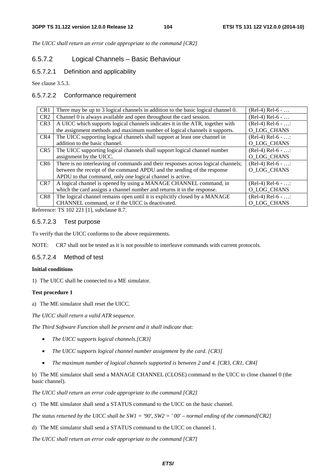*The UICC shall return an error code appropriate to the command [CR2]* 

# 6.5.7.2 Logical Channels – Basic Behaviour

### 6.5.7.2.1 Definition and applicability

See clause 3.5.3.

### 6.5.7.2.2 Conformance requirement

| CR <sub>1</sub> | There may be up to 3 logical channels in addition to the basic logical channel 0. | $(Rel-4) Rel-6 - $  |
|-----------------|-----------------------------------------------------------------------------------|---------------------|
| CR <sub>2</sub> | Channel 0 is always available and open throughout the card session.               | $(Rel-4) Rel-6 - $  |
| CR <sub>3</sub> | A UICC which supports logical channels indicates it in the ATR, together with     | $(Rel-4)$ Rel-6 - : |
|                 | the assignment methods and maximum number of logical channels it supports.        | O_LOG_CHANS         |
| CR4             | The UICC supporting logical channels shall support at least one channel in        | $(Rel-4)$ Rel-6 - : |
|                 | addition to the basic channel.                                                    | O LOG CHANS         |
| CR5             | The UICC supporting logical channels shall support logical channel number         | $(Rel-4)$ Rel-6 - : |
|                 | assignment by the UICC.                                                           | O_LOG_CHANS         |
| CR <sub>6</sub> | There is no interleaving of commands and their responses across logical channels; | $(Rel-4)$ Rel-6 - : |
|                 | between the receipt of the command APDU and the sending of the response           | O LOG CHANS         |
|                 | APDU to that command, only one logical channel is active.                         |                     |
| CR <sub>7</sub> | A logical channel is opened by using a MANAGE CHANNEL command, in                 | $(Rel-4)$ Rel-6 - : |
|                 | which the card assigns a channel number and returns it in the response.           | O_LOG_CHANS         |
| CR <sub>8</sub> | The logical channel remains open until it is explicitly closed by a MANAGE        | $(Rel-4) Rel-6 - $  |
|                 | CHANNEL command, or if the UICC is deactivated.                                   | O LOG CHANS         |

Reference: TS 102 221 [1], subclause 8.7.

### 6.5.7.2.3 Test purpose

To verify that the UICC conforms to the above requirements.

NOTE: CR7 shall not be tested as it is not possible to interleave commands with current protocols.

### 6.5.7.2.4 Method of test

#### **Initial conditions**

1) The UICC shall be connected to a ME simulator.

### **Test procedure 1**

a) The ME simulator shall reset the UICC.

*The UICC shall return a valid ATR sequence.* 

*The Third Software Function shall be present and it shall indicate that:* 

- *The UICC supports logical channels.[CR3]*
- *The UICC supports logical channel number assignment by the card. [CR3]*
- *The maximum number of logical channels supported is between 2 and 4. [CR3, CR1, CR4]*

b) The ME simulator shall send a MANAGE CHANNEL (CLOSE) command to the UICC to close channel 0 (the basic channel).

*The UICC shall return an error code appropriate to the command [CR2]*

c) The ME simulator shall send a STATUS command to the UICC on the basic channel.

*The status returned by the UICC shall be SW1 = '90', SW2 = ' 00' – normal ending of the command[CR2]* 

d) The ME simulator shall send a STATUS command to the UICC on channel 1.

*The UICC shall return an error code appropriate to the command [CR7]*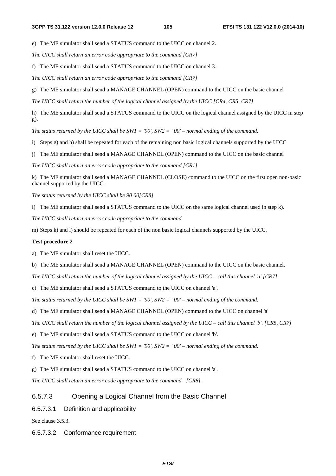e) The ME simulator shall send a STATUS command to the UICC on channel 2.

*The UICC shall return an error code appropriate to the command [CR7]*

f) The ME simulator shall send a STATUS command to the UICC on channel 3.

*The UICC shall return an error code appropriate to the command [CR7]*

g) The ME simulator shall send a MANAGE CHANNEL (OPEN) command to the UICC on the basic channel

*The UICC shall return the number of the logical channel assigned by the UICC [CR4, CR5, CR7]* 

h) The ME simulator shall send a STATUS command to the UICC on the logical channel assigned by the UICC in step g).

*The status returned by the UICC shall be SW1 = '90', SW2 = ' 00' – normal ending of the command.* 

i) Steps g) and h) shall be repeated for each of the remaining non basic logical channels supported by the UICC

j) The ME simulator shall send a MANAGE CHANNEL (OPEN) command to the UICC on the basic channel

*The UICC shall return an error code appropriate to the command [CR1]* 

k) The ME simulator shall send a MANAGE CHANNEL (CLOSE) command to the UICC on the first open non-basic channel supported by the UICC.

*The status returned by the UICC shall be 90 00[CR8]* 

l) The ME simulator shall send a STATUS command to the UICC on the same logical channel used in step k).

*The UICC shall return an error code appropriate to the command.* 

m) Steps k) and l) should be repeated for each of the non basic logical channels supported by the UICC.

#### **Test procedure 2**

a) The ME simulator shall reset the UICC.

b) The ME simulator shall send a MANAGE CHANNEL (OPEN) command to the UICC on the basic channel.

*The UICC shall return the number of the logical channel assigned by the UICC – call this channel 'a' [CR7]*

c) The ME simulator shall send a STATUS command to the UICC on channel 'a'.

*The status returned by the UICC shall be SW1 = '90', SW2 = ' 00' – normal ending of the command.* 

d) The ME simulator shall send a MANAGE CHANNEL (OPEN) command to the UICC on channel 'a'

*The UICC shall return the number of the logical channel assigned by the UICC – call this channel 'b'. [CR5, CR7]*

e) The ME simulator shall send a STATUS command to the UICC on channel 'b'.

*The status returned by the UICC shall be SW1 = '90', SW2 = ' 00' – normal ending of the command.* 

f) The ME simulator shall reset the UICC.

g) The ME simulator shall send a STATUS command to the UICC on channel 'a'.

*The UICC shall return an error code appropriate to the command [CR8].* 

### 6.5.7.3 Opening a Logical Channel from the Basic Channel

6.5.7.3.1 Definition and applicability

See clause 3.5.3.

6.5.7.3.2 Conformance requirement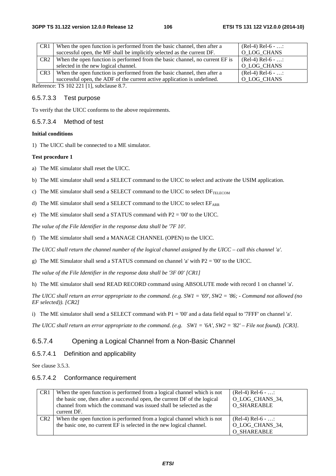| CR <sub>1</sub> | When the open function is performed from the basic channel, then after a     | $(Rel-4) Rel-6 - $ |  |
|-----------------|------------------------------------------------------------------------------|--------------------|--|
|                 | successful open, the MF shall be implicitly selected as the current DF.      | O LOG CHANS        |  |
| CR <sub>2</sub> | When the open function is performed from the basic channel, no current EF is | $(Rel-4) Rel-6 - $ |  |
|                 | selected in the new logical channel.                                         | O LOG CHANS        |  |
| CR <sub>3</sub> | When the open function is performed from the basic channel, then after a     | $(Rel-4) Rel-6 - $ |  |
|                 | successful open, the ADF of the current active application is undefined.     | O LOG CHANS        |  |
|                 | $\pi$ <sup>0</sup> 100.001.511 $\pi$ 1.1 0.7                                 |                    |  |

Reference: TS 102 221 [1], subclause 8.7.

### 6.5.7.3.3 Test purpose

To verify that the UICC conforms to the above requirements.

### 6.5.7.3.4 Method of test

#### **Initial conditions**

1) The UICC shall be connected to a ME simulator.

#### **Test procedure 1**

a) The ME simulator shall reset the UICC.

b) The ME simulator shall send a SELECT command to the UICC to select and activate the USIM application.

c) The ME simulator shall send a SELECT command to the UICC to select  $DF_{TELECOM}$ 

d) The ME simulator shall send a SELECT command to the UICC to select  $EF_{ARR}$ 

e) The ME simulator shall send a STATUS command with P2 = '00' to the UICC.

*The value of the File Identifier in the response data shall be '7F 10'.* 

f) The ME simulator shall send a MANAGE CHANNEL (OPEN) to the UICC.

*The UICC shall return the channel number of the logical channel assigned by the UICC – call this channel 'a'.*

g) The ME Simulator shall send a STATUS command on channel 'a' with P2 = '00' to the UICC.

*The value of the File Identifier in the response data shall be '3F 00' [CR1]* 

h) The ME simulator shall send READ RECORD command using ABSOLUTE mode with record 1 on channel 'a'.

*The UICC shall return an error appropriate to the command. (e.g. SW1 = '69', SW2 = '86; - Command not allowed (no EF selected)). [CR2]* 

i) The ME simulator shall send a SELECT command with  $P1 = 0'0'$  and a data field equal to '7FFF' on channel 'a'.

*The UICC shall return an error appropriate to the command. (e.g. SW1 = '6A', SW2 = '82' – File not found). [CR3].* 

# 6.5.7.4 Opening a Logical Channel from a Non-Basic Channel

### 6.5.7.4.1 Definition and applicability

See clause 3.5.3.

### 6.5.7.4.2 Conformance requirement

| CR <sub>1</sub> | When the open function is performed from a logical channel which is not<br>the basic one, then after a successful open, the current DF of the logical | $(Rel-4) Rel-6 - $<br>O LOG CHANS 34,                       |
|-----------------|-------------------------------------------------------------------------------------------------------------------------------------------------------|-------------------------------------------------------------|
|                 | channel from which the command was issued shall be selected as the<br>current DF.                                                                     | <b>O SHAREABLE</b>                                          |
| CR <sub>2</sub> | When the open function is performed from a logical channel which is not<br>the basic one, no current EF is selected in the new logical channel.       | $(Rel-4) Rel-6 - $<br>O LOG CHANS 34,<br><b>O SHAREABLE</b> |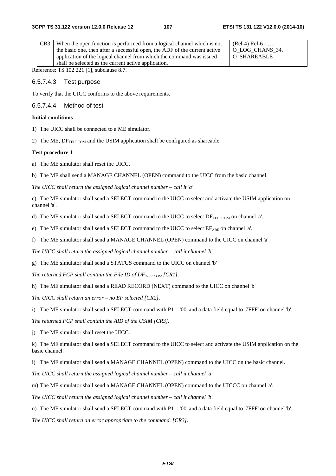| CR3 | When the open function is performed from a logical channel which is not    | $(Rel-4) Rel-6 - $ |
|-----|----------------------------------------------------------------------------|--------------------|
|     | the basic one, then after a successful open, the ADF of the current active | OLOG CHANS 34.     |
|     | application of the logical channel from which the command was issued       | O SHAREABLE        |
|     | shall be selected as the current active application.                       |                    |

Reference: TS 102 221 [1], subclause 8.7.

#### 6.5.7.4.3 Test purpose

To verify that the UICC conforms to the above requirements.

#### 6.5.7.4.4 Method of test

### **Initial conditions**

1) The UICC shall be connected to a ME simulator.

2) The ME,  $DF_{\text{TELFCOM}}$  and the USIM application shall be configured as shareable.

#### **Test procedure 1**

a) The ME simulator shall reset the UICC.

b) The ME shall send a MANAGE CHANNEL (OPEN) command to the UICC from the basic channel.

*The UICC shall return the assigned logical channel number – call it 'a'* 

c) The ME simulator shall send a SELECT command to the UICC to select and activate the USIM application on channel 'a'.

d) The ME simulator shall send a SELECT command to the UICC to select  $DF_{TELECOM}$  on channel 'a'.

e) The ME simulator shall send a SELECT command to the UICC to select  $E_{ARR}$  on channel 'a'.

f) The ME simulator shall send a MANAGE CHANNEL (OPEN) command to the UICC on channel 'a'.

*The UICC shall return the assigned logical channel number – call it channel 'b'.* 

g) The ME simulator shall send a STATUS command to the UICC on channel 'b'

*The returned FCP shall contain the File ID of DF<sub>TELECOM</sub> [CR1].* 

h) The ME simulator shall send a READ RECORD (NEXT) command to the UICC on channel 'b'

*The UICC shall return an error – no EF selected [CR2].* 

i) The ME simulator shall send a SELECT command with P1 = '00' and a data field equal to '7FFF' on channel 'b'.

*The returned FCP shall contain the AID of the USIM [CR3].* 

j) The ME simulator shall reset the UICC.

k) The ME simulator shall send a SELECT command to the UICC to select and activate the USIM application on the basic channel.

l) The ME simulator shall send a MANAGE CHANNEL (OPEN) command to the UICC on the basic channel.

*The UICC shall return the assigned logical channel number – call it channel 'a'.* 

m) The ME simulator shall send a MANAGE CHANNEL (OPEN) command to the UICCC on channel 'a'.

*The UICC shall return the assigned logical channel number – call it channel 'b'.* 

n) The ME simulator shall send a SELECT command with  $P1 = 0'0'$  and a data field equal to '7FFF' on channel 'b'.

*The UICC shall return an error appropriate to the command. [CR3].*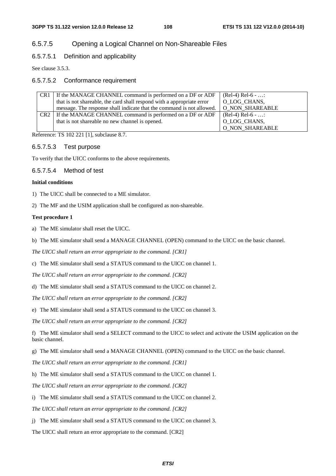# 6.5.7.5 Opening a Logical Channel on Non-Shareable Files

## 6.5.7.5.1 Definition and applicability

See clause 3.5.3.

## 6.5.7.5.2 Conformance requirement

| CR <sub>1</sub> | If the MANAGE CHANNEL command is performed on a DF or ADF              | $(Rel-4) Rel-6 - $ |
|-----------------|------------------------------------------------------------------------|--------------------|
|                 | that is not shareable, the card shall respond with a appropriate error | O LOG CHANS,       |
|                 | message. The response shall indicate that the command is not allowed.  | O NON SHAREABLE    |
|                 | CR2   If the MANAGE CHANNEL command is performed on a DF or ADF        | $(Rel-4) Rel-6 - $ |
|                 | that is not shareable no new channel is opened.                        | O_LOG_CHANS,       |
|                 |                                                                        | O_NON_SHAREABLE    |

Reference: TS 102 221 [1], subclause 8.7.

#### 6.5.7.5.3 Test purpose

To verify that the UICC conforms to the above requirements.

## 6.5.7.5.4 Method of test

#### **Initial conditions**

- 1) The UICC shall be connected to a ME simulator.
- 2) The MF and the USIM application shall be configured as non-shareable.

#### **Test procedure 1**

- a) The ME simulator shall reset the UICC.
- b) The ME simulator shall send a MANAGE CHANNEL (OPEN) command to the UICC on the basic channel.

*The UICC shall return an error appropriate to the command. [CR1]* 

c) The ME simulator shall send a STATUS command to the UICC on channel 1.

*The UICC shall return an error appropriate to the command. [CR2]* 

d) The ME simulator shall send a STATUS command to the UICC on channel 2.

*The UICC shall return an error appropriate to the command. [CR2]* 

e) The ME simulator shall send a STATUS command to the UICC on channel 3.

*The UICC shall return an error appropriate to the command. [CR2]* 

f) The ME simulator shall send a SELECT command to the UICC to select and activate the USIM application on the basic channel.

g) The ME simulator shall send a MANAGE CHANNEL (OPEN) command to the UICC on the basic channel.

*The UICC shall return an error appropriate to the command. [CR1]* 

h) The ME simulator shall send a STATUS command to the UICC on channel 1.

*The UICC shall return an error appropriate to the command. [CR2]* 

i) The ME simulator shall send a STATUS command to the UICC on channel 2.

*The UICC shall return an error appropriate to the command. [CR2]* 

j) The ME simulator shall send a STATUS command to the UICC on channel 3.

The UICC shall return an error appropriate to the command. [CR2]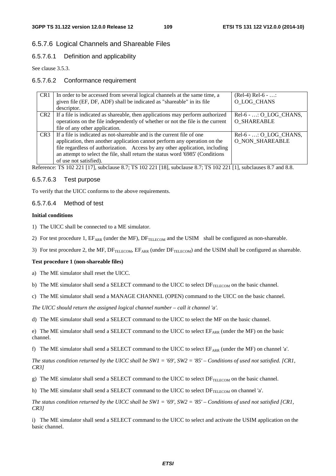# 6.5.7.6 Logical Channels and Shareable Files

## 6.5.7.6.1 Definition and applicability

See clause 3.5.3.

## 6.5.7.6.2 Conformance requirement

| CR <sub>1</sub> | In order to be accessed from several logical channels at the same time, a                                                                                                                                                                                                                                                                                                                      | $(Rel-4) Rel-6 - $     |
|-----------------|------------------------------------------------------------------------------------------------------------------------------------------------------------------------------------------------------------------------------------------------------------------------------------------------------------------------------------------------------------------------------------------------|------------------------|
|                 | given file (EF, DF, ADF) shall be indicated as "shareable" in its file                                                                                                                                                                                                                                                                                                                         | O LOG CHANS            |
|                 | descriptor.                                                                                                                                                                                                                                                                                                                                                                                    |                        |
| CR <sub>2</sub> | If a file is indicated as shareable, then applications may perform authorized                                                                                                                                                                                                                                                                                                                  | Rel-6 - : O_LOG_CHANS, |
|                 | operations on the file independently of whether or not the file is the current                                                                                                                                                                                                                                                                                                                 | <b>O SHAREABLE</b>     |
|                 | file of any other application.                                                                                                                                                                                                                                                                                                                                                                 |                        |
| CR <sub>3</sub> | If a file is indicated as not-shareable and is the current file of one                                                                                                                                                                                                                                                                                                                         | Rel-6 - : O LOG CHANS, |
|                 | application, then another application cannot perform any operation on the                                                                                                                                                                                                                                                                                                                      | <b>O NON SHAREABLE</b> |
|                 | file regardless of authorization. Access by any other application, including                                                                                                                                                                                                                                                                                                                   |                        |
|                 | an attempt to select the file, shall return the status word '6985' (Conditions                                                                                                                                                                                                                                                                                                                 |                        |
|                 | of use not satisfied).                                                                                                                                                                                                                                                                                                                                                                         |                        |
|                 | $\sim$<br>$\overline{a}$ $\overline{a}$ $\overline{a}$ $\overline{a}$ $\overline{a}$ $\overline{a}$ $\overline{a}$ $\overline{a}$ $\overline{a}$ $\overline{a}$ $\overline{a}$ $\overline{a}$ $\overline{a}$ $\overline{a}$ $\overline{a}$ $\overline{a}$ $\overline{a}$ $\overline{a}$ $\overline{a}$ $\overline{a}$ $\overline{a}$ $\overline{a}$ $\overline{a}$ $\overline{a}$ $\overline{$ | $\sim$ $\sim$          |

Reference: TS 102 221 [17], subclause 8.7; TS 102 221 [18], subclause 8.7; TS 102 221 [1], subclauses 8.7 and 8.8.

## 6.5.7.6.3 Test purpose

To verify that the UICC conforms to the above requirements.

## 6.5.7.6.4 Method of test

#### **Initial conditions**

- 1) The UICC shall be connected to a ME simulator.
- 2) For test procedure 1,  $E_{ARR}$  (under the MF),  $DF_{TELECOM}$  and the USIM shall be configured as non-shareable.
- 3) For test procedure 2, the MF,  $DF_{TELECOM}$ ,  $EF_{ARR}$  (under  $DF_{TELECOM}$ ) and the USIM shall be configured as shareable.

## **Test procedure 1 (non-shareable files)**

a) The ME simulator shall reset the UICC.

- b) The ME simulator shall send a SELECT command to the UICC to select  $DF_{TELECOM}$  on the basic channel.
- c) The ME simulator shall send a MANAGE CHANNEL (OPEN) command to the UICC on the basic channel.

*The UICC should return the assigned logical channel number – call it channel 'a'.* 

d) The ME simulator shall send a SELECT command to the UICC to select the MF on the basic channel.

e) The ME simulator shall send a SELECT command to the UICC to select  $E_{ARR}$  (under the MF) on the basic channel.

f) The ME simulator shall send a SELECT command to the UICC to select  $EF_{ARR}$  (under the MF) on channel 'a'.

*The status condition returned by the UICC shall be SW1 = '69', SW2 = '85' – Conditions of used not satisfied. [CR1, CR3]* 

- g) The ME simulator shall send a SELECT command to the UICC to select  $DF_{TELECOM}$  on the basic channel.
- h) The ME simulator shall send a SELECT command to the UICC to select  $DF_{TELECOM}$  on channel 'a'.

*The status condition returned by the UICC shall be SW1 = '69', SW2 = '85' – Conditions of used not satisfied [CR1, CR3]* 

i) The ME simulator shall send a SELECT command to the UICC to select and activate the USIM application on the basic channel.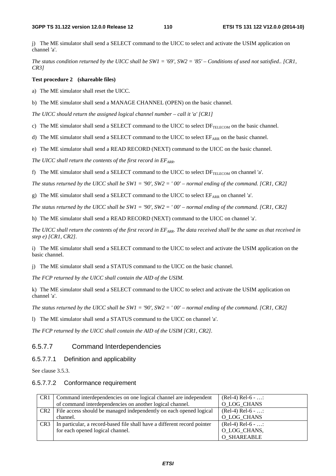j) The ME simulator shall send a SELECT command to the UICC to select and activate the USIM application on channel 'a'.

*The status condition returned by the UICC shall be SW1 = '69', SW2 = '85' – Conditions of used not satisfied.. [CR1, CR3]* 

## **Test procedure 2 (shareable files)**

a) The ME simulator shall reset the UICC.

b) The ME simulator shall send a MANAGE CHANNEL (OPEN) on the basic channel.

*The UICC should return the assigned logical channel number – call it 'a' [CR1]* 

c) The ME simulator shall send a SELECT command to the UICC to select  $DF_{TELECOM}$  on the basic channel.

d) The ME simulator shall send a SELECT command to the UICC to select  $E_{ARR}$  on the basic channel.

e) The ME simulator shall send a READ RECORD (NEXT) command to the UICC on the basic channel.

The UICC shall return the contents of the first record in  $EF_{APR}$ .

f) The ME simulator shall send a SELECT command to the UICC to select  $DF_{TELECOM}$  on channel 'a'.

*The status returned by the UICC shall be SW1 = '90', SW2 = ' 00' – normal ending of the command. [CR1, CR2]* 

g) The ME simulator shall send a SELECT command to the UICC to select  $EF_{ARR}$  on channel 'a'.

*The status returned by the UICC shall be SW1 = '90', SW2 = ' 00' – normal ending of the command. [CR1, CR2]* 

h) The ME simulator shall send a READ RECORD (NEXT) command to the UICC on channel 'a'.

*The UICC shall return the contents of the first record in EF<sub>ARR</sub>. The data received shall be the same as that received in step e) [CR1, CR2].* 

i) The ME simulator shall send a SELECT command to the UICC to select and activate the USIM application on the basic channel.

j) The ME simulator shall send a STATUS command to the UICC on the basic channel.

*The FCP returned by the UICC shall contain the AID of the USIM.* 

k) The ME simulator shall send a SELECT command to the UICC to select and activate the USIM application on channel 'a'.

*The status returned by the UICC shall be SW1 = '90', SW2 = ' 00' – normal ending of the command. [CR1, CR2]* 

l) The ME simulator shall send a STATUS command to the UICC on channel 'a'.

*The FCP returned by the UICC shall contain the AID of the USIM [CR1, CR2].*

## 6.5.7.7 Command Interdependencies

6.5.7.7.1 Definition and applicability

See clause 3.5.3.

## 6.5.7.7.2 Conformance requirement

| CR <sub>1</sub> | Command interdependencies on one logical channel are independent         | $(Rel-4) Rel-6 - $ |
|-----------------|--------------------------------------------------------------------------|--------------------|
|                 | of command interdependencies on another logical channel.                 | O LOG CHANS        |
| CR2             | File access should be managed independently on each opened logical       | $(Rel-4) Rel-6 - $ |
|                 | channel.                                                                 | O_LOG_CHANS        |
| CR <sub>3</sub> | In particular, a record-based file shall have a different record pointer | $(Rel-4) Rel-6 - $ |
|                 | for each opened logical channel.                                         | O_LOG_CHANS,       |
|                 |                                                                          | <b>O_SHAREABLE</b> |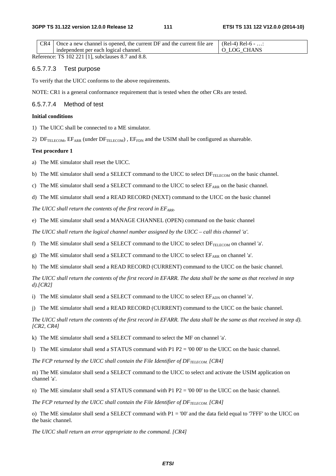| $CR4$ Once a new channel is opened, the current DF and the current file are $\left($ (Rel-4) Rel-6 - |             |
|------------------------------------------------------------------------------------------------------|-------------|
| independent per each logical channel.                                                                | O LOG CHANS |
| ________________                                                                                     |             |

Reference: TS 102 221 [1], subclauses 8.7 and 8.8.

### 6.5.7.7.3 Test purpose

To verify that the UICC conforms to the above requirements.

NOTE: CR1 is a general conformance requirement that is tested when the other CRs are tested.

#### 6.5.7.7.4 Method of test

## **Initial conditions**

1) The UICC shall be connected to a ME simulator.

2)  $DF_{TELECOM}$ ,  $EF_{ARR}$  (under  $DF_{TELECOM}$ ),  $EF_{FDN}$  and the USIM shall be configured as shareable.

## **Test procedure 1**

a) The ME simulator shall reset the UICC.

b) The ME simulator shall send a SELECT command to the UICC to select  $DF_{TELECOM}$  on the basic channel.

c) The ME simulator shall send a SELECT command to the UICC to select  $E_{ARR}$  on the basic channel.

d) The ME simulator shall send a READ RECORD (NEXT) command to the UICC on the basic channel

*The UICC shall return the contents of the first record in EF<sub>ARR</sub>.* 

e) The ME simulator shall send a MANAGE CHANNEL (OPEN) command on the basic channel

*The UICC shall return the logical channel number assigned by the UICC – call this channel 'a'.* 

f) The ME simulator shall send a SELECT command to the UICC to select  $DF_{TELECOM}$  on channel 'a'.

g) The ME simulator shall send a SELECT command to the UICC to select  $EF_{ARR}$  on channel 'a'.

h) The ME simulator shall send a READ RECORD (CURRENT) command to the UICC on the basic channel.

*The UICC shall return the contents of the first record in EFARR. The data shall be the same as that received in step d).[CR2]*

i) The ME simulator shall send a SELECT command to the UICC to select  $EF_{ADN}$  on channel 'a'.

j) The ME simulator shall send a READ RECORD (CURRENT) command to the UICC on the basic channel.

*The UICC shall return the contents of the first record in EFARR. The data shall be the same as that received in step d). [CR2, CR4]* 

k) The ME simulator shall send a SELECT command to select the MF on channel 'a'.

l) The ME simulator shall send a STATUS command with P1 P2 = '00 00' to the UICC on the basic channel.

The FCP returned by the UICC shall contain the File Identifier of DF<sub>TELECOM.</sub> [CR4]

m) The ME simulator shall send a SELECT command to the UICC to select and activate the USIM application on channel 'a'.

n) The ME simulator shall send a STATUS command with P1  $P2 = '00\,00'$  to the UICC on the basic channel.

*The FCP returned by the UICC shall contain the File Identifier of*  $DF_{TELECOM}$  *[CR4]* 

o) The ME simulator shall send a SELECT command with  $P1 = 0'$  and the data field equal to '7FFF' to the UICC on the basic channel.

*The UICC shall return an error appropriate to the command. [CR4]*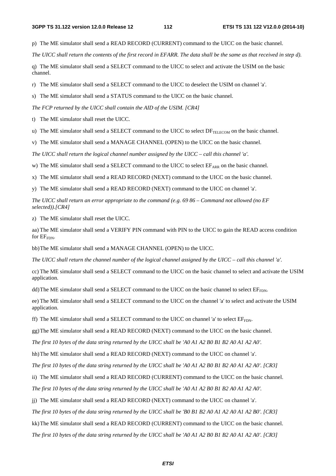p) The ME simulator shall send a READ RECORD (CURRENT) command to the UICC on the basic channel.

*The UICC shall return the contents of the first record in EFARR. The data shall be the same as that received in step d).*

q) The ME simulator shall send a SELECT command to the UICC to select and activate the USIM on the basic channel.

r) The ME simulator shall send a SELECT command to the UICC to deselect the USIM on channel 'a'.

s) The ME simulator shall send a STATUS command to the UICC on the basic channel.

*The FCP returned by the UICC shall contain the AID of the USIM. [CR4]* 

t) The ME simulator shall reset the UICC.

u) The ME simulator shall send a SELECT command to the UICC to select  $DF_{\text{TEIECOM}}$  on the basic channel.

v) The ME simulator shall send a MANAGE CHANNEL (OPEN) to the UICC on the basic channel.

*The UICC shall return the logical channel number assigned by the UICC – call this channel 'a'.* 

w) The ME simulator shall send a SELECT command to the UICC to select  $E_{ARR}$  on the basic channel.

x) The ME simulator shall send a READ RECORD (NEXT) command to the UICC on the basic channel.

y) The ME simulator shall send a READ RECORD (NEXT) command to the UICC on channel 'a'.

*The UICC shall return an error appropriate to the command (e.g. 69 86 – Command not allowed (no EF selected)).[CR4]*

z) The ME simulator shall reset the UICC.

aa) The ME simulator shall send a VERIFY PIN command with PIN to the UICC to gain the READ access condition for  $EF_{\text{FDN}}$ .

bb) The ME simulator shall send a MANAGE CHANNEL (OPEN) to the UICC.

*The UICC shall return the channel number of the logical channel assigned by the UICC – call this channel 'a'.*

cc) The ME simulator shall send a SELECT command to the UICC on the basic channel to select and activate the USIM application.

dd) The ME simulator shall send a SELECT command to the UICC on the basic channel to select  $EF_{FDN}$ .

ee) The ME simulator shall send a SELECT command to the UICC on the channel 'a' to select and activate the USIM application.

ff) The ME simulator shall send a SELECT command to the UICC on channel 'a' to select  $EF<sub>FDN</sub>$ .

gg) The ME simulator shall send a READ RECORD (NEXT) command to the UICC on the basic channel.

*The first 10 bytes of the data string returned by the UICC shall be 'A0 A1 A2 B0 B1 B2 A0 A1 A2 A0'.* 

hh) The ME simulator shall send a READ RECORD (NEXT) command to the UICC on channel 'a'.

*The first 10 bytes of the data string returned by the UICC shall be 'A0 A1 A2 B0 B1 B2 A0 A1 A2 A0'. [CR3]* 

ii) The ME simulator shall send a READ RECORD (CURRENT) command to the UICC on the basic channel.

*The first 10 bytes of the data string returned by the UICC shall be 'A0 A1 A2 B0 B1 B2 A0 A1 A2 A0'.* 

jj) The ME simulator shall send a READ RECORD (NEXT) command to the UICC on channel 'a'.

*The first 10 bytes of the data string returned by the UICC shall be 'B0 B1 B2 A0 A1 A2 A0 A1 A2 B0'. [CR3]* 

kk) The ME simulator shall send a READ RECORD (CURRENT) command to the UICC on the basic channel.

*The first 10 bytes of the data string returned by the UICC shall be 'A0 A1 A2 B0 B1 B2 A0 A1 A2 A0'. [CR3]*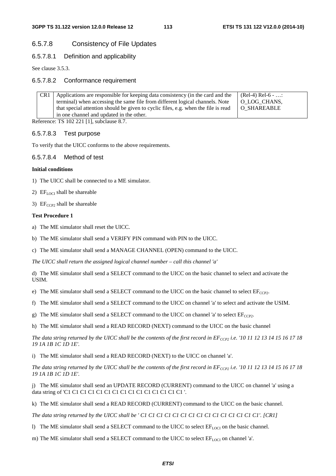# 6.5.7.8 Consistency of File Updates

## 6.5.7.8.1 Definition and applicability

See clause 3.5.3.

## 6.5.7.8.2 Conformance requirement

| CR <sub>1</sub> | Applications are responsible for keeping data consistency (in the card and the     | $(Rel-4) Rel-6 - $ |
|-----------------|------------------------------------------------------------------------------------|--------------------|
|                 | terminal) when accessing the same file from different logical channels. Note       | O LOG CHANS,       |
|                 | that special attention should be given to cyclic files, e.g. when the file is read | O SHAREABLE        |
|                 | in one channel and updated in the other.                                           |                    |

Reference: TS 102 221 [1], subclause 8.7.

## 6.5.7.8.3 Test purpose

To verify that the UICC conforms to the above requirements.

## 6.5.7.8.4 Method of test

#### **Initial conditions**

- 1) The UICC shall be connected to a ME simulator.
- 2)  $EF_{LOCI}$  shall be shareable
- 3)  $EF_{CCP2}$  shall be shareable

#### **Test Procedure 1**

a) The ME simulator shall reset the UICC.

b) The ME simulator shall send a VERIFY PIN command with PIN to the UICC.

c) The ME simulator shall send a MANAGE CHANNEL (OPEN) command to the UICC.

*The UICC shall return the assigned logical channel number – call this channel 'a'* 

d) The ME simulator shall send a SELECT command to the UICC on the basic channel to select and activate the USIM.

e) The ME simulator shall send a SELECT command to the UICC on the basic channel to select  $EF_{CCP2}$ .

f) The ME simulator shall send a SELECT command to the UICC on channel 'a' to select and activate the USIM.

g) The ME simulator shall send a SELECT command to the UICC on channel 'a' to select  $EF_{CCP2}$ .

h) The ME simulator shall send a READ RECORD (NEXT) command to the UICC on the basic channel

The data string returned by the UICC shall be the contents of the first record in  $EF_{CCP}$  i.e. '10 11 12 13 14 15 16 17 18 *19 1A 1B 1C 1D 1E'.* 

i) The ME simulator shall send a READ RECORD (NEXT) to the UICC on channel 'a'.

The data string returned by the UICC shall be the contents of the first record in EF<sub>CCP2</sub> i.e. '10 11 12 13 14 15 16 17 18 *19 1A 1B 1C 1D 1E'.* 

j) The ME simulator shall send an UPDATE RECORD (CURRENT) command to the UICC on channel 'a' using a data string of 'C1 C1 C1 C1 C1 C1 C1 C1 C1 C1 C1 C1 C1 C1 C1 '.

k) The ME simulator shall send a READ RECORD (CURRENT) command to the UICC on the basic channel.

*The data string returned by the UICC shall be ' C1 C1 C1 C1 C1 C1 C1 C1 C1 C1 C1 C1 C1 C1 C1'. [CR1]* 

l) The ME simulator shall send a SELECT command to the UICC to select  $E_{[100]}$  on the basic channel.

m) The ME simulator shall send a SELECT command to the UICC to select  $EF_{\text{LOC}}$  on channel 'a'.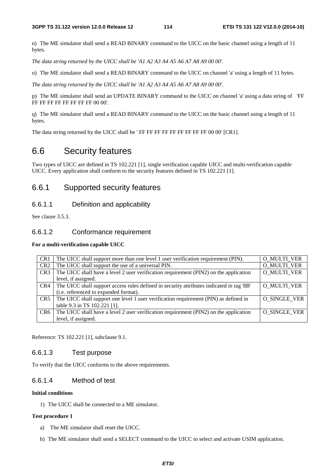n) The ME simulator shall send a READ BINARY command to the UICC on the basic channel using a length of 11 bytes.

*The data string returned by the UICC shall be 'A1 A2 A3 A4 A5 A6 A7 A8 A9 00 00'.* 

o) The ME simulator shall send a READ BINARY command to the UICC on channel 'a' using a length of 11 bytes.

*The data string returned by the UICC shall be 'A1 A2 A3 A4 A5 A6 A7 A8 A9 00 00'.* 

p) The ME simulator shall send an UPDATE BINARY command to the UICC on channel 'a' using a data string of 'FF FF FF FF FF FF FF FF 00 00'.

q) The ME simulator shall send a READ BINARY command to the UICC on the basic channel using a length of 11 bytes.

The data string returned by the UICC shall be ' FF FF FF FF FF FF FF FF FF 00 00' [CR1].

# 6.6 Security features

Two types of UICC are defined in TS 102.221 [1], single verification capable UICC and multi-verification capable UICC. Every application shall conform to the security features defined in TS 102.221 [1].

# 6.6.1 Supported security features

## 6.6.1.1 Definition and applicability

See clause 3.5.3.

# 6.6.1.2 Conformance requirement

## **For a multi-verification capable UICC**

| CR <sub>1</sub> | The UICC shall support more than one level 1 user verification requirement (PIN).        | <b>O_MULTI_VER</b> |
|-----------------|------------------------------------------------------------------------------------------|--------------------|
| CR <sub>2</sub> | The UICC shall support the use of a universal PIN.                                       | <b>O_MULTI_VER</b> |
| CR <sub>3</sub> | The UICC shall have a level 2 user verification requirement (PIN2) on the application    | O MULTI VER        |
|                 | level, if assigned.                                                                      |                    |
| CR4             | The UICC shall support access rules defined in security attributes indicated in tag '8B' | <b>O MULTI VER</b> |
|                 | (i.e. referenced to expanded format).                                                    |                    |
| CR5             | The UICC shall support one level 1 user verification requirement (PIN) as defined in     | O SINGLE VER       |
|                 | table 9.3 in TS 102.221 [1].                                                             |                    |
| CR6             | The UICC shall have a level 2 user verification requirement (PIN2) on the application    | O SINGLE VER       |
|                 | level, if assigned.                                                                      |                    |

Reference: TS 102.221 [1], subclause 9.1.

## 6.6.1.3 Test purpose

To verify that the UICC conforms to the above requirements.

# 6.6.1.4 Method of test

## **Initial conditions**

1) The UICC shall be connected to a ME simulator.

#### **Test procedure 1**

- a) The ME simulator shall reset the UICC.
- b) The ME simulator shall send a SELECT command to the UICC to select and activate USIM application.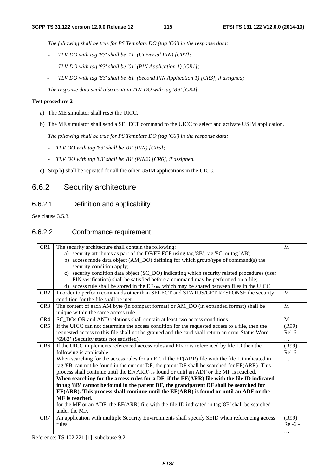*The following shall be true for PS Template DO (tag 'C6') in the response data:* 

- *TLV DO with tag '83' shall be '11' (Universal PIN) [CR2];*
- *TLV DO with tag '83' shall be '01' (PIN Application 1) [CR1];*
- *TLV DO with tag '83' shall be '81' (Second PIN Application 1) [CR3], if assigned;*

*The response data shall also contain TLV DO with tag '8B' [CR4].* 

### **Test procedure 2**

- a) The ME simulator shall reset the UICC.
- b) The ME simulator shall send a SELECT command to the UICC to select and activate USIM application.

 *The following shall be true for PS Template DO (tag 'C6') in the response data:* 

- *TLV DO with tag '83' shall be '01' (PIN) [CR5];*
- *TLV DO with tag '83' shall be '81' (PIN2) [CR6], if assigned.*
- c) Step b) shall be repeated for all the other USIM applications in the UICC.

# 6.6.2 Security architecture

# 6.6.2.1 Definition and applicability

See clause 3.5.3.

# 6.6.2.2 Conformance requirement

| CR1             | The security architecture shall contain the following:                                            | M         |
|-----------------|---------------------------------------------------------------------------------------------------|-----------|
|                 | a) security attributes as part of the DF/EF FCP using tag '8B', tag '8C' or tag 'AB';             |           |
|                 | b) access mode data object (AM_DO) defining for which group/type of command(s) the                |           |
|                 | security condition apply;                                                                         |           |
|                 | c) security condition data object (SC_DO) indicating which security related procedures (user      |           |
|                 | PIN verification) shall be satisfied before a command may be performed on a file;                 |           |
|                 | d) access rule shall be stored in the EFARR which may be shared between files in the UICC.        |           |
| CR <sub>2</sub> | In order to perform commands other than SELECT and STATUS/GET RESPONSE the security               | M         |
|                 | condition for the file shall be met.                                                              |           |
| CR <sub>3</sub> | The content of each AM byte (in compact format) or AM_DO (in expanded format) shall be            | M         |
|                 | unique within the same access rule.                                                               |           |
| CR4             | SC DOs OR and AND relations shall contain at least two access conditions.                         | M         |
| CR5             | If the UICC can not determine the access condition for the requested access to a file, then the   | (R99)     |
|                 | requested access to this file shall not be granted and the card shall return an error Status Word | $Rel-6 -$ |
|                 | '6982' (Security status not satisfied).                                                           | .         |
| CR <sub>6</sub> | If the UICC implements referenced access rules and EFarr is referenced by file ID then the        | (R99)     |
|                 | following is applicable:                                                                          | $Rel-6$ - |
|                 | When searching for the access rules for an EF, if the EF(ARR) file with the file ID indicated in  | .         |
|                 | tag '8B' can not be found in the current DF, the parent DF shall be searched for EF(ARR). This    |           |
|                 | process shall continue until the EF(ARR) is found or until an ADF or the MF is reached.           |           |
|                 | When searching for the access rules for a DF, if the EF(ARR) file with the file ID indicated      |           |
|                 | in tag '8B' cannot be found in the parent DF, the grandparent DF shall be searched for            |           |
|                 | EF(ARR). This process shall continue until the EF(ARR) is found or until an ADF or the            |           |
|                 | MF is reached.                                                                                    |           |
|                 | for the MF or an ADF, the EF(ARR) file with the file ID indicated in tag '8B' shall be searched   |           |
|                 | under the MF.                                                                                     |           |
| CR7             | An application with multiple Security Environments shall specify SEID when referencing access     | (R99)     |
|                 | rules.                                                                                            | $Rel-6 -$ |
|                 |                                                                                                   | .         |

Reference: TS 102.221 [1], subclause 9.2.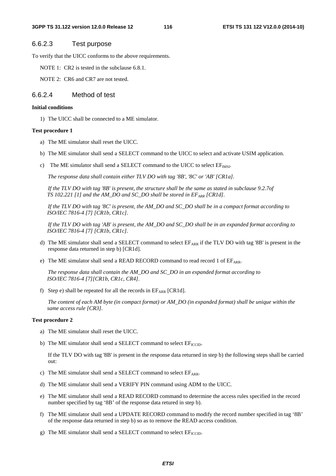## 6.6.2.3 Test purpose

To verify that the UICC conforms to the above requirements.

NOTE 1: CR2 is tested in the subclause 6.8.1.

NOTE 2: CR6 and CR7 are not tested.

## 6.6.2.4 Method of test

#### **Initial conditions**

1) The UICC shall be connected to a ME simulator.

#### **Test procedure 1**

- a) The ME simulator shall reset the UICC.
- b) The ME simulator shall send a SELECT command to the UICC to select and activate USIM application.
- c) The ME simulator shall send a SELECT command to the UICC to select  $EF_{IMSI}$ .

 *The response data shall contain either TLV DO with tag '8B', '8C' or 'AB' [CR1a].* 

 *If the TLV DO with tag '8B' is present, the structure shall be the same as stated in subclause 9.2.7of TS 102.221 [1] and the AM\_DO and SC\_DO shall be stored in*  $EF_{ARR}$  *[CR1d].* 

 *If the TLV DO with tag '8C' is present, the AM\_DO and SC\_DO shall be in a compact format according to ISO/IEC 7816-4 [7] [CR1b, CR1c].* 

 *If the TLV DO with tag 'AB' is present, the AM\_DO and SC\_DO shall be in an expanded format according to ISO/IEC 7816-4 [7] [CR1b, CR1c].* 

- d) The ME simulator shall send a SELECT command to select  $E_{ARR}$  if the TLV DO with tag '8B' is present in the response data returned in step b) [CR1d].
- e) The ME simulator shall send a READ RECORD command to read record 1 of EF<sub>ARR</sub>.

 *The response data shall contain the AM\_DO and SC\_DO in an expanded format according to ISO/IEC 7816-4 [7][CR1b, CR1c, CR4].*

f) Step e) shall be repeated for all the records in  $EF_{ARR}$  [CR1d].

*The content of each AM byte (in compact format) or AM\_DO (in expanded format) shall be unique within the same access rule [CR3].* 

#### **Test procedure 2**

- a) The ME simulator shall reset the UICC.
- b) The ME simulator shall send a SELECT command to select  $EF_{\text{ICTD}}$ .

If the TLV DO with tag '8B' is present in the response data returned in step b) the following steps shall be carried out:

- c) The ME simulator shall send a SELECT command to select  $EF_{ARR}$ .
- d) The ME simulator shall send a VERIFY PIN command using ADM to the UICC.
- e) The ME simulator shall send a READ RECORD command to determine the access rules specified in the record number specified by tag '8B' of the response data retured in step b).
- f) The ME simulator shall send a UPDATE RECORD command to modify the record number specified in tag '8B' of the response data returned in step b) so as to remove the READ access condition.
- g) The ME simulator shall send a SELECT command to select  $EF_{\text{ICTD}}$ .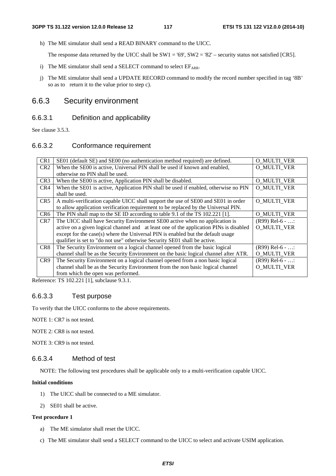h) The ME simulator shall send a READ BINARY command to the UICC.

The response data returned by the UICC shall be  $SW1 = '69', SW2 = '82' - security$  status not satisfied [CR5].

- i) The ME simulator shall send a SELECT command to select  $EF<sub>ARP</sub>$ .
- j) The ME simulator shall send a UPDATE RECORD command to modify the record number specified in tag '8B' so as to return it to the value prior to step c).

# 6.6.3 Security environment

# 6.6.3.1 Definition and applicability

See clause 3.5.3.

# 6.6.3.2 Conformance requirement

| CR1             | SE01 (default SE) and SE00 (no authentication method required) are defined.            | O MULTI VER        |
|-----------------|----------------------------------------------------------------------------------------|--------------------|
| CR <sub>2</sub> | When the SE00 is active, Universal PIN shall be used if known and enabled,             | O MULTI VER        |
|                 | otherwise no PIN shall be used.                                                        |                    |
| CR <sub>3</sub> | When the SE00 is active, Application PIN shall be disabled.                            | <b>O_MULTI_VER</b> |
| CR4             | When the SE01 is active, Application PIN shall be used if enabled, otherwise no PIN    | O MULTI VER        |
|                 | shall be used.                                                                         |                    |
| CR <sub>5</sub> | A multi-verification capable UICC shall support the use of SE00 and SE01 in order      | <b>O MULTI VER</b> |
|                 | to allow application verification requirement to be replaced by the Universal PIN.     |                    |
| CR <sub>6</sub> | The PIN shall map to the SE ID according to table 9.1 of the TS 102.221 [1].           | <b>O_MULTI_VER</b> |
| CR7             | The UICC shall have Security Environment SE00 active when no application is            | $(R99)$ Rel-6 - :  |
|                 | active on a given logical channel and at least one of the application PINs is disabled | O MULTI VER        |
|                 | except for the case(s) where the Universal PIN is enabled but the default usage        |                    |
|                 | qualifier is set to "do not use" otherwise Security SE01 shall be active.              |                    |
| CR <sub>8</sub> | The Security Environment on a logical channel opened from the basic logical            | $(R99)$ Rel-6 - :  |
|                 | channel shall be as the Security Environment on the basic logical channel after ATR.   | <b>O_MULTI_VER</b> |
| CR <sub>9</sub> | The Security Environment on a logical channel opened from a non basic logical          | $(R99)$ Rel-6 - :  |
|                 | channel shall be as the Security Environment from the non basic logical channel        | O MULTI VER        |
|                 | from which the open was performed.                                                     |                    |

Reference: TS 102.221 [1], subclause 9.3.1.

## 6.6.3.3 Test purpose

To verify that the UICC conforms to the above requirements.

NOTE 1: CR7 is not tested.

NOTE 2: CR8 is not tested.

NOTE 3: CR9 is not tested.

# 6.6.3.4 Method of test

NOTE: The following test procedures shall be applicable only to a multi-verification capable UICC.

#### **Initial conditions**

- 1) The UICC shall be connected to a ME simulator.
- 2) SE01 shall be active.

## **Test procedure 1**

- a) The ME simulator shall reset the UICC.
- c) The ME simulator shall send a SELECT command to the UICC to select and activate USIM application.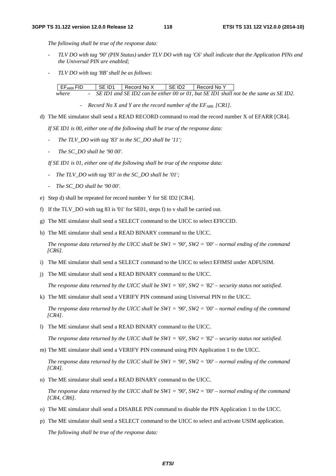*The following shall be true of the response data:* 

- *TLV DO with tag '90' (PIN Status) under TLV DO with tag 'C6' shall indicate that the Application PINs and the Universal PIN are enabled;*
- *TLV DO with tag '8B' shall be as follows:*

| EF <sub>ARR</sub> FID |  | SE ID1 Record No X | I SE ID2 | Record No Y |                                                                                         |
|-----------------------|--|--------------------|----------|-------------|-----------------------------------------------------------------------------------------|
| where                 |  |                    |          |             | - SE ID1 and SE ID2 can be either 00 or 01, but SE ID1 shall not be the same as SE ID2. |

- *Record No X and Y are the record number of the EF<sub>ARR</sub> [CR1]*.

d) The ME simulator shall send a READ RECORD command to read the record number X of EFARR [CR4].

 *If SE ID1 is 00, either one of the following shall be true of the response data:* 

- The TLV\_DO with tag '83' in the SC\_DO shall be '11';
- *The SC\_DO shall be '90 00'.*

 *If SE ID1 is 01, either one of the following shall be true of the response data:* 

- The TLV\_DO with tag '83' in the SC\_DO shall be '01';
- *The SC\_DO shall be '90 00'.*
- e) Step d) shall be repeated for record number Y for SE ID2 [CR4].
- f) If the TLV\_DO with tag 83 is '01' for SE01, steps f) to v shall be carried out.
- g) The ME simulator shall send a SELECT command to the UICC to select EFICCID.
- h) The ME simulator shall send a READ BINARY command to the UICC.

*The response data returned by the UICC shall be SW1 = '90', SW2 = '00' – normal ending of the command [CR6].* 

- i) The ME simulator shall send a SELECT command to the UICC to select EFIMSI under ADFUSIM.
- j) The ME simulator shall send a READ BINARY command to the UICC.

*The response data returned by the UICC shall be SW1 = '69', SW2 = '82' – security status not satisfied.* 

k) The ME simulator shall send a VERIFY PIN command using Universal PIN to the UICC.

*The response data returned by the UICC shall be SW1 = '90', SW2 = '00' – normal ending of the command [CR4].* 

l) The ME simulator shall send a READ BINARY command to the UICC.

*The response data returned by the UICC shall be SW1 = '69', SW2 = '82' – security status not satisfied.* 

m) The ME simulator shall send a VERIFY PIN command using PIN Application 1 to the UICC.

*The response data returned by the UICC shall be SW1 = '90', SW2 = '00' – normal ending of the command [CR4].* 

n) The ME simulator shall send a READ BINARY command to the UICC.

*The response data returned by the UICC shall be SW1 = '90', SW2 = '00' – normal ending of the command [CR4, CR6].* 

- o) The ME simulator shall send a DISABLE PIN command to disable the PIN Application 1 to the UICC.
- p) The ME simulator shall send a SELECT command to the UICC to select and activate USIM application.  *The following shall be true of the response data:*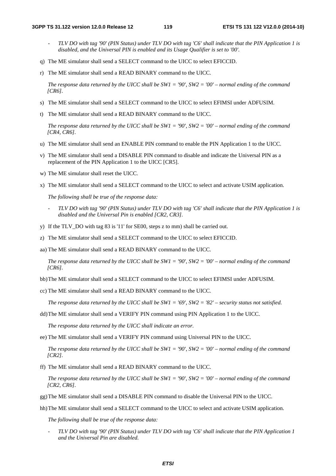- *TLV DO with tag '90' (PIN Status) under TLV DO with tag 'C6' shall indicate that the PIN Application 1 is disabled, and the Universal PIN is enabled and its Usage Qualifier is set to '00'.*
- q) The ME simulator shall send a SELECT command to the UICC to select EFICCID.
- r) The ME simulator shall send a READ BINARY command to the UICC.

*The response data returned by the UICC shall be SW1 = '90', SW2 = '00' – normal ending of the command [CR6].* 

- s) The ME simulator shall send a SELECT command to the UICC to select EFIMSI under ADFUSIM.
- t) The ME simulator shall send a READ BINARY command to the UICC.

*The response data returned by the UICC shall be SW1 = '90', SW2 = '00' – normal ending of the command [CR4, CR6].* 

- u) The ME simulator shall send an ENABLE PIN command to enable the PIN Application 1 to the UICC.
- v) The ME simulator shall send a DISABLE PIN command to disable and indicate the Universal PIN as a replacement of the PIN Application 1 to the UICC [CR5].
- w) The ME simulator shall reset the UICC.
- x) The ME simulator shall send a SELECT command to the UICC to select and activate USIM application.

 *The following shall be true of the response data:* 

- *TLV DO with tag '90' (PIN Status) under TLV DO with tag 'C6' shall indicate that the PIN Application 1 is disabled and the Universal Pin is enabled [CR2, CR3].*
- y) If the TLV\_DO with tag 83 is '11' for SE00, steps z to mm) shall be carried out.
- z) The ME simulator shall send a SELECT command to the UICC to select EFICCID.

aa) The ME simulator shall send a READ BINARY command to the UICC.

*The response data returned by the UICC shall be SW1 = '90', SW2 = '00' – normal ending of the command [CR6].* 

bb) The ME simulator shall send a SELECT command to the UICC to select EFIMSI under ADFUSIM.

cc) The ME simulator shall send a READ BINARY command to the UICC.

*The response data returned by the UICC shall be SW1 = '69', SW2 = '82' – security status not satisfied.* 

dd) The ME simulator shall send a VERIFY PIN command using PIN Application 1 to the UICC.

*The response data returned by the UICC shall indicate an error.* 

ee) The ME simulator shall send a VERIFY PIN command using Universal PIN to the UICC.

*The response data returned by the UICC shall be SW1 = '90', SW2 = '00' – normal ending of the command [CR2].* 

ff) The ME simulator shall send a READ BINARY command to the UICC.

*The response data returned by the UICC shall be SW1 = '90', SW2 = '00' – normal ending of the command [CR2, CR6].* 

gg) The ME simulator shall send a DISABLE PIN command to disable the Universal PIN to the UICC.

hh) The ME simulator shall send a SELECT command to the UICC to select and activate USIM application.

 *The following shall be true of the response data:* 

- *TLV DO with tag '90' (PIN Status) under TLV DO with tag 'C6' shall indicate that the PIN Application 1 and the Universal Pin are disabled.*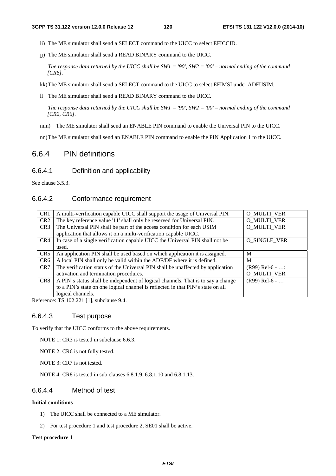- ii) The ME simulator shall send a SELECT command to the UICC to select EFICCID.
- jj) The ME simulator shall send a READ BINARY command to the UICC.

*The response data returned by the UICC shall be SW1 = '90', SW2 = '00' – normal ending of the command [CR6].* 

kk) The ME simulator shall send a SELECT command to the UICC to select EFIMSI under ADFUSIM.

ll The ME simulator shall send a READ BINARY command to the UICC.

*The response data returned by the UICC shall be SW1 = '90', SW2 = '00' – normal ending of the command [CR2, CR6].* 

mm) The ME simulator shall send an ENABLE PIN command to enable the Universal PIN to the UICC.

nn) The ME simulator shall send an ENABLE PIN command to enable the PIN Application 1 to the UICC.

# 6.6.4 PIN definitions

## 6.6.4.1 Definition and applicability

See clause 3.5.3.

# 6.6.4.2 Conformance requirement

| CR1             | A multi-verification capable UICC shall support the usage of Universal PIN.      | O_MULTI_VER        |
|-----------------|----------------------------------------------------------------------------------|--------------------|
| CR <sub>2</sub> | The key reference value '11' shall only be reserved for Universal PIN.           | O MULTI VER        |
| CR <sub>3</sub> | The Universal PIN shall be part of the access condition for each USIM            | O MULTI VER        |
|                 | application that allows it on a multi-verification capable UICC.                 |                    |
| CR4             | In case of a single verification capable UICC the Universal PIN shall not be     | O SINGLE VER       |
|                 | used.                                                                            |                    |
| CR <sub>5</sub> | An application PIN shall be used based on which application it is assigned.      | M                  |
| CR <sub>6</sub> | A local PIN shall only be valid within the ADF/DF where it is defined.           | M                  |
| CR7             | The verification status of the Universal PIN shall be unaffected by application  | $(R99)$ Rel-6 - :  |
|                 | activation and termination procedures.                                           | <b>O_MULTI_VER</b> |
| CR8             | A PIN's status shall be independent of logical channels. That is to say a change | $(R99)$ Rel-6 -    |
|                 | to a PIN's state on one logical channel is reflected in that PIN's state on all  |                    |
|                 | logical channels.                                                                |                    |

Reference: TS 102.221 [1], subclause 9.4.

# 6.6.4.3 Test purpose

To verify that the UICC conforms to the above requirements.

NOTE 1: CR3 is tested in subclause 6.6.3.

NOTE 2: CR6 is not fully tested.

NOTE 3: CR7 is not tested.

NOTE 4: CR8 is tested in sub clauses 6.8.1.9, 6.8.1.10 and 6.8.1.13.

# 6.6.4.4 Method of test

#### **Initial conditions**

- 1) The UICC shall be connected to a ME simulator.
- 2) For test procedure 1 and test procedure 2, SE01 shall be active.

#### **Test procedure 1**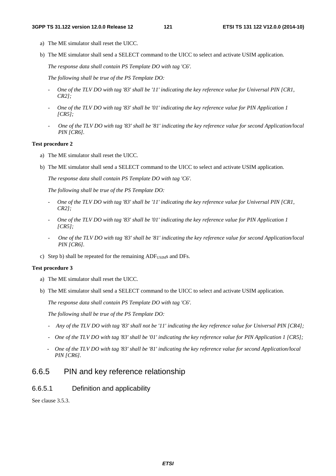- a) The ME simulator shall reset the UICC.
- b) The ME simulator shall send a SELECT command to the UICC to select and activate USIM application.

 *The response data shall contain PS Template DO with tag 'C6'.* 

 *The following shall be true of the PS Template DO:* 

- *One of the TLV DO with tag '83' shall be '11' indicating the key reference value for Universal PIN [CR1, CR2];*
- *One of the TLV DO with tag '83' shall be '01' indicating the key reference value for PIN Application 1 [CR5];*
- *One of the TLV DO with tag '83' shall be '81' indicating the key reference value for second Application/local PIN [CR6].*

#### **Test procedure 2**

- a) The ME simulator shall reset the UICC.
- b) The ME simulator shall send a SELECT command to the UICC to select and activate USIM application.

 *The response data shall contain PS Template DO with tag 'C6'.* 

 *The following shall be true of the PS Template DO:* 

- *One of the TLV DO with tag '83' shall be '11' indicating the key reference value for Universal PIN [CR1, CR2];*
- *One of the TLV DO with tag '83' shall be '01' indicating the key reference value for PIN Application 1 [CR5];*
- *One of the TLV DO with tag '83' shall be '81' indicating the key reference value for second Application/local PIN [CR6].*
- c) Step b) shall be repeated for the remaining  $ADF<sub>USIM</sub>$  and DFs.

#### **Test procedure 3**

- a) The ME simulator shall reset the UICC.
- b) The ME simulator shall send a SELECT command to the UICC to select and activate USIM application.

 *The response data shall contain PS Template DO with tag 'C6'.* 

 *The following shall be true of the PS Template DO:* 

- *Any of the TLV DO with tag '83' shall not be '11' indicating the key reference value for Universal PIN [CR4];*
- *One of the TLV DO with tag '83' shall be '01' indicating the key reference value for PIN Application 1 [CR5];*
- *One of the TLV DO with tag '83' shall be '81' indicating the key reference value for second Application/local PIN [CR6].*

# 6.6.5 PIN and key reference relationship

## 6.6.5.1 Definition and applicability

See clause 3.5.3.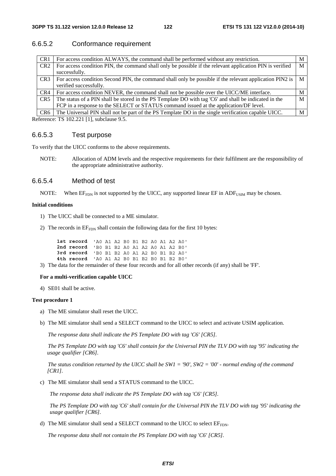# 6.6.5.2 Conformance requirement

| CR <sub>1</sub> | For access condition ALWAYS, the command shall be performed without any restriction.                     | М |
|-----------------|----------------------------------------------------------------------------------------------------------|---|
| CR <sub>2</sub> | For access condition PIN, the command shall only be possible if the relevant application PIN is verified | M |
|                 | successfully.                                                                                            |   |
| CR <sub>3</sub> | For access condition Second PIN, the command shall only be possible if the relevant application PIN2 is  | M |
|                 | verified successfully.                                                                                   |   |
| CR4             | For access condition NEVER, the command shall not be possible over the UICC/ME interface.                | M |
| CR <sub>5</sub> | The status of a PIN shall be stored in the PS Template DO with tag 'C6' and shall be indicated in the    | M |
|                 | FCP in a response to the SELECT or STATUS command issued at the application/DF level.                    |   |
| CR <sub>6</sub> | The Universal PIN shall not be part of the PS Template DO in the single verification capable UICC.       | M |
|                 |                                                                                                          |   |

Reference: TS 102.221 [1], subclause 9.5.

# 6.6.5.3 Test purpose

To verify that the UICC conforms to the above requirements.

NOTE: Allocation of ADM levels and the respective requirements for their fulfilment are the responsibility of the appropriate administrative authority.

## 6.6.5.4 Method of test

NOTE: When  $E_{FDN}$  is not supported by the UICC, any supported linear  $E\bar{F}$  in ADF<sub>USIM</sub> may be chosen.

#### **Initial conditions**

- 1) The UICC shall be connected to a ME simulator.
- 2) The records in  $EF_{FDN}$  shall contain the following data for the first 10 bytes:

| 1st record 'AO A1 A2 B0 B1 B2 A0 A1 A2 A0' |  |  |  |  |  |
|--------------------------------------------|--|--|--|--|--|
| 2nd record 'BO B1 B2 AO A1 A2 AO A1 A2 BO' |  |  |  |  |  |
| 3rd record 'BO B1 B2 AO A1 A2 BO B1 B2 AO' |  |  |  |  |  |
| 4th record 'AO A1 A2 BO B1 B2 BO B1 B2 BO' |  |  |  |  |  |

3) The data for the remainder of these four records and for all other records (if any) shall be 'FF'.

#### **For a multi-verification capable UICC**

4) SE01 shall be active.

### **Test procedure 1**

- a) The ME simulator shall reset the UICC.
- b) The ME simulator shall send a SELECT command to the UICC to select and activate USIM application.

 *The response data shall indicate the PS Template DO with tag 'C6' [CR5].* 

 *The PS Template DO with tag 'C6' shall contain for the Universal PIN the TLV DO with tag '95' indicating the usage qualifier [CR6].* 

 *The status condition returned by the UICC shall be SW1 = '90', SW2 = '00' - normal ending of the command [CR1].* 

c) The ME simulator shall send a STATUS command to the UICC.

 *The response data shall indicate the PS Template DO with tag 'C6' [CR5].* 

 *The PS Template DO with tag 'C6' shall contain for the Universal PIN the TLV DO with tag '95' indicating the usage qualifier [CR6].* 

d) The ME simulator shall send a SELECT command to the UICC to select  $EF_{FDN}$ .

*The response data shall not contain the PS Template DO with tag 'C6' [CR5].*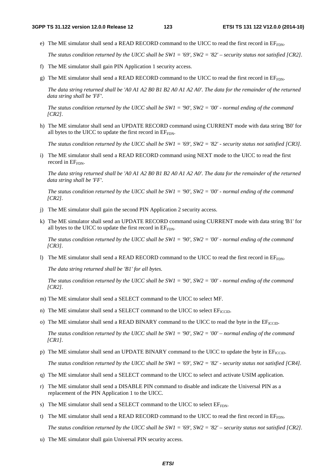e) The ME simulator shall send a READ RECORD command to the UICC to read the first record in  $E_{FFDN}$ .

 *The status condition returned by the UICC shall be SW1 = '69', SW2 = '82' – security status not satisfied [CR2].*

- f) The ME simulator shall gain PIN Application 1 security access.
- g) The ME simulator shall send a READ RECORD command to the UICC to read the first record in EF<sub>FDN</sub>.

*The data string returned shall be 'A0 A1 A2 B0 B1 B2 A0 A1 A2 A0'. The data for the remainder of the returned data string shall be 'FF'.* 

 *The status condition returned by the UICC shall be SW1 = '90', SW2 = '00' - normal ending of the command [CR2].*

h) The ME simulator shall send an UPDATE RECORD command using CURRENT mode with data string 'B0' for all bytes to the UICC to update the first record in EFFDN.

 *The status condition returned by the UICC shall be SW1 = '69', SW2 = '82' - security status not satisfied [CR3].*

i) The ME simulator shall send a READ RECORD command using NEXT mode to the UICC to read the first record in  $EF_{\text{FDN}}$ .

*The data string returned shall be 'A0 A1 A2 B0 B1 B2 A0 A1 A2 A0'. The data for the remainder of the returned data string shall be 'FF'.* 

 *The status condition returned by the UICC shall be SW1 = '90', SW2 = '00' - normal ending of the command [CR2].*

- j) The ME simulator shall gain the second PIN Application 2 security access.
- k) The ME simulator shall send an UPDATE RECORD command using CURRENT mode with data string 'B1' for all bytes to the UICC to update the first record in  $E_{FDN}$ .

 *The status condition returned by the UICC shall be SW1 = '90', SW2 = '00' - normal ending of the command [CR3].*

l) The ME simulator shall send a READ RECORD command to the UICC to read the first record in  $E_{FDDN}$ .

*The data string returned shall be 'B1' for all bytes.* 

 *The status condition returned by the UICC shall be SW1 = '90', SW2 = '00' - normal ending of the command [CR2].*

- m) The ME simulator shall send a SELECT command to the UICC to select MF.
- n) The ME simulator shall send a SELECT command to the UICC to select  $EF_{\text{ICCD}}$ .
- o) The ME simulator shall send a READ BINARY command to the UICC to read the byte in the  $EF_{\text{ICCD}}$ .

*The status condition returned by the UICC shall be SW1 = '90', SW2 = '00' – normal ending of the command [CR1].* 

p) The ME simulator shall send an UPDATE BINARY command to the UICC to update the byte in  $E_{\text{ICCID}}$ .

 *The status condition returned by the UICC shall be SW1 = '69', SW2 = '82' - security status not satisfied [CR4].* 

- q) The ME simulator shall send a SELECT command to the UICC to select and activate USIM application.
- r) The ME simulator shall send a DISABLE PIN command to disable and indicate the Universal PIN as a replacement of the PIN Application 1 to the UICC.
- s) The ME simulator shall send a SELECT command to the UICC to select  $EF_{FDN}$ .
- t) The ME simulator shall send a READ RECORD command to the UICC to read the first record in  $E_{F_{\text{FDN}}}$ .

 *The status condition returned by the UICC shall be SW1 = '69', SW2 = '82' – security status not satisfied [CR2].*

u) The ME simulator shall gain Universal PIN security access.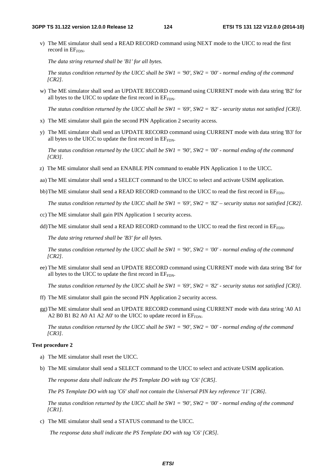v) The ME simulator shall send a READ RECORD command using NEXT mode to the UICC to read the first record in  $EF_{FDN}$ .

*The data string returned shall be 'B1' for all bytes.* 

 *The status condition returned by the UICC shall be SW1 = '90', SW2 = '00' - normal ending of the command [CR2].*

w) The ME simulator shall send an UPDATE RECORD command using CURRENT mode with data string 'B2' for all bytes to the UICC to update the first record in  $EF_{FDN}$ .

 *The status condition returned by the UICC shall be SW1 = '69', SW2 = '82' - security status not satisfied [CR3].*

- x) The ME simulator shall gain the second PIN Application 2 security access.
- y) The ME simulator shall send an UPDATE RECORD command using CURRENT mode with data string 'B3' for all bytes to the UICC to update the first record in EFFDN.

 *The status condition returned by the UICC shall be SW1 = '90', SW2 = '00' - normal ending of the command [CR3].*

z) The ME simulator shall send an ENABLE PIN command to enable PIN Application 1 to the UICC.

aa) The ME simulator shall send a SELECT command to the UICC to select and activate USIM application.

bb) The ME simulator shall send a READ RECORD command to the UICC to read the first record in  $E_{FDD}$ .

 *The status condition returned by the UICC shall be SW1 = '69', SW2 = '82' – security status not satisfied [CR2].*

- cc) The ME simulator shall gain PIN Application 1 security access.
- dd) The ME simulator shall send a READ RECORD command to the UICC to read the first record in  $EF_{FDN}$ .

*The data string returned shall be 'B3' for all bytes.* 

 *The status condition returned by the UICC shall be SW1 = '90', SW2 = '00' - normal ending of the command [CR2].*

ee) The ME simulator shall send an UPDATE RECORD command using CURRENT mode with data string 'B4' for all bytes to the UICC to update the first record in  $EF_{FDN}$ .

 *The status condition returned by the UICC shall be SW1 = '69', SW2 = '82' - security status not satisfied [CR3].*

- ff) The ME simulator shall gain the second PIN Application 2 security access.
- gg) The ME simulator shall send an UPDATE RECORD command using CURRENT mode with data string 'A0 A1 A2 B0 B1 B2 A0 A1 A2 A0' to the UICC to update record in  $EF_{FDN}$ .

 *The status condition returned by the UICC shall be SW1 = '90', SW2 = '00' - normal ending of the command [CR3].*

#### **Test procedure 2**

- a) The ME simulator shall reset the UICC.
- b) The ME simulator shall send a SELECT command to the UICC to select and activate USIM application.

 *The response data shall indicate the PS Template DO with tag 'C6' [CR5].* 

 *The PS Template DO with tag 'C6' shall not contain the Universal PIN key reference '11' [CR6].* 

 *The status condition returned by the UICC shall be SW1 = '90', SW2 = '00' - normal ending of the command [CR1].* 

c) The ME simulator shall send a STATUS command to the UICC.

 *The response data shall indicate the PS Template DO with tag 'C6' [CR5].*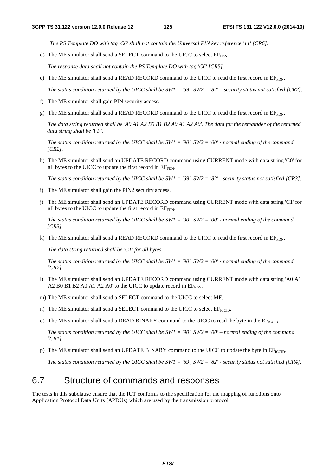*The PS Template DO with tag 'C6' shall not contain the Universal PIN key reference '11' [CR6].* 

d) The ME simulator shall send a SELECT command to the UICC to select  $EF_{FDN}$ .

*The response data shall not contain the PS Template DO with tag 'C6' [CR5].* 

e) The ME simulator shall send a READ RECORD command to the UICC to read the first record in  $E_{F_{\text{FDN}}}$ .

 *The status condition returned by the UICC shall be SW1 = '69', SW2 = '82' – security status not satisfied [CR2].*

- f) The ME simulator shall gain PIN security access.
- g) The ME simulator shall send a READ RECORD command to the UICC to read the first record in  $E_{FDN}$ .

*The data string returned shall be 'A0 A1 A2 B0 B1 B2 A0 A1 A2 A0'. The data for the remainder of the returned data string shall be 'FF'.* 

 *The status condition returned by the UICC shall be SW1 = '90', SW2 = '00' - normal ending of the command [CR2].*

h) The ME simulator shall send an UPDATE RECORD command using CURRENT mode with data string 'C0' for all bytes to the UICC to update the first record in  $EF<sub>FDN</sub>$ .

 *The status condition returned by the UICC shall be SW1 = '69', SW2 = '82' - security status not satisfied [CR3].*

- i) The ME simulator shall gain the PIN2 security access.
- j) The ME simulator shall send an UPDATE RECORD command using CURRENT mode with data string 'C1' for all bytes to the UICC to update the first record in  $EF_{FDN}$ .

 *The status condition returned by the UICC shall be SW1 = '90', SW2 = '00' - normal ending of the command [CR3].*

k) The ME simulator shall send a READ RECORD command to the UICC to read the first record in EF<sub>FDN</sub>.

*The data string returned shall be 'C1' for all bytes.* 

 *The status condition returned by the UICC shall be SW1 = '90', SW2 = '00' - normal ending of the command [CR2].*

- l) The ME simulator shall send an UPDATE RECORD command using CURRENT mode with data string 'A0 A1 A2 B0 B1 B2 A0 A1 A2 A0' to the UICC to update record in  $EF_{FDN}$ .
- m) The ME simulator shall send a SELECT command to the UICC to select MF.
- n) The ME simulator shall send a SELECT command to the UICC to select  $EF_{\text{ICCD}}$ .
- o) The ME simulator shall send a READ BINARY command to the UICC to read the byte in the EF<sub>ICCID</sub>.

*The status condition returned by the UICC shall be SW1 = '90', SW2 = '00' – normal ending of the command [CR1].* 

p) The ME simulator shall send an UPDATE BINARY command to the UICC to update the byte in  $EF_{\text{ICCD}}$ .

 *The status condition returned by the UICC shall be SW1 = '69', SW2 = '82' - security status not satisfied [CR4].*

# 6.7 Structure of commands and responses

The tests in this subclause ensure that the IUT conforms to the specification for the mapping of functions onto Application Protocol Data Units (APDUs) which are used by the transmission protocol.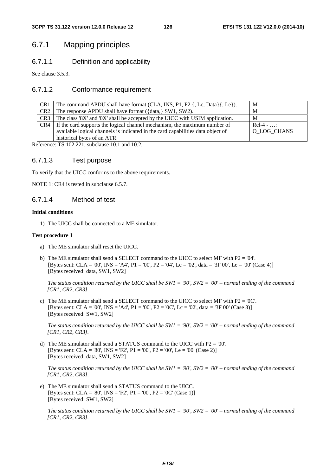# 6.7.1 Mapping principles

# 6.7.1.1 Definition and applicability

See clause 3.5.3.

## 6.7.1.2 Conformance requirement

| CR1             | The command APDU shall have format (CLA, INS, P1, P2 {, Lc, Data}{, Le}).       | M           |
|-----------------|---------------------------------------------------------------------------------|-------------|
| CR <sub>2</sub> | The response APDU shall have format ({data,} SW1, SW2).                         | M           |
| CR <sub>3</sub> | The class '8X' and '0X' shall be accepted by the UICC with USIM application.    | M           |
| CR4             | If the card supports the logical channel mechanism, the maximum number of       | $Re1-4 - $  |
|                 | available logical channels is indicated in the card capabilities data object of | O LOG CHANS |
|                 | historical bytes of an ATR.                                                     |             |

Reference: TS 102.221, subclause 10.1 and 10.2.

## 6.7.1.3 Test purpose

To verify that the UICC conforms to the above requirements.

NOTE 1: CR4 is tested in subclause 6.5.7.

## 6.7.1.4 Method of test

#### **Initial conditions**

1) The UICC shall be connected to a ME simulator.

#### **Test procedure 1**

- a) The ME simulator shall reset the UICC.
- b) The ME simulator shall send a SELECT command to the UICC to select MF with  $P2 = '04'$ . [Bytes sent: CLA = '00', INS = 'A4', P1 = '00', P2 = '04', Lc = '02', data = '3F 00', Le = '00' (Case 4)] [Bytes received: data, SW1, SW2]

 *The status condition returned by the UICC shall be SW1 = '90', SW2 = '00' – normal ending of the command [CR1, CR2, CR3].*

c) The ME simulator shall send a SELECT command to the UICC to select MF with  $P2 = '0C'$ . [Bytes sent: CLA = '00', INS = 'A4', P1 = '00', P2 = '0C', Lc = '02', data = '3F 00' (Case 3)] [Bytes received: SW1, SW2]

*The status condition returned by the UICC shall be SW1 = '90', SW2 = '00' – normal ending of the command [CR1, CR2, CR3].* 

d) The ME simulator shall send a STATUS command to the UICC with  $P2 = '00'$ . [Bytes sent: CLA = '80', INS = 'F2', P1 = '00', P2 = '00', Le = '00' (Case 2)] [Bytes received: data, SW1, SW2]

 *The status condition returned by the UICC shall be SW1 = '90', SW2 = '00' – normal ending of the command [CR1, CR2, CR3].*

e) The ME simulator shall send a STATUS command to the UICC. [Bytes sent: CLA = '80', INS = 'F2', P1 = '00', P2 = '0C' (Case 1)] [Bytes received: SW1, SW2]

 *The status condition returned by the UICC shall be SW1 = '90', SW2 = '00' – normal ending of the command [CR1, CR2, CR3].*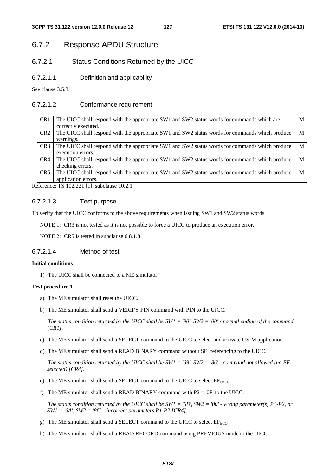# 6.7.2 Response APDU Structure

# 6.7.2.1 Status Conditions Returned by the UICC

6.7.2.1.1 Definition and applicability

See clause 3.5.3.

## 6.7.2.1.2 Conformance requirement

| CR <sub>1</sub> | The UICC shall respond with the appropriate SW1 and SW2 status words for commands which are     | M |
|-----------------|-------------------------------------------------------------------------------------------------|---|
|                 | correctly executed.                                                                             |   |
| CR <sub>2</sub> | The UICC shall respond with the appropriate SW1 and SW2 status words for commands which produce | М |
|                 | warnings.                                                                                       |   |
| CR <sub>3</sub> | The UICC shall respond with the appropriate SW1 and SW2 status words for commands which produce |   |
|                 | execution errors.                                                                               |   |
| CR4             | The UICC shall respond with the appropriate SW1 and SW2 status words for commands which produce | М |
|                 | checking errors.                                                                                |   |
| CR <sub>5</sub> | The UICC shall respond with the appropriate SW1 and SW2 status words for commands which produce |   |
|                 | application errors.                                                                             |   |

Reference: TS 102.221 [1], subclause 10.2.1.

## 6.7.2.1.3 Test purpose

To verify that the UICC conforms to the above requirements when issuing SW1 and SW2 status words.

NOTE 1: CR3 is not tested as it is not possible to force a UICC to produce an execution error.

NOTE 2: CR5 is tested in subclause 6.8.1.8.

# 6.7.2.1.4 Method of test

#### **Initial conditions**

1) The UICC shall be connected to a ME simulator.

#### **Test procedure 1**

- a) The ME simulator shall reset the UICC.
- b) The ME simulator shall send a VERIFY PIN command with PIN to the UICC.

 *The status condition returned by the UICC shall be SW1 = '90', SW2 = '00' - normal ending of the command [CR1].*

- c) The ME simulator shall send a SELECT command to the UICC to select and activate USIM application.
- d) The ME simulator shall send a READ BINARY command without SFI referencing to the UICC.

 *The status condition returned by the UICC shall be SW1 = '69', SW2 = '86' - command not allowed (no EF selected) [CR4].*

- e) The ME simulator shall send a SELECT command to the UICC to select  $EF_{IMSI}$ .
- f) The ME simulator shall send a READ BINARY command with  $P2 = '0F'$  to the UICC.

 *The status condition returned by the UICC shall be SW1 = '6B', SW2 = '00' - wrong parameter(s) P1-P2, or SW1 = '6A', SW2 = '86' – incorrect parameters P1-P2 [CR4].*

- g) The ME simulator shall send a SELECT command to the UICC to select  $EF_{ECC}$ .
- h) The ME simulator shall send a READ RECORD command using PREVIOUS mode to the UICC.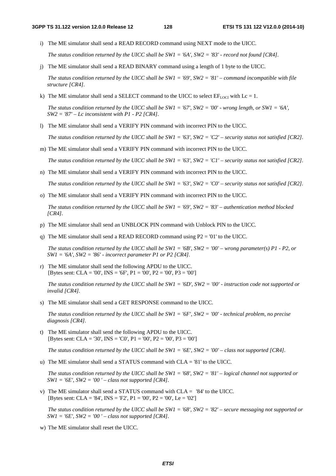i) The ME simulator shall send a READ RECORD command using NEXT mode to the UICC.

 *The status condition returned by the UICC shall be SW1 = '6A', SW2 = '83' - record not found [CR4].*

j) The ME simulator shall send a READ BINARY command using a length of 1 byte to the UICC.

 *The status condition returned by the UICC shall be SW1 = '69', SW2 = '81' – command incompatible with file structure [CR4].*

k) The ME simulator shall send a SELECT command to the UICC to select  $EF_{\text{LOCI}}$  with Lc = 1.

 *The status condition returned by the UICC shall be SW1 = '67', SW2 = '00' - wrong length, or SW1 = '6A', SW2 = '87' – Lc inconsistent with P1 - P2 [CR4].*

l) The ME simulator shall send a VERIFY PIN command with incorrect PIN to the UICC.

 *The status condition returned by the UICC shall be SW1 = '63', SW2 = 'C2' – security status not satisfied [CR2].*

m) The ME simulator shall send a VERIFY PIN command with incorrect PIN to the UICC.

 *The status condition returned by the UICC shall be SW1 = '63', SW2 = 'C1' – security status not satisfied [CR2].*

n) The ME simulator shall send a VERIFY PIN command with incorrect PIN to the UICC.

 *The status condition returned by the UICC shall be SW1 = '63', SW2 = 'C0' – security status not satisfied [CR2].*

o) The ME simulator shall send a VERIFY PIN command with incorrect PIN to the UICC.

 *The status condition returned by the UICC shall be SW1 = '69', SW2 = '83' – authentication method blocked [CR4].*

- p) The ME simulator shall send an UNBLOCK PIN command with Unblock PIN to the UICC.
- q) The ME simulator shall send a READ RECORD command using  $P2 = '01'$  to the UICC.

 *The status condition returned by the UICC shall be SW1 = '6B', SW2 = '00' – wrong parameter(s) P1 - P2, or SW1 = '6A', SW2 = '86' - incorrect parameter P1 or P2 [CR4].*

r) The ME simulator shall send the following APDU to the UICC. [Bytes sent: CLA = '00', INS = '6F', P1 = '00', P2 = '00', P3 = '00']

 *The status condition returned by the UICC shall be SW1 = '6D', SW2 = '00' - instruction code not supported or invalid [CR4].*

s) The ME simulator shall send a GET RESPONSE command to the UICC.

 *The status condition returned by the UICC shall be SW1 = '6F', SW2 = '00' - technical problem, no precise diagnosis [CR4].*

t) The ME simulator shall send the following APDU to the UICC. [Bytes sent: CLA = '30', INS = 'C0', P1 = '00', P2 = '00', P3 = '00']

 *The status condition returned by the UICC shall be SW1 = '6E', SW2 = '00' – class not supported [CR4].*

u) The ME simulator shall send a STATUS command with CLA = '81' to the UICC.

 *The status condition returned by the UICC shall be SW1 = '68', SW2 = '81' – logical channel not supported or SW1 = '6E', SW2 = '00 ' – class not supported [CR4].*

v) The ME simulator shall send a STATUS command with CLA = '84' to the UICC. [Bytes sent: CLA = '84', INS = 'F2', P1 = '00', P2 = '00', Le = '02']

 *The status condition returned by the UICC shall be SW1 = '68', SW2 = '82' – secure messaging not supported or SW1* = ' $6E'$ , *SW2* = ' $00'$  – *class not supported [CR4]*.

w) The ME simulator shall reset the UICC.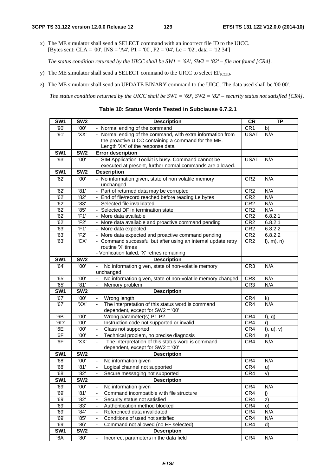x) The ME simulator shall send a SELECT command with an incorrect file ID to the UICC. [Bytes sent: CLA = '00', INS = 'A4', P1 = '00', P2 = '04', Lc = '02', data = '12 34']

 *The status condition returned by the UICC shall be SW1 = '6A', SW2 = '82' – file not found [CR4].*

- y) The ME simulator shall send a SELECT command to the UICC to select  $EF_{\text{ICTD}}$ .
- z) The ME simulator shall send an UPDATE BINARY command to the UICC. The data used shall be '00 00'.

 *The status condition returned by the UICC shall be SW1 = '69', SW2 = '82' – security status not satisfied [CR4].* 

**SW1 SW2 Description CR TP** '90'  $\vert$  '00'  $\vert$  - Normal ending of the command  $\vert$  CR1  $\vert$  b) '91'  $\vert$  'XX'  $\vert$  - Normal ending of the command, with extra information from the proactive UICC containing a command for the ME. Length 'XX' of the response data USAT N/A **SW1 SW2 Error description** '93' '00' - SIM Application Toolkit is busy. Command cannot be executed at present, further normal commands are allowed. USAT N/A **SW1 SW2 Description**  $'62'$  |  $'00'$  | - No information given, state of non volatile memory unchanged CR2 N/A '62' '81' - Part of returned data may be corrupted CR2 N/A '62' | '82' | - End of file/record reached before reading Le bytes | CR2 | N/A '62' '83' - Selected file invalidated CR2 N/A '62' '85' - Selected DF in termination state CR2 N/A '62' 'F1' - More data available CR2 6.8.2.1 '62' 'F2' - More data available and proactive command pending CR2 6.8.2.1 '63' | 'F1' | - More data expected  $CR2$  | CR2 | 6.8.2.2  $\overline{63'}$  |  $\overline{F2'}$  - More data expected and proactive command pending  $\overline{CR2}$  | 6.8.2.2  $'63'$   $'$   $'CK'$  - Command successful but after using an internal update retry routine 'X' times - Verification failed, 'X' retries remaining  $CR2$  l), m), n) **SW1 SW2 Description** '64' | '00' | - No information given, state of non-volatile memory unchanged CR3 N/A '65' '00' - No information given, state of non-volatile memory changed CR3 N/A '65' '81' - Memory problem CR3 N/A **SW1 SW2 Description** '67' | '00' | Wrong length CR4 | k)  $'67'$   $'$   $'XX'$   $'$  - The interpretation of this status word is command dependent, except for SW2 = '00' CR4 N/A '6B' '00' - Wrong parameter(s) P1-P2 CR4 f), q) '6D' '00' - Instruction code not supported or invalid CR4 r)  $'6E'$   $'00'$  - Class not supported CR4  $t$ , u), v) '6F' | '00' | - Technical problem, no precise diagnosis  $|CR4 | s$  $'6F'$   $'XX'$  - The interpretation of this status word is command dependent, except for SW2 = '00' CR4 N/A **SW1 SW2 Description** '68' '00' - No information given CR4 N/A '68' | '81' | - Logical channel not supported  $|CR4 | u$  $'68'$  | '82' - Secure messaging not supported  $|CR4|$  v) **SW1 SW2 Description** '69' | '00' | - No information given CR4 N/A '69' | '81' | Command incompatible with file structure | CR4 | j) '69' '82' - Security status not satisfied CR4 z) Authentication method blocked<br>
Referenced data invalidated CR4 N/ '69' '84' - Referenced data invalidated CR4 N/A '69' '85' - Conditions of used not satisfied CR4 N/A '69' | '86' | Command not allowed (no EF selected) | CR4 d) | CR4 d) **SW1 SW2 Description**

|  |  |  | Table 10: Status Words Tested in Subclause 6.7.2.1 |  |
|--|--|--|----------------------------------------------------|--|
|--|--|--|----------------------------------------------------|--|

'6A' | '80' | - Incorrect parameters in the data field CR4 | N/A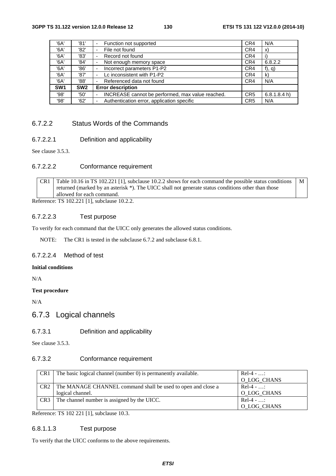| '6A'            | '81'            | Function not supported                                | CR4             | N/A         |
|-----------------|-----------------|-------------------------------------------------------|-----------------|-------------|
| '6A'            | '82'            | File not found<br>-                                   | CR4             | X)          |
| '6A'            | '83'            | Record not found                                      | CR4             |             |
| '6A'            | '84'            | Not enough memory space                               | CR4             | 6.8.2.2     |
| '6A'            | '86'            | Incorrect parameters P1-P2                            | CR4             | $f$ , q)    |
| '6A'            | '87'            | Lc inconsistent with P1-P2                            | CR4             | k)          |
| '6A'            | '88'            | Referenced data not found                             | CR4             | N/A         |
| SW <sub>1</sub> | SW <sub>2</sub> | <b>Error description</b>                              |                 |             |
| '98'            | '50'            | INCREASE cannot be performed, max value reached.<br>- | CR <sub>5</sub> | 6.8.1.8.4 h |
| '98'            | '62'            | Authentication error, application specific            | CR <sub>5</sub> | N/A         |

# 6.7.2.2 Status Words of the Commands

## 6.7.2.2.1 Definition and applicability

See clause 3.5.3.

# 6.7.2.2.2 Conformance requirement

CR1 Table 10.16 in TS 102.221 [1], subclause 10.2.2 shows for each command the possible status conditions returned (marked by an asterisk \*). The UICC shall not generate status conditions other than those allowed for each command. M

Reference: TS 102.221 [1], subclause 10.2.2.

## 6.7.2.2.3 Test purpose

To verify for each command that the UICC only generates the allowed status conditions.

NOTE: The CR1 is tested in the subclause 6.7.2 and subclause 6.8.1.

## 6.7.2.2.4 Method of test

## **Initial conditions**

N/A

### **Test procedure**

N/A

# 6.7.3 Logical channels

## 6.7.3.1 Definition and applicability

See clause 3.5.3.

## 6.7.3.2 Conformance requirement

| CR <sub>1</sub> | The basic logical channel (number 0) is permanently available.     | $Rel-4 - $  |
|-----------------|--------------------------------------------------------------------|-------------|
|                 |                                                                    | O_LOG_CHANS |
|                 | CR2   The MANAGE CHANNEL command shall be used to open and close a | $Rel-4 - $  |
|                 | logical channel.                                                   | O_LOG_CHANS |
| CR <sub>3</sub> | The channel number is assigned by the UICC.                        | $Rel-4 - $  |
|                 |                                                                    | O_LOG_CHANS |

Reference: TS 102 221 [1], subclause 10.3.

## 6.8.1.1.3 Test purpose

To verify that the UICC conforms to the above requirements.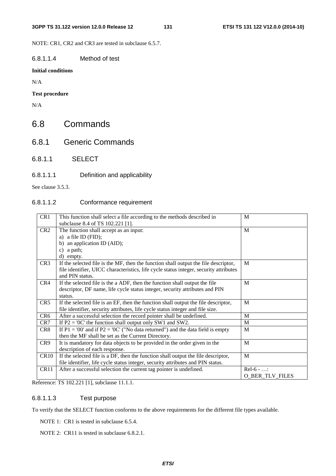NOTE: CR1, CR2 and CR3 are tested in subclause 6.5.7.

# 6.8.1.1.4 Method of test

## **Initial conditions**

N/A

## **Test procedure**

N/A

# 6.8 Commands

- 6.8.1 Generic Commands
- 6.8.1.1 SELECT

## 6.8.1.1.1 Definition and applicability

See clause 3.5.3.

# 6.8.1.1.2 Conformance requirement

| CR1              | This function shall select a file according to the methods described in               | M                      |
|------------------|---------------------------------------------------------------------------------------|------------------------|
|                  | subclause 8.4 of TS 102.221 [1].                                                      |                        |
| CR <sub>2</sub>  | The function shall accept as an input:                                                | M                      |
|                  | a) a file ID $(FID)$ ;                                                                |                        |
|                  | an application ID (AID);<br>b)                                                        |                        |
|                  | a path;<br>$\mathbf{c}$                                                               |                        |
|                  | d) empty.                                                                             |                        |
| CR <sub>3</sub>  | If the selected file is the MF, then the function shall output the file descriptor,   | M                      |
|                  | file identifier, UICC characteristics, life cycle status integer, security attributes |                        |
|                  | and PIN status.                                                                       |                        |
| CR4              | If the selected file is the a ADF, then the function shall output the file            | M                      |
|                  | descriptor, DF name, life cycle status integer, security attributes and PIN           |                        |
|                  | status.                                                                               |                        |
| CR5              | If the selected file is an EF, then the function shall output the file descriptor,    | M                      |
|                  | file identifier, security attributes, life cycle status integer and file size.        |                        |
| CR <sub>6</sub>  | After a successful selection the record pointer shall be undefined.                   | M                      |
| CR7              | If $P2 = '0C'$ the function shall output only SW1 and SW2.                            | M                      |
| CR8              | If $P1 = '00'$ and if $P2 = '0C'$ ("No data returned") and the data field is empty    | M                      |
|                  | then the MF shall be set as the Current Directory.                                    |                        |
| CR9              | It is mandatory for data objects to be provided in the order given in the             | M                      |
|                  | description of each response.                                                         |                        |
| CR10             | If the selected file is a DF, then the function shall output the file descriptor,     | M                      |
|                  | file identifier, life cycle status integer, security attributes and PIN status.       |                        |
| CR <sub>11</sub> | After a successful selection the current tag pointer is undefined.                    | $Rel-6 - $             |
|                  |                                                                                       | <b>O_BER_TLV_FILES</b> |

Reference: TS 102.221 [1], subclause 11.1.1.

# 6.8.1.1.3 Test purpose

To verify that the SELECT function conforms to the above requirements for the different file types available.

NOTE 1: CR1 is tested in subclause 6.5.4.

NOTE 2: CR11 is tested in subclause 6.8.2.1.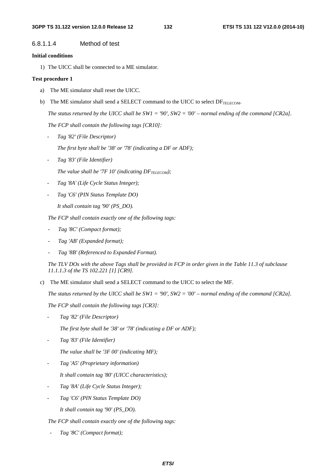## 6.8.1.1.4 Method of test

#### **Initial conditions**

1) The UICC shall be connected to a ME simulator.

#### **Test procedure 1**

- a) The ME simulator shall reset the UICC.
- b) The ME simulator shall send a SELECT command to the UICC to select  $DF_{TELECOM}$ .

 *The status returned by the UICC shall be SW1 = '90', SW2 = '00' – normal ending of the command [CR2a].* 

 *The FCP shall contain the following tags [CR10]:* 

*- Tag '82' (File Descriptor)* 

*The first byte shall be '38' or '78' (indicating a DF or ADF);* 

*- Tag '83' (File Identifier)* 

The value shall be '7F  $10'$  (indicating  $DF_{TELECOM}$ );

- *Tag '8A' (Life Cycle Status Integer);*
- *Tag 'C6' (PIN Status Template DO)*

*It shall contain tag '90' (PS\_DO).* 

*The FCP shall contain exactly one of the following tags:* 

- *Tag '8C' (Compact format);*
- *Tag 'AB' (Expanded format);*
- *Tag '8B' (Referenced to Expanded Format).*

*The TLV DOs with the above Tags shall be provided in FCP in order given in the Table 11.3 of subclause 11.1.1.3 of the TS 102.221 [1] [CR9].* 

c) The ME simulator shall send a SELECT command to the UICC to select the MF.

*The status returned by the UICC shall be SW1 = '90', SW2 = '00' – normal ending of the command [CR2a].*

*The FCP shall contain the following tags [CR3]:* 

- *Tag '82' (File Descriptor)* 

 *The first byte shall be '38' or '78' (indicating a DF or ADF);* 

- *Tag '83' (File Identifier)* 

 *The value shall be '3F 00' (indicating MF);* 

- *Tag 'A5' (Proprietary information)* 

 *It shall contain tag '80' (UICC characteristics);* 

- *Tag '8A' (Life Cycle Status Integer);*
- *Tag 'C6' (PIN Status Template DO)*

*It shall contain tag '90' (PS\_DO).* 

*The FCP shall contain exactly one of the following tags:* 

- *Tag '8C' (Compact format);*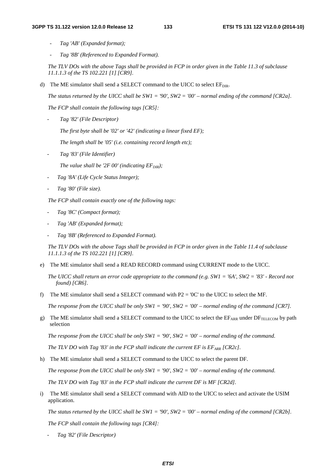- *Tag 'AB' (Expanded format);*
- *Tag '8B' (Referenced to Expanded Format).*

*The TLV DOs with the above Tags shall be provided in FCP in order given in the Table 11.3 of subclause 11.1.1.3 of the TS 102.221 [1] [CR9].* 

d) The ME simulator shall send a SELECT command to the UICC to select  $EF<sub>DIR</sub>$ .

*The status returned by the UICC shall be SW1 = '90', SW2 = '00' – normal ending of the command [CR2a].*

*The FCP shall contain the following tags [CR5]:* 

*- Tag '82' (File Descriptor)* 

*The first byte shall be '02' or '42' (indicating a linear fixed EF);* 

*The length shall be '05' (i.e. containing record length etc);* 

*- Tag '83' (File Identifier)* 

*The value shall be '2F 00' (indicating*  $EF_{DIR}$ *);* 

- *Tag '8A' (Life Cycle Status Integer);*
- *Tag '80' (File size).*

*The FCP shall contain exactly one of the following tags:* 

- *Tag '8C' (Compact format);*
- *Tag 'AB' (Expanded format);*
- *Tag '8B' (Referenced to Expanded Format).*

*The TLV DOs with the above Tags shall be provided in FCP in order given in the Table 11.4 of subclause 11.1.1.3 of the TS 102.221 [1] [CR9].* 

e) The ME simulator shall send a READ RECORD command using CURRENT mode to the UICC.

*The UICC shall return an error code appropriate to the command (e.g. SW1 = '6A', SW2 = '83' - Record not found) [CR6].*

f) The ME simulator shall send a SELECT command with  $P2 = '0C'$  to the UICC to select the MF.

*The response from the UICC shall be only SW1 = '90', SW2 = '00' – normal ending of the command [CR7].*

g) The ME simulator shall send a SELECT command to the UICC to select the EFARR under DFTELECOM by path selection

*The response from the UICC shall be only SW1 = '90', SW2 = '00' – normal ending of the command.*

*The TLV DO with Tag '83' in the FCP shall indicate the current EF is*  $EF_{ARR}$  *[CR2c].* 

h) The ME simulator shall send a SELECT command to the UICC to select the parent DF.

*The response from the UICC shall be only SW1 = '90', SW2 = '00' – normal ending of the command.*

*The TLV DO with Tag '83' in the FCP shall indicate the current DF is MF [CR2d].* 

i) The ME simulator shall send a SELECT command with AID to the UICC to select and activate the USIM application.

*The status returned by the UICC shall be SW1 = '90', SW2 = '00' – normal ending of the command [CR2b].*

*The FCP shall contain the following tags [CR4]:* 

*- Tag '82' (File Descriptor)*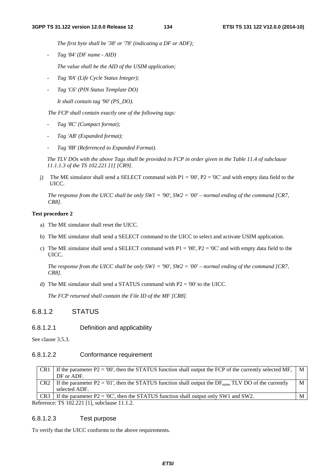*The first byte shall be '38' or '78' (indicating a DF or ADF);* 

*- Tag '84' (DF name - AID)* 

 *The value shall be the AID of the USIM application;* 

- *Tag '8A' (Life Cycle Status Integer);*
- *Tag 'C6' (PIN Status Template DO)*

 *It shall contain tag '90' (PS\_DO).* 

*The FCP shall contain exactly one of the following tags:* 

- *Tag '8C' (Compact format);*
- *Tag 'AB' (Expanded format);*
- *Tag '8B' (Referenced to Expanded Format).*

*The TLV DOs with the above Tags shall be provided in FCP in order given in the Table 11.4 of subclause 11.1.1.3 of the TS 102.221 [1] [CR9].* 

j) The ME simulator shall send a SELECT command with  $P1 = '00', P2 = '0C'$  and with empty data field to the UICC.

*The response from the UICC shall be only SW1 = '90', SW2 = '00' – normal ending of the command [CR7, CR8].* 

### **Test procedure 2**

- a) The ME simulator shall reset the UICC.
- b) The ME simulator shall send a SELECT command to the UICC to select and activate USIM application.
- c) The ME simulator shall send a SELECT command with  $P1 = '00', P2 = '0C'$  and with empty data field to the UICC.

*The response from the UICC shall be only SW1 = '90', SW2 = '00' – normal ending of the command [CR7, CR8].* 

d) The ME simulator shall send a STATUS command with  $P2 = 00'$  to the UICC.

*The FCP returned shall contain the File ID of the MF [CR8].* 

## 6.8.1.2 STATUS

## 6.8.1.2.1 Definition and applicability

See clause 3.5.3.

### 6.8.1.2.2 Conformance requirement

| CR <sub>1</sub> | If the parameter $P2 = 00$ , then the STATUS function shall output the FCP of the currently selected MF,<br>DF or ADF.              | M |
|-----------------|-------------------------------------------------------------------------------------------------------------------------------------|---|
| CR <sub>2</sub> | If the parameter $P2 = 01'$ , then the STATUS function shall output the DF <sub>name</sub> TLV DO of the currently<br>selected ADF. | M |
| CR <sub>3</sub> | If the parameter $P2 = '0C'$ , then the STATUS function shall output only SW1 and SW2.                                              | М |

Reference: TS 102.221 [1], subclause 11.1.2.

## 6.8.1.2.3 Test purpose

To verify that the UICC conforms to the above requirements.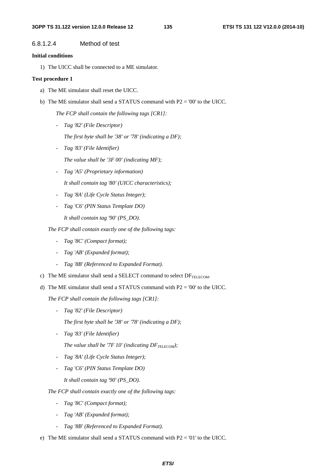## 6.8.1.2.4 Method of test

#### **Initial conditions**

1) The UICC shall be connected to a ME simulator.

#### **Test procedure 1**

- a) The ME simulator shall reset the UICC.
- b) The ME simulator shall send a STATUS command with P2 = '00' to the UICC.

 *The FCP shall contain the following tags [CR1]:* 

- *Tag '82' (File Descriptor)* 
	- *The first byte shall be '38' or '78' (indicating a DF);*
- *Tag '83' (File Identifier)* 
	- *The value shall be '3F 00' (indicating MF);*
- *Tag 'A5' (Proprietary information)* 
	- *It shall contain tag '80' (UICC characteristics);*
- *Tag '8A' (Life Cycle Status Integer);*
- *Tag 'C6' (PIN Status Template DO)* 
	- *It shall contain tag '90' (PS\_DO).*
- *The FCP shall contain exactly one of the following tags:* 
	- *Tag '8C' (Compact format);*
	- *Tag 'AB' (Expanded format);*
	- *Tag '8B' (Referenced to Expanded Format).*
- c) The ME simulator shall send a SELECT command to select  $DF_{TELECOM}$ .
- d) The ME simulator shall send a STATUS command with P2 = '00' to the UICC.

*The FCP shall contain the following tags [CR1]:* 

- *Tag '82' (File Descriptor)* 
	- *The first byte shall be '38' or '78' (indicating a DF);*
- *Tag '83' (File Identifier)* 
	- *The value shall be '7F 10' (indicating*  $DF_{TELECOM}$ *);*
- *Tag '8A' (Life Cycle Status Integer);*
- *Tag 'C6' (PIN Status Template DO)* 
	- *It shall contain tag '90' (PS\_DO).*
- *The FCP shall contain exactly one of the following tags:* 
	- *Tag '8C' (Compact format);*
	- *Tag 'AB' (Expanded format);*
	- *Tag '8B' (Referenced to Expanded Format).*
- e) The ME simulator shall send a STATUS command with P2 = '01' to the UICC.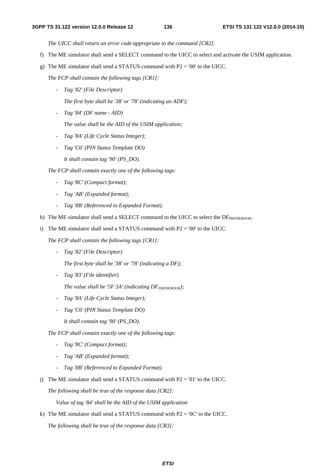*The UICC shall return an error code appropriate to the command [CR2].* 

- f) The ME simulator shall send a SELECT command to the UICC to select and activate the USIM application.
- g) The ME simulator shall send a STATUS command with  $P2 = 00'$  to the UICC.

*The FCP shall contain the following tags [CR1]:* 

*- Tag '82' (File Descriptor)* 

 *The first byte shall be '38' or '78' (indicating an ADF);* 

*- Tag '84' (DF name - AID)* 

 *The value shall be the AID of the USIM application;* 

- *Tag '8A' (Life Cycle Status Integer);*
- *Tag 'C6' (PIN Status Template DO)*

 *It shall contain tag '90' (PS\_DO).* 

*The FCP shall contain exactly one of the following tags:* 

- *Tag '8C' (Compact format);*
- *Tag 'AB' (Expanded format);*
- *Tag '8B' (Referenced to Expanded Format).*
- h) The ME simulator shall send a SELECT command to the UICC to select the DFPHONEBOOK.
- i) The ME simulator shall send a STATUS command with  $P2 = 00'$  to the UICC.

*The FCP shall contain the following tags [CR1]:* 

*- Tag '82' (File Descriptor)* 

 *The first byte shall be '38' or '78' (indicating a DF);* 

*- Tag '83' (File identifier)* 

*The value shall be '5F 3A' (indicating*  $DF_{PHONEBOOK}$ *);* 

- *Tag '8A' (Life Cycle Status Integer);*
- *Tag 'C6' (PIN Status Template DO)* 
	- *It shall contain tag '90' (PS\_DO).*
- *The FCP shall contain exactly one of the following tags:* 
	- *Tag '8C' (Compact format);*
	- *Tag 'AB' (Expanded format);*
	- *Tag '8B' (Referenced to Expanded Format).*
- j) The ME simulator shall send a STATUS command with  $P2 = 01'$  to the UICC.

*The following shall be true of the response data [CR2]:* 

 *Value of tag '84' shall be the AID of the USIM application* 

k) The ME simulator shall send a STATUS command with  $P2 = '0C'$  to the UICC. *The following shall be true of the response data [CR3]:*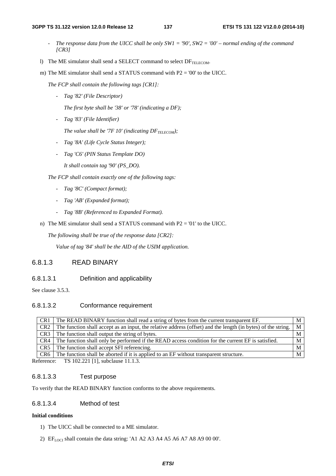#### **3GPP TS 31.122 version 12.0.0 Release 12 137 ETSI TS 131 122 V12.0.0 (2014-10)**

- *The response data from the UICC shall be only SW1 = '90', SW2 = '00' normal ending of the command [CR3]*
- l) The ME simulator shall send a SELECT command to select  $DF_{\text{TELECOM}}$ .
- m) The ME simulator shall send a STATUS command with P2 = '00' to the UICC.

*The FCP shall contain the following tags [CR1]:* 

*- Tag '82' (File Descriptor)* 

 *The first byte shall be '38' or '78' (indicating a DF);* 

*- Tag '83' (File Identifier)* 

The value shall be '7F  $10'$  (indicating  $DF_{TELECOM}$ );

- *Tag '8A' (Life Cycle Status Integer);*
- *Tag 'C6' (PIN Status Template DO)*

 *It shall contain tag '90' (PS\_DO).* 

*The FCP shall contain exactly one of the following tags:* 

- *Tag '8C' (Compact format);*
- *Tag 'AB' (Expanded format);*
- *Tag '8B' (Referenced to Expanded Format).*
- n) The ME simulator shall send a STATUS command with  $P2 = 01'$  to the UICC.

*The following shall be true of the response data [CR2]:* 

 *Value of tag '84' shall be the AID of the USIM application.* 

# 6.8.1.3 READ BINARY

## 6.8.1.3.1 Definition and applicability

See clause 3.5.3.

# 6.8.1.3.2 Conformance requirement

| CR <sub>1</sub> | The READ BINARY function shall read a string of bytes from the current transparent EF.                        |   |
|-----------------|---------------------------------------------------------------------------------------------------------------|---|
| CR <sub>2</sub> | The function shall accept as an input, the relative address (offset) and the length (in bytes) of the string. | M |
| CR <sub>3</sub> | The function shall output the string of bytes.                                                                |   |
| CR4             | The function shall only be performed if the READ access condition for the current EF is satisfied.            |   |
| CR <sub>5</sub> | The function shall accept SFI referencing.                                                                    |   |
| CR6             | The function shall be aborted if it is applied to an EF without transparent structure.                        |   |
|                 | $\sim$ $\frac{100,000,001}{1}$ $\frac{11,000}{1}$ $\frac{11,000}{1}$                                          |   |

Reference: TS 102.221 [1], subclause 11.1.3.

## 6.8.1.3.3 Test purpose

To verify that the READ BINARY function conforms to the above requirements.

## 6.8.1.3.4 Method of test

#### **Initial conditions**

- 1) The UICC shall be connected to a ME simulator.
- 2)  $E_{LOCI}$  shall contain the data string: 'A1 A2 A3 A4 A5 A6 A7 A8 A9 00 00'.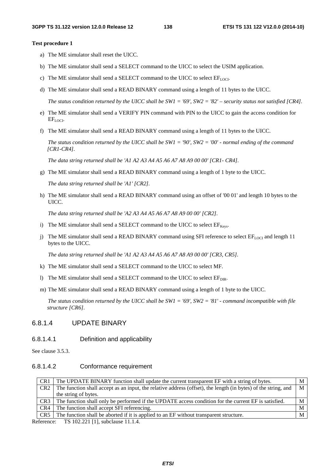#### **Test procedure 1**

- a) The ME simulator shall reset the UICC.
- b) The ME simulator shall send a SELECT command to the UICC to select the USIM application.
- c) The ME simulator shall send a SELECT command to the UICC to select  $EF_{LOCI}$ .
- d) The ME simulator shall send a READ BINARY command using a length of 11 bytes to the UICC.

 *The status condition returned by the UICC shall be SW1 = '69', SW2 = '82' – security status not satisfied [CR4].*

- e) The ME simulator shall send a VERIFY PIN command with PIN to the UICC to gain the access condition for EFLOCI.
- f) The ME simulator shall send a READ BINARY command using a length of 11 bytes to the UICC.

 *The status condition returned by the UICC shall be SW1 = '90', SW2 = '00' - normal ending of the command [CR1-CR4].*

 *The data string returned shall be 'A1 A2 A3 A4 A5 A6 A7 A8 A9 00 00' [CR1- CR4].* 

g) The ME simulator shall send a READ BINARY command using a length of 1 byte to the UICC.

 *The data string returned shall be 'A1' [CR2].*

h) The ME simulator shall send a READ BINARY command using an offset of '00 01' and length 10 bytes to the UICC.

 *The data string returned shall be 'A2 A3 A4 A5 A6 A7 A8 A9 00 00' [CR2].*

- i) The ME simulator shall send a SELECT command to the UICC to select  $EF_{Kevs}$ .
- j) The ME simulator shall send a READ BINARY command using SFI reference to select EF<sub>LOCI</sub> and length 11 bytes to the UICC.

 *The data string returned shall be 'A1 A2 A3 A4 A5 A6 A7 A8 A9 00 00' [CR3, CR5].*

- k) The ME simulator shall send a SELECT command to the UICC to select MF.
- l) The ME simulator shall send a SELECT command to the UICC to select  $EF_{DIR}$ .
- m) The ME simulator shall send a READ BINARY command using a length of 1 byte to the UICC.

 *The status condition returned by the UICC shall be SW1 = '69', SW2 = '81' - command incompatible with file structure [CR6].*

## 6.8.1.4 UPDATE BINARY

## 6.8.1.4.1 Definition and applicability

See clause 3.5.3.

#### 6.8.1.4.2 Conformance requirement

| CR <sub>1</sub> | The UPDATE BINARY function shall update the current transparent EF with a string of bytes.                     | M |
|-----------------|----------------------------------------------------------------------------------------------------------------|---|
| CR2             | The function shall accept as an input, the relative address (offset), the length (in bytes) of the string, and | M |
|                 | the string of bytes.                                                                                           |   |
| CR <sub>3</sub> | The function shall only be performed if the UPDATE access condition for the current EF is satisfied.           | M |
| CR4             | The function shall accept SFI referencing.                                                                     | M |
| CR5             | The function shall be aborted if it is applied to an EF without transparent structure.                         | M |

Reference: TS 102.221 [1], subclause 11.1.4.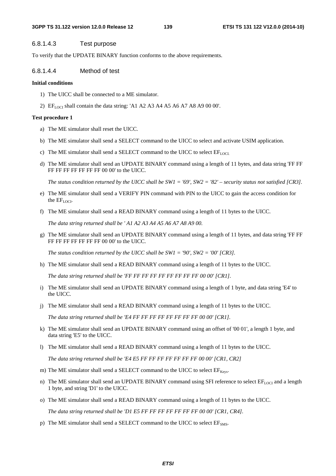## 6.8.1.4.3 Test purpose

To verify that the UPDATE BINARY function conforms to the above requirements.

# 6.8.1.4.4 Method of test

## **Initial conditions**

- 1) The UICC shall be connected to a ME simulator.
- 2) EF<sub>LOCI</sub> shall contain the data string: 'A1 A2 A3 A4 A5 A6 A7 A8 A9 00 00'.

## **Test procedure 1**

- a) The ME simulator shall reset the UICC.
- b) The ME simulator shall send a SELECT command to the UICC to select and activate USIM application.
- c) The ME simulator shall send a SELECT command to the UICC to select  $EF_{LOCL}$
- d) The ME simulator shall send an UPDATE BINARY command using a length of 11 bytes, and data string 'FF FF FF FF FF FF FF FF FF 00 00' to the UICC.

*The status condition returned by the UICC shall be SW1 = '69', SW2 = '82' – security status not satisfied [CR3].* 

- e) The ME simulator shall send a VERIFY PIN command with PIN to the UICC to gain the access condition for the  $EF_{LOCI}$ .
- f) The ME simulator shall send a READ BINARY command using a length of 11 bytes to the UICC.

*The data string returned shall be ' A1 A2 A3 A4 A5 A6 A7 A8 A9 00.* 

g) The ME simulator shall send an UPDATE BINARY command using a length of 11 bytes, and data string 'FF FF FF FF FF FF FF FF FF 00 00' to the UICC.

*The status condition returned by the UICC shall be SW1 = '90', SW2 = '00' [CR3].* 

h) The ME simulator shall send a READ BINARY command using a length of 11 bytes to the UICC.

*The data string returned shall be 'FF FF FF FF FF FF FF FF FF 00 00' [CR1].* 

- i) The ME simulator shall send an UPDATE BINARY command using a length of 1 byte, and data string 'E4' to the UICC.
- j) The ME simulator shall send a READ BINARY command using a length of 11 bytes to the UICC.

*The data string returned shall be 'E4 FF FF FF FF FF FF FF FF 00 00' [CR1].* 

- k) The ME simulator shall send an UPDATE BINARY command using an offset of '00 01', a length 1 byte, and data string 'E5' to the UICC.
- l) The ME simulator shall send a READ BINARY command using a length of 11 bytes to the UICC.

*The data string returned shall be 'E4 E5 FF FF FF FF FF FF FF 00 00' [CR1, CR2]* 

- m) The ME simulator shall send a SELECT command to the UICC to select  $EF_{\text{Kevs}}$ .
- n) The ME simulator shall send an UPDATE BINARY command using SFI reference to select  $EF_{LOCI}$  and a length 1 byte, and string 'D1' to the UICC.
- o) The ME simulator shall send a READ BINARY command using a length of 11 bytes to the UICC.

*The data string returned shall be 'D1 E5 FF FF FF FF FF FF FF 00 00' [CR1, CR4].* 

p) The ME simulator shall send a SELECT command to the UICC to select  $EF<sub>SMS</sub>$ .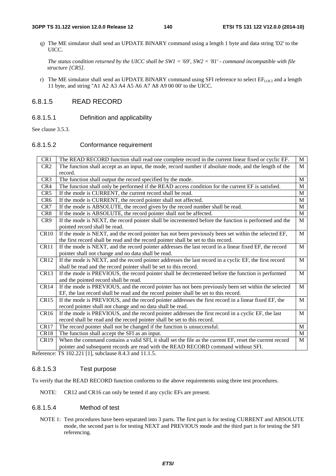#### **3GPP TS 31.122 version 12.0.0 Release 12 140 ETSI TS 131 122 V12.0.0 (2014-10)**

q) The ME simulator shall send an UPDATE BINARY command using a length 1 byte and data string 'D2' to the UICC.

*The status condition returned by the UICC shall be SW1 = '69', SW2 = '81' - command incompatible with file structure [CR5].* 

r) The ME simulator shall send an UPDATE BINARY command using SFI reference to select  $EF_{LOC}$  and a length 11 byte, and string ''A1 A2 A3 A4 A5 A6 A7 A8 A9 00 00' to the UICC.

# 6.8.1.5 READ RECORD

# 6.8.1.5.1 Definition and applicability

See clause 3.5.3.

# 6.8.1.5.2 Conformance requirement

| CR1              | The READ RECORD function shall read one complete record in the current linear fixed or cyclic EF.        | M            |
|------------------|----------------------------------------------------------------------------------------------------------|--------------|
| CR <sub>2</sub>  | The function shall accept as an input, the mode, record number if absolute mode, and the length of the   | M            |
|                  | record.                                                                                                  |              |
| CR <sub>3</sub>  | The function shall output the record specified by the mode.                                              | M            |
| CR4              | The function shall only be performed if the READ access condition for the current EF is satisfied.       | $\mathbf{M}$ |
| CR <sub>5</sub>  | If the mode is CURRENT, the current record shall be read.                                                | M            |
| CR <sub>6</sub>  | If the mode is CURRENT, the record pointer shall not affected.                                           | $\mathbf{M}$ |
| CR7              | If the mode is ABSOLUTE, the record given by the record number shall be read.                            | M            |
| CR <sub>8</sub>  | If the mode is ABSOLUTE, the record pointer shall not be affected.                                       | M            |
| CR9              | If the mode is NEXT, the record pointer shall be incremented before the function is performed and the    | $\mathbf{M}$ |
|                  | pointed record shall be read.                                                                            |              |
| CR10             | If the mode is NEXT, and the record pointer has not been previously been set within the selected EF,     | $\mathbf{M}$ |
|                  | the first record shall be read and the record pointer shall be set to this record.                       |              |
| CR11             | If the mode is NEXT, and the record pointer addresses the last record in a linear fixed EF, the record   | M            |
|                  | pointer shall not change and no data shall be read.                                                      |              |
| CR12             | If the mode is NEXT, and the record pointer addresses the last record in a cyclic EF, the first record   | M            |
|                  | shall be read and the record pointer shall be set to this record.                                        |              |
| CR13             | If the mode is PREVIOUS, the record pointer shall be decremented before the function is performed        | M            |
|                  | and the pointed record shall be read.                                                                    |              |
| CR14             | If the mode is PREVIOUS, and the record pointer has not been previously been set within the selected     | M            |
|                  | EF, the last record shall be read and the record pointer shall be set to this record.                    |              |
| CR15             | If the mode is PREVIOUS, and the record pointer addresses the first record in a linear fixed EF, the     | $\mathbf{M}$ |
|                  | record pointer shall not change and no data shall be read.                                               |              |
| CR <sub>16</sub> | If the mode is PREVIOUS, and the record pointer addresses the first record in a cyclic EF, the last      | M            |
|                  | record shall be read and the record pointer shall be set to this record.                                 |              |
| CR <sub>17</sub> | The record pointer shall not be changed if the function is unsuccessful.                                 | M            |
| CR18             | The function shall accept the SFI as an input.                                                           | $\mathbf{M}$ |
| <b>CR19</b>      | When the command contains a valid SFI, it shall set the file as the current EF, reset the current record | M            |
|                  | pointer and subsequent records are read with the READ RECORD command without SFI.                        |              |

Reference: TS 102.221 [1], subclause 8.4.3 and 11.1.5.

# 6.8.1.5.3 Test purpose

To verify that the READ RECORD function conforms to the above requirements using three test procedures.

NOTE: CR12 and CR16 can only be tested if any cyclic EFs are present.

## 6.8.1.5.4 Method of test

NOTE 1: Test procedures have been separated into 3 parts. The first part is for testing CURRENT and ABSOLUTE mode, the second part is for testing NEXT and PREVIOUS mode and the third part is for testing the SFI referencing.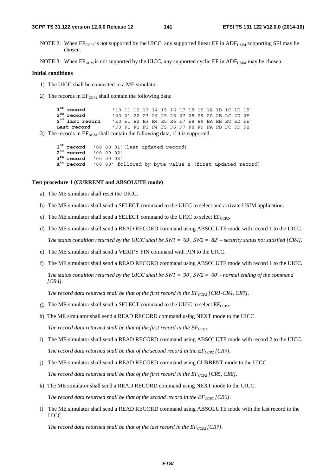#### **3GPP TS 31.122 version 12.0.0 Release 12 141 ETSI TS 131 122 V12.0.0 (2014-10)**

NOTE 2: When  $EF_{CCP2}$  is not supported by the UICC, any supported linear EF in ADF<sub>USIM</sub> supporting SFI may be chosen.

NOTE 3: When  $EF_{ACM}$  is not supported by the UICC, any supported cyclic EF in ADF<sub>USIM</sub> may be chosen.

#### **Initial conditions**

- 1) The UICC shall be connected to a ME simulator.
- 2) The records in  $EF_{CCP2}$  shall contain the following data:

 $\boldsymbol{1}^{\texttt{st}}$  record  **record** '10 11 12 13 14 15 16 17 18 19 1A 1B 1C 1D 1E' 2<sup>nd</sup> record  **record** '20 21 22 23 24 25 26 27 28 29 2A 2B 2C 2D 2E'  $2<sup>nd</sup>$  last record  **last record** 'E0 E1 E2 E3 E4 E5 E6 E7 E8 E9 EA EB EC ED EE' **Last record** 'F0 F1 F2 F3 F4 F5 F6 F7 F8 F9 FA FB FC FD FE'

3) The records in  $EF_{ACM}$  shall contain the following data, if it is supported:

 $1^{\text{st}}$  record  **record** '00 00 01'(last updated record)  $2^{nd}$  record  **record** '00 00 02' <sup>3rd</sup> record<br>X<sup>th</sup> record  **record** '00 00 03' **Xth record** '00 00' followed by byte value X (first updated record)

## **Test procedure 1 (CURRENT and ABSOLUTE mode)**

- a) The ME simulator shall reset the UICC.
- b) The ME simulator shall send a SELECT command to the UICC to select and activate USIM application.
- c) The ME simulator shall send a SELECT command to the UICC to select  $EF_{CCP2}$ .
- d) The ME simulator shall send a READ RECORD command using ABSOLUTE mode with record 1 to the UICC.  *The status condition returned by the UICC shall be SW1 = '69', SW2 = '82' – security status not satisfied [CR4].*
- e) The ME simulator shall send a VERIFY PIN command with PIN to the UICC.
- f) The ME simulator shall send a READ RECORD command using ABSOLUTE mode with record 1 to the UICC.  *The status condition returned by the UICC shall be SW1 = '90', SW2 = '00' - normal ending of the command [CR4].*

*The record data returned shall be that of the first record in the*  $EF_{CCP2}$  *[CR1-CR4, CR7].* 

- g) The ME simulator shall send a SELECT command to the UICC to select  $EF_{CCP2}$ .
- h) The ME simulator shall send a READ RECORD command using NEXT mode to the UICC.

*The record data returned shall be that of the first record in the*  $EF_{CCP2}$ *.* 

- i) The ME simulator shall send a READ RECORD command using ABSOLUTE mode with record 2 to the UICC. *The record data returned shall be that of the second record in the*  $EF_{CCP2}$  *[CR7].*
- j) The ME simulator shall send a READ RECORD command using CURRENT mode to the UICC. *The record data returned shall be that of the first record in the*  $EF_{CCP2}$  *[CR5, CR8].*
- k) The ME simulator shall send a READ RECORD command using NEXT mode to the UICC. *The record data returned shall be that of the second record in the*  $EF_{CCP2}$  *[CR6].*
- l) The ME simulator shall send a READ RECORD command using ABSOLUTE mode with the last record to the UICC.

*The record data returned shall be that of the last record in the*  $EF_{CCP2}$  *[CR7].*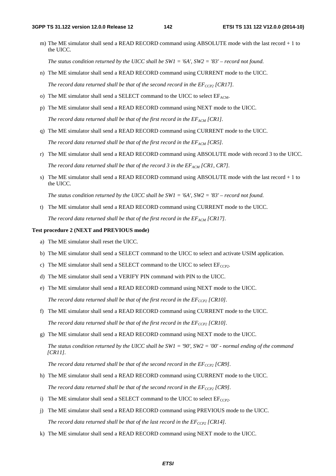m) The ME simulator shall send a READ RECORD command using ABSOLUTE mode with the last record + 1 to the UICC.

 *The status condition returned by the UICC shall be SW1 = '6A', SW2 = '83' – record not found.*

- n) The ME simulator shall send a READ RECORD command using CURRENT mode to the UICC. *The record data returned shall be that of the second record in the*  $EF_{CCP2}$  *[CR17].*
- o) The ME simulator shall send a SELECT command to the UICC to select  $EF_{ACM}$ .
- p) The ME simulator shall send a READ RECORD command using NEXT mode to the UICC.

*The record data returned shall be that of the first record in the*  $EF_{ACM}$  *[CR1].* 

q) The ME simulator shall send a READ RECORD command using CURRENT mode to the UICC.

The record data returned shall be that of the first record in the  $EF_{ACM}$  [CR5].

- r) The ME simulator shall send a READ RECORD command using ABSOLUTE mode with record 3 to the UICC. *The record data returned shall be that of the record 3 in the*  $EF_{ACM}$  *[CR1, CR7].*
- s) The ME simulator shall send a READ RECORD command using ABSOLUTE mode with the last record + 1 to the UICC.

 *The status condition returned by the UICC shall be SW1 = '6A', SW2 = '83' – record not found.*

t) The ME simulator shall send a READ RECORD command using CURRENT mode to the UICC. The record data returned shall be that of the first record in the  $EF_{ACM}$  [CR17].

#### **Test procedure 2 (NEXT and PREVIOUS mode)**

- a) The ME simulator shall reset the UICC.
- b) The ME simulator shall send a SELECT command to the UICC to select and activate USIM application.
- c) The ME simulator shall send a SELECT command to the UICC to select  $EF_{CCP2}$ .
- d) The ME simulator shall send a VERIFY PIN command with PIN to the UICC.
- e) The ME simulator shall send a READ RECORD command using NEXT mode to the UICC. The record data returned shall be that of the first record in the  $EF_{CCP2}$  [CR10].
- f) The ME simulator shall send a READ RECORD command using CURRENT mode to the UICC. *The record data returned shall be that of the first record in the*  $EF_{CCP2}$  *[CR10].*
- g) The ME simulator shall send a READ RECORD command using NEXT mode to the UICC.

 *The status condition returned by the UICC shall be SW1 = '90', SW2 = '00' - normal ending of the command [CR11].*

*The record data returned shall be that of the second record in the*  $EF_{CCP2}$  *[CR9].* 

- h) The ME simulator shall send a READ RECORD command using CURRENT mode to the UICC. *The record data returned shall be that of the second record in the*  $EF_{CCP2}$  *[CR9].*
- i) The ME simulator shall send a SELECT command to the UICC to select  $EF_{CCP2}$ .
- j) The ME simulator shall send a READ RECORD command using PREVIOUS mode to the UICC. *The record data returned shall be that of the last record in the*  $EF_{CCP2}$  *[CR14].*
- k) The ME simulator shall send a READ RECORD command using NEXT mode to the UICC.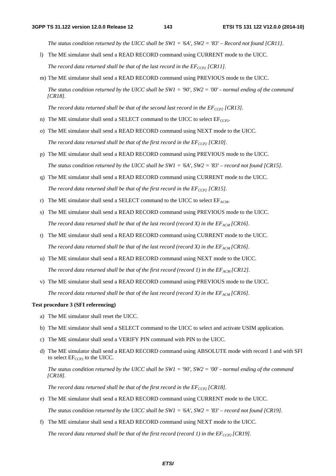*The status condition returned by the UICC shall be SW1 = '6A', SW2 = '83' – Record not found [CR11].*

- l) The ME simulator shall send a READ RECORD command using CURRENT mode to the UICC. *The record data returned shall be that of the last record in the*  $EF_{CCP2}$  *[CR11].*
- m) The ME simulator shall send a READ RECORD command using PREVIOUS mode to the UICC.

 *The status condition returned by the UICC shall be SW1 = '90', SW2 = '00' - normal ending of the command [CR18].*

The record data returned shall be that of the second last record in the  $EF_{CCP2}$  [CR13].

- n) The ME simulator shall send a SELECT command to the UICC to select  $EF_{CCP2}$ .
- o) The ME simulator shall send a READ RECORD command using NEXT mode to the UICC. *The record data returned shall be that of the first record in the*  $EF_{CCP2}$  *[CR10].*
- p) The ME simulator shall send a READ RECORD command using PREVIOUS mode to the UICC.  *The status condition returned by the UICC shall be SW1 = '6A', SW2 = '83' – record not found [CR15].*
- q) The ME simulator shall send a READ RECORD command using CURRENT mode to the UICC. *The record data returned shall be that of the first record in the*  $EF_{CCP2}$  *[CR15].*
- r) The ME simulator shall send a SELECT command to the UICC to select  $EF_{ACM}$ .
- s) The ME simulator shall send a READ RECORD command using PREVIOUS mode to the UICC. *The record data returned shall be that of the last record (record X) in the*  $EF_{ACM}$  *[CR16].*
- t) The ME simulator shall send a READ RECORD command using CURRENT mode to the UICC. *The record data returned shall be that of the last record (record X) in the*  $E_{ACM}$  *[CR16].*
- u) The ME simulator shall send a READ RECORD command using NEXT mode to the UICC. *The record data returned shall be that of the first record (record 1) in the*  $EF_{ACM}$  *[CR12].*
- v) The ME simulator shall send a READ RECORD command using PREVIOUS mode to the UICC. *The record data returned shall be that of the last record (record X) in the*  $EF_{ACM}$  *[CR16].*

#### **Test procedure 3 (SFI referencing)**

- a) The ME simulator shall reset the UICC.
- b) The ME simulator shall send a SELECT command to the UICC to select and activate USIM application.
- c) The ME simulator shall send a VERIFY PIN command with PIN to the UICC.
- d) The ME simulator shall send a READ RECORD command using ABSOLUTE mode with record 1 and with SFI to select  $EF_{CCP2}$  to the UICC.

 *The status condition returned by the UICC shall be SW1 = '90', SW2 = '00' - normal ending of the command [CR18].* 

*The record data returned shall be that of the first record in the*  $EF_{CCP2}$  *[CR18].* 

e) The ME simulator shall send a READ RECORD command using CURRENT mode to the UICC.

 *The status condition returned by the UICC shall be SW1 = '6A', SW2 = '83' – record not found [CR19].*

f) The ME simulator shall send a READ RECORD command using NEXT mode to the UICC. The record data returned shall be that of the first record (record 1) in the  $EF_{CCP2}$  [CR19].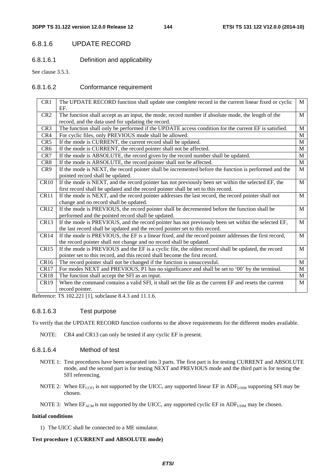# 6.8.1.6 UPDATE RECORD

6.8.1.6.1 Definition and applicability

See clause 3.5.3.

### 6.8.1.6.2 Conformance requirement

| CR1              | The UPDATE RECORD function shall update one complete record in the current linear fixed or cyclic<br>EF. | M            |
|------------------|----------------------------------------------------------------------------------------------------------|--------------|
| CR <sub>2</sub>  | The function shall accept as an input, the mode, record number if absolute mode, the length of the       | M            |
|                  | record, and the data used for updating the record.                                                       |              |
| CR <sub>3</sub>  | The function shall only be performed if the UPDATE access condition for the current EF is satisfied.     | M            |
| CR4              | For cyclic files, only PREVIOUS mode shall be allowed.                                                   | M            |
| CR <sub>5</sub>  | If the mode is CURRENT, the current record shall be updated.                                             | M            |
| CR <sub>6</sub>  | If the mode is CURRENT, the record pointer shall not be affected.                                        | M            |
| CR7              | If the mode is ABSOLUTE, the record given by the record number shall be updated.                         | M            |
| CR8              | If the mode is ABSOLUTE, the record pointer shall not be affected.                                       | M            |
| CR <sub>9</sub>  | If the mode is NEXT, the record pointer shall be incremented before the function is performed and the    | $\mathbf{M}$ |
|                  | pointed record shall be updated.                                                                         |              |
| <b>CR10</b>      | If the mode is NEXT, and the record pointer has not previously been set within the selected EF, the      | M            |
|                  | first record shall be updated and the record pointer shall be set to this record.                        |              |
| CR11             | If the mode is NEXT, and the record pointer addresses the last record, the record pointer shall not      | M            |
|                  | change and no record shall be updated.                                                                   |              |
| <b>CR12</b>      | If the mode is PREVIOUS, the record pointer shall be decremented before the function shall be            | M            |
|                  | performed and the pointed record shall be updated.                                                       |              |
| CR13             | If the mode is PREVIOUS, and the record pointer has not previously been set within the selected EF,      | M            |
|                  | the last record shall be updated and the record pointer set to this record.                              |              |
| CR14             | If the mode is PREVIOUS, the EF is a linear fixed, and the record pointer addresses the first record,    | M            |
|                  | the record pointer shall not change and no record shall be updated.                                      |              |
| <b>CR15</b>      | If the mode is PREVIOUS and the EF is a cyclic file, the oldest record shall be updated, the record      | $\mathbf{M}$ |
|                  | pointer set to this record, and this record shall become the first record.                               |              |
| CR <sub>16</sub> | The record pointer shall not be changed if the function is unsuccessful.                                 | M            |
| CR <sub>17</sub> | For modes NEXT and PREVIOUS, P1 has no significance and shall be set to '00' by the terminal.            | M            |
| CR <sub>18</sub> | The function shall accept the SFI as an input.                                                           | M            |
| <b>CR19</b>      | When the command contains a valid SFI, it shall set the file as the current EF and resets the current    | M            |
|                  | record pointer.                                                                                          |              |

Reference: TS 102.221 [1], subclause 8.4.3 and 11.1.6.

### 6.8.1.6.3 Test purpose

To verify that the UPDATE RECORD function conforms to the above requirements for the different modes available.

NOTE: CR4 and CR13 can only be tested if any cyclic EF is present.

### 6.8.1.6.4 Method of test

- NOTE 1: Test procedures have been separated into 3 parts. The first part is for testing CURRENT and ABSOLUTE mode, and the second part is for testing NEXT and PREVIOUS mode and the third part is for testing the SFI referencing.
- NOTE 2: When  $EF_{CCP2}$  is not supported by the UICC, any supported linear EF in ADF<sub>USIM</sub> supporting SFI may be chosen.
- NOTE 3: When  $EF_{ACM}$  is not supported by the UICC, any supported cyclic EF in  $ADF_{USIM}$  may be chosen.

#### **Initial conditions**

1) The UICC shall be connected to a ME simulator.

#### **Test procedure 1 (CURRENT and ABSOLUTE mode)**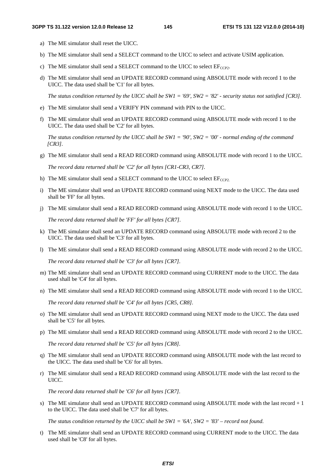- a) The ME simulator shall reset the UICC.
- b) The ME simulator shall send a SELECT command to the UICC to select and activate USIM application.
- c) The ME simulator shall send a SELECT command to the UICC to select  $EF_{CCP2}$ .
- d) The ME simulator shall send an UPDATE RECORD command using ABSOLUTE mode with record 1 to the UICC. The data used shall be 'C1' for all bytes.

 *The status condition returned by the UICC shall be SW1 = '69', SW2 = '82' - security status not satisfied [CR3].*

- e) The ME simulator shall send a VERIFY PIN command with PIN to the UICC.
- f) The ME simulator shall send an UPDATE RECORD command using ABSOLUTE mode with record 1 to the UICC. The data used shall be 'C2' for all bytes.

 *The status condition returned by the UICC shall be SW1 = '90', SW2 = '00' - normal ending of the command [CR3].*

g) The ME simulator shall send a READ RECORD command using ABSOLUTE mode with record 1 to the UICC.

 *The record data returned shall be 'C2' for all bytes [CR1-CR3, CR7].*

- h) The ME simulator shall send a SELECT command to the UICC to select  $E_{CCP2}$ .
- i) The ME simulator shall send an UPDATE RECORD command using NEXT mode to the UICC. The data used shall be 'FF' for all bytes.
- j) The ME simulator shall send a READ RECORD command using ABSOLUTE mode with record 1 to the UICC.

 *The record data returned shall be 'FF' for all bytes [CR7].*

- k) The ME simulator shall send an UPDATE RECORD command using ABSOLUTE mode with record 2 to the UICC. The data used shall be 'C3' for all bytes.
- l) The ME simulator shall send a READ RECORD command using ABSOLUTE mode with record 2 to the UICC.

 *The record data returned shall be 'C3' for all bytes [CR7].*

- m) The ME simulator shall send an UPDATE RECORD command using CURRENT mode to the UICC. The data used shall be 'C4' for all bytes.
- n) The ME simulator shall send a READ RECORD command using ABSOLUTE mode with record 1 to the UICC.

*The record data returned shall be 'C4' for all bytes [CR5, CR8].*

- o) The ME simulator shall send an UPDATE RECORD command using NEXT mode to the UICC. The data used shall be 'C5' for all bytes.
- p) The ME simulator shall send a READ RECORD command using ABSOLUTE mode with record 2 to the UICC.

*The record data returned shall be 'C5' for all bytes [CR8].*

- q) The ME simulator shall send an UPDATE RECORD command using ABSOLUTE mode with the last record to the UICC. The data used shall be 'C6' for all bytes.
- r) The ME simulator shall send a READ RECORD command using ABSOLUTE mode with the last record to the UICC.

*The record data returned shall be 'C6' for all bytes [CR7].*

s) The ME simulator shall send an UPDATE RECORD command using ABSOLUTE mode with the last record + 1 to the UICC. The data used shall be 'C7' for all bytes.

*The status condition returned by the UICC shall be SW1 = '6A', SW2 = '83' – record not found.*

t) The ME simulator shall send an UPDATE RECORD command using CURRENT mode to the UICC. The data used shall be 'C8' for all bytes.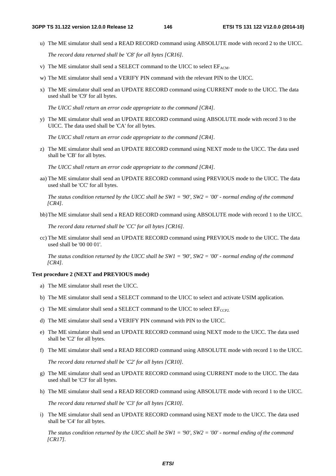u) The ME simulator shall send a READ RECORD command using ABSOLUTE mode with record 2 to the UICC.

*The record data returned shall be 'C8' for all bytes [CR16].*

- v) The ME simulator shall send a SELECT command to the UICC to select  $EF_{ACM}$ .
- w) The ME simulator shall send a VERIFY PIN command with the relevant PIN to the UICC.
- x) The ME simulator shall send an UPDATE RECORD command using CURRENT mode to the UICC. The data used shall be 'C9' for all bytes.

*The UICC shall return an error code appropriate to the command [CR4].*

y) The ME simulator shall send an UPDATE RECORD command using ABSOLUTE mode with record 3 to the UICC. The data used shall be 'CA' for all bytes.

*The UICC shall return an error code appropriate to the command [CR4].*

z) The ME simulator shall send an UPDATE RECORD command using NEXT mode to the UICC. The data used shall be 'CB' for all bytes.

 *The UICC shall return an error code appropriate to the command [CR4].* 

aa) The ME simulator shall send an UPDATE RECORD command using PREVIOUS mode to the UICC. The data used shall be 'CC' for all bytes.

*The status condition returned by the UICC shall be SW1 = '90', SW2 = '00' - normal ending of the command [CR4].*

bb) The ME simulator shall send a READ RECORD command using ABSOLUTE mode with record 1 to the UICC.

*The record data returned shall be 'CC' for all bytes [CR16].* 

cc) The ME simulator shall send an UPDATE RECORD command using PREVIOUS mode to the UICC. The data used shall be '00 00 01'.

*The status condition returned by the UICC shall be SW1 = '90', SW2 = '00' - normal ending of the command [CR4].*

#### **Test procedure 2 (NEXT and PREVIOUS mode)**

- a) The ME simulator shall reset the UICC.
- b) The ME simulator shall send a SELECT command to the UICC to select and activate USIM application.
- c) The ME simulator shall send a SELECT command to the UICC to select  $E_{CCP2}$ .
- d) The ME simulator shall send a VERIFY PIN command with PIN to the UICC.
- e) The ME simulator shall send an UPDATE RECORD command using NEXT mode to the UICC. The data used shall be 'C2' for all bytes.
- f) The ME simulator shall send a READ RECORD command using ABSOLUTE mode with record 1 to the UICC.

 *The record data returned shall be 'C2' for all bytes [CR10].*

- g) The ME simulator shall send an UPDATE RECORD command using CURRENT mode to the UICC. The data used shall be 'C3' for all bytes.
- h) The ME simulator shall send a READ RECORD command using ABSOLUTE mode with record 1 to the UICC.

 *The record data returned shall be 'C3' for all bytes [CR10].*

i) The ME simulator shall send an UPDATE RECORD command using NEXT mode to the UICC. The data used shall be 'C4' for all bytes.

 *The status condition returned by the UICC shall be SW1 = '90', SW2 = '00' - normal ending of the command [CR17].*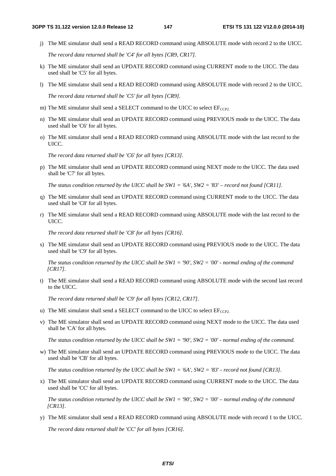j) The ME simulator shall send a READ RECORD command using ABSOLUTE mode with record 2 to the UICC.

 *The record data returned shall be 'C4' for all bytes [CR9, CR17].*

- k) The ME simulator shall send an UPDATE RECORD command using CURRENT mode to the UICC. The data used shall be 'C5' for all bytes.
- l) The ME simulator shall send a READ RECORD command using ABSOLUTE mode with record 2 to the UICC.

 *The record data returned shall be 'C5' for all bytes [CR9].*

- m) The ME simulator shall send a SELECT command to the UICC to select  $EF_{CCP2}$ .
- n) The ME simulator shall send an UPDATE RECORD command using PREVIOUS mode to the UICC. The data used shall be 'C6' for all bytes.
- o) The ME simulator shall send a READ RECORD command using ABSOLUTE mode with the last record to the UICC.

 *The record data returned shall be 'C6' for all bytes [CR13].*

p) The ME simulator shall send an UPDATE RECORD command using NEXT mode to the UICC. The data used shall be 'C7' for all bytes.

 *The status condition returned by the UICC shall be SW1 = '6A', SW2 = '83' – record not found [CR11].*

- q) The ME simulator shall send an UPDATE RECORD command using CURRENT mode to the UICC. The data used shall be 'C8' for all bytes.
- r) The ME simulator shall send a READ RECORD command using ABSOLUTE mode with the last record to the UICC.

 *The record data returned shall be 'C8' for all bytes [CR16].*

s) The ME simulator shall send an UPDATE RECORD command using PREVIOUS mode to the UICC. The data used shall be 'C9' for all bytes.

 *The status condition returned by the UICC shall be SW1 = '90', SW2 = '00' - normal ending of the command [CR17].*

t) The ME simulator shall send a READ RECORD command using ABSOLUTE mode with the second last record to the UICC.

 *The record data returned shall be 'C9' for all bytes [CR12, CR17].*

- u) The ME simulator shall send a SELECT command to the UICC to select  $E_{CCP2}$ .
- v) The ME simulator shall send an UPDATE RECORD command using NEXT mode to the UICC. The data used shall be 'CA' for all bytes.

 *The status condition returned by the UICC shall be SW1 = '90', SW2 = '00' - normal ending of the command.*

w) The ME simulator shall send an UPDATE RECORD command using PREVIOUS mode to the UICC. The data used shall be 'CB' for all bytes.

 *The status condition returned by the UICC shall be SW1 = '6A', SW2 = '83' - record not found [CR13].*

x) The ME simulator shall send an UPDATE RECORD command using CURRENT mode to the UICC. The data used shall be 'CC' for all bytes.

 *The status condition returned by the UICC shall be SW1 = '90', SW2 = '00' – normal ending of the command [CR13].*

y) The ME simulator shall send a READ RECORD command using ABSOLUTE mode with record 1 to the UICC.

 *The record data returned shall be 'CC' for all bytes [CR16].*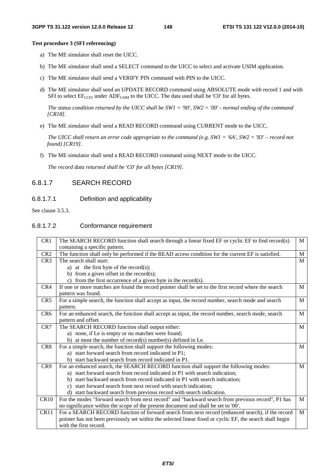#### **Test procedure 3 (SFI referencing)**

- a) The ME simulator shall reset the UICC.
- b) The ME simulator shall send a SELECT command to the UICC to select and activate USIM application.
- c) The ME simulator shall send a VERIFY PIN command with PIN to the UICC.
- d) The ME simulator shall send an UPDATE RECORD command using ABSOLUTE mode with record 1 and with SFI to select  $EF_{CCP2}$  under  $ADF_{USM}$  to the UICC. The data used shall be 'C0' for all bytes.

 *The status condition returned by the UICC shall be SW1 = '90', SW2 = '00' - normal ending of the command [CR18].*

e) The ME simulator shall send a READ RECORD command using CURRENT mode to the UICC.

 *The UICC shall return an error code appropriate to the command (e.g. SW1 = '6A', SW2 = '83' – record not found) [CR19].*

f) The ME simulator shall send a READ RECORD command using NEXT mode to the UICC.

 *The record data returned shall be 'C0' for all bytes [CR19].* 

# 6.8.1.7 SEARCH RECORD

### 6.8.1.7.1 Definition and applicability

See clause 3.5.3.

# 6.8.1.7.2 Conformance requirement

| CR1             | The SEARCH RECORD function shall search through a linear fixed EF or cyclic EF to find record(s)          | $\mathbf{M}$ |
|-----------------|-----------------------------------------------------------------------------------------------------------|--------------|
|                 | containing a specific pattern.                                                                            |              |
| CR <sub>2</sub> | The function shall only be performed if the READ access condition for the current EF is satisfied.        | M            |
| CR3             | The search shall start:                                                                                   | M            |
|                 | a) at the first byte of the record(s);                                                                    |              |
|                 | b) from a given offset in the record(s);                                                                  |              |
|                 | c) from the first occurrence of a given byte in the record(s).                                            |              |
| CR4             | If one or more matches are found the record pointer shall be set to the first record where the search     | M            |
|                 | pattern was found.                                                                                        |              |
| CR5             | For a simple search, the function shall accept as input, the record number, search mode and search        | M            |
|                 | pattern.                                                                                                  |              |
| CR <sub>6</sub> | For an enhanced search, the function shall accept as input, the record number, search mode, search        | M            |
|                 | pattern and offset.                                                                                       |              |
| CR7             | The SEARCH RECORD function shall output either:                                                           | M            |
|                 | a) none, if Le is empty or no matches were found;                                                         |              |
|                 | b) at most the number of record(s) number(s) defined in Le.                                               |              |
| CR8             | For a simple search, the function shall support the following modes:                                      | M            |
|                 | a) start forward search from record indicated in P1;                                                      |              |
|                 | b) start backward search from record indicated in P1.                                                     |              |
| CR <sub>9</sub> | For an enhanced search, the SEARCH RECORD function shall support the following modes:                     | M            |
|                 | a) start forward search from record indicated in P1 with search indication;                               |              |
|                 | b) start backward search from record indicated in P1 with search indication;                              |              |
|                 | c) start forward search from next record with search indication;                                          |              |
|                 | d) start backward search from previous record with search indication.                                     |              |
| CR10            | For the modes "forward search from next record" and "backward search from previous record", P1 has        | M            |
|                 | no significance within the scope of the present document and shall be set to '00'.                        |              |
| CR11            | For a SEARCH RECORD function of forward search from next record (enhanced search), if the record          | M            |
|                 | pointer has not been previously set within the selected linear fixed or cyclic EF, the search shall begin |              |
|                 | with the first record.                                                                                    |              |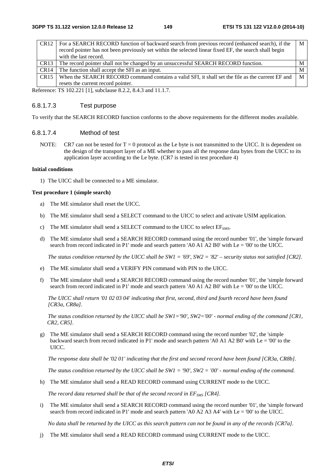| M                                                                                                                                                                                                  |
|----------------------------------------------------------------------------------------------------------------------------------------------------------------------------------------------------|
|                                                                                                                                                                                                    |
|                                                                                                                                                                                                    |
| M                                                                                                                                                                                                  |
| M                                                                                                                                                                                                  |
| $\mathbf{M}$                                                                                                                                                                                       |
|                                                                                                                                                                                                    |
| For a SEARCH RECORD function of backward search from previous record (enhanced search), if the<br>When the SEARCH RECORD command contains a valid SFI, it shall set the file as the current EF and |

Reference: TS 102.221 [1], subclause 8.2.2, 8.4.3 and 11.1.7.

### 6.8.1.7.3 Test purpose

To verify that the SEARCH RECORD function conforms to the above requirements for the different modes available.

### 6.8.1.7.4 Method of test

NOTE: CR7 can not be tested for  $T = 0$  protocol as the Le byte is not transmitted to the UICC. It is dependent on the design of the transport layer of a ME whether to pass all the response data bytes from the UICC to its application layer according to the Le byte. (CR7 is tested in test procedure 4)

#### **Initial conditions**

1) The UICC shall be connected to a ME simulator.

#### **Test procedure 1 (simple search)**

- a) The ME simulator shall reset the UICC.
- b) The ME simulator shall send a SELECT command to the UICC to select and activate USIM application.
- c) The ME simulator shall send a SELECT command to the UICC to select  $EF<sub>SMS</sub>$ .
- d) The ME simulator shall send a SEARCH RECORD command using the record number '01', the 'simple forward search from record indicated in P1' mode and search pattern 'A0 A1 A2 B0' with Le = '00' to the UICC.

 *The status condition returned by the UICC shall be SW1 = '69', SW2 = '82' – security status not satisfied [CR2].*

- e) The ME simulator shall send a VERIFY PIN command with PIN to the UICC.
- f) The ME simulator shall send a SEARCH RECORD command using the record number '01', the 'simple forward search from record indicated in P1' mode and search pattern 'A0 A1 A2 B0' with Le = '00' to the UICC.

 *The UICC shall return '01 02 03 04' indicating that first, second, third and fourth record have been found [CR3a, CR8a].* 

*The status condition returned by the UICC shall be SW1='90', SW2='00' - normal ending of the command [CR1, CR2, CR5].* 

g) The ME simulator shall send a SEARCH RECORD command using the record number '02', the 'simple backward search from record indicated in P1' mode and search pattern 'A0 A1 A2 B0' with Le = '00' to the UICC.

 *The response data shall be '02 01' indicating that the first and second record have been found [CR3a, CR8b].* 

*The status condition returned by the UICC shall be SW1 = '90', SW2 = '00' - normal ending of the command.* 

h) The ME simulator shall send a READ RECORD command using CURRENT mode to the UICC.

*The record data returned shall be that of the second record in EF<sub>SMS</sub> [CR4].* 

i) The ME simulator shall send a SEARCH RECORD command using the record number '01', the 'simple forward search from record indicated in P1' mode and search pattern 'A0 A2 A3 A4' with Le = '00' to the UICC.

 *No data shall be returned by the UICC as this search pattern can not be found in any of the records [CR7a].* 

j) The ME simulator shall send a READ RECORD command using CURRENT mode to the UICC.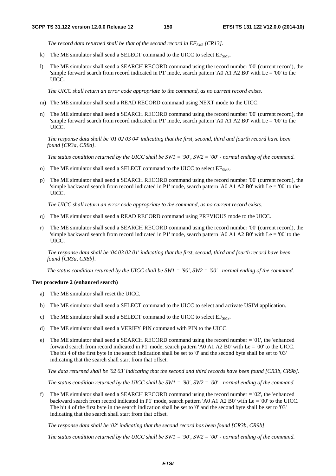*The record data returned shall be that of the second record in*  $EF_{SMS}$  *[CR13].* 

- k) The ME simulator shall send a SELECT command to the UICC to select  $EF<sub>SMS</sub>$ .
- l) The ME simulator shall send a SEARCH RECORD command using the record number '00' (current record), the 'simple forward search from record indicated in P1' mode, search pattern 'A0 A1 A2 B0' with Le = '00' to the UICC.

*The UICC shall return an error code appropriate to the command, as no current record exists.*

- m) The ME simulator shall send a READ RECORD command using NEXT mode to the UICC.
- n) The ME simulator shall send a SEARCH RECORD command using the record number '00' (current record), the 'simple forward search from record indicated in P1' mode, search pattern 'A0 A1 A2 B0' with Le = '00' to the UICC.

*The response data shall be '01 02 03 04' indicating that the first, second, third and fourth record have been found [CR3a, CR8a].* 

*The status condition returned by the UICC shall be SW1 = '90', SW2 = '00' - normal ending of the command.* 

- o) The ME simulator shall send a SELECT command to the UICC to select  $EF<sub>SMS</sub>$ .
- p) The ME simulator shall send a SEARCH RECORD command using the record number '00' (current record), the 'simple backward search from record indicated in P1' mode, search pattern 'A0 A1 A2 B0' with Le = '00' to the UICC.

*The UICC shall return an error code appropriate to the command, as no current record exists.*

- q) The ME simulator shall send a READ RECORD command using PREVIOUS mode to the UICC.
- The ME simulator shall send a SEARCH RECORD command using the record number '00' (current record), the 'simple backward search from record indicated in P1' mode, search pattern 'A0 A1 A2 B0' with Le = '00' to the UICC.

*The response data shall be '04 03 02 01' indicating that the first, second, third and fourth record have been found [CR3a, CR8b].* 

*The status condition returned by the UICC shall be SW1 = '90', SW2 = '00' - normal ending of the command.* 

#### **Test procedure 2 (enhanced search)**

- a) The ME simulator shall reset the UICC.
- b) The ME simulator shall send a SELECT command to the UICC to select and activate USIM application.
- c) The ME simulator shall send a SELECT command to the UICC to select  $EF<sub>SMS</sub>$ .
- d) The ME simulator shall send a VERIFY PIN command with PIN to the UICC.
- e) The ME simulator shall send a SEARCH RECORD command using the record number = '01', the 'enhanced forward search from record indicated in P1' mode, search pattern 'A0 A1 A2 B0' with Le = '00' to the UICC. The bit 4 of the first byte in the search indication shall be set to '0' and the second byte shall be set to '03' indicating that the search shall start from that offset.

*The data returned shall be '02 03' indicating that the second and third records have been found [CR3b, CR9b].* 

 *The status condition returned by the UICC shall be SW1 = '90', SW2 = '00' - normal ending of the command.* 

f) The ME simulator shall send a SEARCH RECORD command using the record number = '02', the 'enhanced backward search from record indicated in P1' mode, search pattern 'A0 A1 A2 B0' with Le = '00' to the UICC. The bit 4 of the first byte in the search indication shall be set to '0' and the second byte shall be set to '03' indicating that the search shall start from that offset.

 *The response data shall be '02' indicating that the second record has been found [CR3b, CR9b].*

*The status condition returned by the UICC shall be SW1 = '90', SW2 = '00' - normal ending of the command.*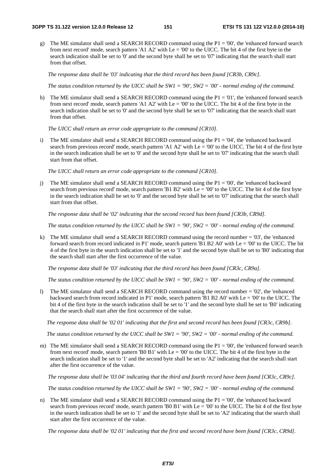g) The ME simulator shall send a SEARCH RECORD command using the P1 = '00', the 'enhanced forward search from next record' mode, search pattern 'A1 A2' with  $Le = 0'$  to the UICC. The bit 4 of the first byte in the search indication shall be set to '0' and the second byte shall be set to '07' indicating that the search shall start from that offset.

*The response data shall be '03' indicating that the third record has been found [CR3b, CR9c].* 

*The status condition returned by the UICC shall be SW1 = '90', SW2 = '00' - normal ending of the command.* 

h) The ME simulator shall send a SEARCH RECORD command using the  $P1 = 01'$ , the 'enhanced forward search from next record' mode, search pattern 'A1 A2' with Le = '00' to the UICC. The bit 4 of the first byte in the search indication shall be set to '0' and the second byte shall be set to '07' indicating that the search shall start from that offset.

*The UICC shall return an error code appropriate to the command [CR10].*

i) The ME simulator shall send a SEARCH RECORD command using the P1 = '04', the 'enhanced backward search from previous record' mode, search pattern 'A1 A2' with Le = '00' to the UICC. The bit 4 of the first byte in the search indication shall be set to '0' and the second byte shall be set to '07' indicating that the search shall start from that offset.

*The UICC shall return an error code appropriate to the command [CR10].*

j) The ME simulator shall send a SEARCH RECORD command using the P1 = '00', the 'enhanced backward search from previous record' mode, search pattern 'B1 B2' with Le = '00' to the UICC. The bit 4 of the first byte in the search indication shall be set to '0' and the second byte shall be set to '07' indicating that the search shall start from that offset.

 *The response data shall be '02' indicating that the second record has been found [CR3b, CR9d].*

*The status condition returned by the UICC shall be SW1 = '90', SW2 = '00' - normal ending of the command.*

k) The ME simulator shall send a SEARCH RECORD command using the record number = '03', the 'enhanced forward search from record indicated in P1' mode, search pattern 'B1 B2 A0' with Le = '00' to the UICC. The bit 4 of the first byte in the search indication shall be set to '1' and the second byte shall be set to 'B0' indicating that the search shall start after the first occurrence of the value.

*The response data shall be '03' indicating that the third record has been found [CR3c, CR9a].* 

*The status condition returned by the UICC shall be SW1 = '90', SW2 = '00' - normal ending of the command.* 

l) The ME simulator shall send a SEARCH RECORD command using the record number = '02', the 'enhanced backward search from record indicated in P1' mode, search pattern 'B1 B2 A0' with Le = '00' to the UICC. The bit 4 of the first byte in the search indication shall be set to '1' and the second byte shall be set to 'B0' indicating that the search shall start after the first occurrence of the value.

*The response data shall be '02 01' indicating that the first and second record has been found [CR3c, CR9b].* 

*The status condition returned by the UICC shall be SW1 = '90', SW2 = '00' - normal ending of the command.* 

m) The ME simulator shall send a SEARCH RECORD command using the  $P1 = 00'$ , the 'enhanced forward search from next record' mode, search pattern 'B0 B1' with  $Le = '00'$  to the UICC. The bit 4 of the first byte in the search indication shall be set to '1' and the second byte shall be set to 'A2' indicating that the search shall start after the first occurrence of the value.

*The response data shall be '03 04' indicating that the third and fourth record have been found [CR3c, CR9c].* 

*The status condition returned by the UICC shall be SW1 = '90', SW2 = '00' - normal ending of the command.* 

n) The ME simulator shall send a SEARCH RECORD command using the  $P1 = 00'$ , the 'enhanced backward search from previous record' mode, search pattern 'B0 B1' with Le = '00' to the UICC. The bit 4 of the first byte in the search indication shall be set to '1' and the second byte shall be set to 'A2' indicating that the search shall start after the first occurrence of the value.

*The response data shall be '02 01' indicating that the first and second record have been found [CR3c, CR9d].*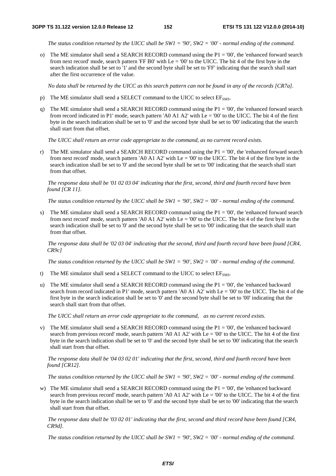*The status condition returned by the UICC shall be SW1 = '90', SW2 = '00' - normal ending of the command.* 

o) The ME simulator shall send a SEARCH RECORD command using the  $P1 = 00'$ , the 'enhanced forward search from next record' mode, search pattern 'FF B0' with  $Le = '00'$  to the UICC. The bit 4 of the first byte in the search indication shall be set to '1' and the second byte shall be set to 'FF' indicating that the search shall start after the first occurrence of the value.

 *No data shall be returned by the UICC as this search pattern can not be found in any of the records [CR7a].* 

- p) The ME simulator shall send a SELECT command to the UICC to select  $EF<sub>SMS</sub>$ .
- q) The ME simulator shall send a SEARCH RECORD command using the  $P1 = 00'$ , the 'enhanced forward search from record indicated in P1' mode, search pattern 'A0 A1 A2' with Le = '00' to the UICC. The bit 4 of the first byte in the search indication shall be set to '0' and the second byte shall be set to '00' indicating that the search shall start from that offset.

*The UICC shall return an error code appropriate to the command, as no current record exists.*

r) The ME simulator shall send a SEARCH RECORD command using the  $P1 = 00'$ , the 'enhanced forward search from next record' mode, search pattern 'A0 A1 A2' with Le = '00' to the UICC. The bit 4 of the first byte in the search indication shall be set to '0' and the second byte shall be set to '00' indicating that the search shall start from that offset.

*The response data shall be '01 02 03 04' indicating that the first, second, third and fourth record have been found [CR 11].* 

*The status condition returned by the UICC shall be SW1 = '90', SW2 = '00' - normal ending of the command.* 

s) The ME simulator shall send a SEARCH RECORD command using the  $P1 = 00$ ', the 'enhanced forward search from next record' mode, search pattern 'A0 A1 A2' with Le = '00' to the UICC. The bit 4 of the first byte in the search indication shall be set to '0' and the second byte shall be set to '00' indicating that the search shall start from that offset.

*The response data shall be '02 03 04' indicating that the second, third and fourth record have been found [CR4, CR9c]* 

*The status condition returned by the UICC shall be SW1 = '90', SW2 = '00' - normal ending of the command.*

- t) The ME simulator shall send a SELECT command to the UICC to select  $EF<sub>SMS</sub>$ .
- u) The ME simulator shall send a SEARCH RECORD command using the P1 = '00', the 'enhanced backward search from record indicated in P1' mode, search pattern 'A0 A1 A2' with Le = '00' to the UICC. The bit 4 of the first byte in the search indication shall be set to '0' and the second byte shall be set to '00' indicating that the search shall start from that offset.

*The UICC shall return an error code appropriate to the command, as no current record exists.*

v) The ME simulator shall send a SEARCH RECORD command using the  $P1 = 00$ ', the 'enhanced backward' search from previous record' mode, search pattern 'A0 A1 A2' with  $Le = 00'$  to the UICC. The bit 4 of the first byte in the search indication shall be set to '0' and the second byte shall be set to '00' indicating that the search shall start from that offset.

*The response data shall be '04 03 02 01' indicating that the first, second, third and fourth record have been found [CR12].* 

*The status condition returned by the UICC shall be SW1 = '90', SW2 = '00' - normal ending of the command.* 

w) The ME simulator shall send a SEARCH RECORD command using the  $P1 = 00$ ', the 'enhanced backward' search from previous record' mode, search pattern 'A0 A1 A2' with  $Le = 0'0'$  to the UICC. The bit 4 of the first byte in the search indication shall be set to '0' and the second byte shall be set to '00' indicating that the search shall start from that offset.

*The response data shall be '03 02 01' indicating that the first, second and third record have been found [CR4, CR9d].* 

*The status condition returned by the UICC shall be SW1 = '90', SW2 = '00' - normal ending of the command.*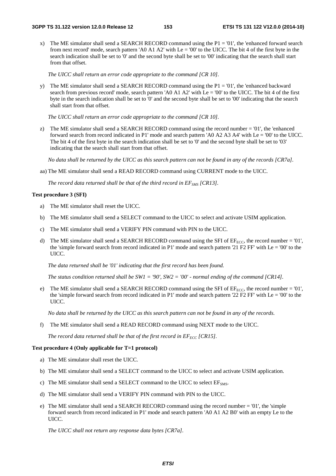x) The ME simulator shall send a SEARCH RECORD command using the  $P1 = 01'$ , the 'enhanced forward search from next record' mode, search pattern 'A0 A1 A2' with Le = '00' to the UICC. The bit 4 of the first byte in the search indication shall be set to '0' and the second byte shall be set to '00' indicating that the search shall start from that offset.

*The UICC shall return an error code appropriate to the command [CR 10].* 

y) The ME simulator shall send a SEARCH RECORD command using the  $P1 = 01'$ , the 'enhanced backward' search from previous record' mode, search pattern 'A0 A1 A2' with Le = '00' to the UICC. The bit 4 of the first byte in the search indication shall be set to '0' and the second byte shall be set to '00' indicating that the search shall start from that offset.

*The UICC shall return an error code appropriate to the command [CR 10].* 

z) The ME simulator shall send a SEARCH RECORD command using the record number  $= 01$ ', the 'enhanced forward search from record indicated in P1' mode and search pattern 'A0 A2 A3 A4' with Le = '00' to the UICC. The bit 4 of the first byte in the search indication shall be set to '0' and the second byte shall be set to '03' indicating that the search shall start from that offset.

 *No data shall be returned by the UICC as this search pattern can not be found in any of the records [CR7a].*

aa) The ME simulator shall send a READ RECORD command using CURRENT mode to the UICC.

*The record data returned shall be that of the third record in EF<sub>SMS</sub> [CR13]*.

#### **Test procedure 3 (SFI)**

- a) The ME simulator shall reset the UICC.
- b) The ME simulator shall send a SELECT command to the UICC to select and activate USIM application.
- c) The ME simulator shall send a VERIFY PIN command with PIN to the UICC.
- d) The ME simulator shall send a SEARCH RECORD command using the SFI of  $EF_{ECC}$ , the record number = '01', the 'simple forward search from record indicated in P1' mode and search pattern '21 F2 FF' with  $Le = '00'$  to the UICC.

*The data returned shall be '01' indicating that the first record has been found.*

*The status condition returned shall be SW1 = '90', SW2 = '00' - normal ending of the command [CR14].* 

e) The ME simulator shall send a SEARCH RECORD command using the SFI of  $EF_{ECC}$ , the record number = '01', the 'simple forward search from record indicated in P1' mode and search pattern '22 F2 FF' with Le = '00' to the UICC.

*No data shall be returned by the UICC as this search pattern can not be found in any of the records.*

f) The ME simulator shall send a READ RECORD command using NEXT mode to the UICC.

*The record data returned shall be that of the first record in*  $EF_{ECC}$  *[CR15].* 

#### **Test procedure 4 (Only applicable for T=1 protocol)**

- a) The ME simulator shall reset the UICC.
- b) The ME simulator shall send a SELECT command to the UICC to select and activate USIM application.
- c) The ME simulator shall send a SELECT command to the UICC to select  $EF<sub>SMS</sub>$ .
- d) The ME simulator shall send a VERIFY PIN command with PIN to the UICC.
- e) The ME simulator shall send a SEARCH RECORD command using the record number = '01', the 'simple forward search from record indicated in P1' mode and search pattern 'A0 A1 A2 B0' with an empty Le to the UICC.

*The UICC shall not return any response data bytes [CR7a].*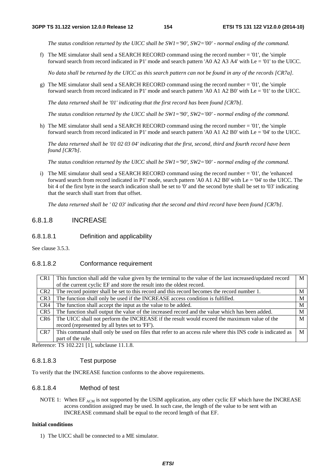*The status condition returned by the UICC shall be SW1='90', SW2='00' - normal ending of the command.*

f) The ME simulator shall send a SEARCH RECORD command using the record number = '01', the 'simple forward search from record indicated in P1' mode and search pattern 'A0 A2 A3 A4' with Le = '01' to the UICC.

*No data shall be returned by the UICC as this search pattern can not be found in any of the records [CR7a].* 

g) The ME simulator shall send a SEARCH RECORD command using the record number  $=$  '01', the 'simple forward search from record indicated in P1' mode and search pattern 'A0 A1 A2 B0' with Le = '01' to the UICC.

*The data returned shall be '01' indicating that the first record has been found [CR7b].* 

*The status condition returned by the UICC shall be SW1='90', SW2='00' - normal ending of the command.*

h) The ME simulator shall send a SEARCH RECORD command using the record number = '01', the 'simple forward search from record indicated in P1' mode and search pattern 'A0 A1 A2 B0' with Le = '04' to the UICC.

*The data returned shall be '01 02 03 04' indicating that the first, second, third and fourth record have been found [CR7b].* 

*The status condition returned by the UICC shall be SW1='90', SW2='00' - normal ending of the command.* 

i) The ME simulator shall send a SEARCH RECORD command using the record number = '01', the 'enhanced forward search from record indicated in P1' mode, search pattern 'A0 A1 A2 B0' with Le = '04' to the UICC. The bit 4 of the first byte in the search indication shall be set to '0' and the second byte shall be set to '03' indicating that the search shall start from that offset.

*The data returned shall be ' 02 03' indicating that the second and third record have been found [CR7b].*

# 6.8.1.8 INCREASE

6.8.1.8.1 Definition and applicability

See clause 3.5.3.

### 6.8.1.8.2 Conformance requirement

| CR <sub>1</sub> | This function shall add the value given by the terminal to the value of the last increased/updated record | M |
|-----------------|-----------------------------------------------------------------------------------------------------------|---|
|                 | of the current cyclic EF and store the result into the oldest record.                                     |   |
| CR <sub>2</sub> | The record pointer shall be set to this record and this record becomes the record number 1.               | M |
| CR <sub>3</sub> | The function shall only be used if the INCREASE access condition is fulfilled.                            | M |
| CR4             | The function shall accept the input as the value to be added.                                             | M |
| CR <sub>5</sub> | The function shall output the value of the increased record and the value which has been added.           | M |
| CR <sub>6</sub> | The UICC shall not perform the INCREASE if the result would exceed the maximum value of the               | M |
|                 | record (represented by all bytes set to 'FF').                                                            |   |
| CR <sub>7</sub> | This command shall only be used on files that refer to an access rule where this INS code is indicated as | M |
|                 | part of the rule.                                                                                         |   |

Reference: TS 102.221 [1], subclause 11.1.8.

### 6.8.1.8.3 Test purpose

To verify that the INCREASE function conforms to the above requirements.

## 6.8.1.8.4 Method of test

NOTE 1: When  $EF_{ACM}$  is not supported by the USIM application, any other cyclic EF which have the INCREASE access condition assigned may be used. In such case, the length of the value to be sent with an INCREASE command shall be equal to the record length of that EF.

#### **Initial conditions**

1) The UICC shall be connected to a ME simulator.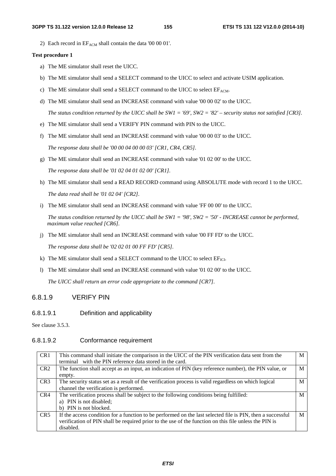2) Each record in  $EF_{ACM}$  shall contain the data '00 00 01'.

#### **Test procedure 1**

- a) The ME simulator shall reset the UICC.
- b) The ME simulator shall send a SELECT command to the UICC to select and activate USIM application.
- c) The ME simulator shall send a SELECT command to the UICC to select  $EF_{ACM}$ .
- d) The ME simulator shall send an INCREASE command with value '00 00 02' to the UICC.

*The status condition returned by the UICC shall be SW1 = '69', SW2 = '82' – security status not satisfied [CR3].*

- e) The ME simulator shall send a VERIFY PIN command with PIN to the UICC.
- f) The ME simulator shall send an INCREASE command with value '00 00 03' to the UICC.

*The response data shall be '00 00 04 00 00 03' [CR1, CR4, CR5].*

g) The ME simulator shall send an INCREASE command with value '01 02 00' to the UICC.

*The response data shall be '01 02 04 01 02 00' [CR1].*

- h) The ME simulator shall send a READ RECORD command using ABSOLUTE mode with record 1 to the UICC. *The data read shall be '01 02 04' [CR2].*
- i) The ME simulator shall send an INCREASE command with value 'FF 00 00' to the UICC.

*The status condition returned by the UICC shall be SW1 = '98', SW2 = '50' - INCREASE cannot be performed, maximum value reached [CR6].*

j) The ME simulator shall send an INCREASE command with value '00 FF FD' to the UICC.

*The response data shall be '02 02 01 00 FF FD' [CR5].*

- k) The ME simulator shall send a SELECT command to the UICC to select  $EF_{ICI}$ .
- l) The ME simulator shall send an INCREASE command with value '01 02 00' to the UICC.

*The UICC shall return an error code appropriate to the command [CR7].* 

# 6.8.1.9 VERIFY PIN

### 6.8.1.9.1 Definition and applicability

See clause 3.5.3.

### 6.8.1.9.2 Conformance requirement

| CR <sub>1</sub> | This command shall initiate the comparison in the UICC of the PIN verification data sent from the<br>terminal with the PIN reference data stored in the card.                                                                    | M |
|-----------------|----------------------------------------------------------------------------------------------------------------------------------------------------------------------------------------------------------------------------------|---|
| CR <sub>2</sub> | The function shall accept as an input, an indication of PIN (key reference number), the PIN value, or<br>empty.                                                                                                                  | M |
| CR <sub>3</sub> | The security status set as a result of the verification process is valid regardless on which logical<br>channel the verification is performed.                                                                                   | M |
| CR4             | The verification process shall be subject to the following conditions being fulfilled:<br>a) PIN is not disabled;<br>b) PIN is not blocked.                                                                                      | M |
| CR5             | If the access condition for a function to be performed on the last selected file is PIN, then a successful<br>verification of PIN shall be required prior to the use of the function on this file unless the PIN is<br>disabled. | M |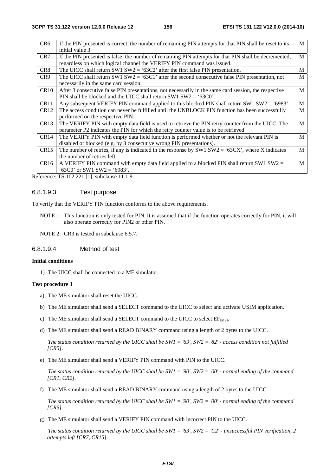| CR <sub>6</sub>  | If the PIN presented is correct, the number of remaining PIN attempts for that PIN shall be reset to its<br>initial value 3.                                                              | M |
|------------------|-------------------------------------------------------------------------------------------------------------------------------------------------------------------------------------------|---|
| CR7              | If the PIN presented is false, the number of remaining PIN attempts for that PIN shall be decremented,<br>regardless on which logical channel the VERIFY PIN command was issued.          | M |
| CR8              | The UICC shall return SW1 SW2 = '63C2' after the first false PIN presentation.                                                                                                            | M |
| CR <sub>9</sub>  | The UICC shall return SW1 SW2 = '63C1' after the second consecutive false PIN presentation, not<br>necessarily in the same card session.                                                  | M |
| <b>CR10</b>      | After 3 consecutive false PIN presentations, not necessarily in the same card session, the respective<br>PIN shall be blocked and the UICC shall return SW1 $SW2 = '63C0'.$               | M |
| CR <sub>11</sub> | Any subsequent VERIFY PIN command applied to this blocked PIN shall return SW1 SW2 = '6983'.                                                                                              | M |
| CR <sub>12</sub> | The access condition can never be fulfilled until the UNBLOCK PIN function has been successfully<br>performed on the respective PIN.                                                      | M |
| CR13             | The VERIFY PIN with empty data field is used to retrieve the PIN retry counter from the UICC. The<br>parameter P2 indicates the PIN for which the retry counter value is to be retrieved. | M |
| CR <sub>14</sub> | The VERIFY PIN with empty data field function is performed whether or not the relevant PIN is<br>disabled or blocked (e.g. by 3 consecutive wrong PIN presentations).                     | M |
| CR15             | The number of retries, if any is indicated in the response by SW1 $SW2 = '63CX'$ , where X indicates<br>the number of retries left.                                                       | M |
| CR16             | A VERIFY PIN command with empty data field applied to a blocked PIN shall return SW1 SW2 $=$<br>$63C0'$ or SW1 SW2 = '6983'.                                                              | M |

Reference: TS 102.221 [1], subclause 11.1.9.

### 6.8.1.9.3 Test purpose

To verify that the VERIFY PIN function conforms to the above requirements.

- NOTE 1: This function is only tested for PIN. It is assumed that if the function operates correctly for PIN, it will also operate correctly for PIN2 or other PIN.
- NOTE 2: CR3 is tested in subclause 6.5.7.

### 6.8.1.9.4 Method of test

#### **Initial conditions**

1) The UICC shall be connected to a ME simulator.

#### **Test procedure 1**

- a) The ME simulator shall reset the UICC.
- b) The ME simulator shall send a SELECT command to the UICC to select and activate USIM application.
- c) The ME simulator shall send a SELECT command to the UICC to select  $EF_{MSI}$ .
- d) The ME simulator shall send a READ BINARY command using a length of 2 bytes to the UICC.

 *The status condition returned by the UICC shall be SW1 = '69', SW2 = '82' - access condition not fulfilled [CR5].*

e) The ME simulator shall send a VERIFY PIN command with PIN to the UICC.

 *The status condition returned by the UICC shall be SW1 = '90', SW2 = '00' - normal ending of the command [CR1, CR2].*

f) The ME simulator shall send a READ BINARY command using a length of 2 bytes to the UICC.

 *The status condition returned by the UICC shall be SW1 = '90', SW2 = '00' - normal ending of the command [CR5].*

g) The ME simulator shall send a VERIFY PIN command with incorrect PIN to the UICC.

 *The status condition returned by the UICC shall be SW1 = '63', SW2 = 'C2' - unsuccessful PIN verification, 2 attempts left [CR7, CR15].*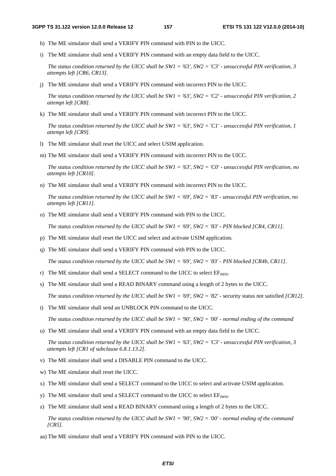- h) The ME simulator shall send a VERIFY PIN command with PIN to the UICC.
- i) The ME simulator shall send a VERIFY PIN command with an empty data field to the UICC.

 *The status condition returned by the UICC shall be SW1 = '63', SW2 = 'C3' - unsuccessful PIN verification, 3 attempts left [CR6, CR13].*

j) The ME simulator shall send a VERIFY PIN command with incorrect PIN to the UICC.

 *The status condition returned by the UICC shall be SW1 = '63', SW2 = 'C2' - unsuccessful PIN verification, 2 attempt left [CR8].*

k) The ME simulator shall send a VERIFY PIN command with incorrect PIN to the UICC.

 *The status condition returned by the UICC shall be SW1 = '63', SW2 = 'C1' - unsuccessful PIN verification, 1 attempt left [CR9].*

- l) The ME simulator shall reset the UICC and select USIM application.
- m) The ME simulator shall send a VERIFY PIN command with incorrect PIN to the UICC.

 *The status condition returned by the UICC shall be SW1 = '63', SW2 = 'C0' - unsuccessful PIN verification, no attempts left [CR10].*

n) The ME simulator shall send a VERIFY PIN command with incorrect PIN to the UICC.

*The status condition returned by the UICC shall be SW1 = '69', SW2 = '83' - unsuccessful PIN verification, no attempts left [CR11].*

o) The ME simulator shall send a VERIFY PIN command with PIN to the UICC.

 *The status condition returned by the UICC shall be SW1 = '69', SW2 = '83' - PIN blocked [CR4, CR11].*

- p) The ME simulator shall reset the UICC and select and activate USIM application.
- q) The ME simulator shall send a VERIFY PIN command with PIN to the UICC.

 *The status condition returned by the UICC shall be SW1 = '69', SW2 = '83' - PIN blocked [CR4b, CR11].*

- r) The ME simulator shall send a SELECT command to the UICC to select  $EF_{MSI}$ .
- s) The ME simulator shall send a READ BINARY command using a length of 2 bytes to the UICC.

*The status condition returned by the UICC shall be SW1 = '69', SW2 = '82' - security status not satisfied [CR12].* 

t) The ME simulator shall send an UNBLOCK PIN command to the UICC.

 *The status condition returned by the UICC shall be SW1 = '90', SW2 = '00' - normal ending of the command* 

u) The ME simulator shall send a VERIFY PIN command with an empty data field to the UICC.

 *The status condition returned by the UICC shall be SW1 = '63', SW2 = 'C3' - unsuccessful PIN verification, 3 attempts left [CR1 of subclause 6.8.1.13.2].*

- v) The ME simulator shall send a DISABLE PIN command to the UICC.
- w) The ME simulator shall reset the UICC.
- x) The ME simulator shall send a SELECT command to the UICC to select and activate USIM application.
- y) The ME simulator shall send a SELECT command to the UICC to select  $EF_{MSI}$ .
- z) The ME simulator shall send a READ BINARY command using a length of 2 bytes to the UICC.

 *The status condition returned by the UICC shall be SW1 = '90', SW2 = '00' - normal ending of the command [CR5].*

aa) The ME simulator shall send a VERIFY PIN command with PIN to the UICC.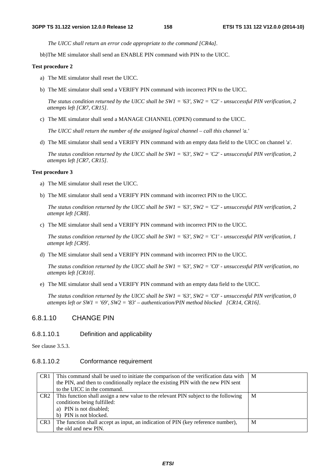*The UICC shall return an error code appropriate to the command [CR4a].*

bb)The ME simulator shall send an ENABLE PIN command with PIN to the UICC.

#### **Test procedure 2**

- a) The ME simulator shall reset the UICC.
- b) The ME simulator shall send a VERIFY PIN command with incorrect PIN to the UICC.

 *The status condition returned by the UICC shall be SW1 = '63', SW2 = 'C2' - unsuccessful PIN verification, 2 attempts left [CR7, CR15].* 

c) The ME simulator shall send a MANAGE CHANNEL (OPEN) command to the UICC.

 *The UICC shall return the number of the assigned logical channel – call this channel 'a.'* 

d) The ME simulator shall send a VERIFY PIN command with an empty data field to the UICC on channel 'a'.

 *The status condition returned by the UICC shall be SW1 = '63', SW2 = 'C2' - unsuccessful PIN verification, 2 attempts left [CR7, CR15].* 

#### **Test procedure 3**

- a) The ME simulator shall reset the UICC.
- b) The ME simulator shall send a VERIFY PIN command with incorrect PIN to the UICC.

 *The status condition returned by the UICC shall be SW1 = '63', SW2 = 'C2' - unsuccessful PIN verification, 2 attempt left [CR8].*

c) The ME simulator shall send a VERIFY PIN command with incorrect PIN to the UICC.

 *The status condition returned by the UICC shall be SW1 = '63', SW2 = 'C1' - unsuccessful PIN verification, 1 attempt left [CR9].*

d) The ME simulator shall send a VERIFY PIN command with incorrect PIN to the UICC.

 *The status condition returned by the UICC shall be SW1 = '63', SW2 = 'C0' - unsuccessful PIN verification, no attempts left [CR10].*

e) The ME simulator shall send a VERIFY PIN command with an empty data field to the UICC.

 *The status condition returned by the UICC shall be SW1 = '63', SW2 = 'C0' - unsuccessful PIN verification, 0 attempts left or SW1 = '69', SW2 = '83' – authentication/PIN method blocked [CR14, CR16].*

# 6.8.1.10 CHANGE PIN

### 6.8.1.10.1 Definition and applicability

See clause 3.5.3.

### 6.8.1.10.2 Conformance requirement

| CR <sub>1</sub> | This command shall be used to initiate the comparison of the verification data with | M |
|-----------------|-------------------------------------------------------------------------------------|---|
|                 | the PIN, and then to conditionally replace the existing PIN with the new PIN sent   |   |
|                 | to the UICC in the command.                                                         |   |
| CR <sub>2</sub> | This function shall assign a new value to the relevant PIN subject to the following | M |
|                 | conditions being fulfilled:                                                         |   |
|                 | a) PIN is not disabled;                                                             |   |
|                 | b) PIN is not blocked.                                                              |   |
| CR <sub>3</sub> | The function shall accept as input, an indication of PIN (key reference number),    | M |
|                 | the old and new PIN.                                                                |   |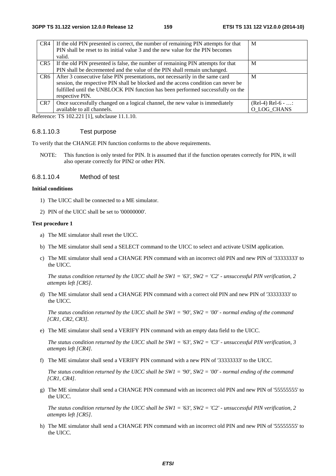| CR4             | If the old PIN presented is correct, the number of remaining PIN attempts for that<br>PIN shall be reset to its initial value 3 and the new value for the PIN becomes<br>valid. | M                  |
|-----------------|---------------------------------------------------------------------------------------------------------------------------------------------------------------------------------|--------------------|
| CR5             | If the old PIN presented is false, the number of remaining PIN attempts for that                                                                                                | M                  |
|                 | PIN shall be decremented and the value of the PIN shall remain unchanged.                                                                                                       |                    |
| CR6             | After 3 consecutive false PIN presentations, not necessarily in the same card                                                                                                   | M                  |
|                 | session, the respective PIN shall be blocked and the access condition can never be                                                                                              |                    |
|                 | fulfilled until the UNBLOCK PIN function has been performed successfully on the                                                                                                 |                    |
|                 | respective PIN.                                                                                                                                                                 |                    |
| CR <sub>7</sub> | Once successfully changed on a logical channel, the new value is immediately                                                                                                    | $(Rel-4) Rel-6 - $ |
|                 | available to all channels.                                                                                                                                                      | O LOG CHANS        |

Reference: TS 102.221 [1], subclause 11.1.10.

#### 6.8.1.10.3 Test purpose

To verify that the CHANGE PIN function conforms to the above requirements.

NOTE: This function is only tested for PIN. It is assumed that if the function operates correctly for PIN, it will also operate correctly for PIN2 or other PIN.

### 6.8.1.10.4 Method of test

#### **Initial conditions**

- 1) The UICC shall be connected to a ME simulator.
- 2) PIN of the UICC shall be set to '00000000'.

#### **Test procedure 1**

- a) The ME simulator shall reset the UICC.
- b) The ME simulator shall send a SELECT command to the UICC to select and activate USIM application.
- c) The ME simulator shall send a CHANGE PIN command with an incorrect old PIN and new PIN of '33333333' to the UICC.

*The status condition returned by the UICC shall be SW1 = '63', SW2 = 'C2' - unsuccessful PIN verification, 2 attempts left [CR5].* 

d) The ME simulator shall send a CHANGE PIN command with a correct old PIN and new PIN of '33333333' to the UICC.

 *The status condition returned by the UICC shall be SW1 = '90', SW2 = '00' - normal ending of the command [CR1, CR2, CR3].*

e) The ME simulator shall send a VERIFY PIN command with an empty data field to the UICC.

 *The status condition returned by the UICC shall be SW1 = '63', SW2 = 'C3' - unsuccessful PIN verification, 3 attempts left [CR4].*

f) The ME simulator shall send a VERIFY PIN command with a new PIN of '33333333' to the UICC.

*The status condition returned by the UICC shall be SW1 = '90', SW2 = '00' - normal ending of the command [CR1, CR4].*

g) The ME simulator shall send a CHANGE PIN command with an incorrect old PIN and new PIN of '55555555' to the UICC.

 *The status condition returned by the UICC shall be SW1 = '63', SW2 = 'C2' - unsuccessful PIN verification, 2 attempts left [CR5].*

h) The ME simulator shall send a CHANGE PIN command with an incorrect old PIN and new PIN of '55555555' to the UICC.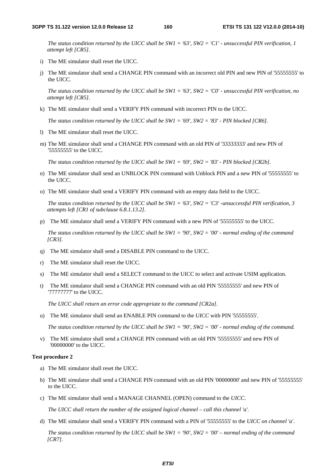*The status condition returned by the UICC shall be SW1 = '63', SW2 = 'C1' - unsuccessful PIN verification, 1 attempt left [CR5].*

- i) The ME simulator shall reset the UICC.
- j) The ME simulator shall send a CHANGE PIN command with an incorrect old PIN and new PIN of '55555555' to the UICC.

 *The status condition returned by the UICC shall be SW1 = '63', SW2 = 'C0' - unsuccessful PIN verification, no attempt left [CR5].*

k) The ME simulator shall send a VERIFY PIN command with incorrect PIN to the UICC.

*The status condition returned by the UICC shall be SW1 = '69', SW2 = '83' - PIN blocked [CR6].*

- l) The ME simulator shall reset the UICC.
- m) The ME simulator shall send a CHANGE PIN command with an old PIN of '33333333' and new PIN of '55555555' to the UICC.

 *The status condition returned by the UICC shall be SW1 = '69', SW2 = '83' - PIN blocked [CR2b].*

- n) The ME simulator shall send an UNBLOCK PIN command with Unblock PIN and a new PIN of '55555555' to the UICC.
- o) The ME simulator shall send a VERIFY PIN command with an empty data field to the UICC.

*The status condition returned by the UICC shall be SW1 = '63', SW2 = 'C3' -unsuccessful PIN verification, 3 attempts left [CR1 of subclause 6.8.1.13.2].*

p) The ME simulator shall send a VERIFY PIN command with a new PIN of '55555555' to the UICC.

*The status condition returned by the UICC shall be SW1 = '90', SW2 = '00' - normal ending of the command [CR3].*

- q) The ME simulator shall send a DISABLE PIN command to the UICC.
- r) The ME simulator shall reset the UICC.
- s) The ME simulator shall send a SELECT command to the UICC to select and activate USIM application.
- t) The ME simulator shall send a CHANGE PIN command with an old PIN '55555555' and new PIN of '77777777' to the UICC.

 *The UICC shall return an error code appropriate to the command [CR2a].*

u) The ME simulator shall send an ENABLE PIN command to the *UICC* with PIN '55555555'.

 *The status condition returned by the UICC shall be SW1 = '90', SW2 = '00' - normal ending of the command.* 

v) The ME simulator shall send a CHANGE PIN command with an old PIN '55555555' and new PIN of '00000000' to the UICC.

#### **Test procedure 2**

- a) The ME simulator shall reset the UICC.
- b) The ME simulator shall send a CHANGE PIN command with an old PIN '00000000' and new PIN of '55555555' to the UICC.
- c) The ME simulator shall send a MANAGE CHANNEL (OPEN) command to the *UICC*.

 *The UICC shall return the number of the assigned logical channel – call this channel 'a'.* 

d) The ME simulator shall send a VERIFY PIN command with a PIN of '55555555' to the *UICC on channel 'a'*.

 *The status condition returned by the UICC shall be SW1 = '90', SW2 = '00' – normal ending of the command [CR7].*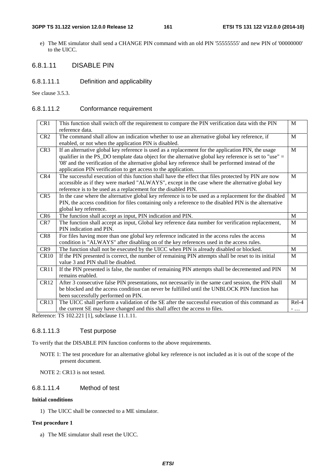#### **3GPP TS 31.122 version 12.0.0 Release 12 161 ETSI TS 131 122 V12.0.0 (2014-10)**

e) The ME simulator shall send a CHANGE PIN command with an old PIN '55555555' and new PIN of '00000000' to the UICC.

# 6.8.1.11 DISABLE PIN

6.8.1.11.1 Definition and applicability

See clause 3.5.3.

# 6.8.1.11.2 Conformance requirement

| CR1              | This function shall switch off the requirement to compare the PIN verification data with the PIN<br>reference data.                                                                                                                                                                                                                                                                   | M            |
|------------------|---------------------------------------------------------------------------------------------------------------------------------------------------------------------------------------------------------------------------------------------------------------------------------------------------------------------------------------------------------------------------------------|--------------|
| CR <sub>2</sub>  | The command shall allow an indication whether to use an alternative global key reference, if<br>enabled, or not when the application PIN is disabled.                                                                                                                                                                                                                                 | M            |
| CR <sub>3</sub>  | If an alternative global key reference is used as a replacement for the application PIN, the usage<br>qualifier in the PS_DO template data object for the alternative global key reference is set to "use" =<br>'08' and the verification of the alternative global key reference shall be performed instead of the<br>application PIN verification to get access to the application. | M            |
| CR4              | The successful execution of this function shall have the effect that files protected by PIN are now<br>accessible as if they were marked "ALWAYS", except in the case where the alternative global key<br>reference is to be used as a replacement for the disabled PIN.                                                                                                              | M            |
| CR <sub>5</sub>  | In the case where the alternative global key reference is to be used as a replacement for the disabled<br>PIN, the access condition for files containing only a reference to the disabled PIN is the alternative<br>global key reference.                                                                                                                                             | M            |
| CR <sub>6</sub>  | The function shall accept as input, PIN indication and PIN.                                                                                                                                                                                                                                                                                                                           | M            |
| CR7              | The function shall accept as input, Global key reference data number for verification replacement,<br>PIN indication and PIN.                                                                                                                                                                                                                                                         | M            |
| CR8              | For files having more than one global key reference indicated in the access rules the access<br>condition is "ALWAYS" after disabling on of the key references used in the access rules.                                                                                                                                                                                              | M            |
| CR9              | The function shall not be executed by the UICC when PIN is already disabled or blocked.                                                                                                                                                                                                                                                                                               | M            |
| <b>CR10</b>      | If the PIN presented is correct, the number of remaining PIN attempts shall be reset to its initial<br>value 3 and PIN shall be disabled.                                                                                                                                                                                                                                             | M            |
| CR11             | If the PIN presented is false, the number of remaining PIN attempts shall be decremented and PIN<br>remains enabled.                                                                                                                                                                                                                                                                  | $\mathbf{M}$ |
| CR12             | After 3 consecutive false PIN presentations, not necessarily in the same card session, the PIN shall<br>be blocked and the access condition can never be fulfilled until the UNBLOCK PIN function has<br>been successfully performed on PIN.                                                                                                                                          | M            |
| CR <sub>13</sub> | The UICC shall perform a validation of the SE after the successful execution of this command as                                                                                                                                                                                                                                                                                       | $Re1-4$      |
|                  | the current SE may have changed and this shall affect the access to files.                                                                                                                                                                                                                                                                                                            | $-$          |

Reference: TS 102.221 [1], subclause 11.1.11.

# 6.8.1.11.3 Test purpose

To verify that the DISABLE PIN function conforms to the above requirements.

NOTE 1: The test procedure for an alternative global key reference is not included as it is out of the scope of the present document.

NOTE 2: CR13 is not tested.

# 6.8.1.11.4 Method of test

### **Initial conditions**

1) The UICC shall be connected to a ME simulator.

### **Test procedure 1**

a) The ME simulator shall reset the UICC.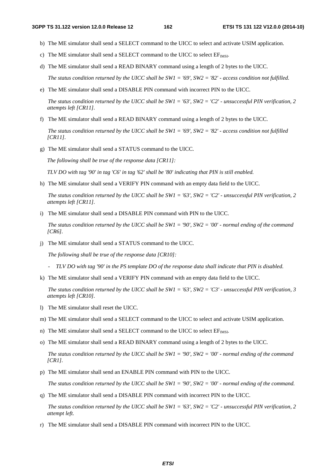- b) The ME simulator shall send a SELECT command to the UICC to select and activate USIM application.
- c) The ME simulator shall send a SELECT command to the UICC to select  $EF_{MSI}$ .
- d) The ME simulator shall send a READ BINARY command using a length of 2 bytes to the UICC.

 *The status condition returned by the UICC shall be SW1 = '69', SW2 = '82' - access condition not fulfilled.*

e) The ME simulator shall send a DISABLE PIN command with incorrect PIN to the UICC.

*The status condition returned by the UICC shall be SW1 = '63', SW2 = 'C2' - unsuccessful PIN verification, 2 attempts left [CR11].*

f) The ME simulator shall send a READ BINARY command using a length of 2 bytes to the UICC.

 *The status condition returned by the UICC shall be SW1 = '69', SW2 = '82' - access condition not fulfilled [CR11].*

g) The ME simulator shall send a STATUS command to the UICC.

*The following shall be true of the response data [CR11]:* 

*TLV DO with tag '90' in tag 'C6' in tag '62' shall be '80' indicating that PIN is still enabled.* 

h) The ME simulator shall send a VERIFY PIN command with an empty data field to the UICC.

 *The status condition returned by the UICC shall be SW1 = '63', SW2 = 'C2' - unsuccessful PIN verification, 2 attempts left [CR11].*

i) The ME simulator shall send a DISABLE PIN command with PIN to the UICC.

 *The status condition returned by the UICC shall be SW1 = '90', SW2 = '00' - normal ending of the command [CR6].*

j) The ME simulator shall send a STATUS command to the UICC.

 *The following shall be true of the response data [CR10]:* 

- *TLV DO with tag '90' in the PS template DO of the response data shall indicate that PIN is disabled.*
- k) The ME simulator shall send a VERIFY PIN command with an empty data field to the UICC.

 *The status condition returned by the UICC shall be SW1 = '63', SW2 = 'C3' - unsuccessful PIN verification, 3 attempts left [CR10].*

- l) The ME simulator shall reset the UICC.
- m) The ME simulator shall send a SELECT command to the UICC to select and activate USIM application.
- n) The ME simulator shall send a SELECT command to the UICC to select  $EF_{MSE}$ .
- o) The ME simulator shall send a READ BINARY command using a length of 2 bytes to the UICC.

 *The status condition returned by the UICC shall be SW1 = '90', SW2 = '00' - normal ending of the command [CR1].*

p) The ME simulator shall send an ENABLE PIN command with PIN to the UICC.

 *The status condition returned by the UICC shall be SW1 = '90', SW2 = '00' - normal ending of the command.*

q) The ME simulator shall send a DISABLE PIN command with incorrect PIN to the UICC.

 *The status condition returned by the UICC shall be SW1 = '63', SW2 = 'C2' - unsuccessful PIN verification, 2 attempt left.*

r) The ME simulator shall send a DISABLE PIN command with incorrect PIN to the UICC.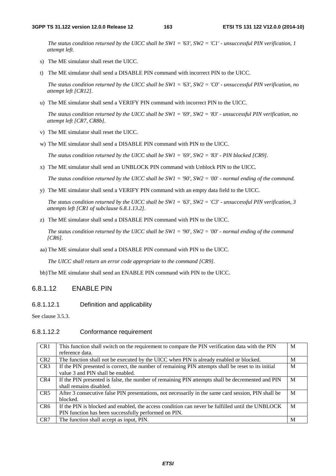*The status condition returned by the UICC shall be SW1 = '63', SW2 = 'C1' - unsuccessful PIN verification, 1 attempt left.*

- s) The ME simulator shall reset the UICC.
- t) The ME simulator shall send a DISABLE PIN command with incorrect PIN to the UICC.

 *The status condition returned by the UICC shall be SW1 = '63', SW2 = 'C0' - unsuccessful PIN verification, no attempt left [CR12].*

u) The ME simulator shall send a VERIFY PIN command with incorrect PIN to the UICC.

*The status condition returned by the UICC shall be SW1 = '69', SW2 = '83' - unsuccessful PIN verification, no attempt left [CR7, CR8b].*

- v) The ME simulator shall reset the UICC.
- w) The ME simulator shall send a DISABLE PIN command with PIN to the UICC.

 *The status condition returned by the UICC shall be SW1 = '69', SW2 = '83' - PIN blocked [CR9].*

x) The ME simulator shall send an UNBLOCK PIN command with Unblock PIN to the UICC.

 *The status condition returned by the UICC shall be SW1 = '90', SW2 = '00' - normal ending of the command.*

y) The ME simulator shall send a VERIFY PIN command with an empty data field to the UICC.

*The status condition returned by the UICC shall be SW1 = '63', SW2 = 'C3' - unsuccessful PIN verification, 3 attempts left [CR1 of subclause 6.8.1.13.2].*

z) The ME simulator shall send a DISABLE PIN command with PIN to the UICC.

*The status condition returned by the UICC shall be SW1 = '90', SW2 = '00' - normal ending of the command [CR6].* 

aa) The ME simulator shall send a DISABLE PIN command with PIN to the UICC.

 *The UICC shall return an error code appropriate to the command [CR9].*

bb) The ME simulator shall send an ENABLE PIN command with PIN to the UICC.

### 6.8.1.12 ENABLE PIN

6.8.1.12.1 Definition and applicability

See clause 3.5.3.

### 6.8.1.12.2 Conformance requirement

| CR1             | This function shall switch on the requirement to compare the PIN verification data with the PIN     | M |
|-----------------|-----------------------------------------------------------------------------------------------------|---|
|                 | reference data.                                                                                     |   |
| CR <sub>2</sub> | The function shall not be executed by the UICC when PIN is already enabled or blocked.              | M |
| CR <sub>3</sub> | If the PIN presented is correct, the number of remaining PIN attempts shall be reset to its initial | M |
|                 | value 3 and PIN shall be enabled.                                                                   |   |
| CR4             | If the PIN presented is false, the number of remaining PIN attempts shall be decremented and PIN    | M |
|                 | shall remains disabled.                                                                             |   |
| CR <sub>5</sub> | After 3 consecutive false PIN presentations, not necessarily in the same card session, PIN shall be | M |
|                 | blocked.                                                                                            |   |
| CR <sub>6</sub> | If the PIN is blocked and enabled, the access condition can never be fulfilled until the UNBLOCK    | М |
|                 | PIN function has been successfully performed on PIN.                                                |   |
| CR <sub>7</sub> | The function shall accept as input, PIN.                                                            | M |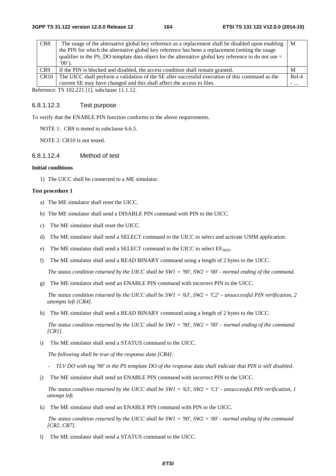| CR <sub>8</sub> | The usage of the alternative global key reference as a replacement shall be disabled upon enabling     | ΙM      |
|-----------------|--------------------------------------------------------------------------------------------------------|---------|
|                 | the PIN for which the alternative global key reference has been a replacement (setting the usage       |         |
|                 | qualifier in the PS DO template data object for the alternative global key reference to do not use $=$ |         |
|                 | $(00^{\circ})$ .                                                                                       |         |
| CR <sub>9</sub> | If the PIN is blocked and disabled, the access condition shall remain granted.                         | M       |
| CR10            | The UICC shall perform a validation of the SE after successful execution of this command as the        | $Re1-4$ |
|                 | current SE may have changed and this shall affect the access to files.                                 | $-$     |

Reference: TS 102.221 [1], subclause 11.1.12.

### 6.8.1.12.3 Test purpose

To verify that the ENABLE PIN function conforms to the above requirements.

NOTE 1: CR8 is tested in subclause 6.6.5.

NOTE 2: CR10 is not tested.

#### 6.8.1.12.4 Method of test

#### **Initial conditions**

1) The UICC shall be connected to a ME simulator.

#### **Test procedure 1**

- a) The ME simulator shall reset the UICC.
- b) The ME simulator shall send a DISABLE PIN command with PIN to the UICC.
- c) The ME simulator shall reset the UICC.
- d) The ME simulator shall send a SELECT command to the UICC to select and activate USIM application.
- e) The ME simulator shall send a SELECT command to the UICC to select  $EF_{IMSI}$ .
- f) The ME simulator shall send a READ BINARY command using a length of 2 bytes to the UICC.

 *The status condition returned by the UICC shall be SW1 = '90', SW2 = '00' - normal ending of the command.*

g) The ME simulator shall send an ENABLE PIN command with incorrect PIN to the UICC.

*The status condition returned by the UICC shall be SW1 = '63', SW2 = 'C2' – unsuccessful PIN verification, 2 attempts left [CR4].*

h) The ME simulator shall send a READ BINARY command using a length of 2 bytes to the UICC.

 *The status condition returned by the UICC shall be SW1 = '90', SW2 = '00' – normal ending of the command [CR1].*

i) The ME simulator shall send a STATUS command to the UICC.

 *The following shall be true of the response data [CR4]:* 

- *TLV DO with tag '90' in the PS template DO of the response data shall indicate that PIN is still disabled.*
- j) The ME simulator shall send an ENABLE PIN command with incorrect PIN to the UICC.

 *The status condition returned by the UICC shall be SW1 = '63', SW2 = 'C1' - unsuccessful PIN verification, 1 attempt left.*

k) The ME simulator shall send an ENABLE PIN command with PIN to the UICC.

 *The status condition returned by the UICC shall be SW1 = '90', SW2 = '00' - normal ending of the command [CR2, CR7].*

l) The ME simulator shall send a STATUS command to the UICC.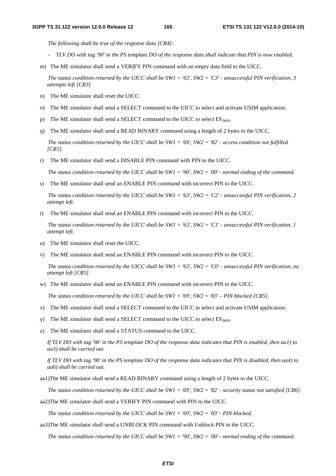*The following shall be true of the response data [CR4]:* 

- *TLV DO with tag '90' in the PS template DO of the response data shall indicate that PIN is now enabled.*
- m) The ME simulator shall send a VERIFY PIN command with an empty data field to the UICC.

 *The status condition returned by the UICC shall be SW1 = '63', SW2 = 'C3' - unsuccessful PIN verification, 3 attempts left [CR3]* 

- n) The ME simulator shall reset the UICC.
- o) The ME simulator shall send a SELECT command to the UICC to select and activate USIM application.
- p) The ME simulator shall send a SELECT command to the UICC to select  $EF_{IMSI}$ .
- q) The ME simulator shall send a READ BINARY command using a length of 2 bytes to the UICC.

 *The status condition returned by the UICC shall be SW1 = '69', SW2 = '82' - access condition not fulfilled [CR1].*

r) The ME simulator shall send a DISABLE PIN command with PIN to the UICC.

*The status condition returned by the UICC shall be SW1 = '90', SW2 = '00' - normal ending of the command.*

s) The ME simulator shall send an ENABLE PIN command with incorrect PIN to the UICC.

 *The status condition returned by the UICC shall be SW1 = '63', SW2 = 'C2' - unsuccessful PIN verification, 2 attempt left.*

t) The ME simulator shall send an ENABLE PIN command with incorrect PIN to the UICC.

 *The status condition returned by the UICC shall be SW1 = '63', SW2 = 'C1' - unsuccessful PIN verification, 1 attempt left.*

- u) The ME simulator shall reset the UICC.
- v) The ME simulator shall send an ENABLE PIN command with incorrect PIN to the UICC.

 *The status condition returned by the UICC shall be SW1 = '63', SW2 = 'C0' - unsuccessful PIN verification, no attempt left [CR5].*

w) The ME simulator shall send an ENABLE PIN command with incorrect PIN to the UICC.

*The status condition returned by the UICC shall be SW1 = '69', SW2 = '83' – PIN blocked [CR5].*

- x) The ME simulator shall send a SELECT command to the UICC to select and activate USIM application.
- y) The ME simulator shall send a SELECT command to the UICC to select  $EF_{MST}$ .
- z) The ME simulator shall send a STATUS command to the UICC.

*If TLV DO with tag '90' in the PS template DO of the response data indicates that PIN is enabled, then aa1) to aa3) shall be carried out.* 

*If TLV DO with tag '90' in the PS template DO of the response data indicates that PIN is disabled, then aa4) to aa6) shall be carried out.* 

aa1)The ME simulator shall send a READ BINARY command using a length of 2 bytes to the UICC.

*The status condition returned by the UICC shall be SW1 = '69', SW2 = '82' - security status not satisfied [CR6].*

aa2)The ME simulator shall send a VERIFY PIN command with PIN to the UICC.

*The status condition returned by the UICC shall be SW1 = '69', SW2 = '83' - PIN blocked.* 

aa3)The ME simulator shall send a UNBLOCK PIN command with Unblock PIN to the UICC.

*The status condition returned by the UICC shall be SW1 = '90', SW2 = '00' - normal ending of the command.*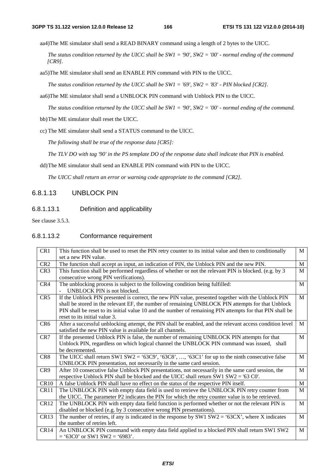aa4)The ME simulator shall send a READ BINARY command using a length of 2 bytes to the UICC.

*The status condition returned by the UICC shall be SW1 = '90', SW2 = '00' - normal ending of the command [CR9].*

aa5)The ME simulator shall send an ENABLE PIN command with PIN to the UICC.

 *The status condition returned by the UICC shall be SW1 = '69', SW2 = '83' - PIN blocked [CR2].*

aa6)The ME simulator shall send a UNBLOCK PIN command with Unblock PIN to the UICC.

*The status condition returned by the UICC shall be SW1 = '90', SW2 = '00' - normal ending of the command.*

bb) The ME simulator shall reset the UICC.

cc) The ME simulator shall send a STATUS command to the UICC.

*The following shall be true of the response data [CR5]:* 

*The TLV DO with tag '90' in the PS template DO of the response data shall indicate that PIN is enabled.* 

dd) The ME simulator shall send an ENABLE PIN command with PIN to the UICC.

*The UICC shall return an error or warning code appropriate to the command [CR2].* 

### 6.8.1.13 UNBLOCK PIN

### 6.8.1.13.1 Definition and applicability

See clause 3.5.3.

### 6.8.1.13.2 Conformance requirement

| CR1              | This function shall be used to reset the PIN retry counter to its initial value and then to conditionally | M            |
|------------------|-----------------------------------------------------------------------------------------------------------|--------------|
|                  | set a new PIN value.                                                                                      |              |
| CR <sub>2</sub>  | The function shall accept as input, an indication of PIN, the Unblock PIN and the new PIN.                | M            |
| CR <sub>3</sub>  | This function shall be performed regardless of whether or not the relevant PIN is blocked. (e.g. by 3     | M            |
|                  | consecutive wrong PIN verifications).                                                                     |              |
| CR4              | The unblocking process is subject to the following condition being fulfilled:                             | M            |
|                  | UNBLOCK PIN is not blocked.                                                                               |              |
| CR5              | If the Unblock PIN presented is correct, the new PIN value, presented together with the Unblock PIN       | M            |
|                  | shall be stored in the relevant EF, the number of remaining UNBLOCK PIN attempts for that Unblock         |              |
|                  | PIN shall be reset to its initial value 10 and the number of remaining PIN attempts for that PIN shall be |              |
|                  | reset to its initial value 3.                                                                             |              |
| CR <sub>6</sub>  | After a successful unblocking attempt, the PIN shall be enabled, and the relevant access condition level  | $\mathbf{M}$ |
|                  | satisfied the new PIN value is available for all channels.                                                |              |
| CR7              | If the presented Unblock PIN is false, the number of remaining UNBLOCK PIN attempts for that              | M            |
|                  | Unblock PIN, regardless on which logical channel the UNBLOCK PIN command was issued, shall                |              |
|                  | be decremented.                                                                                           |              |
| CR <sub>8</sub>  | The UICC shall return SW1 SW2 = '63C9', '63C8', , '63C1' for up to the ninth consecutive false            | M            |
|                  | UNBLOCK PIN presentation, not necessarily in the same card session.                                       |              |
| CR9              | After 10 consecutive false Unblock PIN presentations, not necessarily in the same card session, the       | M            |
|                  | respective Unblock PIN shall be blocked and the UICC shall return SW1 SW2 = '63 C0'.                      |              |
| CR10             | A false Unblock PIN shall have no effect on the status of the respective PIN itself.                      | M            |
| CR11             | The UNBLOCK PIN with empty data field is used to retrieve the UNBLOCK PIN retry counter from              | M            |
|                  | the UICC. The parameter P2 indicates the PIN for which the retry counter value is to be retrieved.        |              |
| CR <sub>12</sub> | The UNBLOCK PIN with empty data field function is performed whether or not the relevant PIN is            | M            |
|                  | disabled or blocked (e.g. by 3 consecutive wrong PIN presentations).                                      |              |
| CR13             | The number of retries, if any is indicated in the response by SW1 SW2 = '63CX', where X indicates         | M            |
|                  | the number of retries left.                                                                               |              |
| CR14             | An UNBLOCK PIN command with empty data field applied to a blocked PIN shall return SW1 SW2                | M            |
|                  | $=$ '63C0' or SW1 SW2 = '6983'.                                                                           |              |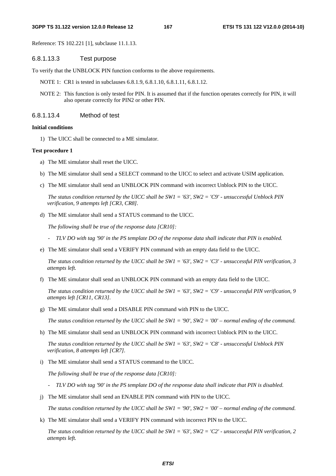#### **3GPP TS 31.122 version 12.0.0 Release 12 167 ETSI TS 131 122 V12.0.0 (2014-10)**

Reference: TS 102.221 [1], subclause 11.1.13.

### 6.8.1.13.3 Test purpose

To verify that the UNBLOCK PIN function conforms to the above requirements.

- NOTE 1: CR1 is tested in subclauses 6.8.1.9, 6.8.1.10, 6.8.1.11, 6.8.1.12.
- NOTE 2: This function is only tested for PIN. It is assumed that if the function operates correctly for PIN, it will also operate correctly for PIN2 or other PIN.

#### 6.8.1.13.4 Method of test

#### **Initial conditions**

1) The UICC shall be connected to a ME simulator.

#### **Test procedure 1**

- a) The ME simulator shall reset the UICC.
- b) The ME simulator shall send a SELECT command to the UICC to select and activate USIM application.
- c) The ME simulator shall send an UNBLOCK PIN command with incorrect Unblock PIN to the UICC.

 *The status condition returned by the UICC shall be SW1 = '63', SW2 = 'C9' - unsuccessful Unblock PIN verification, 9 attempts left [CR3, CR8].*

d) The ME simulator shall send a STATUS command to the UICC.

 *The following shall be true of the response data [CR10]:* 

- *TLV DO with tag '90' in the PS template DO of the response data shall indicate that PIN is enabled.*
- e) The ME simulator shall send a VERIFY PIN command with an empty data field to the UICC.

*The status condition returned by the UICC shall be SW1 = '63', SW2 = 'C3' - unsuccessful PIN verification, 3 attempts left.*

f) The ME simulator shall send an UNBLOCK PIN command with an empty data field to the UICC.

*The status condition returned by the UICC shall be SW1 = '63', SW2 = 'C9' - unsuccessful PIN verification, 9 attempts left [CR11, CR13].*

g) The ME simulator shall send a DISABLE PIN command with PIN to the UICC.

*The status condition returned by the UICC shall be SW1 = '90', SW2 = '00' – normal ending of the command.*

h) The ME simulator shall send an UNBLOCK PIN command with incorrect Unblock PIN to the UICC.

*The status condition returned by the UICC shall be SW1 = '63', SW2 = 'C8' - unsuccessful Unblock PIN verification, 8 attempts left [CR7].*

i) The ME simulator shall send a STATUS command to the UICC.

 *The following shall be true of the response data [CR10]:* 

- *TLV DO with tag '90' in the PS template DO of the response data shall indicate that PIN is disabled.*
- j) The ME simulator shall send an ENABLE PIN command with PIN to the UICC.

*The status condition returned by the UICC shall be SW1 = '90', SW2 = '00' – normal ending of the command.*

k) The ME simulator shall send a VERIFY PIN command with incorrect PIN to the UICC.

*The status condition returned by the UICC shall be SW1 = '63', SW2 = 'C2' - unsuccessful PIN verification, 2 attempts left.*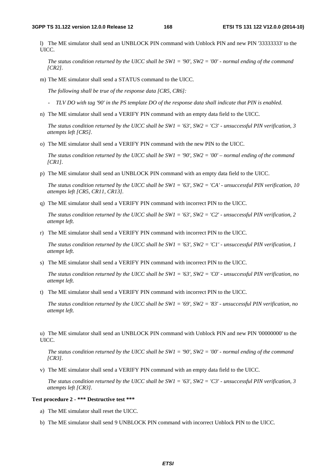l) The ME simulator shall send an UNBLOCK PIN command with Unblock PIN and new PIN '33333333' to the UICC.

 *The status condition returned by the UICC shall be SW1 = '90', SW2 = '00' - normal ending of the command [CR2].*

m) The ME simulator shall send a STATUS command to the UICC.

 *The following shall be true of the response data [CR5, CR6]:* 

*- TLV DO with tag '90' in the PS template DO of the response data shall indicate that PIN is enabled*.

n) The ME simulator shall send a VERIFY PIN command with an empty data field to the UICC.

*The status condition returned by the UICC shall be SW1 = '63', SW2 = 'C3' - unsuccessful PIN verification, 3 attempts left [CR5].*

o) The ME simulator shall send a VERIFY PIN command with the new PIN to the UICC.

*The status condition returned by the UICC shall be SW1 = '90', SW2 = '00' – normal ending of the command [CR1].*

p) The ME simulator shall send an UNBLOCK PIN command with an empty data field to the UICC.

*The status condition returned by the UICC shall be SW1 = '63', SW2 = 'CA' - unsuccessful PIN verification, 10 attempts left [CR5, CR11, CR13].*

q) The ME simulator shall send a VERIFY PIN command with incorrect PIN to the UICC.

*The status condition returned by the UICC shall be SW1 = '63', SW2 = 'C2' - unsuccessful PIN verification, 2 attempt left.*

r) The ME simulator shall send a VERIFY PIN command with incorrect PIN to the UICC.

 *The status condition returned by the UICC shall be SW1 = '63', SW2 = 'C1' - unsuccessful PIN verification, 1 attempt left.*

s) The ME simulator shall send a VERIFY PIN command with incorrect PIN to the UICC.

 *The status condition returned by the UICC shall be SW1 = '63', SW2 = 'C0' - unsuccessful PIN verification, no attempt left.*

t) The ME simulator shall send a VERIFY PIN command with incorrect PIN to the UICC.

*The status condition returned by the UICC shall be SW1 = '69', SW2 = '83' - unsuccessful PIN verification, no attempt left.*

u) The ME simulator shall send an UNBLOCK PIN command with Unblock PIN and new PIN '00000000' to the UICC.

 *The status condition returned by the UICC shall be SW1 = '90', SW2 = '00' - normal ending of the command [CR3].*

v) The ME simulator shall send a VERIFY PIN command with an empty data field to the UICC.

*The status condition returned by the UICC shall be SW1 = '63', SW2 = 'C3' - unsuccessful PIN verification, 3 attempts left [CR3].*

#### **Test procedure 2 - \*\*\* Destructive test \*\*\***

- a) The ME simulator shall reset the UICC.
- b) The ME simulator shall send 9 UNBLOCK PIN command with incorrect Unblock PIN to the UICC.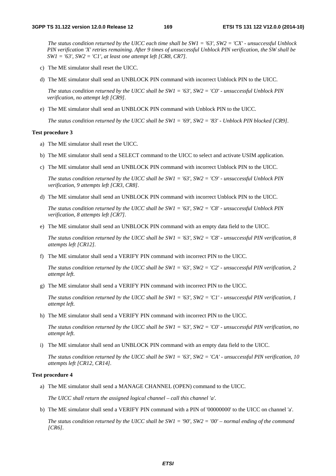*The status condition returned by the UICC each time shall be SW1 = '63', SW2 = 'CX' - unsuccessful Unblock PIN verification 'X' retries remaining. After 9 times of unsuccessful Unblock PIN verification, the SW shall be SW1 = '63', SW2 = 'C1', at least one attempt left [CR8, CR7].*

- c) The ME simulator shall reset the UICC.
- d) The ME simulator shall send an UNBLOCK PIN command with incorrect Unblock PIN to the UICC.

 *The status condition returned by the UICC shall be SW1 = '63', SW2 = 'C0' - unsuccessful Unblock PIN verification, no attempt left [CR9].*

e) The ME simulator shall send an UNBLOCK PIN command with Unblock PIN to the UICC.

 *The status condition returned by the UICC shall be SW1 = '69', SW2 = '83' - Unblock PIN blocked [CR9].*

#### **Test procedure 3**

- a) The ME simulator shall reset the UICC.
- b) The ME simulator shall send a SELECT command to the UICC to select and activate USIM application.
- c) The ME simulator shall send an UNBLOCK PIN command with incorrect Unblock PIN to the UICC.

 *The status condition returned by the UICC shall be SW1 = '63', SW2 = 'C9' - unsuccessful Unblock PIN verification, 9 attempts left [CR3, CR8].*

d) The ME simulator shall send an UNBLOCK PIN command with incorrect Unblock PIN to the UICC.

*The status condition returned by the UICC shall be SW1 = '63', SW2 = 'C8' - unsuccessful Unblock PIN verification, 8 attempts left [CR7].*

e) The ME simulator shall send an UNBLOCK PIN command with an empty data field to the UICC.

*The status condition returned by the UICC shall be SW1 = '63', SW2 = 'C8' - unsuccessful PIN verification, 8 attempts left [CR12].*

f) The ME simulator shall send a VERIFY PIN command with incorrect PIN to the UICC.

*The status condition returned by the UICC shall be SW1 = '63', SW2 = 'C2' - unsuccessful PIN verification, 2 attempt left.*

g) The ME simulator shall send a VERIFY PIN command with incorrect PIN to the UICC.

 *The status condition returned by the UICC shall be SW1 = '63', SW2 = 'C1' - unsuccessful PIN verification, 1 attempt left.*

h) The ME simulator shall send a VERIFY PIN command with incorrect PIN to the UICC.

 *The status condition returned by the UICC shall be SW1 = '63', SW2 = 'C0' - unsuccessful PIN verification, no attempt left.*

i) The ME simulator shall send an UNBLOCK PIN command with an empty data field to the UICC.

*The status condition returned by the UICC shall be SW1 = '63', SW2 = 'CA' - unsuccessful PIN verification, 10 attempts left [CR12, CR14].*

#### **Test procedure 4**

a) The ME simulator shall send a MANAGE CHANNEL (OPEN) command to the UICC.

*The UICC shall return the assigned logical channel – call this channel 'a'.* 

b) The ME simulator shall send a VERIFY PIN command with a PIN of '00000000' to the UICC on channel 'a'.

*The status condition returned by the UICC shall be SW1 = '90', SW2 = '00' – normal ending of the command [CR6].*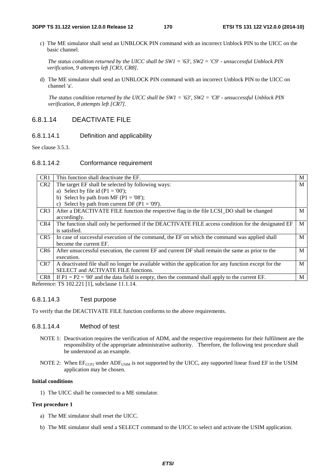c) The ME simulator shall send an UNBLOCK PIN command with an incorrect Unblock PIN to the UICC on the basic channel.

*The status condition returned by the UICC shall be SW1 = '63', SW2 = 'C9' - unsuccessful Unblock PIN verification, 9 attempts left [CR3, CR8].*

d) The ME simulator shall send an UNBLOCK PIN command with an incorrect Unblock PIN to the UICC on channel 'a'.

*The status condition returned by the UICC shall be SW1 = '63', SW2 = 'C8' - unsuccessful Unblock PIN verification, 8 attempts left [CR7].*

# 6.8.1.14 DEACTIVATE FILE

### 6.8.1.14.1 Definition and applicability

See clause 3.5.3.

### 6.8.1.14.2 Conformance requirement

| CR1             | This function shall deactivate the EF.                                                                 | M |  |  |
|-----------------|--------------------------------------------------------------------------------------------------------|---|--|--|
| CR <sub>2</sub> | M<br>The target EF shall be selected by following ways:                                                |   |  |  |
|                 | a) Select by file id $(P1 = '00')$ ;                                                                   |   |  |  |
|                 | b) Select by path from MF ( $P1 = 08$ );                                                               |   |  |  |
|                 | c) Select by path from current DF ( $P1 = 09$ ).                                                       |   |  |  |
| CR3             | After a DEACTIVATE FILE function the respective flag in the file LCSI_DO shall be changed              | M |  |  |
|                 | accordingly.                                                                                           |   |  |  |
| CR4             | The function shall only be performed if the DEACTIVATE FILE access condition for the designated EF     | M |  |  |
|                 | is satisfied.                                                                                          |   |  |  |
| CR <sub>5</sub> | In case of successful execution of the command, the EF on which the command was applied shall          | M |  |  |
|                 | become the current EF.                                                                                 |   |  |  |
| CR <sub>6</sub> | After unsuccessful execution, the current EF and current DF shall remain the same as prior to the      | M |  |  |
|                 | execution.                                                                                             |   |  |  |
| CR <sub>7</sub> | A deactivated file shall no longer be available within the application for any function except for the | M |  |  |
|                 | SELECT and ACTIVATE FILE functions.                                                                    |   |  |  |
| CR <sub>8</sub> | If $P1 = P2 = '00'$ and the data field is empty, then the command shall apply to the current EF.       | M |  |  |

Reference: TS 102.221 [1], subclause 11.1.14.

### 6.8.1.14.3 Test purpose

To verify that the DEACTIVATE FILE function conforms to the above requirements.

### 6.8.1.14.4 Method of test

- NOTE 1: Deactivation requires the verification of ADM, and the respective requirements for their fulfilment are the responsibility of the appropriate administrative authority. Therefore, the following test procedure shall be understood as an example.
- NOTE 2: When  $E_{CCP2}$  under ADF<sub>USIM</sub> is not supported by the UICC, any supported linear fixed EF in the USIM application may be chosen.

### **Initial conditions**

1) The UICC shall be connected to a ME simulator.

#### **Test procedure 1**

- a) The ME simulator shall reset the UICC.
- b) The ME simulator shall send a SELECT command to the UICC to select and activate the USIM application.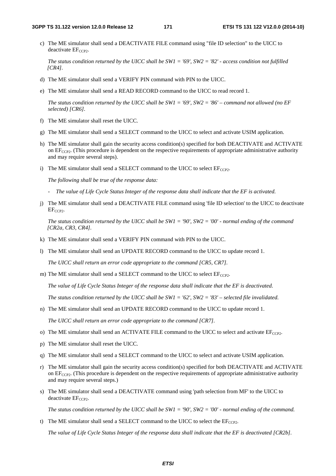c) The ME simulator shall send a DEACTIVATE FILE command using "file ID selection" to the UICC to deactivate  $EF_{CCP2}$ .

 *The status condition returned by the UICC shall be SW1 = '69', SW2 = '82' - access condition not fulfilled [CR4].*

- d) The ME simulator shall send a VERIFY PIN command with PIN to the UICC.
- e) The ME simulator shall send a READ RECORD command to the UICC to read record 1.

*The status condition returned by the UICC shall be SW1 = '69', SW2 = '86' – command not allowed (no EF selected) [CR6].*

- f) The ME simulator shall reset the UICC.
- g) The ME simulator shall send a SELECT command to the UICC to select and activate USIM application.
- h) The ME simulator shall gain the security access condition(s) specified for both DEACTIVATE and ACTIVATE on  $EF_{CCP2}$ . (This procedure is dependent on the respective requirements of appropriate administrative authority and may require several steps).
- i) The ME simulator shall send a SELECT command to the UICC to select  $EF_{CCP2}$ .

 *The following shall be true of the response data:* 

- *The value of Life Cycle Status Integer of the response data shall indicate that the EF is activated.*
- j) The ME simulator shall send a DEACTIVATE FILE command using 'file ID selection' to the UICC to deactivate  $EF_{CCP2}$ .

 *The status condition returned by the UICC shall be SW1 = '90', SW2 = '00' - normal ending of the command [CR2a, CR3, CR4].*

- k) The ME simulator shall send a VERIFY PIN command with PIN to the UICC.
- l) The ME simulator shall send an UPDATE RECORD command to the UICC to update record 1.

 *The UICC shall return an error code appropriate to the command [CR5, CR7].*

m) The ME simulator shall send a SELECT command to the UICC to select  $EF_{CCP2}$ .

*The value of Life Cycle Status Integer of the response data shall indicate that the EF is deactivated.*

*The status condition returned by the UICC shall be SW1 = '62', SW2 = '83' – selected file invalidated.* 

- n) The ME simulator shall send an UPDATE RECORD command to the UICC to update record 1. *The UICC shall return an error code appropriate to the command [CR7].*
- o) The ME simulator shall send an ACTIVATE FILE command to the UICC to select and activate  $EF_{CCP2}$ .
- p) The ME simulator shall reset the UICC.
- q) The ME simulator shall send a SELECT command to the UICC to select and activate USIM application.
- r) The ME simulator shall gain the security access condition(s) specified for both DEACTIVATE and ACTIVATE on  $EF_{CCP2}$ . (This procedure is dependent on the respective requirements of appropriate administrative authority and may require several steps.)
- s) The ME simulator shall send a DEACTIVATE command using 'path selection from MF' to the UICC to deactivate  $EF_{CCP2}$ .

 *The status condition returned by the UICC shall be SW1 = '90', SW2 = '00' - normal ending of the command.*

t) The ME simulator shall send a SELECT command to the UICC to select the  $E_{CCP2}$ .

*The value of Life Cycle Status Integer of the response data shall indicate that the EF is deactivated [CR2b].*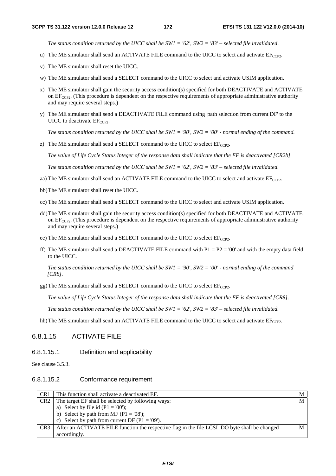*The status condition returned by the UICC shall be SW1 = '62', SW2 = '83' – selected file invalidated*.

- u) The ME simulator shall send an ACTIVATE FILE command to the UICC to select and activate  $EF_{CCP2}$ .
- v) The ME simulator shall reset the UICC.
- w) The ME simulator shall send a SELECT command to the UICC to select and activate USIM application.
- x) The ME simulator shall gain the security access condition(s) specified for both DEACTIVATE and ACTIVATE on  $EF_{CCP2}$ . (This procedure is dependent on the respective requirements of appropriate administrative authority and may require several steps.)
- y) The ME simulator shall send a DEACTIVATE FILE command using 'path selection from current DF' to the UICC to deactivate  $EF_{CCP2}$ .

*The status condition returned by the UICC shall be SW1 = '90', SW2 = '00' - normal ending of the command.*

z) The ME simulator shall send a SELECT command to the UICC to select  $EF_{CCP2}$ .

*The value of Life Cycle Status Integer of the response data shall indicate that the EF is deactivated [CR2b].*

*The status condition returned by the UICC shall be SW1 = '62', SW2 = '83' – selected file invalidated.* 

- aa) The ME simulator shall send an ACTIVATE FILE command to the UICC to select and activate  $EF_{CCP2}$ .
- bb)The ME simulator shall reset the UICC.
- cc) The ME simulator shall send a SELECT command to the UICC to select and activate USIM application.
- dd)The ME simulator shall gain the security access condition(s) specified for both DEACTIVATE and ACTIVATE on  $EF_{CCP2}$ . (This procedure is dependent on the respective requirements of appropriate administrative authority and may require several steps.)
- ee) The ME simulator shall send a SELECT command to the UICC to select  $EF_{CCP2}$ .
- ff) The ME simulator shall send a DEACTIVATE FILE command with  $P1 = P2 = '00'$  and with the empty data field to the UICC.

*The status condition returned by the UICC shall be SW1 = '90', SW2 = '00' - normal ending of the command [CR8].*

gg) The ME simulator shall send a SELECT command to the UICC to select  $EF_{CCP2}$ .

*The value of Life Cycle Status Integer of the response data shall indicate that the EF is deactivated [CR8].*

*The status condition returned by the UICC shall be SW1 = '62', SW2 = '83' – selected file invalidated.* 

hh) The ME simulator shall send an ACTIVATE FILE command to the UICC to select and activate  $EF_{CCP2}$ .

### 6.8.1.15 ACTIVATE FILE

#### 6.8.1.15.1 Definition and applicability

See clause 3.5.3.

#### 6.8.1.15.2 Conformance requirement

| CR <sub>1</sub> | This function shall activate a deactivated EF.                                                | M |
|-----------------|-----------------------------------------------------------------------------------------------|---|
| CR <sub>2</sub> | The target EF shall be selected by following ways:                                            | M |
|                 | a) Select by file id $(P1 = '00')$ ;                                                          |   |
|                 | b) Select by path from MF ( $P1 = 08$ );                                                      |   |
|                 | c) Select by path from current DF ( $P1 = 09'$ ).                                             |   |
| CR <sub>3</sub> | After an ACTIVATE FILE function the respective flag in the file LCSI_DO byte shall be changed | M |
|                 | accordingly.                                                                                  |   |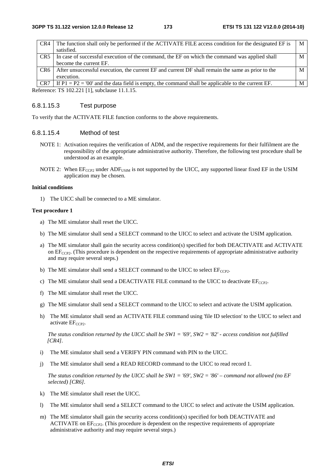| CR4             | The function shall only be performed if the ACTIVATE FILE access condition for the designated EF is | M |
|-----------------|-----------------------------------------------------------------------------------------------------|---|
|                 | satisfied.                                                                                          |   |
| CR5             | In case of successful execution of the command, the EF on which the command was applied shall       | M |
|                 | become the current EF.                                                                              |   |
| CR <sub>6</sub> | After unsuccessful execution, the current EF and current DF shall remain the same as prior to the   | М |
|                 | execution.                                                                                          |   |
| CR7             | If $P1 = P2 = '00'$ and the data field is empty, the command shall be applicable to the current EF. | М |
|                 | $T1$ (100.001.11.11)<br>------                                                                      |   |

Reference: TS 102.221 [1], subclause 11.1.15.

### 6.8.1.15.3 Test purpose

To verify that the ACTIVATE FILE function conforms to the above requirements.

### 6.8.1.15.4 Method of test

- NOTE 1: Activation requires the verification of ADM, and the respective requirements for their fulfilment are the responsibility of the appropriate administrative authority. Therefore, the following test procedure shall be understood as an example.
- NOTE 2: When EF<sub>CCP2</sub> under ADF<sub>USIM</sub> is not supported by the UICC, any supported linear fixed EF in the USIM application may be chosen.

#### **Initial conditions**

1) The UICC shall be connected to a ME simulator.

#### **Test procedure 1**

- a) The ME simulator shall reset the UICC.
- b) The ME simulator shall send a SELECT command to the UICC to select and activate the USIM application.
- a) The ME simulator shall gain the security access condition(s) specified for both DEACTIVATE and ACTIVATE on  $EF_{CCP2}$ . (This procedure is dependent on the respective requirements of appropriate administrative authority and may require several steps.)
- b) The ME simulator shall send a SELECT command to the UICC to select  $EF_{CCP2}$ .
- c) The ME simulator shall send a DEACTIVATE FILE command to the UICC to deactivate  $EF_{CCP2}$ .
- f) The ME simulator shall reset the UICC.
- g) The ME simulator shall send a SELECT command to the UICC to select and activate the USIM application.
- h) The ME simulator shall send an ACTIVATE FILE command using 'file ID selection' to the UICC to select and activate  $EF_{CCP2}$ .

 *The status condition returned by the UICC shall be SW1 = '69', SW2 = '82' - access condition not fulfilled [CR4].*

- i) The ME simulator shall send a VERIFY PIN command with PIN to the UICC.
- j) The ME simulator shall send a READ RECORD command to the UICC to read record 1.

*The status condition returned by the UICC shall be SW1 = '69', SW2 = '86' – command not allowed (no EF selected) [CR6].*

- k) The ME simulator shall reset the UICC.
- l) The ME simulator shall send a SELECT command to the UICC to select and activate the USIM application.
- m) The ME simulator shall gain the security access condition(s) specified for both DEACTIVATE and ACTIVATE on  $EF_{CCP2}$ . (This procedure is dependent on the respective requirements of appropriate administrative authority and may require several steps.)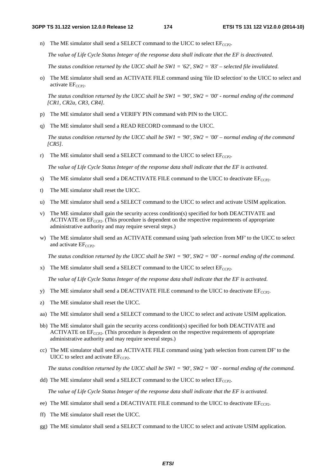n) The ME simulator shall send a SELECT command to the UICC to select  $EF_{CCP2}$ .

*The value of Life Cycle Status Integer of the response data shall indicate that the EF is deactivated.*

*The status condition returned by the UICC shall be SW1 = '62', SW2 = '83' – selected file invalidated.* 

o) The ME simulator shall send an ACTIVATE FILE command using 'file ID selection' to the UICC to select and  $active EF<sub>CCP2</sub>$ .

 *The status condition returned by the UICC shall be SW1 = '90', SW2 = '00' - normal ending of the command [CR1, CR2a, CR3, CR4].*

- p) The ME simulator shall send a VERIFY PIN command with PIN to the UICC.
- q) The ME simulator shall send a READ RECORD command to the UICC.

 *The status condition returned by the UICC shall be SW1 = '90', SW2 = '00' – normal ending of the command [CR5].*

r) The ME simulator shall send a SELECT command to the UICC to select  $EF_{CCP2}$ .

*The value of Life Cycle Status Integer of the response data shall indicate that the EF is activated.* 

- s) The ME simulator shall send a DEACTIVATE FILE command to the UICC to deactivate  $EF_{CCP2}$ .
- t) The ME simulator shall reset the UICC.
- u) The ME simulator shall send a SELECT command to the UICC to select and activate USIM application.
- v) The ME simulator shall gain the security access condition(s) specified for both DEACTIVATE and ACTIVATE on  $EF_{CCP2}$ . (This procedure is dependent on the respective requirements of appropriate administrative authority and may require several steps.)
- w) The ME simulator shall send an ACTIVATE command using 'path selection from MF' to the UICC to select and activate  $EF_{CCP2}$ .

 *The status condition returned by the UICC shall be SW1 = '90', SW2 = '00' - normal ending of the command.*

x) The ME simulator shall send a SELECT command to the UICC to select  $E_{CCP2}$ .

*The value of Life Cycle Status Integer of the response data shall indicate that the EF is activated.*

- y) The ME simulator shall send a DEACTIVATE FILE command to the UICC to deactivate  $EF_{CCP2}$ .
- z) The ME simulator shall reset the UICC.
- aa) The ME simulator shall send a SELECT command to the UICC to select and activate USIM application.
- bb) The ME simulator shall gain the security access condition(s) specified for both DEACTIVATE and ACTIVATE on  $EF_{CCP2}$ . (This procedure is dependent on the respective requirements of appropriate administrative authority and may require several steps.)
- cc) The ME simulator shall send an ACTIVATE FILE command using 'path selection from current DF' to the UICC to select and activate  $EF_{CCP2}$ .

*The status condition returned by the UICC shall be SW1 = '90', SW2 = '00' - normal ending of the command.*

dd) The ME simulator shall send a SELECT command to the UICC to select  $EF_{CCP2}$ .

*The value of Life Cycle Status Integer of the response data shall indicate that the EF is activated.* 

- ee) The ME simulator shall send a DEACTIVATE FILE command to the UICC to deactivate  $EF_{CCP2}$ .
- ff) The ME simulator shall reset the UICC.
- gg) The ME simulator shall send a SELECT command to the UICC to select and activate USIM application.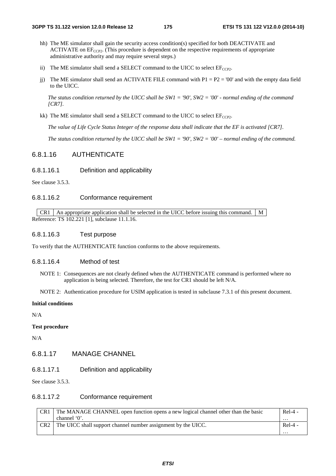- hh) The ME simulator shall gain the security access condition(s) specified for both DEACTIVATE and ACTIVATE on  $EF_{CCP2}$ . (This procedure is dependent on the respective requirements of appropriate administrative authority and may require several steps.)
- ii) The ME simulator shall send a SELECT command to the UICC to select  $EF_{CCP2}$ .
- ji) The ME simulator shall send an ACTIVATE FILE command with  $P1 = P2 = '00'$  and with the empty data field to the UICC.

*The status condition returned by the UICC shall be SW1 = '90', SW2 = '00' - normal ending of the command [CR7].*

kk) The ME simulator shall send a SELECT command to the UICC to select  $EF_{CCP2}$ .

*The value of Life Cycle Status Integer of the response data shall indicate that the EF is activated [CR7].*

*The status condition returned by the UICC shall be SW1 = '90', SW2 = '00' – normal ending of the command.*

# 6.8.1.16 AUTHENTICATE

6.8.1.16.1 Definition and applicability

See clause 3.5.3.

### 6.8.1.16.2 Conformance requirement

 $\vert$  CR1  $\vert$  An appropriate application shall be selected in the UICC before issuing this command.  $\vert$  M Reference: TS 102.221 [1], subclause 11.1.16.

### 6.8.1.16.3 Test purpose

To verify that the AUTHENTICATE function conforms to the above requirements.

#### 6.8.1.16.4 Method of test

NOTE 1: Consequences are not clearly defined when the AUTHENTICATE command is performed where no application is being selected. Therefore, the test for CR1 should be left N/A.

NOTE 2: Authentication procedure for USIM application is tested in subclause 7.3.1 of this present document.

#### **Initial conditions**

N/A

#### **Test procedure**

N/A

## 6.8.1.17 MANAGE CHANNEL

6.8.1.17.1 Definition and applicability

See clause 3.5.3.

### 6.8.1.17.2 Conformance requirement

| CR <sub>1</sub> | The MANAGE CHANNEL open function opens a new logical channel other than the basic | $Rel-4 -$ |
|-----------------|-----------------------------------------------------------------------------------|-----------|
|                 | channel $0$ .                                                                     | $\cdots$  |
| CR <sub>2</sub> | The UICC shall support channel number assignment by the UICC.                     | $Re1-4$ - |
|                 |                                                                                   | .         |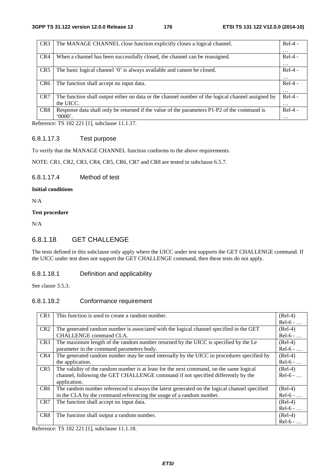| CR <sub>3</sub> | The MANAGE CHANNEL close function explicitly closes a logical channel.                            | $Rel-4 -$         |
|-----------------|---------------------------------------------------------------------------------------------------|-------------------|
|                 |                                                                                                   | $\cdots$          |
| CR4             | When a channel has been successfully closed, the channel can be reassigned.                       | $Rel-4$ -         |
|                 |                                                                                                   | $\cdots$          |
| CR <sub>5</sub> | The basic logical channel '0' is always available and cannot be closed.                           | $Rel-4 -$         |
|                 |                                                                                                   | $\cdots$          |
| CR <sub>6</sub> | The function shall accept no input data.                                                          | $Rel-4 -$         |
|                 |                                                                                                   | $\cdots$          |
| CR7             | The function shall output either no data or the channel number of the logical channel assigned by | $Rel-4 -$         |
|                 | the UICC.                                                                                         | $\cdot\cdot\cdot$ |
| CR <sub>8</sub> | Response data shall only be returned if the value of the parameters P1-P2 of the command is       | $Rel-4 -$         |
|                 | 0000'.                                                                                            | $\cdots$          |

Reference: TS 102 221 [1], subclause 11.1.17.

### 6.8.1.17.3 Test purpose

To verify that the MANAGE CHANNEL function conforms to the above requirements.

NOTE: CR1, CR2, CR3, CR4, CR5, CR6, CR7 and CR8 are tested in subclause 6.5.7.

### 6.8.1.17.4 Method of test

### **Initial conditions**

N/A

### **Test procedure**

N/A

# 6.8.1.18 GET CHALLENGE

The tests defined in this subclause only apply where the UICC under test supports the GET CHALLENGE command. If the UICC under test does not support the GET CHALLENGE command, then these tests do not apply.

## 6.8.1.18.1 Definition and applicability

See clause 3.5.3.

## 6.8.1.18.2 Conformance requirement

| CR <sub>1</sub> | This function is used to create a random number.                                             | $(Rel-4)$  |
|-----------------|----------------------------------------------------------------------------------------------|------------|
|                 |                                                                                              | $Rel-6 - $ |
| CR <sub>2</sub> | The generated random number is associated with the logical channel specified in the GET      | $(Rel-4)$  |
|                 | CHALLENGE command CLA.                                                                       | $Rel-6 - $ |
| CR <sub>3</sub> | The maximum length of the random number returned by the UICC is specified by the Le          | $(Rel-4)$  |
|                 | parameter in the command parameters body.                                                    | $Rel-6 - $ |
| CR4             | The generated random number may be used internally by the UICC in procedures specified by    | $(Rel-4)$  |
|                 | the application.                                                                             | $Rel-6 - $ |
| CR5             | The validity of the random number is at least for the next command, on the same logical      | $(Rel-4)$  |
|                 | channel, following the GET CHALLENGE command if not specified differently by the             | $Rel-6 - $ |
|                 | application.                                                                                 |            |
| CR <sub>6</sub> | The random number referenced is always the latest generated on the logical channel specified | $(Rel-4)$  |
|                 | in the CLA by the command referencing the usage of a random number.                          | $Rel-6 - $ |
| CR7             | The function shall accept no input data.                                                     | $(Rel-4)$  |
|                 |                                                                                              | $Rel-6 - $ |
| CR <sub>8</sub> | The function shall output a random number.                                                   | $(Rel-4)$  |
|                 |                                                                                              | $Rel-6 - $ |

Reference: TS 102 221 [1], subclause 11.1.18.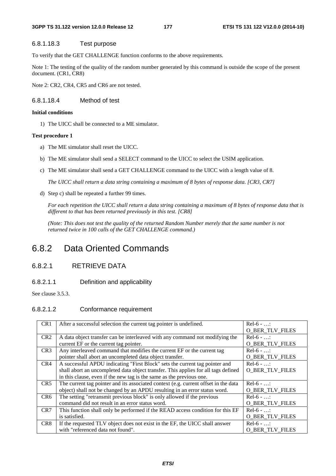#### **3GPP TS 31.122 version 12.0.0 Release 12 177 ETSI TS 131 122 V12.0.0 (2014-10)**

### 6.8.1.18.3 Test purpose

To verify that the GET CHALLENGE function conforms to the above requirements.

Note 1: The testing of the quality of the random number generated by this command is outside the scope of the present document. (CR1, CR8)

Note 2: CR2, CR4, CR5 and CR6 are not tested.

### 6.8.1.18.4 Method of test

#### **Initial conditions**

1) The UICC shall be connected to a ME simulator.

#### **Test procedure 1**

- a) The ME simulator shall reset the UICC.
- b) The ME simulator shall send a SELECT command to the UICC to select the USIM application.
- c) The ME simulator shall send a GET CHALLENGE command to the UICC with a length value of 8.

*The UICC shall return a data string containing a maximum of 8 bytes of response data. [CR3, CR7]* 

d) Step c) shall be repeated a further 99 times.

*For each repetition the UICC shall return a data string containing a maximum of 8 bytes of response data that is different to that has been returned previously in this test. [CR8]* 

*(Note: This does not test the quality of the returned Random Number merely that the same number is not returned twice in 100 calls of the GET CHALLENGE command.)* 

# 6.8.2 Data Oriented Commands

# 6.8.2.1 RETRIEVE DATA

### 6.8.2.1.1 Definition and applicability

See clause 3.5.3.

### 6.8.2.1.2 Conformance requirement

| CR <sub>1</sub> | After a successful selection the current tag pointer is undefined.                  | $Rel-6$ - :            |
|-----------------|-------------------------------------------------------------------------------------|------------------------|
|                 |                                                                                     | <b>O BER TLV FILES</b> |
| CR <sub>2</sub> | A data object transfer can be interleaved with any command not modifying the        | $Rel-6$ - :            |
|                 | current EF or the current tag pointer.                                              | <b>O BER TLV FILES</b> |
| CR3             | Any interleaved command that modifies the current EF or the current tag             | $Rel-6 - $             |
|                 | pointer shall abort an uncompleted data object transfer.                            | <b>O_BER_TLV_FILES</b> |
| CR4             | A successful APDU indicating "First Block" sets the current tag pointer and         | $Re1-6$ - :            |
|                 | shall abort an uncompleted data object transfer. This applies for all tags defined  | O BER_TLV_FILES        |
|                 | in this clause, even if the new tag is the same as the previous one.                |                        |
| CR5             | The current tag pointer and its associated context (e.g. current offset in the data | $Rel-6$ - :            |
|                 | object) shall not be changed by an APDU resulting in an error status word.          | <b>O_BER_TLV_FILES</b> |
| CR <sub>6</sub> | The setting "retransmit previous block" is only allowed if the previous             | $Rel-6 - $             |
|                 | command did not result in an error status word.                                     | <b>O BER TLV FILES</b> |
| CR <sub>7</sub> | This function shall only be performed if the READ access condition for this EF      | $Re1-6 - $             |
|                 | is satisfied.                                                                       | <b>O_BER_TLV_FILES</b> |
| CR8             | If the requested TLV object does not exist in the EF, the UICC shall answer         | $Re1-6 - $             |
|                 | with "referenced data not found".                                                   | <b>O BER TLV FILES</b> |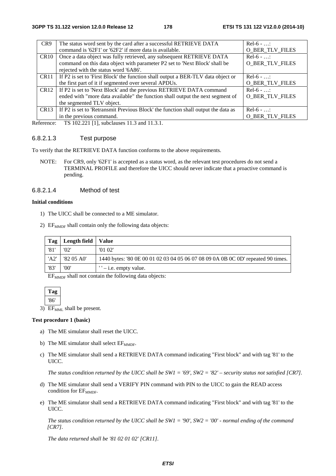| CR <sub>9</sub>  | The status word sent by the card after a successful RETRIEVE DATA                        | $Rel-6 - $             |
|------------------|------------------------------------------------------------------------------------------|------------------------|
|                  | command is '62F1' or '62F2' if more data is available.                                   | <b>O_BER_TLV_FILES</b> |
| CR <sub>10</sub> | Once a data object was fully retrieved, any subsequent RETRIEVE DATA                     | $Rel-6$ - :            |
|                  | command on this data object with parameter P2 set to 'Next Block' shall be               | <b>O_BER_TLV_FILES</b> |
|                  | rejected with the status word '6A86'.                                                    |                        |
|                  | CR11   If P2 is set to 'First Block' the function shall output a BER-TLV data object or  | $Rel-6$ - :            |
|                  | the first part of it if segmented over several APDUs.                                    | <b>O_BER_TLV_FILES</b> |
|                  | CR12   If P2 is set to 'Next Block' and the previous RETRIEVE DATA command               | $Rel-6$ - :            |
|                  | ended with "more data available" the function shall output the next segment of           | <b>O BER TLV FILES</b> |
|                  | the segmented TLV object.                                                                |                        |
|                  | CR13   If P2 is set to 'Retransmit Previous Block' the function shall output the data as | $Rel-6 - $             |
|                  | in the previous command.                                                                 | <b>O_BER_TLV_FILES</b> |

Reference: TS 102.221 [1], subclauses 11.3 and 11.3.1.

### 6.8.2.1.3 Test purpose

To verify that the RETRIEVE DATA function conforms to the above requirements.

NOTE: For CR9, only '62F1' is accepted as a status word, as the relevant test procedures do not send a TERMINAL PROFILE and therefore the UICC should never indicate that a proactive command is pending.

### 6.8.2.1.4 Method of test

#### **Initial conditions**

- 1) The UICC shall be connected to a ME simulator.
- 2)  $EF_{MMDF}$  shall contain only the following data objects:

| Tag  | Length field | Value                                                                            |
|------|--------------|----------------------------------------------------------------------------------|
| '81  | '02'         | '0102'                                                                           |
| 'A2' | '82 05 A0'   | 1440 bytes: '80 0E 00 01 02 03 04 05 06 07 08 09 0A 0B 0C 0D' repeated 90 times. |
| '83' | '00'         | $'$ – i.e. empty value.                                                          |

 $EF<sub>MDF</sub>$  shall not contain the following data objects:

**Tag**  '86'

3) EF<sub>MML</sub> shall be present.

#### **Test procedure 1 (basic)**

- a) The ME simulator shall reset the UICC.
- b) The ME simulator shall select  $EF_{\text{MMDF}}$ .
- c) The ME simulator shall send a RETRIEVE DATA command indicating "First block" and with tag '81' to the UICC.

*The status condition returned by the UICC shall be SW1 = '69', SW2 = '82' – security status not satisfied [CR7].*

- d) The ME simulator shall send a VERIFY PIN command with PIN to the UICC to gain the READ access condition for  $EF_{MMDF}$ .
- e) The ME simulator shall send a RETRIEVE DATA command indicating "First block" and with tag '81' to the UICC.

*The status condition returned by the UICC shall be SW1 = '90', SW2 = '00' - normal ending of the command [CR7].*

 *The data returned shall be '81 02 01 02' [CR11].*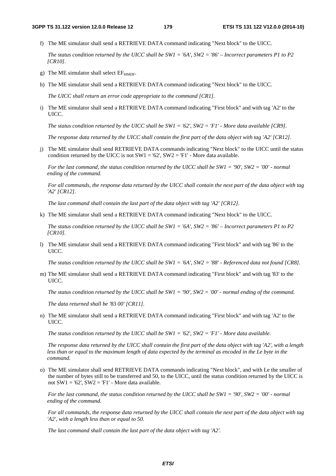f) The ME simulator shall send a RETRIEVE DATA command indicating "Next block" to the UICC.

*The status condition returned by the UICC shall be SW1 = '6A', SW2 = '86' – Incorrect parameters P1 to P2 [CR10].*

- g) The ME simulator shall select  $EF_{\text{MMDF}}$ .
- h) The ME simulator shall send a RETRIEVE DATA command indicating "Next block" to the UICC.

*The UICC shall return an error code appropriate to the command [CR1].*

i) The ME simulator shall send a RETRIEVE DATA command indicating "First block" and with tag 'A2' to the UICC.

*The status condition returned by the UICC shall be SW1 = '62', SW2 = 'F1' - More data available [CR9].* 

*The response data returned by the UICC shall contain the first part of the data object with tag 'A2' [CR12].* 

j) The ME simulator shall send RETRIEVE DATA commands indicating "Next block" to the UICC until the status condition returned by the UICC is not  $SW1 = '62'$ ,  $SW2 = 'F1'$  - More data available.

*For the last command, the status condition returned by the UICC shall be SW1 = '90', SW2 = '00' - normal ending of the command.* 

*For all commands, the response data returned by the UICC shall contain the next part of the data object with tag 'A2' [CR12].* 

*The last command shall contain the last part of the data object with tag 'A2' [CR12].* 

k) The ME simulator shall send a RETRIEVE DATA command indicating "Next block" to the UICC.

*The status condition returned by the UICC shall be SW1 = '6A', SW2 = '86' – Incorrect parameters P1 to P2 [CR10].*

l) The ME simulator shall send a RETRIEVE DATA command indicating "First block" and with tag '86' to the UICC.

*The status condition returned by the UICC shall be SW1 = '6A', SW2 = '88' - Referenced data not found [CR8].*

m) The ME simulator shall send a RETRIEVE DATA command indicating "First block" and with tag '83' to the UICC.

*The status condition returned by the UICC shall be SW1 = '90', SW2 = '00' - normal ending of the command.*

 *The data returned shall be '*83 *00' [CR11].* 

n) The ME simulator shall send a RETRIEVE DATA command indicating "First block" and with tag 'A2' to the UICC.

*The status condition returned by the UICC shall be SW1 = '62', SW2 = 'F1' - More data available.* 

*The response data returned by the UICC shall contain the first part of the data object with tag 'A2', with a length*  less than or equal to the maximum length of data expected by the terminal as encoded in the Le byte in the *command.* 

o) The ME simulator shall send RETRIEVE DATA commands indicating "Next block", and with Le the smaller of the number of bytes still to be transferred and 50, to the UICC, until the status condition returned by the UICC is not  $SW1 = '62'$ ,  $SW2 = 'F1'$  - More data available.

*For the last command, the status condition returned by the UICC shall be SW1 = '90', SW2 = '00' - normal ending of the command.* 

*For all commands, the response data returned by the UICC shall contain the next part of the data object with tag 'A2', with a length less than or equal to 50.* 

*The last command shall contain the last part of the data object with tag 'A2'.*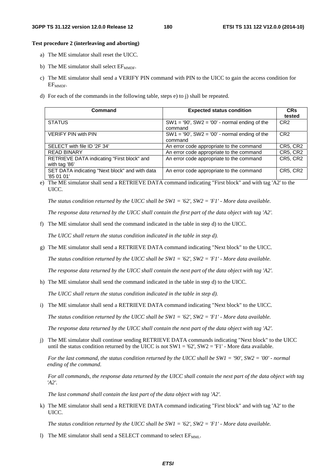### **Test procedure 2 (interleaving and aborting)**

- a) The ME simulator shall reset the UICC.
- b) The ME simulator shall select  $EF_{\text{MMDF}}$ .
- c) The ME simulator shall send a VERIFY PIN command with PIN to the UICC to gain the access condition for EF<sub>MMDF</sub>.
- d) For each of the commands in the following table, steps e) to j) shall be repeated.

| Command                                                      | <b>Expected status condition</b>                              | <b>CRs</b><br>tested |
|--------------------------------------------------------------|---------------------------------------------------------------|----------------------|
| <b>STATUS</b>                                                | $SW1 = '90', SW2 = '00'$ - normal ending of the<br>command    | CR <sub>2</sub>      |
| <b>VERIFY PIN with PIN</b>                                   | $SW1 = '90'$ , $SW2 = '00'$ - normal ending of the<br>command | CR <sub>2</sub>      |
| SELECT with file ID '2F 34'                                  | An error code appropriate to the command                      | <b>CR5, CR2</b>      |
| <b>READ BINARY</b>                                           | An error code appropriate to the command                      | <b>CR5, CR2</b>      |
| RETRIEVE DATA indicating "First block" and<br>with tag '86'  | An error code appropriate to the command                      | CR5, CR2             |
| SET DATA indicating "Next block" and with data<br>'85 01 01' | An error code appropriate to the command                      | <b>CR5, CR2</b>      |

e) The ME simulator shall send a RETRIEVE DATA command indicating "First block" and with tag 'A2' to the UICC.

*The status condition returned by the UICC shall be SW1 = '62', SW2 = 'F1' - More data available.*

*The response data returned by the UICC shall contain the first part of the data object with tag 'A2'.* 

f) The ME simulator shall send the command indicated in the table in step d) to the UICC.

*The UICC shall return the status condition indicated in the table in step d).* 

g) The ME simulator shall send a RETRIEVE DATA command indicating "Next block" to the UICC.

*The status condition returned by the UICC shall be SW1 = '62', SW2 = 'F1' - More data available.* 

*The response data returned by the UICC shall contain the next part of the data object with tag 'A2'.* 

h) The ME simulator shall send the command indicated in the table in step d) to the UICC.

*The UICC shall return the status condition indicated in the table in step d).* 

i) The ME simulator shall send a RETRIEVE DATA command indicating "Next block" to the UICC.

*The status condition returned by the UICC shall be SW1 = '62', SW2 = 'F1' - More data available.* 

*The response data returned by the UICC shall contain the next part of the data object with tag 'A2'.* 

j) The ME simulator shall continue sending RETRIEVE DATA commands indicating "Next block" to the UICC until the status condition returned by the UICC is not  $SW1 = '62', SW2 = 'F1'$  - More data available.

*For the last command, the status condition returned by the UICC shall be SW1 = '90', SW2 = '00' - normal ending of the command.* 

*For all commands, the response data returned by the UICC shall contain the next part of the data object with tag 'A2'.* 

*The last command shall contain the last part of the data object with tag 'A2'.* 

k) The ME simulator shall send a RETRIEVE DATA command indicating "First block" and with tag 'A2' to the UICC.

*The status condition returned by the UICC shall be SW1 = '62', SW2 = 'F1' - More data available.*

l) The ME simulator shall send a SELECT command to select EF<sub>MML</sub>.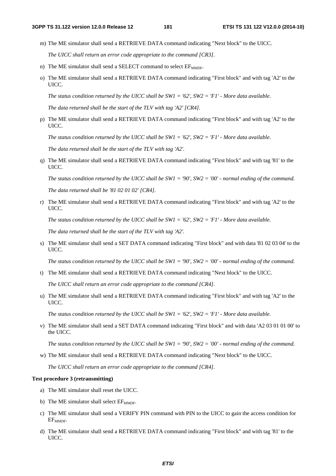m) The ME simulator shall send a RETRIEVE DATA command indicating "Next block" to the UICC.

*The UICC shall return an error code appropriate to the command [CR3].* 

- n) The ME simulator shall send a SELECT command to select  $EF_{MMDF}$ .
- o) The ME simulator shall send a RETRIEVE DATA command indicating "First block" and with tag 'A2' to the UICC.

*The status condition returned by the UICC shall be SW1 = '62', SW2 = 'F1' - More data available.*

*The data returned shall be the start of the TLV with tag 'A2' [CR4].*

p) The ME simulator shall send a RETRIEVE DATA command indicating "First block" and with tag 'A2' to the UICC.

*The status condition returned by the UICC shall be SW1 = '62', SW2 = 'F1' - More data available.* 

 *The data returned shall be the start of the TLV with tag 'A2'.*

q) The ME simulator shall send a RETRIEVE DATA command indicating "First block" and with tag '81' to the UICC.

*The status condition returned by the UICC shall be SW1 = '90', SW2 = '00' - normal ending of the command.*

 *The data returned shall be '81 02 01 02' [CR4].* 

r) The ME simulator shall send a RETRIEVE DATA command indicating "First block" and with tag 'A2' to the UICC.

*The status condition returned by the UICC shall be SW1 = '62', SW2 = 'F1' - More data available.*

*The data returned shall be the start of the TLV with tag 'A2'.*

s) The ME simulator shall send a SET DATA command indicating "First block" and with data '81 02 03 04' to the UICC.

*The status condition returned by the UICC shall be SW1 = '90', SW2 = '00' - normal ending of the command.*

t) The ME simulator shall send a RETRIEVE DATA command indicating "Next block" to the UICC.

*The UICC shall return an error code appropriate to the command [CR4].*

u) The ME simulator shall send a RETRIEVE DATA command indicating "First block" and with tag 'A2' to the UICC.

*The status condition returned by the UICC shall be SW1 = '62', SW2 = 'F1' - More data available.*

v) The ME simulator shall send a SET DATA command indicating "First block" and with data 'A2 03 01 01 00' to the UICC.

*The status condition returned by the UICC shall be SW1 = '90', SW2 = '00' - normal ending of the command.*

w) The ME simulator shall send a RETRIEVE DATA command indicating "Next block" to the UICC.

*The UICC shall return an error code appropriate to the command [CR4].*

### **Test procedure 3 (retransmitting)**

- a) The ME simulator shall reset the UICC.
- b) The ME simulator shall select  $EF_{MMDF}$ .
- c) The ME simulator shall send a VERIFY PIN command with PIN to the UICC to gain the access condition for  $EF_{MMDF}$ .
- d) The ME simulator shall send a RETRIEVE DATA command indicating "First block" and with tag '81' to the UICC.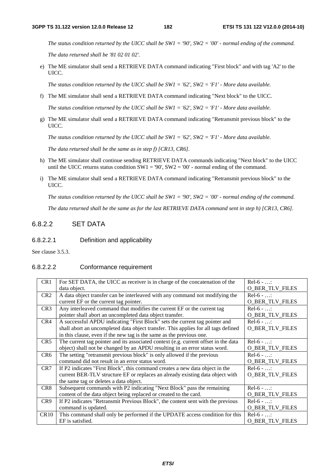*The status condition returned by the UICC shall be SW1 = '90', SW2 = '00' - normal ending of the command.*

 *The data returned shall be '81 02 01 02'.* 

e) The ME simulator shall send a RETRIEVE DATA command indicating "First block" and with tag 'A2' to the UICC.

*The status condition returned by the UICC shall be SW1 = '62', SW2 = 'F1' - More data available.*

f) The ME simulator shall send a RETRIEVE DATA command indicating "Next block" to the UICC.

*The status condition returned by the UICC shall be SW1 = '62', SW2 = 'F1' - More data available.* 

g) The ME simulator shall send a RETRIEVE DATA command indicating "Retransmit previous block" to the UICC.

*The status condition returned by the UICC shall be SW1 = '62', SW2 = 'F1' - More data available.*

*The data returned shall be the same as in step f) [CR13, CR6].* 

- h) The ME simulator shall continue sending RETRIEVE DATA commands indicating "Next block" to the UICC until the UICC returns status condition  $SW1 = 90'$ ,  $SW2 = 0'$  - normal ending of the command.
- i) The ME simulator shall send a RETRIEVE DATA command indicating "Retransmit previous block" to the UICC.

*The status condition returned by the UICC shall be SW1 = '90', SW2 = '00' - normal ending of the command.*

*The data returned shall be the same as for the last RETRIEVE DATA command sent in step h) [CR13, CR6].* 

## 6.8.2.2 SET DATA

6.8.2.2.1 Definition and applicability

See clause 3.5.3.

### 6.8.2.2.2 Conformance requirement

| CR <sub>1</sub> | For SET DATA, the UICC as receiver is in charge of the concatenation of the         | $Rel-6 - $             |
|-----------------|-------------------------------------------------------------------------------------|------------------------|
|                 | data object.                                                                        | <b>O_BER_TLV_FILES</b> |
| CR <sub>2</sub> | A data object transfer can be interleaved with any command not modifying the        | $Rel-6 - $             |
|                 | current EF or the current tag pointer.                                              | <b>O_BER_TLV_FILES</b> |
| CR <sub>3</sub> | Any interleaved command that modifies the current EF or the current tag             | $Rel-6 - $             |
|                 | pointer shall abort an uncompleted data object transfer.                            | <b>O_BER_TLV_FILES</b> |
| CR4             | A successful APDU indicating "First Block" sets the current tag pointer and         | $Rel-6 - $             |
|                 | shall abort an uncompleted data object transfer. This applies for all tags defined  | <b>O_BER_TLV_FILES</b> |
|                 | in this clause, even if the new tag is the same as the previous one.                |                        |
| CR5             | The current tag pointer and its associated context (e.g. current offset in the data | $Rel-6 - $             |
|                 | object) shall not be changed by an APDU resulting in an error status word.          | <b>O_BER_TLV_FILES</b> |
| CR <sub>6</sub> | The setting "retransmit previous block" is only allowed if the previous             | $Rel-6 - $             |
|                 | command did not result in an error status word.                                     | <b>O_BER_TLV_FILES</b> |
| CR7             | If P2 indicates "First Block", this command creates a new data object in the        | $Rel-6 - $             |
|                 | current BER-TLV structure EF or replaces an already existing data object with       | <b>O_BER_TLV_FILES</b> |
|                 | the same tag or deletes a data object.                                              |                        |
| CR8             | Subsequent commands with P2 indicating "Next Block" pass the remaining              | $Rel-6 - $             |
|                 | content of the data object being replaced or created to the card.                   | <b>O_BER_TLV_FILES</b> |
| CR <sub>9</sub> | If P2 indicates "Retransmit Previous Block", the content sent with the previous     | $Rel-6 - $             |
|                 | command is updated.                                                                 | <b>O_BER_TLV_FILES</b> |
| <b>CR10</b>     | This command shall only be performed if the UPDATE access condition for this        | $Rel-6 - $             |
|                 | EF is satisfied.                                                                    | <b>O BER TLV FILES</b> |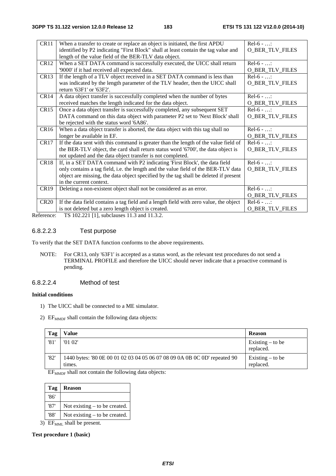| CR11             | When a transfer to create or replace an object is initiated, the first APDU           | $Rel-6 - $             |
|------------------|---------------------------------------------------------------------------------------|------------------------|
|                  | identified by P2 indicating "First Block" shall at least contain the tag value and    | <b>O_BER_TLV_FILES</b> |
|                  | length of the value field of the BER-TLV data object.                                 |                        |
| <b>CR12</b>      | When a SET DATA command is successfully executed, the UICC shall return               | $Rel-6 - $             |
|                  | '9000' if it had received all expected data.                                          | <b>O_BER_TLV_FILES</b> |
| CR <sub>13</sub> | If the length of a TLV object received in a SET DATA command is less than             | $Rel-6 - $             |
|                  | was indicated by the length parameter of the TLV header, then the UICC shall          | <b>O_BER_TLV_FILES</b> |
|                  | return '63F1' or '63F2'.                                                              |                        |
| CR <sub>14</sub> | A data object transfer is successfully completed when the number of bytes             | $Rel-6 - $             |
|                  | received matches the length indicated for the data object.                            | <b>O_BER_TLV_FILES</b> |
| CR15             | Once a data object transfer is successfully completed, any subsequent SET             | $Rel-6 - $             |
|                  | DATA command on this data object with parameter P2 set to 'Next Block' shall          | <b>O_BER_TLV_FILES</b> |
|                  | be rejected with the status word '6A86'.                                              |                        |
| CR <sub>16</sub> | When a data object transfer is aborted, the data object with this tag shall no        | $Rel-6 - $             |
|                  | longer be available in EF.                                                            | <b>O_BER_TLV_FILES</b> |
| CR17             | If the data sent with this command is greater than the length of the value field of   | $Rel-6 - $             |
|                  | the BER-TLV object, the card shall return status word '6700', the data object is      | <b>O_BER_TLV_FILES</b> |
|                  | not updated and the data object transfer is not completed.                            |                        |
| CR18             | If, in a SET DATA command with P2 indicating 'First Block', the data field            | $Rel-6 - $             |
|                  | only contains a tag field, i.e. the length and the value field of the BER-TLV data    | <b>O_BER_TLV_FILES</b> |
|                  | object are missing, the data object specified by the tag shall be deleted if present  |                        |
|                  | in the current context.                                                               |                        |
| CR19             | Deleting a non-existent object shall not be considered as an error.                   | $Rel-6 - $             |
|                  |                                                                                       | O_BER_TLV_FILES        |
| CR20             | If the data field contains a tag field and a length field with zero value, the object | $Rel-6 - $             |
|                  | is not deleted but a zero length object is created.                                   | <b>O_BER_TLV_FILES</b> |

Reference: TS 102.221 [1], subclauses 11.3 and 11.3.2.

## 6.8.2.2.3 Test purpose

To verify that the SET DATA function conforms to the above requirements.

NOTE: For CR13, only '63F1' is accepted as a status word, as the relevant test procedures do not send a TERMINAL PROFILE and therefore the UICC should never indicate that a proactive command is pending.

## 6.8.2.2.4 Method of test

## **Initial conditions**

- 1) The UICC shall be connected to a ME simulator.
- 2)  $EF_{MMDF}$  shall contain the following data objects:

| Tag  | Value                                                                               | <b>Reason</b>                   |
|------|-------------------------------------------------------------------------------------|---------------------------------|
| '81' | '0102'                                                                              | Existing $-$ to be<br>replaced. |
| '82' | 1440 bytes: '80 0E 00 01 02 03 04 05 06 07 08 09 0A 0B 0C 0D' repeated 90<br>times. | Existing $-$ to be<br>replaced. |

EF<sub>MMDF</sub> shall not contain the following data objects:

| Tag  | <b>Reason</b>                   |
|------|---------------------------------|
| '86' |                                 |
| '87' | Not existing $-$ to be created. |
| '88' | Not existing $-$ to be created. |

 $3)$  EF<sub>MML</sub> shall be present.

**Test procedure 1 (basic)**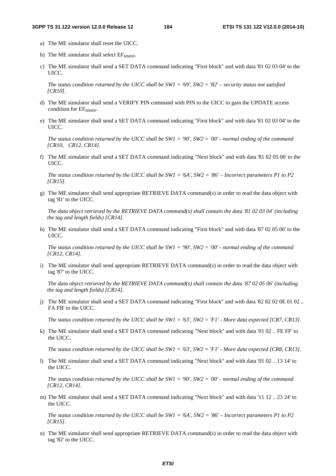- a) The ME simulator shall reset the UICC.
- b) The ME simulator shall select  $EF_{\text{MMDF}}$ .
- c) The ME simulator shall send a SET DATA command indicating "First block" and with data '81 02 03 04' to the UICC.

*The status condition returned by the UICC shall be SW1 = '69', SW2 = '82' – security status not satisfied [CR10].*

- d) The ME simulator shall send a VERIFY PIN command with PIN to the UICC to gain the UPDATE access condition for  $EF_{\text{MMDF}}$ .
- e) The ME simulator shall send a SET DATA command indicating "First block" and with data '81 02 03 04' to the UICC.

*The status condition returned by the UICC shall be SW1 = '90', SW2 = '00' - normal ending of the command [CR10, CR12, CR14].* 

f) The ME simulator shall send a SET DATA command indicating "Next block" and with data '81 02 05 06' to the UICC.

*The status condition returned by the UICC shall be SW1 = '6A', SW2 = '86' – Incorrect parameters P1 to P2 [CR15].*

g) The ME simulator shall send appropriate RETRIEVE DATA command(s) in order to read the data object with tag '81' to the UICC.

*The data object retrieved by the RETRIEVE DATA command(s) shall contain the data '81 02 03 04' (including the tag and length fields) [CR14].*

h) The ME simulator shall send a SET DATA command indicating "First block" and with data '87 02 05 06' to the UICC.

*The status condition returned by the UICC shall be SW1 = '90', SW2 = '00' - normal ending of the command [CR12, CR14].* 

i) The ME simulator shall send appropriate RETRIEVE DATA command(s) in order to read the data object with tag '87' to the UICC.

*The data object retrieved by the RETRIEVE DATA command(s) shall contain the data '87 02 05 06' (including the tag and length fields) [CR14].*

j) The ME simulator shall send a SET DATA command indicating "First block" and with data '82 82 02 0E 01 02 .. FA FB' to the UICC.

*The status condition returned by the UICC shall be SW1 = '63', SW2 = 'F1' - More data expected [CR7, CR13].* 

k) The ME simulator shall send a SET DATA command indicating "Next block" and with data '01 02 .. FE FF' to the UICC.

*The status condition returned by the UICC shall be SW1 = '63', SW2 = 'F1' - More data expected [CR8, CR13].* 

l) The ME simulator shall send a SET DATA command indicating "Next block" and with data '01 02 .. 13 14' to the UICC.

*The status condition returned by the UICC shall be SW1 = '90', SW2 = '00' - normal ending of the command [CR12, CR14].* 

m) The ME simulator shall send a SET DATA command indicating "Next block" and with data '11 12 .. 23 24' to the UICC.

*The status condition returned by the UICC shall be SW1 = '6A', SW2 = '86' – Incorrect parameters P1 to P2 [CR15].*

n) The ME simulator shall send appropriate RETRIEVE DATA command(s) in order to read the data object with tag '82' to the UICC.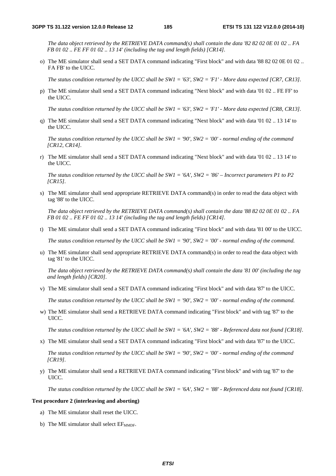*The data object retrieved by the RETRIEVE DATA command(s) shall contain the data '82 82 02 0E 01 02 .. FA FB 01 02 .. FE FF 01 02 .. 13 14' (including the tag and length fields) [CR14].*

o) The ME simulator shall send a SET DATA command indicating "First block" and with data '88 82 02 0E 01 02 .. FA FB' to the UICC.

*The status condition returned by the UICC shall be SW1 = '63', SW2 = 'F1' - More data expected [CR7, CR13].* 

p) The ME simulator shall send a SET DATA command indicating "Next block" and with data '01 02 .. FE FF' to the UICC.

*The status condition returned by the UICC shall be SW1 = '63', SW2 = 'F1' - More data expected [CR8, CR13].* 

q) The ME simulator shall send a SET DATA command indicating "Next block" and with data '01 02 .. 13 14' to the UICC.

*The status condition returned by the UICC shall be SW1 = '90', SW2 = '00' - normal ending of the command [CR12, CR14].* 

r) The ME simulator shall send a SET DATA command indicating "Next block" and with data '01 02 .. 13 14' to the UICC.

*The status condition returned by the UICC shall be SW1 = '6A', SW2 = '86' – Incorrect parameters P1 to P2 [CR15].*

s) The ME simulator shall send appropriate RETRIEVE DATA command(s) in order to read the data object with tag '88' to the UICC.

*The data object retrieved by the RETRIEVE DATA command(s) shall contain the data '88 82 02 0E 01 02 .. FA FB 01 02 .. FE FF 01 02 .. 13 14' (including the tag and length fields) [CR14].*

t) The ME simulator shall send a SET DATA command indicating "First block" and with data '81 00' to the UICC.

*The status condition returned by the UICC shall be SW1 = '90', SW2 = '00' - normal ending of the command.* 

u) The ME simulator shall send appropriate RETRIEVE DATA command(s) in order to read the data object with tag '81' to the UICC.

*The data object retrieved by the RETRIEVE DATA command(s) shall contain the data '81 00' (including the tag and length fields) [CR20].*

v) The ME simulator shall send a SET DATA command indicating "First block" and with data '87' to the UICC.

*The status condition returned by the UICC shall be SW1 = '90', SW2 = '00' - normal ending of the command.* 

w) The ME simulator shall send a RETRIEVE DATA command indicating "First block" and with tag '87' to the UICC.

*The status condition returned by the UICC shall be SW1 = '6A', SW2 = '88' - Referenced data not found [CR18].*

x) The ME simulator shall send a SET DATA command indicating "First block" and with data '87' to the UICC.

*The status condition returned by the UICC shall be SW1 = '90', SW2 = '00' - normal ending of the command [CR19].* 

y) The ME simulator shall send a RETRIEVE DATA command indicating "First block" and with tag '87' to the UICC.

*The status condition returned by the UICC shall be SW1 = '6A', SW2 = '88' - Referenced data not found [CR18].*

### **Test procedure 2 (interleaving and aborting)**

- a) The ME simulator shall reset the UICC.
- b) The ME simulator shall select  $EF_{\text{MMDF}}$ .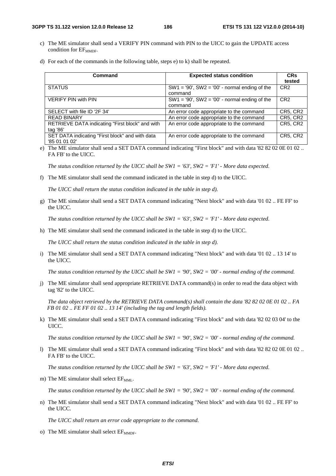### **3GPP TS 31.122 version 12.0.0 Release 12 186 ETSI TS 131 122 V12.0.0 (2014-10)**

- c) The ME simulator shall send a VERIFY PIN command with PIN to the UICC to gain the UPDATE access condition for  $EF_{\text{MMDF}}$ .
- d) For each of the commands in the following table, steps e) to k) shall be repeated.

| Command                                         | <b>Expected status condition</b>                   | <b>CR<sub>s</sub></b> |
|-------------------------------------------------|----------------------------------------------------|-----------------------|
|                                                 |                                                    | tested                |
| <b>STATUS</b>                                   | $SW1 = '90', SW2 = '00'$ - normal ending of the    | CR <sub>2</sub>       |
|                                                 | command                                            |                       |
| <b>VERIFY PIN with PIN</b>                      | $SW1 = '90'$ , $SW2 = '00'$ - normal ending of the | CR <sub>2</sub>       |
|                                                 | command                                            |                       |
| SELECT with file ID '2F 34'                     | An error code appropriate to the command           | CR5, CR2              |
| <b>READ BINARY</b>                              | An error code appropriate to the command           | <b>CR5, CR2</b>       |
| RETRIEVE DATA indicating "First block" and with | An error code appropriate to the command           | <b>CR5, CR2</b>       |
| tag '86'                                        |                                                    |                       |
| SET DATA indicating "First block" and with data | An error code appropriate to the command           | <b>CR5, CR2</b>       |
| '85 01 01 02'                                   |                                                    |                       |

e) The ME simulator shall send a SET DATA command indicating "First block" and with data '82 82 02 0E 01 02 .. FA FB' to the UICC.

*The status condition returned by the UICC shall be SW1 = '63', SW2 = 'F1' - More data expected.* 

f) The ME simulator shall send the command indicated in the table in step d) to the UICC.

*The UICC shall return the status condition indicated in the table in step d).* 

g) The ME simulator shall send a SET DATA command indicating "Next block" and with data '01 02 .. FE FF' to the UICC.

*The status condition returned by the UICC shall be SW1 = '63', SW2 = 'F1' - More data expected.* 

h) The ME simulator shall send the command indicated in the table in step d) to the UICC.

*The UICC shall return the status condition indicated in the table in step d).* 

i) The ME simulator shall send a SET DATA command indicating "Next block" and with data '01 02 .. 13 14' to the UICC.

*The status condition returned by the UICC shall be SW1 = '90', SW2 = '00' - normal ending of the command.* 

j) The ME simulator shall send appropriate RETRIEVE DATA command(s) in order to read the data object with tag '82' to the UICC.

*The data object retrieved by the RETRIEVE DATA command(s) shall contain the data '82 82 02 0E 01 02 .. FA FB 01 02 .. FE FF 01 02 .. 13 14' (including the tag and length fields).*

k) The ME simulator shall send a SET DATA command indicating "First block" and with data '82 02 03 04' to the UICC.

*The status condition returned by the UICC shall be SW1 = '90', SW2 = '00' - normal ending of the command.* 

l) The ME simulator shall send a SET DATA command indicating "First block" and with data '82 82 02 0E 01 02 .. FA FB' to the UICC.

*The status condition returned by the UICC shall be SW1 = '63', SW2 = 'F1' - More data expected.* 

m) The ME simulator shall select EF<sub>MML</sub>.

*The status condition returned by the UICC shall be SW1 = '90', SW2 = '00' - normal ending of the command.* 

n) The ME simulator shall send a SET DATA command indicating "Next block" and with data '01 02 .. FE FF' to the UICC.

*The UICC shall return an error code appropriate to the command.* 

o) The ME simulator shall select  $EF_{\text{MMDF}}$ .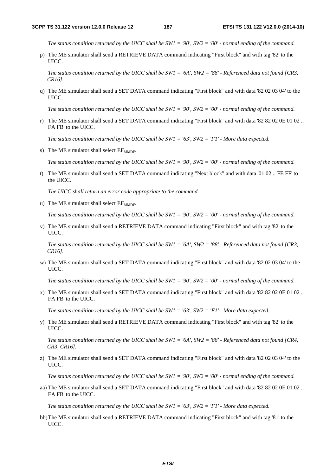*The status condition returned by the UICC shall be SW1 = '90', SW2 = '00' - normal ending of the command.*

p) The ME simulator shall send a RETRIEVE DATA command indicating "First block" and with tag '82' to the UICC.

*The status condition returned by the UICC shall be SW1 = '6A', SW2 = '88' - Referenced data not found [CR3, CR16].*

q) The ME simulator shall send a SET DATA command indicating "First block" and with data '82 02 03 04' to the UICC.

*The status condition returned by the UICC shall be SW1 = '90', SW2 = '00' - normal ending of the command.* 

r) The ME simulator shall send a SET DATA command indicating "First block" and with data '82 82 02 0E 01 02 .. FA FB' to the UICC.

*The status condition returned by the UICC shall be SW1 = '63', SW2 = 'F1' - More data expected.* 

s) The ME simulator shall select  $EF_{MMDF}$ .

*The status condition returned by the UICC shall be SW1 = '90', SW2 = '00' - normal ending of the command.* 

t) The ME simulator shall send a SET DATA command indicating "Next block" and with data '01 02 .. FE FF' to the UICC.

*The UICC shall return an error code appropriate to the command.* 

u) The ME simulator shall select  $EF_{\text{MMDF}}$ .

*The status condition returned by the UICC shall be SW1 = '90', SW2 = '00' - normal ending of the command.*

v) The ME simulator shall send a RETRIEVE DATA command indicating "First block" and with tag '82' to the UICC.

*The status condition returned by the UICC shall be SW1 = '6A', SW2 = '88' - Referenced data not found [CR3, CR16].*

w) The ME simulator shall send a SET DATA command indicating "First block" and with data '82 02 03 04' to the UICC.

*The status condition returned by the UICC shall be SW1 = '90', SW2 = '00' - normal ending of the command.* 

x) The ME simulator shall send a SET DATA command indicating "First block" and with data '82 82 02 0E 01 02 .. FA FB' to the UICC.

*The status condition returned by the UICC shall be SW1 = '63', SW2 = 'F1' - More data expected.* 

y) The ME simulator shall send a RETRIEVE DATA command indicating "First block" and with tag '82' to the UICC.

*The status condition returned by the UICC shall be SW1 = '6A', SW2 = '88' - Referenced data not found [CR4, CR3, CR16].*

z) The ME simulator shall send a SET DATA command indicating "First block" and with data '82 02 03 04' to the UICC.

*The status condition returned by the UICC shall be SW1 = '90', SW2 = '00' - normal ending of the command.* 

aa) The ME simulator shall send a SET DATA command indicating "First block" and with data '82 82 02 0E 01 02 .. FA FB' to the UICC.

*The status condition returned by the UICC shall be SW1 = '63', SW2 = 'F1' - More data expected.* 

bb) The ME simulator shall send a RETRIEVE DATA command indicating "First block" and with tag '81' to the UICC.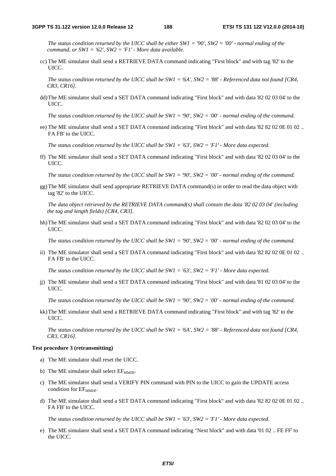*The status condition returned by the UICC shall be either SW1 = '90', SW2 = '00' - normal ending of the command, or SW1 = '62', SW2 = 'F1' - More data available.* 

- cc) The ME simulator shall send a RETRIEVE DATA command indicating "First block" and with tag '82' to the UICC.
	- *The status condition returned by the UICC shall be SW1 = '6A', SW2 = '88' Referenced data not found [CR4, CR3, CR16].*
- dd) The ME simulator shall send a SET DATA command indicating "First block" and with data '82 02 03 04' to the UICC.

*The status condition returned by the UICC shall be SW1 = '90', SW2 = '00' - normal ending of the command.* 

ee) The ME simulator shall send a SET DATA command indicating "First block" and with data '82 82 02 0E 01 02 .. FA FB' to the UICC.

*The status condition returned by the UICC shall be SW1 = '63', SW2 = 'F1' - More data expected.* 

ff) The ME simulator shall send a SET DATA command indicating "First block" and with data '82 02 03 04' to the UICC.

*The status condition returned by the UICC shall be SW1 = '90', SW2 = '00' - normal ending of the command.* 

gg) The ME simulator shall send appropriate RETRIEVE DATA command(s) in order to read the data object with tag '82' to the UICC.

*The data object retrieved by the RETRIEVE DATA command(s) shall contain the data '82 02 03 04' (including the tag and length fields) [CR4, CR3].*

hh) The ME simulator shall send a SET DATA command indicating "First block" and with data '82 02 03 04' to the UICC.

*The status condition returned by the UICC shall be SW1 = '90', SW2 = '00' - normal ending of the command.* 

ii) The ME simulator shall send a SET DATA command indicating "First block" and with data '82 82 02 0E 01 02 .. FA FB' to the UICC.

*The status condition returned by the UICC shall be SW1 = '63', SW2 = 'F1' - More data expected.* 

jj) The ME simulator shall send a SET DATA command indicating "First block" and with data '81 02 03 04' to the UICC.

*The status condition returned by the UICC shall be SW1 = '90', SW2 = '00' - normal ending of the command.* 

kk) The ME simulator shall send a RETRIEVE DATA command indicating "First block" and with tag '82' to the UICC.

*The status condition returned by the UICC shall be SW1 = '6A', SW2 = '88' - Referenced data not found [CR4, CR3, CR16].*

### **Test procedure 3 (retransmitting)**

- a) The ME simulator shall reset the UICC.
- b) The ME simulator shall select  $EF_{\text{MMDF}}$ .
- c) The ME simulator shall send a VERIFY PIN command with PIN to the UICC to gain the UPDATE access condition for  $EF_{\text{MMDF}}$ .
- d) The ME simulator shall send a SET DATA command indicating "First block" and with data '82 82 02 0E 01 02 .. FA FB' to the UICC.

*The status condition returned by the UICC shall be SW1 = '63', SW2 = 'F1' - More data expected.* 

e) The ME simulator shall send a SET DATA command indicating "Next block" and with data '01 02 .. FE FF' to the UICC.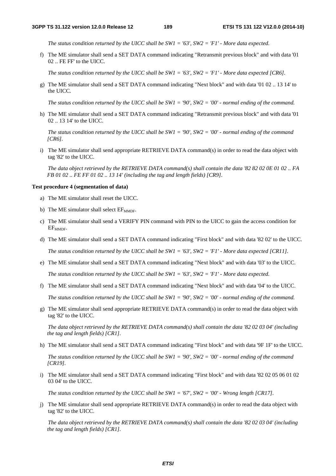*The status condition returned by the UICC shall be SW1 = '63', SW2 = 'F1' - More data expected.* 

f) The ME simulator shall send a SET DATA command indicating "Retransmit previous block" and with data '01 02 .. FE FF' to the UICC.

*The status condition returned by the UICC shall be SW1 = '63', SW2 = 'F1' - More data expected [CR6].* 

g) The ME simulator shall send a SET DATA command indicating "Next block" and with data '01 02 .. 13 14' to the UICC.

*The status condition returned by the UICC shall be SW1 = '90', SW2 = '00' - normal ending of the command.* 

h) The ME simulator shall send a SET DATA command indicating "Retransmit previous block" and with data '01 02 .. 13 14' to the UICC.

*The status condition returned by the UICC shall be SW1 = '90', SW2 = '00' - normal ending of the command [CR6].* 

i) The ME simulator shall send appropriate RETRIEVE DATA command(s) in order to read the data object with tag '82' to the UICC.

*The data object retrieved by the RETRIEVE DATA command(s) shall contain the data '82 82 02 0E 01 02 .. FA FB 01 02 .. FE FF 01 02 .. 13 14' (including the tag and length fields) [CR9].*

### **Test procedure 4 (segmentation of data)**

- a) The ME simulator shall reset the UICC.
- b) The ME simulator shall select  $EF_{MMPF}$ .
- c) The ME simulator shall send a VERIFY PIN command with PIN to the UICC to gain the access condition for EF<sub>MMDF</sub>.
- d) The ME simulator shall send a SET DATA command indicating "First block" and with data '82 02' to the UICC.

*The status condition returned by the UICC shall be SW1 = '63', SW2 = 'F1' - More data expected [CR11].* 

- e) The ME simulator shall send a SET DATA command indicating "Next block" and with data '03' to the UICC. *The status condition returned by the UICC shall be SW1 = '63', SW2 = 'F1' - More data expected.*
- f) The ME simulator shall send a SET DATA command indicating "Next block" and with data '04' to the UICC. *The status condition returned by the UICC shall be SW1 = '90', SW2 = '00' - normal ending of the command.*
- g) The ME simulator shall send appropriate RETRIEVE DATA command(s) in order to read the data object with tag '82' to the UICC.

*The data object retrieved by the RETRIEVE DATA command(s) shall contain the data '82 02 03 04' (including the tag and length fields) [CR1].*

- h) The ME simulator shall send a SET DATA command indicating "First block" and with data '9F 1F' to the UICC. *The status condition returned by the UICC shall be SW1 = '90', SW2 = '00' - normal ending of the command [CR19].*
- i) The ME simulator shall send a SET DATA command indicating "First block" and with data '82 02 05 06 01 02 03 04' to the UICC.

*The status condition returned by the UICC shall be SW1 = '67', SW2 = '00' - Wrong length [CR17].* 

j) The ME simulator shall send appropriate RETRIEVE DATA command(s) in order to read the data object with tag '82' to the UICC.

*The data object retrieved by the RETRIEVE DATA command(s) shall contain the data '82 02 03 04' (including the tag and length fields) [CR1].*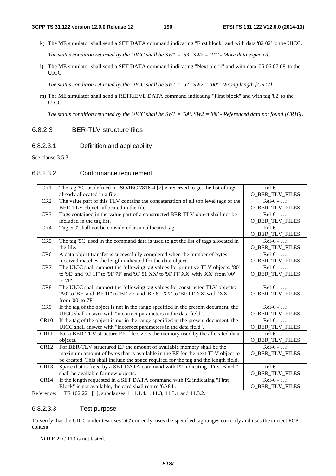k) The ME simulator shall send a SET DATA command indicating "First block" and with data '82 02' to the UICC.

*The status condition returned by the UICC shall be SW1 = '63', SW2 = 'F1' - More data expected.* 

l) The ME simulator shall send a SET DATA command indicating "Next block" and with data '05 06 07 08' to the UICC.

*The status condition returned by the UICC shall be SW1 = '67', SW2 = '00' - Wrong length [CR17].* 

m) The ME simulator shall send a RETRIEVE DATA command indicating "First block" and with tag '82' to the UICC.

*The status condition returned by the UICC shall be SW1 = '6A', SW2 = '88' - Referenced data not found [CR16].*

## 6.8.2.3 BER-TLV structure files

## 6.8.2.3.1 Definition and applicability

See clause 3.5.3.

## 6.8.2.3.2 Conformance requirement

| CR1             | The tag '5C' as defined in ISO/IEC 7816-4 [7] is reserved to get the list of tags                                                                      | $Rel-6 - $             |
|-----------------|--------------------------------------------------------------------------------------------------------------------------------------------------------|------------------------|
|                 | already allocated in a file.                                                                                                                           | O_BER_TLV_FILES        |
| CR <sub>2</sub> | The value part of this TLV contains the concatenation of all top level tags of the                                                                     | $Rel-6 - $             |
|                 | BER-TLV objects allocated in the file.                                                                                                                 | O_BER_TLV_FILES        |
| CR <sub>3</sub> | Tags contained in the value part of a constructed BER-TLV object shall not be                                                                          | $Rel-6 - $             |
|                 | included in the tag list.                                                                                                                              | <b>O_BER_TLV_FILES</b> |
| CR4             | Tag '5C' shall not be considered as an allocated tag.                                                                                                  | $Rel-6 - $             |
|                 |                                                                                                                                                        | O_BER_TLV_FILES        |
| CR <sub>5</sub> | The tag '5C' used in the command data is used to get the list of tags allocated in                                                                     | $Rel-6 - $             |
|                 | the file.                                                                                                                                              | O_BER_TLV_FILES        |
| CR <sub>6</sub> | A data object transfer is successfully completed when the number of bytes                                                                              | $Rel-6 - $             |
|                 | received matches the length indicated for the data object.                                                                                             | O_BER_TLV_FILES        |
| CR7             | The UICC shall support the following tag values for primitive TLV objects: '80'                                                                        | $Rel-6 - $             |
|                 | to '9E' and '9F 1F' to '9F 7F' and '9F 81 XX' to '9F FF XX' with 'XX' from '00'                                                                        | <b>O_BER_TLV_FILES</b> |
|                 | to 7F'.                                                                                                                                                |                        |
| CR <sub>8</sub> | The UICC shall support the following tag values for constructed TLV objects:                                                                           | $Rel-6 - $             |
|                 | 'A0' to 'BE' and 'BF 1F' to 'BF 7F' and 'BF 81 XX' to 'BF FF XX' with 'XX'                                                                             | O_BER_TLV_FILES        |
|                 | from '00' to 7F'.                                                                                                                                      |                        |
| CR9             | If the tag of the object is not in the range specified in the present document, the                                                                    | $Rel-6 - $             |
|                 | UICC shall answer with "incorrect parameters in the data field".                                                                                       | O_BER_TLV_FILES        |
| <b>CR10</b>     | If the tag of the object is not in the range specified in the present document, the                                                                    | $Rel-6 - $             |
|                 | UICC shall answer with "incorrect parameters in the data field".                                                                                       | <b>O_BER_TLV_FILES</b> |
| CR11            | For a BER-TLV structure EF, file size is the memory used by the allocated data                                                                         | $Rel-6 - $             |
|                 | objects.                                                                                                                                               | O_BER_TLV_FILES        |
| <b>CR12</b>     | For BER-TLV structured EF the amount of available memory shall be the                                                                                  | $Rel-6 - $             |
|                 | maximum amount of bytes that is available in the EF for the next TLV object to                                                                         | <b>O_BER_TLV_FILES</b> |
|                 | be created. This shall include the space required for the tag and the length field.                                                                    |                        |
| CR13            | Space that is freed by a SET DATA command with P2 indicating "First Block"                                                                             | $Rel-6 - $             |
|                 | shall be available for new objects.                                                                                                                    | O_BER_TLV_FILES        |
| CR14            | If the length requested in a SET DATA command with P2 indicating "First                                                                                | $Rel-6 - $             |
|                 | Block" is not available, the card shall return '6A84'.<br>$\overline{\phantom{a}}$<br>$\sqrt{100}$ $\sqrt{200}$ $\sqrt{200}$ $\sqrt{100}$ $\sqrt{200}$ | <b>O_BER_TLV_FILES</b> |

Reference: TS 102.221 [1], subclauses 11.1.1.4.1, 11.3, 11.3.1 and 11.3.2.

## 6.8.2.3.3 Test purpose

To verify that the UICC under test uses '5C' correctly, uses the specified tag ranges correctly and uses the correct FCP content.

NOTE 2: CR13 is not tested.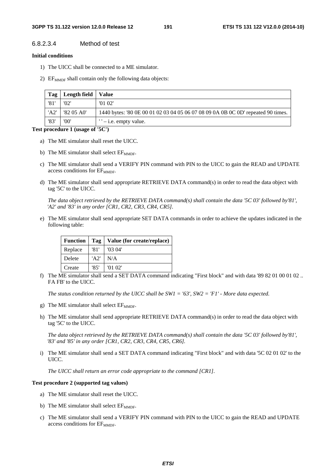## 6.8.2.3.4 Method of test

### **Initial conditions**

- 1) The UICC shall be connected to a ME simulator.
- 2)  $EF_{MMDF}$  shall contain only the following data objects:

| Tag  | Length field   Value |                                                                                  |
|------|----------------------|----------------------------------------------------------------------------------|
| '81' | '02'                 | '0102'                                                                           |
| 'A2' | '82 05 A0'           | 1440 bytes: '80 0E 00 01 02 03 04 05 06 07 08 09 0A 0B 0C 0D' repeated 90 times. |
| '83' | '00'                 | $'$ – i.e. empty value.                                                          |

### **Test procedure 1 (usage of '5C')**

- a) The ME simulator shall reset the UICC.
- b) The ME simulator shall select  $EF_{\text{MMDF}}$ .
- c) The ME simulator shall send a VERIFY PIN command with PIN to the UICC to gain the READ and UPDATE access conditions for EF<sub>MMDF</sub>.
- d) The ME simulator shall send appropriate RETRIEVE DATA command(s) in order to read the data object with tag '5C' to the UICC.

*The data object retrieved by the RETRIEVE DATA command(s) shall contain the data '5C 03' followed by'81', 'A2' and '83' in any order [CR1, CR2, CR3, CR4, CR5].*

e) The ME simulator shall send appropriate SET DATA commands in order to achieve the updates indicated in the following table:

| <b>Function</b> | Tag  | Value (for create/replace) |
|-----------------|------|----------------------------|
| Replace         | '81' | '03.04'                    |
| Delete          | 'AD' | N/A                        |
| Create          | '85' | '01'02'                    |

f) The ME simulator shall send a SET DATA command indicating "First block" and with data '89 82 01 00 01 02 .. FA FB' to the UICC.

*The status condition returned by the UICC shall be SW1 = '63', SW2 = 'F1' - More data expected.* 

- g) The ME simulator shall select  $EF_{\text{MMDF}}$ .
- h) The ME simulator shall send appropriate RETRIEVE DATA command(s) in order to read the data object with tag '5C' to the UICC.

*The data object retrieved by the RETRIEVE DATA command(s) shall contain the data '5C 03' followed by'81', '83' and '85' in any order [CR1, CR2, CR3, CR4, CR5, CR6].*

i) The ME simulator shall send a SET DATA command indicating "First block" and with data '5C 02 01 02' to the UICC.

*The UICC shall return an error code appropriate to the command [CR1].* 

### **Test procedure 2 (supported tag values)**

- a) The ME simulator shall reset the UICC.
- b) The ME simulator shall select  $EF_{\text{MMDF}}$ .
- c) The ME simulator shall send a VERIFY PIN command with PIN to the UICC to gain the READ and UPDATE access conditions for EF<sub>MMDF</sub>.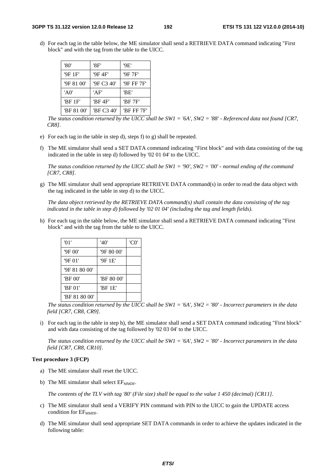d) For each tag in the table below, the ME simulator shall send a RETRIEVE DATA command indicating "First block" and with the tag from the table to the UICC.

| '80'       | '8F'       | '9E'       |
|------------|------------|------------|
| '9F 1F'    | '9F 4F'    | '9F 7F'    |
| '9F 81 00' | '9F C3 40' | '9F FF 7F' |
| 'AO'       | 'AF'       | 'BE'       |
| 'BF 1F'    | 'BF 4F'    | 'BF 7F'    |
| 'BF 81 00' | 'BF C3 40' | 'BF FF 7F' |

*The status condition returned by the UICC shall be SW1 = '6A', SW2 = '88' - Referenced data not found [CR7, CR8].*

- e) For each tag in the table in step d), steps f) to g) shall be repeated.
- f) The ME simulator shall send a SET DATA command indicating "First block" and with data consisting of the tag indicated in the table in step d) followed by '02 01 04' to the UICC.

 *The status condition returned by the UICC shall be SW1 = '90', SW2 = '00' - normal ending of the command [CR7, CR8].*

g) The ME simulator shall send appropriate RETRIEVE DATA command(s) in order to read the data object with the tag indicated in the table in step d) to the UICC.

*The data object retrieved by the RETRIEVE DATA command(s) shall contain the data consisting of the tag indicated in the table in step d) followed by '02 01 04' (including the tag and length fields).*

h) For each tag in the table below, the ME simulator shall send a RETRIEVE DATA command indicating "First block" and with the tag from the table to the UICC.

| '01'          | '40'       | 'C0' |
|---------------|------------|------|
| '9F 00'       | '9F 80 00' |      |
| '9F 01'       | '9F 1E'    |      |
| '9F 81 80 00' |            |      |
| 'BF 00'       | 'BF 80 00' |      |
| 'BF 01'       | 'BF 1E'    |      |
| 'BF 81 80 00' |            |      |

*The status condition returned by the UICC shall be SW1 = '6A', SW2 = '80' - Incorrect parameters in the data field [CR7, CR8, CR9].*

i) For each tag in the table in step h), the ME simulator shall send a SET DATA command indicating "First block" and with data consisting of the tag followed by '02 03 04' to the UICC.

*The status condition returned by the UICC shall be SW1 = '6A', SW2 = '80' - Incorrect parameters in the data field [CR7, CR8, CR10].*

### **Test procedure 3 (FCP)**

- a) The ME simulator shall reset the UICC.
- b) The ME simulator shall select  $EF_{\text{MMDE}}$ .

*The contents of the TLV with tag '80' (File size) shall be equal to the value 1 450 (decimal) [CR11].* 

- c) The ME simulator shall send a VERIFY PIN command with PIN to the UICC to gain the UPDATE access condition for  $EF_{MMDE}$ .
- d) The ME simulator shall send appropriate SET DATA commands in order to achieve the updates indicated in the following table: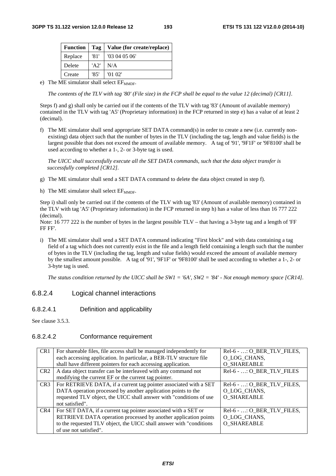| <b>Function</b> | Tag  | Value (for create/replace) |
|-----------------|------|----------------------------|
| Replace         | '81' | '03040506'                 |
| Delete          | 'AD' | N/A                        |
| Create          | '85' | '01'02'                    |

e) The ME simulator shall select  $EF_{\text{MMDF}}$ .

*The contents of the TLV with tag '80' (File size) in the FCP shall be equal to the value 12 (decimal) [CR11].* 

Steps f) and g) shall only be carried out if the contents of the TLV with tag '83' (Amount of available memory) contained in the TLV with tag 'A5' (Proprietary information) in the FCP returned in step e) has a value of at least 2 (decimal).

f) The ME simulator shall send appropriate SET DATA command(s) in order to create a new (i.e. currently nonexisting) data object such that the number of bytes in the TLV (including the tag, length and value fields) is the largest possible that does not exceed the amount of available memory. A tag of '91', '9F1F' or '9F8100' shall be used according to whether a 1-, 2- or 3-byte tag is used.

*The UICC shall successfully execute all the SET DATA commands, such that the data object transfer is successfully completed [CR12].* 

- g) The ME simulator shall send a SET DATA command to delete the data object created in step f).
- h) The ME simulator shall select  $EF_{MMDF}$ .

Step i) shall only be carried out if the contents of the TLV with tag '83' (Amount of available memory) contained in the TLV with tag 'A5' (Proprietary information) in the FCP returned in step h) has a value of less than 16 777 222 (decimal).

Note: 16 777 222 is the number of bytes in the largest possible  $TLV -$  that having a 3-byte tag and a length of 'FF FF FF'.

i) The ME simulator shall send a SET DATA command indicating "First block" and with data containing a tag field of a tag which does not currently exist in the file and a length field containing a length such that the number of bytes in the TLV (including the tag, length and value fields) would exceed the amount of available memory by the smallest amount possible. A tag of '91', '9F1F' or '9F8100' shall be used according to whether a 1-, 2- or 3-byte tag is used.

*The status condition returned by the UICC shall be SW1 = '6A', SW2 = '84' - Not enough memory space [CR14].* 

## 6.8.2.4 Logical channel interactions

## 6.8.2.4.1 Definition and applicability

See clause 3.5.3.

## 6.8.2.4.2 Conformance requirement

| CR <sub>1</sub> | For shareable files, file access shall be managed independently for  | Rel-6 - : O BER TLV FILES, |
|-----------------|----------------------------------------------------------------------|----------------------------|
|                 | each accessing application. In particular, a BER-TLV structure file  | O LOG CHANS,               |
|                 | shall have different pointers for each accessing application.        | <b>O SHAREABLE</b>         |
| CR <sub>2</sub> | A data object transfer can be interleaved with any command not       | Rel-6 - : O_BER_TLV_FILES  |
|                 | modifying the current EF or the current tag pointer.                 |                            |
| CR <sub>3</sub> | For RETRIEVE DATA, if a current tag pointer associated with a SET    | Rel-6 - : O_BER_TLV_FILES, |
|                 | DATA operation processed by another application points to the        | O LOG CHANS,               |
|                 | requested TLV object, the UICC shall answer with "conditions of use  | O SHAREABLE                |
|                 | not satisfied".                                                      |                            |
| CR4             | For SET DATA, if a current tag pointer associated with a SET or      | Rel-6 - : O_BER_TLV_FILES, |
|                 | RETRIEVE DATA operation processed by another application points      | O LOG CHANS,               |
|                 | to the requested TLV object, the UICC shall answer with "conditions" | O SHAREABLE                |
|                 | of use not satisfied".                                               |                            |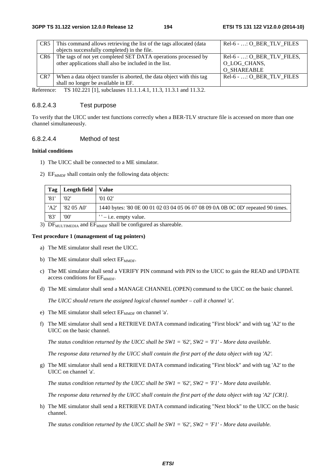| CR5 I           | This command allows retrieving the list of the tags allocated (data<br>objects successfully completed) in the file.      | Rel-6 - : O BER TLV FILES                                    |
|-----------------|--------------------------------------------------------------------------------------------------------------------------|--------------------------------------------------------------|
| CR6             | The tags of not yet completed SET DATA operations processed by<br>other applications shall also be included in the list. | $Rel-6 -  : O_BER_TLV_FILES,$<br>O_LOG_CHANS,<br>O SHAREABLE |
| CR <sub>7</sub> | When a data object transfer is aborted, the data object with this tag<br>shall no longer be available in EF.             | Rel-6 - : O BER TLV FILES                                    |
|                 |                                                                                                                          |                                                              |

Reference: TS 102.221 [1], subclauses 11.1.1.4.1, 11.3, 11.3.1 and 11.3.2.

## 6.8.2.4.3 Test purpose

To verify that the UICC under test functions correctly when a BER-TLV structure file is accessed on more than one channel simultaneously.

## 6.8.2.4.4 Method of test

## **Initial conditions**

- 1) The UICC shall be connected to a ME simulator.
- 2)  $EF_{MMDF}$  shall contain only the following data objects:

| Tag  | Length field   Value |                                                                                  |
|------|----------------------|----------------------------------------------------------------------------------|
| '81  | '02'                 | '0102'                                                                           |
| 'A2' | '82 05 A0'           | 1440 bytes: '80 0E 00 01 02 03 04 05 06 07 08 09 0A 0B 0C 0D' repeated 90 times. |
| '83' | '00'                 | $"$ – i.e. empty value.                                                          |

3)  $DF_{MULTIMEDIA}$  and  $EF_{MMDF}$  shall be configured as shareable.

### **Test procedure 1 (management of tag pointers)**

- a) The ME simulator shall reset the UICC.
- b) The ME simulator shall select  $EF_{\text{MMDF}}$ .
- c) The ME simulator shall send a VERIFY PIN command with PIN to the UICC to gain the READ and UPDATE access conditions for EF<sub>MMDF</sub>.
- d) The ME simulator shall send a MANAGE CHANNEL (OPEN) command to the UICC on the basic channel.

*The UICC should return the assigned logical channel number – call it channel 'a'.* 

- e) The ME simulator shall select  $EF_{MMDF}$  on channel 'a'.
- f) The ME simulator shall send a RETRIEVE DATA command indicating "First block" and with tag 'A2' to the UICC on the basic channel.

*The status condition returned by the UICC shall be SW1 = '62', SW2 = 'F1' - More data available.* 

*The response data returned by the UICC shall contain the first part of the data object with tag 'A2'.* 

g) The ME simulator shall send a RETRIEVE DATA command indicating "First block" and with tag 'A2' to the UICC on channel 'a'.

*The status condition returned by the UICC shall be SW1 = '62', SW2 = 'F1' - More data available.* 

*The response data returned by the UICC shall contain the first part of the data object with tag 'A2' [CR1].* 

h) The ME simulator shall send a RETRIEVE DATA command indicating "Next block" to the UICC on the basic channel.

*The status condition returned by the UICC shall be SW1 = '62', SW2 = 'F1' - More data available.*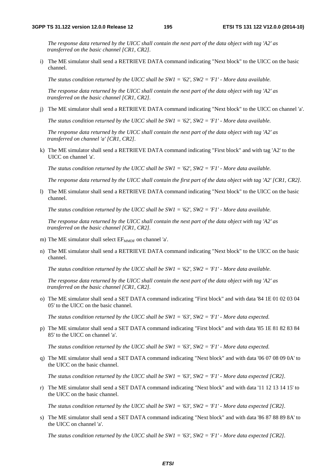*The response data returned by the UICC shall contain the next part of the data object with tag 'A2' as transferred on the basic channel [CR1, CR2].* 

i) The ME simulator shall send a RETRIEVE DATA command indicating "Next block" to the UICC on the basic channel.

*The status condition returned by the UICC shall be SW1 = '62', SW2 = 'F1' - More data available.* 

*The response data returned by the UICC shall contain the next part of the data object with tag 'A2' as transferred on the basic channel [CR1, CR2].* 

j) The ME simulator shall send a RETRIEVE DATA command indicating "Next block" to the UICC on channel 'a'.

*The status condition returned by the UICC shall be SW1 = '62', SW2 = 'F1' - More data available.* 

*The response data returned by the UICC shall contain the next part of the data object with tag 'A2' as transferred on channel 'a' [CR1, CR2].* 

k) The ME simulator shall send a RETRIEVE DATA command indicating "First block" and with tag 'A2' to the UICC on channel 'a'.

*The status condition returned by the UICC shall be SW1 = '62', SW2 = 'F1' - More data available.* 

*The response data returned by the UICC shall contain the first part of the data object with tag 'A2' [CR1, CR2].* 

l) The ME simulator shall send a RETRIEVE DATA command indicating "Next block" to the UICC on the basic channel.

*The status condition returned by the UICC shall be SW1 = '62', SW2 = 'F1' - More data available.* 

*The response data returned by the UICC shall contain the next part of the data object with tag 'A2' as transferred on the basic channel [CR1, CR2].* 

- m) The ME simulator shall select  $EF_{\text{MMDE}}$  on channel 'a'.
- n) The ME simulator shall send a RETRIEVE DATA command indicating "Next block" to the UICC on the basic channel.

*The status condition returned by the UICC shall be SW1 = '62', SW2 = 'F1' - More data available.* 

*The response data returned by the UICC shall contain the next part of the data object with tag 'A2' as transferred on the basic channel [CR1, CR2].* 

o) The ME simulator shall send a SET DATA command indicating "First block" and with data '84 1E 01 02 03 04 05' to the UICC on the basic channel.

*The status condition returned by the UICC shall be SW1 = '63', SW2 = 'F1' - More data expected.* 

p) The ME simulator shall send a SET DATA command indicating "First block" and with data '85 1E 81 82 83 84 85' to the UICC on channel 'a'.

*The status condition returned by the UICC shall be SW1 = '63', SW2 = 'F1' - More data expected.* 

q) The ME simulator shall send a SET DATA command indicating "Next block" and with data '06 07 08 09 0A' to the UICC on the basic channel.

*The status condition returned by the UICC shall be SW1 = '63', SW2 = 'F1' - More data expected [CR2].* 

r) The ME simulator shall send a SET DATA command indicating "Next block" and with data '11 12 13 14 15' to the UICC on the basic channel.

*The status condition returned by the UICC shall be SW1 = '63', SW2 = 'F1' - More data expected [CR2].* 

s) The ME simulator shall send a SET DATA command indicating "Next block" and with data '86 87 88 89 8A' to the UICC on channel 'a'.

*The status condition returned by the UICC shall be SW1 = '63', SW2 = 'F1' - More data expected [CR2].*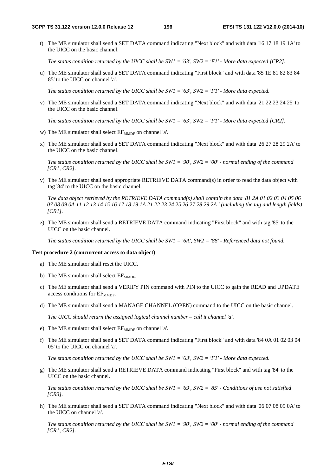t) The ME simulator shall send a SET DATA command indicating "Next block" and with data '16 17 18 19 1A' to the UICC on the basic channel.

*The status condition returned by the UICC shall be SW1 = '63', SW2 = 'F1' - More data expected [CR2].* 

u) The ME simulator shall send a SET DATA command indicating "First block" and with data '85 1E 81 82 83 84 85' to the UICC on channel 'a'.

*The status condition returned by the UICC shall be SW1 = '63', SW2 = 'F1' - More data expected.* 

v) The ME simulator shall send a SET DATA command indicating "Next block" and with data '21 22 23 24 25' to the UICC on the basic channel.

*The status condition returned by the UICC shall be SW1 = '63', SW2 = 'F1' - More data expected [CR2].* 

- w) The ME simulator shall select EF<sub>MMDF</sub> on channel 'a'.
- x) The ME simulator shall send a SET DATA command indicating "Next block" and with data '26 27 28 29 2A' to the UICC on the basic channel.

*The status condition returned by the UICC shall be SW1 = '90', SW2 = '00' - normal ending of the command [CR1, CR2].*

y) The ME simulator shall send appropriate RETRIEVE DATA command(s) in order to read the data object with tag '84' to the UICC on the basic channel.

*The data object retrieved by the RETRIEVE DATA command(s) shall contain the data '81 2A 01 02 03 04 05 06 07 08 09 0A 11 12 13 14 15 16 17 18 19 1A 21 22 23 24 25 26 27 28 29 2A ' (including the tag and length fields) [CR1].*

z) The ME simulator shall send a RETRIEVE DATA command indicating "First block" and with tag '85' to the UICC on the basic channel.

*The status condition returned by the UICC shall be SW1 = '6A', SW2 = '88' - Referenced data not found.*

### **Test procedure 2 (concurrent access to data object)**

- a) The ME simulator shall reset the UICC.
- b) The ME simulator shall select  $EF_{MMDF}$ .
- c) The ME simulator shall send a VERIFY PIN command with PIN to the UICC to gain the READ and UPDATE access conditions for EF<sub>MMDF</sub>.
- d) The ME simulator shall send a MANAGE CHANNEL (OPEN) command to the UICC on the basic channel.

*The UICC should return the assigned logical channel number – call it channel 'a'.* 

- e) The ME simulator shall select  $EF_{MMDF}$  on channel 'a'.
- f) The ME simulator shall send a SET DATA command indicating "First block" and with data '84 0A 01 02 03 04 05' to the UICC on channel 'a'.

*The status condition returned by the UICC shall be SW1 = '63', SW2 = 'F1' - More data expected.* 

g) The ME simulator shall send a RETRIEVE DATA command indicating "First block" and with tag '84' to the UICC on the basic channel.

*The status condition returned by the UICC shall be SW1 = '69', SW2 = '85' - Conditions of use not satisfied [CR3].* 

h) The ME simulator shall send a SET DATA command indicating "Next block" and with data '06 07 08 09 0A' to the UICC on channel 'a'.

*The status condition returned by the UICC shall be SW1 = '90', SW2 = '00' - normal ending of the command [CR1, CR2].*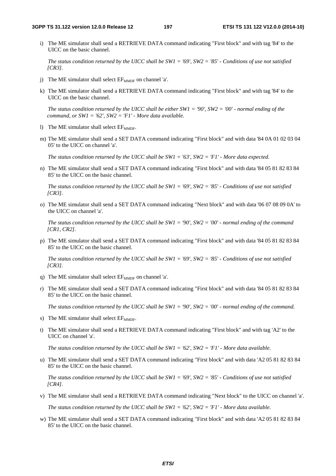i) The ME simulator shall send a RETRIEVE DATA command indicating "First block" and with tag '84' to the UICC on the basic channel.

*The status condition returned by the UICC shall be SW1 = '69', SW2 = '85' - Conditions of use not satisfied [CR3].* 

- j) The ME simulator shall select  $EF_{\text{MMDF}}$  on channel 'a'.
- k) The ME simulator shall send a RETRIEVE DATA command indicating "First block" and with tag '84' to the UICC on the basic channel.

*The status condition returned by the UICC shall be either SW1 = '90', SW2 = '00' - normal ending of the command, or SW1 = '62', SW2 = 'F1' - More data available.* 

- l) The ME simulator shall select  $EF_{\text{MMDF}}$ .
- m) The ME simulator shall send a SET DATA command indicating "First block" and with data '84 0A 01 02 03 04 05' to the UICC on channel 'a'.

*The status condition returned by the UICC shall be SW1 = '63', SW2 = 'F1' - More data expected.* 

n) The ME simulator shall send a SET DATA command indicating "First block" and with data '84 05 81 82 83 84 85' to the UICC on the basic channel.

*The status condition returned by the UICC shall be SW1 = '69', SW2 = '85' - Conditions of use not satisfied [CR3].* 

o) The ME simulator shall send a SET DATA command indicating "Next block" and with data '06 07 08 09 0A' to the UICC on channel 'a'.

*The status condition returned by the UICC shall be SW1 = '90', SW2 = '00' - normal ending of the command [CR1, CR2].*

p) The ME simulator shall send a SET DATA command indicating "First block" and with data '84 05 81 82 83 84 85' to the UICC on the basic channel.

*The status condition returned by the UICC shall be SW1 = '69', SW2 = '85' - Conditions of use not satisfied [CR3].* 

- q) The ME simulator shall select  $EF_{\text{MMDF}}$  on channel 'a'.
- r) The ME simulator shall send a SET DATA command indicating "First block" and with data '84 05 81 82 83 84 85' to the UICC on the basic channel.

*The status condition returned by the UICC shall be SW1 = '90', SW2 = '00' - normal ending of the command.* 

- s) The ME simulator shall select  $EF_{\text{MMDF}}$ .
- t) The ME simulator shall send a RETRIEVE DATA command indicating "First block" and with tag 'A2' to the UICC on channel 'a'.

*The status condition returned by the UICC shall be SW1 = '62', SW2 = 'F1' - More data available.* 

u) The ME simulator shall send a SET DATA command indicating "First block" and with data 'A2 05 81 82 83 84 85' to the UICC on the basic channel.

*The status condition returned by the UICC shall be SW1 = '69', SW2 = '85' - Conditions of use not satisfied [CR4].* 

v) The ME simulator shall send a RETRIEVE DATA command indicating "Next block" to the UICC on channel 'a'.

*The status condition returned by the UICC shall be SW1 = '62', SW2 = 'F1' - More data available.* 

w) The ME simulator shall send a SET DATA command indicating "First block" and with data 'A2 05 81 82 83 84 85' to the UICC on the basic channel.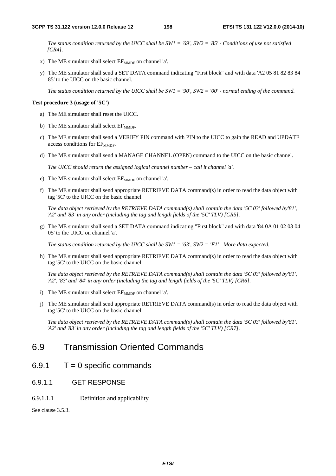*The status condition returned by the UICC shall be SW1 = '69', SW2 = '85' - Conditions of use not satisfied [CR4].* 

- x) The ME simulator shall select  $EF_{MMDF}$  on channel 'a'.
- y) The ME simulator shall send a SET DATA command indicating "First block" and with data 'A2 05 81 82 83 84 85' to the UICC on the basic channel.

*The status condition returned by the UICC shall be SW1 = '90', SW2 = '00' - normal ending of the command.* 

### **Test procedure 3 (usage of '5C')**

- a) The ME simulator shall reset the UICC.
- b) The ME simulator shall select  $EF_{\text{MMDF}}$ .
- c) The ME simulator shall send a VERIFY PIN command with PIN to the UICC to gain the READ and UPDATE access conditions for EF<sub>MMDF</sub>.
- d) The ME simulator shall send a MANAGE CHANNEL (OPEN) command to the UICC on the basic channel.

*The UICC should return the assigned logical channel number – call it channel 'a'.* 

- e) The ME simulator shall select  $EF_{\text{MMDF}}$  on channel 'a'.
- f) The ME simulator shall send appropriate RETRIEVE DATA command(s) in order to read the data object with tag '5C' to the UICC on the basic channel.

*The data object retrieved by the RETRIEVE DATA command(s) shall contain the data '5C 03' followed by'81', 'A2' and '83' in any order (including the tag and length fields of the '5C' TLV) [CR5].*

g) The ME simulator shall send a SET DATA command indicating "First block" and with data '84 0A 01 02 03 04 05' to the UICC on channel 'a'.

*The status condition returned by the UICC shall be SW1 = '63', SW2 = 'F1' - More data expected.* 

h) The ME simulator shall send appropriate RETRIEVE DATA command(s) in order to read the data object with tag '5C' to the UICC on the basic channel.

*The data object retrieved by the RETRIEVE DATA command(s) shall contain the data '5C 03' followed by'81', 'A2', '83' and '84' in any order (including the tag and length fields of the '5C' TLV) [CR6].*

- i) The ME simulator shall select  $EF_{\text{MMDF}}$  on channel 'a'.
- j) The ME simulator shall send appropriate RETRIEVE DATA command(s) in order to read the data object with tag '5C' to the UICC on the basic channel.

*The data object retrieved by the RETRIEVE DATA command(s) shall contain the data '5C 03' followed by'81', 'A2' and '83' in any order (including the tag and length fields of the '5C' TLV) [CR7].* 

## 6.9 Transmission Oriented Commands

- $6.9.1$   $T = 0$  specific commands
- 6.9.1.1 GET RESPONSE
- 6.9.1.1.1 Definition and applicability

See clause 3.5.3.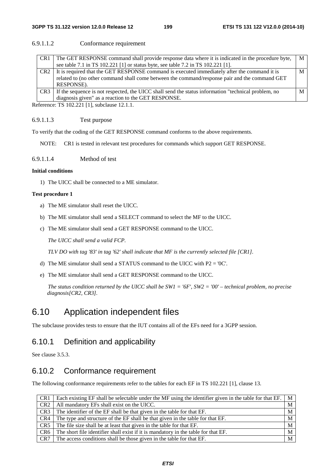## 6.9.1.1.2 Conformance requirement

| CR <sub>1</sub> | The GET RESPONSE command shall provide response data where it is indicated in the procedure byte,   | M |
|-----------------|-----------------------------------------------------------------------------------------------------|---|
|                 | see table 7.1 in TS 102.221 [1] or status byte, see table 7.2 in TS 102.221 [1].                    |   |
| CR <sub>2</sub> | It is required that the GET RESPONSE command is executed immediately after the command it is        | M |
|                 | related to (no other command shall come between the command/response pair and the command GET       |   |
|                 | RESPONSE).                                                                                          |   |
| CR <sub>3</sub> | If the sequence is not respected, the UICC shall send the status information "technical problem, no |   |
|                 | diagnosis given" as a reaction to the GET RESPONSE.                                                 |   |

Reference: TS 102.221 [1], subclause 12.1.1.

## 6.9.1.1.3 Test purpose

To verify that the coding of the GET RESPONSE command conforms to the above requirements.

NOTE: CR1 is tested in relevant test procedures for commands which support GET RESPONSE.

6.9.1.1.4 Method of test

### **Initial conditions**

1) The UICC shall be connected to a ME simulator.

### **Test procedure 1**

- a) The ME simulator shall reset the UICC.
- b) The ME simulator shall send a SELECT command to select the MF to the UICC.
- c) The ME simulator shall send a GET RESPONSE command to the UICC.

 *The UICC shall send a valid FCP.* 

*TLV DO with tag '83' in tag '62' shall indicate that MF is the currently selected file [CR1].* 

- d) The ME simulator shall send a STATUS command to the UICC with P2 = '0C'.
- e) The ME simulator shall send a GET RESPONSE command to the UICC.

 *The status condition returned by the UICC shall be SW1 = '6F', SW2 = '00' – technical problem, no precise diagnosis[CR2, CR3].*

## 6.10 Application independent files

The subclause provides tests to ensure that the IUT contains all of the EFs need for a 3GPP session.

## 6.10.1 Definition and applicability

See clause 3.5.3.

## 6.10.2 Conformance requirement

The following conformance requirements refer to the tables for each EF in TS 102.221 [1], clause 13.

| CR <sub>1</sub> | Each existing EF shall be selectable under the MF using the identifier given in the table for that EF. | M |
|-----------------|--------------------------------------------------------------------------------------------------------|---|
| CR <sub>2</sub> | All mandatory EFs shall exist on the UICC.                                                             | M |
| CR <sub>3</sub> | The identifier of the EF shall be that given in the table for that EF.                                 | M |
| CR4             | The type and structure of the EF shall be that given in the table for that EF.                         | M |
| CR5             | The file size shall be at least that given in the table for that EF.                                   | M |
| CR <sub>6</sub> | The short file identifier shall exist if it is mandatory in the table for that EF.                     | M |
| CR7             | The access conditions shall be those given in the table for that EF.                                   | M |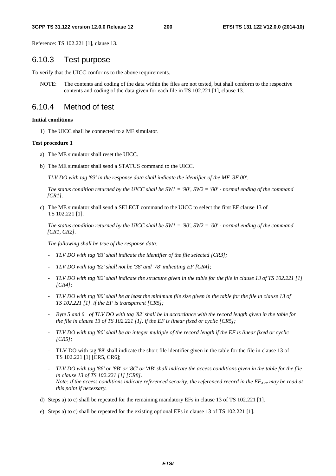Reference: TS 102.221 [1], clause 13.

## 6.10.3 Test purpose

To verify that the UICC conforms to the above requirements.

NOTE: The contents and coding of the data within the files are not tested, but shall conform to the respective contents and coding of the data given for each file in TS 102.221 [1], clause 13.

## 6.10.4 Method of test

### **Initial conditions**

1) The UICC shall be connected to a ME simulator.

### **Test procedure 1**

- a) The ME simulator shall reset the UICC.
- b) The ME simulator shall send a STATUS command to the UICC.

*TLV DO with tag '83' in the response data shall indicate the identifier of the MF '3F 00'.*

*The status condition returned by the UICC shall be SW1 = '90', SW2 = '00' - normal ending of the command [CR1].*

c) The ME simulator shall send a SELECT command to the UICC to select the first EF clause 13 of TS 102.221 [1].

*The status condition returned by the UICC shall be SW1 = '90', SW2 = '00' - normal ending of the command [CR1, CR2].*

*The following shall be true of the response data:* 

- *TLV DO with tag '83' shall indicate the identifier of the file selected [CR3];*
- *TLV DO with tag '82' shall not be '38' and '78' indicating EF [CR4];*
- *TLV DO with tag '82' shall indicate the structure given in the table for the file in clause 13 of TS 102.221 [1] [CR4];*
- *TLV DO with tag '80' shall be at least the minimum file size given in the table for the file in clause 13 of TS 102.221 [1]. if the EF is transparent [CR5];*
- *Byte 5 and 6 of TLV DO with tag '82' shall be in accordance with the record length given in the table for the file in clause 13 of TS 102.221 [1]. if the EF is linear fixed or cyclic [CR5];*
- *TLV DO with tag '80' shall be an integer multiple of the record length if the EF is linear fixed or cyclic [CR5];*
- TLV DO with tag '88' shall indicate the short file identifier given in the table for the file in clause 13 of TS 102.221 [1] [CR5, CR6];
- *TLV DO with tag '86' or '8B' or '8C' or 'AB' shall indicate the access conditions given in the table for the file in clause 13 of TS 102.221 [1] [CR8]. Note: if the access conditions indicate referenced security, the referenced record in the EF<sub>ARR</sub> may be read at this point if necessary.*
- d) Steps a) to c) shall be repeated for the remaining mandatory EFs in clause 13 of TS 102.221 [1].
- e) Steps a) to c) shall be repeated for the existing optional EFs in clause 13 of TS 102.221 [1].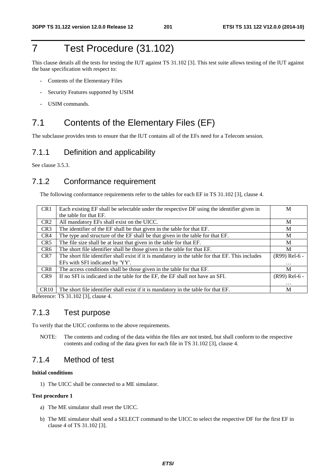# 7 Test Procedure (31.102)

This clause details all the tests for testing the IUT against TS 31.102 [3]. This test suite allows testing of the IUT against the base specification with respect to:

- Contents of the Elementary Files
- Security Features supported by USIM
- USIM commands.

## 7.1 Contents of the Elementary Files (EF)

The subclause provides tests to ensure that the IUT contains all of the EFs need for a Telecom session.

## 7.1.1 Definition and applicability

See clause 3.5.3.

## 7.1.2 Conformance requirement

The following conformance requirements refer to the tables for each EF in TS 31.102 [3], clause 4.

| CR1             | Each existing EF shall be selectable under the respective DF using the identifier given in       | M             |
|-----------------|--------------------------------------------------------------------------------------------------|---------------|
|                 | the table for that EF.                                                                           |               |
| CR <sub>2</sub> | All mandatory EFs shall exist on the UICC.                                                       | M             |
| CR <sub>3</sub> | The identifier of the EF shall be that given in the table for that EF.                           | M             |
| CR4             | The type and structure of the EF shall be that given in the table for that EF.                   | M             |
| CR5             | The file size shall be at least that given in the table for that EF.                             | M             |
| CR6             | The short file identifier shall be those given in the table for that EF.                         | M             |
| CR <sub>7</sub> | The short file identifier shall exist if it is mandatory in the table for that EF. This includes | (R99) Rel-6 - |
|                 | EFs with SFI indicated by 'YY'.                                                                  | $\cdots$      |
| CR <sub>8</sub> | The access conditions shall be those given in the table for that EF.                             | M             |
| CR <sub>9</sub> | If no SFI is indicated in the table for the EF, the EF shall not have an SFI.                    | (R99) Rel-6 - |
|                 |                                                                                                  | $\cdots$      |
| CR10            | The short file identifier shall exist if it is mandatory in the table for that EF.               | M             |

Reference: TS 31.102 [3], clause 4.

## 7.1.3 Test purpose

To verify that the UICC conforms to the above requirements.

NOTE: The contents and coding of the data within the files are not tested, but shall conform to the respective contents and coding of the data given for each file in TS 31.102 [3], clause 4.

## 7.1.4 Method of test

### **Initial conditions**

1) The UICC shall be connected to a ME simulator.

### **Test procedure 1**

- a) The ME simulator shall reset the UICC.
- b) The ME simulator shall send a SELECT command to the UICC to select the respective DF for the first EF in clause 4 of TS 31.102 [3].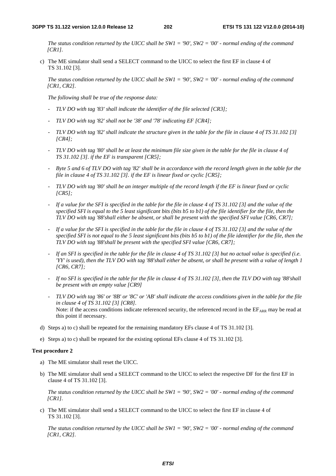*The status condition returned by the UICC shall be SW1 = '90', SW2 = '00' - normal ending of the command [CR1].*

c) The ME simulator shall send a SELECT command to the UICC to select the first EF in clause 4 of TS 31.102 [3].

*The status condition returned by the UICC shall be SW1 = '90', SW2 = '00' - normal ending of the command [CR1, CR2].*

*The following shall be true of the response data:* 

- *TLV DO with tag '83' shall indicate the identifier of the file selected [CR3];*
- *TLV DO with tag '82' shall not be '38' and '78' indicating EF [CR4];*
- *TLV DO with tag '82' shall indicate the structure given in the table for the file in clause 4 of TS 31.102 [3] [CR4];*
- *TLV DO with tag '80' shall be at least the minimum file size given in the table for the file in clause 4 of TS 31.102 [3]. if the EF is transparent [CR5];*
- *Byte 5 and 6 of TLV DO with tag '82' shall be in accordance with the record length given in the table for the file in clause 4 of TS 31.102 [3]. if the EF is linear fixed or cyclic [CR5];*
- *TLV DO with tag '80' shall be an integer multiple of the record length if the EF is linear fixed or cyclic [CR5];*
- *If a value for the SFI is specified in the table for the file in clause 4 of TS 31.102 [3] and the value of the specified SFI is equal to the 5 least significant bits (bits b5 to b1) of the file identifier for the file, then the TLV DO with tag '88'shall either be absent, or shall be present with the specified SFI value [CR6, CR7];*
- *If a value for the SFI is specified in the table for the file in clause 4 of TS 31.102 [3] and the value of the specified SFI is not equal to the 5 least significant bits (bits b5 to b1) of the file identifier for the file, then the TLV DO with tag '88'shall be present with the specified SFI value [CR6, CR7];*
- *If an SFI is specified in the table for the file in clause 4 of TS 31.102 [3] but no actual value is specified (i.e. 'YY' is used), then the TLV DO with tag '88'shall either be absent, or shall be present with a value of length 1 [CR6, CR7];*
- *If no SFI is specified in the table for the file in clause 4 of TS 31.102 [3], then the TLV DO with tag '88'shall be present with an empty value [CR9]*
- *TLV DO with tag '86' or '8B' or '8C' or 'AB' shall indicate the access conditions given in the table for the file in clause 4 of TS 31.102 [3] [CR8].*  Note: if the access conditions indicate referenced security, the referenced record in the  $E_{ARR}$  may be read at this point if necessary.
- d) Steps a) to c) shall be repeated for the remaining mandatory EFs clause 4 of TS 31.102 [3].
- e) Steps a) to c) shall be repeated for the existing optional EFs clause 4 of TS 31.102 [3].

### **Test procedure 2**

- a) The ME simulator shall reset the UICC.
- b) The ME simulator shall send a SELECT command to the UICC to select the respective DF for the first EF in clause 4 of TS 31.102 [3].

*The status condition returned by the UICC shall be SW1 = '90', SW2 = '00' - normal ending of the command [CR1].*

c) The ME simulator shall send a SELECT command to the UICC to select the first EF in clause 4 of TS 31.102 [3].

*The status condition returned by the UICC shall be SW1 = '90', SW2 = '00' - normal ending of the command [CR1, CR2].*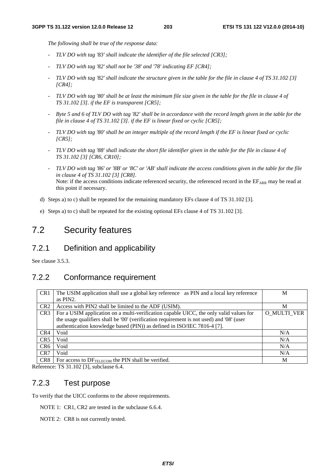*The following shall be true of the response data:* 

- *TLV DO with tag '83' shall indicate the identifier of the file selected [CR3];*
- *TLV DO with tag '82' shall not be '38' and '78' indicating EF [CR4];*
- *TLV DO with tag '82' shall indicate the structure given in the table for the file in clause 4 of TS 31.102 [3] [CR4];*
- *TLV DO with tag '80' shall be at least the minimum file size given in the table for the file in clause 4 of TS 31.102 [3]. if the EF is transparent [CR5];*
- *Byte 5 and 6 of TLV DO with tag '82' shall be in accordance with the record length given in the table for the file in clause 4 of TS 31.102 [3]. if the EF is linear fixed or cyclic [CR5];*
- *TLV DO with tag '80' shall be an integer multiple of the record length if the EF is linear fixed or cyclic [CR5];*
- *TLV DO with tag '88' shall indicate the short file identifier given in the table for the file in clause 4 of TS 31.102 [3] [CR6, CR10];*
- *TLV DO with tag '86' or '8B' or '8C' or 'AB' shall indicate the access conditions given in the table for the file in clause 4 of TS 31.102 [3] [CR8].*  Note: if the access conditions indicate referenced security, the referenced record in the  $E_{ARR}$  may be read at this point if necessary.
- d) Steps a) to c) shall be repeated for the remaining mandatory EFs clause 4 of TS 31.102 [3].
- e) Steps a) to c) shall be repeated for the existing optional EFs clause 4 of TS 31.102 [3].

## 7.2 Security features

## 7.2.1 Definition and applicability

See clause 3.5.3.

## 7.2.2 Conformance requirement

| CR1             | The USIM application shall use a global key reference as PIN and a local key reference   | M           |
|-----------------|------------------------------------------------------------------------------------------|-------------|
|                 | as PIN2.                                                                                 |             |
| CR <sub>2</sub> | Access with PIN2 shall be limited to the ADF (USIM).                                     | M           |
| CR <sub>3</sub> | For a USIM application on a multi-verification capable UICC, the only valid values for   | O MULTI VER |
|                 | the usage qualifiers shall be '00' (verification requirement is not used) and '08' (user |             |
|                 | authentication knowledge based (PIN)) as defined in ISO/IEC 7816-4 [7].                  |             |
| CR4             | Void                                                                                     | N/A         |
| CR <sub>5</sub> | Void                                                                                     | N/A         |
| CR <sub>6</sub> | Void                                                                                     | N/A         |
| CR7             | Void                                                                                     | N/A         |
| CR <sub>8</sub> | For access to DF <sub>TELECOM</sub> the PIN shall be verified.                           | M           |

Reference: TS 31.102 [3], subclause 6.4.

## 7.2.3 Test purpose

To verify that the UICC conforms to the above requirements.

NOTE 1: CR1, CR2 are tested in the subclause 6.6.4.

NOTE 2: CR8 is not currently tested.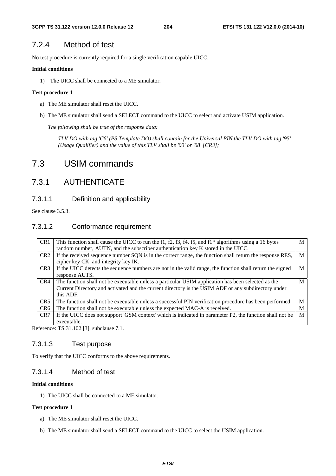## 7.2.4 Method of test

No test procedure is currently required for a single verification capable UICC.

## **Initial conditions**

1) The UICC shall be connected to a ME simulator.

## **Test procedure 1**

- a) The ME simulator shall reset the UICC.
- b) The ME simulator shall send a SELECT command to the UICC to select and activate USIM application.

*The following shall be true of the response data:* 

- *TLV DO with tag 'C6' (PS Template DO) shall contain for the Universal PIN the TLV DO with tag '95' (Usage Qualifier) and the value of this TLV shall be '00' or '08' [CR3];* 

# 7.3 USIM commands

## 7.3.1 AUTHENTICATE

7.3.1.1 Definition and applicability

See clause 3.5.3.

## 7.3.1.2 Conformance requirement

| CR <sub>1</sub> | This function shall cause the UICC to run the f1, f2, f3, f4, f5, and f1 $*$ algorithms using a 16 bytes<br>random number, AUTN, and the subscriber authentication key K stored in the UICC.                           | M |
|-----------------|------------------------------------------------------------------------------------------------------------------------------------------------------------------------------------------------------------------------|---|
| CR <sub>2</sub> | If the received sequence number SQN is in the correct range, the function shall return the response RES,<br>cipher key CK, and integrity key IK.                                                                       | M |
| CR <sub>3</sub> | If the UICC detects the sequence numbers are not in the valid range, the function shall return the signed<br>response AUTS.                                                                                            | М |
| CR4             | The function shall not be executable unless a particular USIM application has been selected as the<br>Current Directory and activated and the current directory is the USIM ADF or any subdirectory under<br>this ADF. | M |
| CR <sub>5</sub> | The function shall not be executable unless a successful PIN verification procedure has been performed.                                                                                                                | M |
| CR <sub>6</sub> | The function shall not be executable unless the expected MAC-A is received.                                                                                                                                            | М |
| CR7             | If the UICC does not support 'GSM context' which is indicated in parameter P2, the function shall not be<br>executable.                                                                                                | M |

Reference: TS 31.102 [3], subclause 7.1.

## 7.3.1.3 Test purpose

To verify that the UICC conforms to the above requirements.

## 7.3.1.4 Method of test

## **Initial conditions**

1) The UICC shall be connected to a ME simulator.

## **Test procedure 1**

- a) The ME simulator shall reset the UICC.
- b) The ME simulator shall send a SELECT command to the UICC to select the USIM application.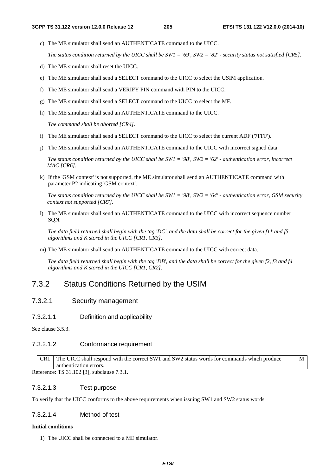M

c) The ME simulator shall send an AUTHENTICATE command to the UICC.

*The status condition returned by the UICC shall be SW1 = '69', SW2 = '82' - security status not satisfied [CR5].*

- d) The ME simulator shall reset the UICC.
- e) The ME simulator shall send a SELECT command to the UICC to select the USIM application.
- f) The ME simulator shall send a VERIFY PIN command with PIN to the UICC.
- g) The ME simulator shall send a SELECT command to the UICC to select the MF.
- h) The ME simulator shall send an AUTHENTICATE command to the UICC.

*The command shall be aborted [CR4].*

- i) The ME simulator shall send a SELECT command to the UICC to select the current ADF ('7FFF').
- j) The ME simulator shall send an AUTHENTICATE command to the UICC with incorrect signed data.

*The status condition returned by the UICC shall be SW1 = '98', SW2 = '62' - authentication error, incorrect MAC [CR6].*

k) If the 'GSM context' is not supported, the ME simulator shall send an AUTHENTICATE command with parameter P2 indicating 'GSM context'.

*The status condition returned by the UICC shall be SW1 = '98', SW2 = '64' - authentication error, GSM security context not supported [CR7].*

l) The ME simulator shall send an AUTHENTICATE command to the UICC with incorrect sequence number SQN.

*The data field returned shall begin with the tag 'DC', and the data shall be correct for the given f1\* and f5 algorithms and K stored in the UICC [CR1, CR3].*

m) The ME simulator shall send an AUTHENTICATE command to the UICC with correct data.

*The data field returned shall begin with the tag 'DB', and the data shall be correct for the given f2, f3 and f4 algorithms and K stored in the UICC [CR1, CR2].*

## 7.3.2 Status Conditions Returned by the USIM

## 7.3.2.1 Security management

7.3.2.1.1 Definition and applicability

See clause 3.5.3.

## 7.3.2.1.2 Conformance requirement

CR1 The UICC shall respond with the correct SW1 and SW2 status words for commands which produce authentication errors.

Reference: TS 31.102 [3], subclause 7.3.1.

## 7.3.2.1.3 Test purpose

To verify that the UICC conforms to the above requirements when issuing SW1 and SW2 status words.

## 7.3.2.1.4 Method of test

### **Initial conditions**

1) The UICC shall be connected to a ME simulator.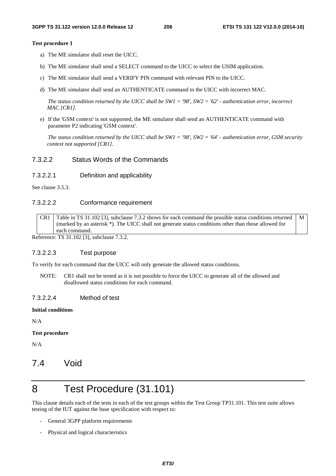### **Test procedure 1**

- a) The ME simulator shall reset the UICC.
- b) The ME simulator shall send a SELECT command to the UICC to select the USIM application.
- c) The ME simulator shall send a VERIFY PIN command with relevant PIN to the UICC.
- d) The ME simulator shall send an AUTHENTICATE command to the UICC with incorrect MAC.

*The status condition returned by the UICC shall be SW1 = '98', SW2 = '62' - authentication error, incorrect MAC [CR1].*

e) If the 'GSM context' is not supported, the ME simulator shall send an AUTHENTICATE command with parameter P2 indicating 'GSM context'.

*The status condition returned by the UICC shall be SW1 = '98', SW2 = '64' - authentication error, GSM security context not supported [CR1].*

## 7.3.2.2 Status Words of the Commands

## 7.3.2.2.1 Definition and applicability

See clause 3.5.3.

## 7.3.2.2.2 Conformance requirement

CR1 Table in TS 31.102 [3], subclause 7.3.2 shows for each command the possible status conditions returned (marked by an asterisk \*). The UICC shall not generate status conditions other than those allowed for each command. M

Reference: TS 31.102 [3], subclause 7.3.2.

## 7.3.2.2.3 Test purpose

To verify for each command that the UICC will only generate the allowed status conditions.

NOTE: CR1 shall not be tested as it is not possible to force the UICC to generate all of the allowed and disallowed status conditions for each command.

### 7.3.2.2.4 Method of test

### **Initial conditions**

N/A

### **Test procedure**

N/A

## 7.4 Void

# 8 Test Procedure (31.101)

This clause details each of the tests in each of the test groups within the Test Group TP31.101. This test suite allows testing of the IUT against the base specification with respect to:

- General 3GPP platform requirements
- Physical and logical characteristics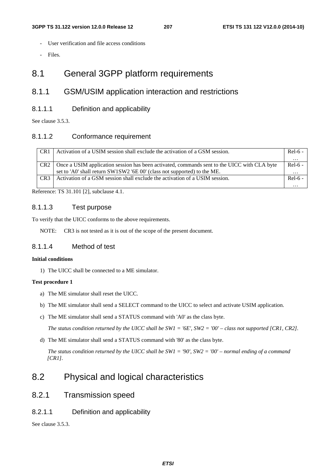- User verification and file access conditions
- Files.

## 8.1 General 3GPP platform requirements

## 8.1.1 GSM/USIM application interaction and restrictions

## 8.1.1.1 Definition and applicability

See clause 3.5.3.

## 8.1.1.2 Conformance requirement

| CR1             | Activation of a USIM session shall exclude the activation of a GSM session.                 | $Rel-6$ - |
|-----------------|---------------------------------------------------------------------------------------------|-----------|
|                 |                                                                                             | $\cdots$  |
| CR <sub>2</sub> | Once a USIM application session has been activated, commands sent to the UICC with CLA byte | $Rel-6 -$ |
|                 | set to 'A0' shall return SW1SW2 '6E 00' (class not supported) to the ME.                    | $\cdots$  |
| CR <sub>3</sub> | Activation of a GSM session shall exclude the activation of a USIM session.                 | $Rel-6$ - |
|                 |                                                                                             | $\cdots$  |

Reference: TS 31.101 [2], subclause 4.1.

## 8.1.1.3 Test purpose

To verify that the UICC conforms to the above requirements.

NOTE: CR3 is not tested as it is out of the scope of the present document.

## 8.1.1.4 Method of test

## **Initial conditions**

1) The UICC shall be connected to a ME simulator.

## **Test procedure 1**

- a) The ME simulator shall reset the UICC.
- b) The ME simulator shall send a SELECT command to the UICC to select and activate USIM application.
- c) The ME simulator shall send a STATUS command with 'A0' as the class byte.

 *The status condition returned by the UICC shall be SW1 = '6E', SW2 = '00' – class not supported [CR1, CR2].* 

d) The ME simulator shall send a STATUS command with '80' as the class byte.

 *The status condition returned by the UICC shall be SW1 = '90', SW2 = '00' – normal ending of a command [CR1].*

## 8.2 Physical and logical characteristics

8.2.1 Transmission speed

## 8.2.1.1 Definition and applicability

See clause 3.5.3.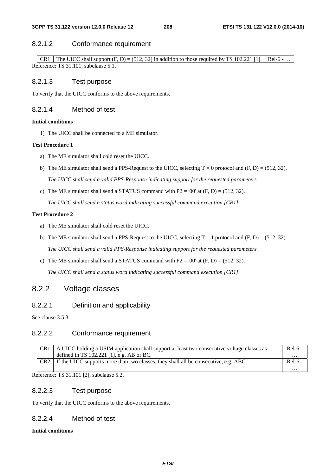## 8.2.1.2 Conformance requirement

CR1 The UICC shall support  $(F, D) = (512, 32)$  in addition to those required by TS 102.221 [1]. Rel-6 - ... Reference: TS 31.101, subclause 5.1.

## 8.2.1.3 Test purpose

To verify that the UICC conforms to the above requirements.

## 8.2.1.4 Method of test

## **Initial conditions**

1) The UICC shall be connected to a ME simulator.

## **Test Procedure 1**

- a) The ME simulator shall cold reset the UICC.
- b) The ME simulator shall send a PPS-Request to the UICC, selecting  $T = 0$  protocol and  $(F, D) = (512, 32)$ .

 *The UICC shall send a valid PPS-Response indicating support for the requested parameters.*

c) The ME simulator shall send a STATUS command with  $P2 = 00'$  at  $(F, D) = (512, 32)$ .

 *The UICC shall send a status word indicating successful command execution [CR1].*

## **Test Procedure 2**

- a) The ME simulator shall cold reset the UICC.
- b) The ME simulator shall send a PPS-Request to the UICC, selecting  $T = 1$  protocol and  $(F, D) = (512, 32)$ .

 *The UICC shall send a valid PPS-Response indicating support for the requested parameters.*

c) The ME simulator shall send a STATUS command with  $P2 = 00'$  at  $(F, D) = (512, 32)$ .

 *The UICC shall send a status word indicating successful command execution [CR1].*

## 8.2.2 Voltage classes

## 8.2.2.1 Definition and applicability

See clause 3.5.3.

## 8.2.2.2 Conformance requirement

|         | CR1   A UICC holding a USIM application shall support at least two consecutive voltage classes as<br>defined in TS $102.221$ [1], e.g. AB or BC. | $Rel-6$ -<br>. |
|---------|--------------------------------------------------------------------------------------------------------------------------------------------------|----------------|
| $CR2$ 1 | If the UICC supports more than two classes, they shall all be consecutive, e.g. ABC.                                                             | $Rel-6$ -      |
|         |                                                                                                                                                  | $\cdots$       |

Reference: TS 31.101 [2], subclause 5.2.

## 8.2.2.3 Test purpose

To verify that the UICC conforms to the above requirements.

## 8.2.2.4 Method of test

## **Initial conditions**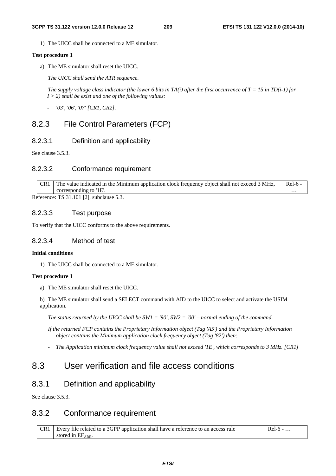1) The UICC shall be connected to a ME simulator.

### **Test procedure 1**

a) The ME simulator shall reset the UICC.

 *The UICC shall send the ATR sequence.* 

*The supply voltage class indicator (the lower 6 bits in TA(i) after the first occurrence of T = 15 in TD(i-1) for I > 2) shall be exist and one of the following values:* 

*- '03', '06', '07' [CR1, CR2].* 

## 8.2.3 File Control Parameters (FCP)

## 8.2.3.1 Definition and applicability

See clause 3.5.3.

## 8.2.3.2 Conformance requirement

| CR <sub>1</sub> | The value indicated in the Minimum application clock frequency object shall not exceed 3 MHz, | Rel-6 -  |
|-----------------|-----------------------------------------------------------------------------------------------|----------|
|                 | corresponding to $1E'$ .                                                                      | $\cdots$ |
|                 | $2.6$ cropse: TS 21 101 [2] subsidius $5.2$                                                   |          |

Reference: TS 31.101 [2], subclause 5.3.

## 8.2.3.3 Test purpose

To verify that the UICC conforms to the above requirements.

## 8.2.3.4 Method of test

### **Initial conditions**

1) The UICC shall be connected to a ME simulator.

### **Test procedure 1**

a) The ME simulator shall reset the UICC.

b) The ME simulator shall send a SELECT command with AID to the UICC to select and activate the USIM application.

*The status returned by the UICC shall be SW1 = '90', SW2 = '00' – normal ending of the command.*

*If the returned FCP contains the Proprietary Information object (Tag 'A5') and the Proprietary Information object contains the Minimum application clock frequency object (Tag '82') then:* 

*- The Application minimum clock frequency value shall not exceed '1E', which corresponds to 3 MHz. [CR1]* 

## 8.3 User verification and file access conditions

## 8.3.1 Definition and applicability

See clause 3.5.3.

## 8.3.2 Conformance requirement

| CR1 | Every file related to a 3GPP application shall have a reference to an access rule | Rel-6 |
|-----|-----------------------------------------------------------------------------------|-------|
|     | stored in $EF_{ARR.}$                                                             |       |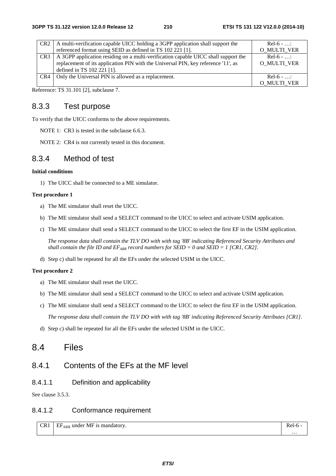|                 | CR2   A multi-verification capable UICC holding a 3GPP application shall support the | $Re[-6 - ]$        |
|-----------------|--------------------------------------------------------------------------------------|--------------------|
|                 | referenced format using SEID as defined in TS 102 221 [1].                           | <b>O MULTI VER</b> |
| CR <sub>3</sub> | A 3GPP application residing on a multi-verification capable UICC shall support the   | $Re[-6 - ]$        |
|                 | replacement of its application PIN with the Universal PIN, key reference '11', as    | O MULTI VER        |
|                 | defined in TS 102 221 [1].                                                           |                    |
| CR4             | Only the Universal PIN is allowed as a replacement.                                  | $Rel-6$ - :        |
|                 |                                                                                      | O MULTI VER        |

Reference: TS 31.101 [2], subclause 7.

## 8.3.3 Test purpose

To verify that the UICC conforms to the above requirements.

NOTE 1: CR3 is tested in the subclause 6.6.3.

NOTE 2: CR4 is not currently tested in this document.

## 8.3.4 Method of test

### **Initial conditions**

1) The UICC shall be connected to a ME simulator.

## **Test procedure 1**

- a) The ME simulator shall reset the UICC.
- b) The ME simulator shall send a SELECT command to the UICC to select and activate USIM application.
- c) The ME simulator shall send a SELECT command to the UICC to select the first EF in the USIM application.

*The response data shall contain the TLV DO with with tag '8B' indicating Referenced Security Attributes and shall contain the file ID and*  $EF_{ARR}$  *record numbers for SEID = 0 and SEID = 1 [CR1, CR2].* 

d) Step c) shall be repeated for all the EFs under the selected USIM in the UICC.

## **Test procedure 2**

- a) The ME simulator shall reset the UICC.
- b) The ME simulator shall send a SELECT command to the UICC to select and activate USIM application.
- c) The ME simulator shall send a SELECT command to the UICC to select the first EF in the USIM application. *The response data shall contain the TLV DO with with tag '8B' indicating Referenced Security Attributes [CR1].*
- d) Step c) shall be repeated for all the EFs under the selected USIM in the UICC.

## 8.4 Files

## 8.4.1 Contents of the EFs at the MF level

## 8.4.1.1 Definition and applicability

See clause 3.5.3.

## 8.4.1.2 Conformance requirement

 $CR1$  EF<sub>ARR</sub> under MF is mandatory.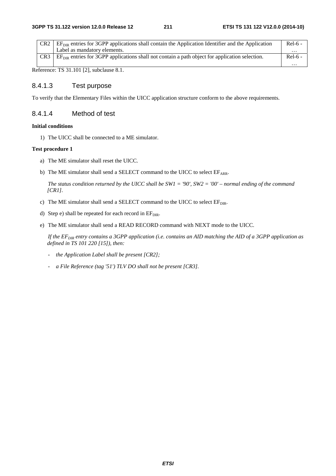| CR2             | $EFDIR$ entries for 3GPP applications shall contain the Application Identifier and the Application |           |  |
|-----------------|----------------------------------------------------------------------------------------------------|-----------|--|
|                 | Label as mandatory elements.                                                                       | $\cdots$  |  |
| CR <sub>3</sub> | $EFDIR$ entries for 3GPP applications shall not contain a path object for application selection.   | $Rel-6$ - |  |
|                 |                                                                                                    | $\cdots$  |  |

Reference: TS 31.101 [2], subclause 8.1.

## 8.4.1.3 Test purpose

To verify that the Elementary Files within the UICC application structure conform to the above requirements.

## 8.4.1.4 Method of test

### **Initial conditions**

1) The UICC shall be connected to a ME simulator.

## **Test procedure 1**

- a) The ME simulator shall reset the UICC.
- b) The ME simulator shall send a SELECT command to the UICC to select  $EF_{ARR}$ .

 *The status condition returned by the UICC shall be SW1 = '90', SW2 = '00' – normal ending of the command [CR1].*

- c) The ME simulator shall send a SELECT command to the UICC to select  $EF_{\text{DIR}}$ .
- d) Step e) shall be repeated for each record in  $EF_{\text{DIR}}$ .
- e) The ME simulator shall send a READ RECORD command with NEXT mode to the UICC.

*If the EF<sub>DIR</sub> entry contains a 3GPP application (i.e. contains an AID matching the AID of a 3GPP application as defined in TS 101 220 [15]), then:* 

- *the Application Label shall be present [CR2];*
- *a File Reference (tag '51') TLV DO shall not be present [CR3].*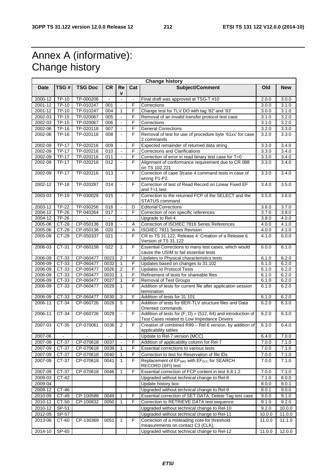# Annex A (informative): Change history

| <b>Change history</b> |                     |                |           |                          |                |                                                                                                               |        |            |
|-----------------------|---------------------|----------------|-----------|--------------------------|----------------|---------------------------------------------------------------------------------------------------------------|--------|------------|
| <b>Date</b>           | TSG#                | <b>TSG Doc</b> | <b>CR</b> | Re<br>۷                  | Cat            | Subject/Comment                                                                                               | Old    | <b>New</b> |
| 2000-12               | <b>TP-10</b>        | TP-000206      |           | $\blacksquare$           |                | Final draft was approved at TSG-T #10                                                                         | 2.0.0  | 3.0.0      |
| 2001-12               | $TP-10$             | TP-010247      | 001       | $\omega$                 | F              | Corrections                                                                                                   | 3.0.0  | 3.1.0      |
| 2001-12               | TP-10               | TP-010247      | 004       | $\mathbf{1}$             | F              | Change test for TLV DO with tag '82' and '83'                                                                 | 3.0.0  | 3.1.0      |
| 2002-03               | <b>TP-15</b>        | TP-020067      | 005       | $\Box$                   | F              | Removal of an invalid transfer protocol test case                                                             | 3.1.0  | 3.2.0      |
| 2002-03               | <b>TP-15</b>        | TP-020067      | 006       |                          | F              | Corrections                                                                                                   | 3.1.0  | 3.2.0      |
| 2002-06               | $\overline{TP}$ -16 | TP-020118      | 007       | $\blacksquare$           | F              | <b>General Corrections</b>                                                                                    | 3.2.0  | 3.3.0      |
| 2002-06               | <b>TP-16</b>        | TP-020118      | 008       | $\blacksquare$           | F              | Removal of test for use of procedure byte '61xx' for case<br>2 commands                                       | 3.2.0  | 3.3.0      |
| 2002-09               | <b>TP-17</b>        | TP-020216      | 009       | $\blacksquare$           | F              | Expected remainder of returned data string                                                                    | 3.3.0  | 3.4.0      |
| 2002-09               | <b>TP-17</b>        | TP-020216      | 010       | $\blacksquare$           | F              | <b>Corrections and Clarifications</b>                                                                         | 3.3.0  | 3.4.0      |
| 2002-09               | TP-17               | TP-020216      | 011       | $\omega$                 | F              | Correction of error in read binary test case for T=0                                                          | 3.3.0  | 3.4.0      |
| 2002-09               | <b>TP-17</b>        | TP-020216      | 012       | $\overline{\phantom{a}}$ | F              | Alignment of conformance requirement due to CR 088<br>on TS 102 221                                           | 3.3.0  | 3.4.0      |
| 2002-09               | <b>TP-17</b>        | TP-020216      | 013       | $\overline{\phantom{a}}$ | F              | Correction of case 3/case 4 command tests in case of<br>wrong P1-P2.                                          | 3.3.0  | 3.4.0      |
| 2002-12               | <b>TP-18</b>        | TP-020287      | 014       | $\blacksquare$           | F              | Correction of test of Read Record on Linear Fixed EF<br>and $T=1$ test                                        | 3.4.0  | 3.5.0      |
| 2003-03               | TP-19               | TP-030029      | 015       | $\blacksquare$           | F              | Correction to the returned FCP of the SELECT and the<br>STATUS command                                        | 3.5.0  | 3.6.0      |
| 2003-12               | <b>TP-22</b>        | TP-030256      | 016       | $\blacksquare$           | D              | <b>Editorial Corrections</b>                                                                                  | 3.6.0  | 3.7.0      |
| 2004-12               | TP-26               | TP-040264      | 017       | $\blacksquare$           | F              | Correction of non specific references                                                                         | 3.7.0  | 3.8.0      |
| 2004-12               | $TP-26$             |                |           |                          |                | Upgrade to Rel-4                                                                                              | 3.8.0  | 4.0.0      |
| 2005-06               | $CT-28$             | CP-050136      | 018       | $\blacksquare$           | $\overline{A}$ | Correction of ISO/IEC 7816 Series References                                                                  | 4.0.0  | 4.1.0      |
| 2005-06               | CT-28               | CP-050136      | 020       | $\blacksquare$           | A              | ISO/IEC 7811 Series Revision                                                                                  | 4.0.0  | 4.1.0      |
| 2005-09               | CT-29               | CP-050337      | 021       | $\mathbf{r}$             | F              | CR to TS 31.122, Release 4: Creation of a Release 6<br>Version of TS 31.122                                   | 4.1.0  | 6.0.0      |
| 2006-03               | CT-31               | CP-060158      | 022       | $\mathbf{1}$             | F              | Essential Corrections to many test cases, which would<br>cause the USIM to fail essential tests               | 6.0.0  | 6.1.0      |
| $2006 - 09$           | $CT-33$             | CP-060477      | 0023      | $\overline{c}$           | F              | Updates to Physical characteristics tests                                                                     | 6.1.0  | 6.2.0      |
| 2006-09               | CT-33               | CP-060477      | 0032      | $\mathbf{1}$             | F              | Updates based on changes to 31.102                                                                            | 6.1.0  | 6.2.0      |
| 2006-09               | CT-33               | CP-060477      | 0026      | 2                        | F              | <b>Updates to Protocol Tests</b>                                                                              | 6.1.0  | 6.2.0      |
| 2006-09               | CT-33               | CP-060477      | 0031      | $\mathbf{1}$             | F              | Refinement of tests for shareable files                                                                       | 6.1.0  | 6.2.0      |
| 2006-09               | $CT-33$             | CP-060477      | 0027      | $\mathbf{1}$             | F              | <b>Removal of Test Groups</b>                                                                                 | 6.1.0  | 6.2.0      |
| 2006-09               | CT-33               | CP-060477      | 0029      | $\mathbf{1}$             | F              | Addition of tests for current file after application session<br>termination                                   | 6.1.0  | 6.2.0      |
| 2006-09               | CT-33               | CP-060477      | 0030      | 3                        | F              | Addition of tests for 31.101                                                                                  | 6.1.0  | 6.2.0      |
| 2006-11               | CT-34               | CP-060726      | 0028      | 5                        | F              | Addition of tests for BER-TLV structure files and Data<br>Oriented commands                                   | 6.2.0  | 6.3.0      |
| 2006-11               | CT-34               | CP-060726      | 0029      | $\blacksquare$           | F              | Addition of tests for $(F, D) = (512, 64)$ and introduction of<br>Test Cases related to Low Impedance Drivers | 6.2.0  | 6.3.0      |
| 2007-03               | CT-35               | CP-070061      | 0036      | 2                        | F              | Creation of combined R99 - Rel-6 version, by addition of<br>applicability tables                              | 6.3.0  | 6.4.0      |
| 2007-06               | $\blacksquare$      |                |           | $\blacksquare$           |                | Update to Rel-7 version (MCC)                                                                                 | 6.4.0  | 7.0.0      |
| 2007-09               | CT-37               | CP-070618      | 0037      |                          | F              | Addition of applicability column for Rel-7                                                                    | 7.0.0  | 7.1.0      |
| 2007-09               | CT-37               | CP-070618      | 0039      | 1                        | F              | Essential corrections to various tests                                                                        | 7.0.0  | 7.1.0      |
| 2007-09               | CT-37               | CP-070618      | 0040      | 1                        | F              | Correction to test for Reservation of file IDs                                                                | 7.0.0  | 7.1.0      |
| 2007-09               | CT-37               | CP-070618      | 0041      | $\mathbf{1}$             | F              | Replacement of EF <sub>SMS</sub> with EF <sub>ECC</sub> for SEARCH<br>RECORD (SFI) test                       | 7.0.0  | 7.1.0      |
| 2007-09               | CT-37               | CP-070618      | 0046      | 1                        | F              | Essential correction of FCP content in test 6.8.1.2                                                           | 7.0.0  | 7.1.0      |
| 2009-03               | CT-42               |                |           |                          |                | Upgraded without technical change to Rel-8                                                                    | 7.1.0  | 8.0.0      |
| 2009-04               |                     |                |           |                          |                | Update history box                                                                                            | 8.0.0  | 8.0.1      |
| 2009-12               | $CT-46$             |                |           |                          |                | Upgraded without technical change to Rel-9                                                                    | 8.0.1  | 9.0.0      |
| 2010-09               | CT-49               | CP-100588      | 0049      | 1                        | F              | Essential correction of SET DATA, Delete Tag test case                                                        | 9.0.0  | 9.1.0      |
| 2010-12               | CT-50               | CP-100832      | 0050      | 1                        | F              | Correction to RETRIEVE DATA test sequence                                                                     | 9.1.0  | 9.2.0      |
| 2010-12               | SP-51               |                |           |                          |                | Upgraded without technical change to Rel-10                                                                   | 9.2.0  | 10.0.0     |
| 2012-09               | SP-57               |                |           |                          |                | Upgraded without technical change to Rel-11                                                                   | 10.0.0 | 11.0.0     |
| 2013-06               | CT-60               | CP-130369      | 0051      | $\mathbf{1}$             | F              | Correction of a misleading note for threshold<br>measurements on contact C3 (CLK).                            | 11.0.0 | 11.1.0     |
| 2014-10               | SP-65               |                |           |                          |                | Upgraded without technical change to Rel-12                                                                   | 11.0.0 | 12.0.0     |